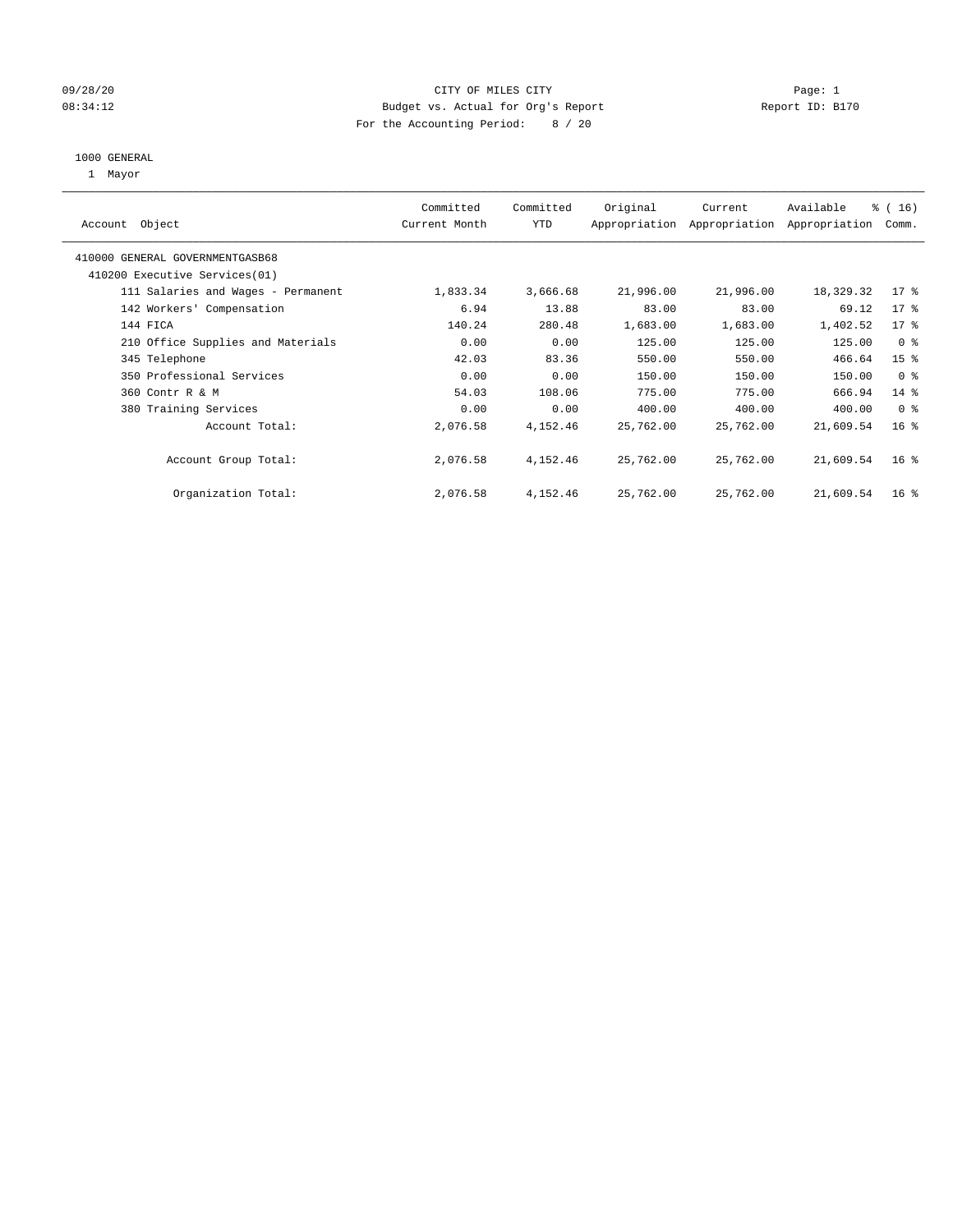#### 09/28/20 Page: 1 CHTY OF MILES CITY CONTROL CONTROL PAGE: 1 08:34:12 Budget vs. Actual for Org's Report Changer Report ID: B170 For the Accounting Period: 8 / 20

#### 1000 GENERAL

1 Mayor

| Object<br>Account                  | Committed<br>Current Month | Committed<br><b>YTD</b> | Original  | Current<br>Appropriation Appropriation | Available<br>Appropriation | % (16)<br>Comm. |
|------------------------------------|----------------------------|-------------------------|-----------|----------------------------------------|----------------------------|-----------------|
| 410000 GENERAL GOVERNMENTGASB68    |                            |                         |           |                                        |                            |                 |
| 410200 Executive Services (01)     |                            |                         |           |                                        |                            |                 |
| 111 Salaries and Wages - Permanent | 1,833.34                   | 3,666.68                | 21,996.00 | 21,996.00                              | 18,329.32                  | $17*$           |
| 142 Workers' Compensation          | 6.94                       | 13.88                   | 83.00     | 83.00                                  | 69.12                      | 17 <sup>°</sup> |
| 144 FICA                           | 140.24                     | 280.48                  | 1,683.00  | 1,683.00                               | 1,402.52                   | 17 <sup>°</sup> |
| 210 Office Supplies and Materials  | 0.00                       | 0.00                    | 125.00    | 125.00                                 | 125.00                     | 0 <sup>8</sup>  |
| 345 Telephone                      | 42.03                      | 83.36                   | 550.00    | 550.00                                 | 466.64                     | 15 <sup>8</sup> |
| 350 Professional Services          | 0.00                       | 0.00                    | 150.00    | 150.00                                 | 150.00                     | 0 <sup>8</sup>  |
| 360 Contr R & M                    | 54.03                      | 108.06                  | 775.00    | 775.00                                 | 666.94                     | $14$ %          |
| 380 Training Services              | 0.00                       | 0.00                    | 400.00    | 400.00                                 | 400.00                     | 0 <sup>8</sup>  |
| Account Total:                     | 2,076.58                   | 4,152.46                | 25,762.00 | 25,762.00                              | 21,609.54                  | 16 <sup>8</sup> |
| Account Group Total:               | 2,076.58                   | 4,152.46                | 25,762.00 | 25,762.00                              | 21,609.54                  | 16 <sup>°</sup> |
| Organization Total:                | 2,076.58                   | 4,152.46                | 25,762.00 | 25,762.00                              | 21,609.54                  | 16 <sup>8</sup> |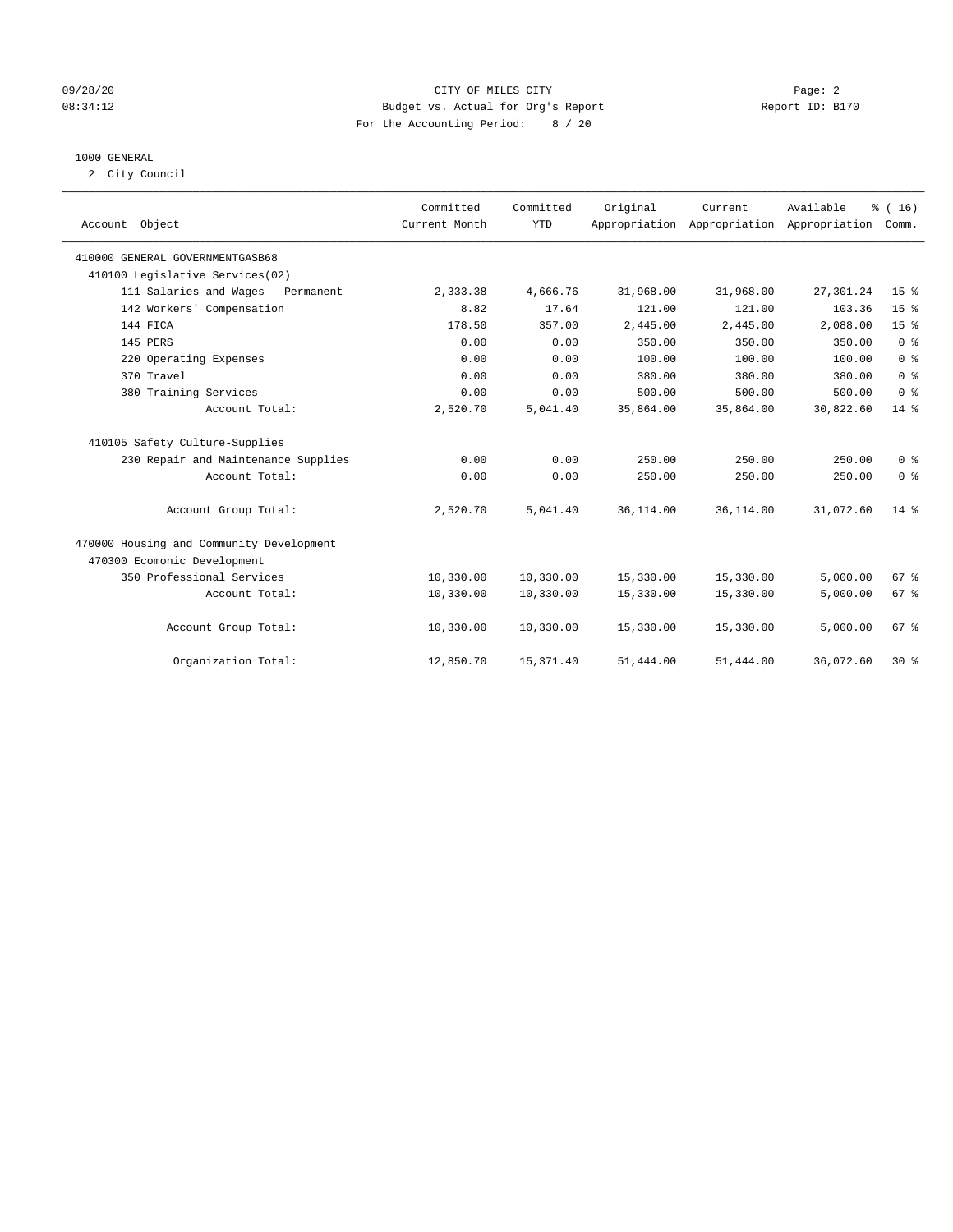#### 09/28/20 Page: 2 08:34:12 Budget vs. Actual for Org's Report Report ID: B170 For the Accounting Period: 8 / 20

#### 1000 GENERAL

2 City Council

| Account Object                           | Committed<br>Current Month | Committed<br><b>YTD</b> | Original  | Current   | Available<br>Appropriation Appropriation Appropriation | % (16)<br>Comm. |
|------------------------------------------|----------------------------|-------------------------|-----------|-----------|--------------------------------------------------------|-----------------|
| 410000 GENERAL GOVERNMENTGASB68          |                            |                         |           |           |                                                        |                 |
| 410100 Legislative Services(02)          |                            |                         |           |           |                                                        |                 |
| 111 Salaries and Wages - Permanent       | 2,333.38                   | 4,666.76                | 31,968.00 | 31,968.00 | 27,301.24                                              | 15 <sup>8</sup> |
| 142 Workers' Compensation                | 8.82                       | 17.64                   | 121.00    | 121.00    | 103.36                                                 | 15 <sup>°</sup> |
| 144 FICA                                 | 178.50                     | 357.00                  | 2,445.00  | 2,445.00  | 2,088.00                                               | 15 <sup>°</sup> |
| 145 PERS                                 | 0.00                       | 0.00                    | 350.00    | 350.00    | 350.00                                                 | 0 <sup>8</sup>  |
| 220 Operating Expenses                   | 0.00                       | 0.00                    | 100.00    | 100.00    | 100.00                                                 | 0 <sup>8</sup>  |
| 370 Travel                               | 0.00                       | 0.00                    | 380.00    | 380.00    | 380.00                                                 | 0 <sup>8</sup>  |
| 380 Training Services                    | 0.00                       | 0.00                    | 500.00    | 500.00    | 500.00                                                 | 0 <sup>8</sup>  |
| Account Total:                           | 2,520.70                   | 5,041.40                | 35,864.00 | 35,864.00 | 30,822.60                                              | $14*$           |
| 410105 Safety Culture-Supplies           |                            |                         |           |           |                                                        |                 |
| 230 Repair and Maintenance Supplies      | 0.00                       | 0.00                    | 250.00    | 250.00    | 250.00                                                 | 0 <sup>8</sup>  |
| Account Total:                           | 0.00                       | 0.00                    | 250.00    | 250.00    | 250.00                                                 | 0 <sup>8</sup>  |
| Account Group Total:                     | 2,520.70                   | 5,041.40                | 36,114.00 | 36,114.00 | 31,072.60                                              | $14*$           |
| 470000 Housing and Community Development |                            |                         |           |           |                                                        |                 |
| 470300 Ecomonic Development              |                            |                         |           |           |                                                        |                 |
| 350 Professional Services                | 10,330.00                  | 10,330.00               | 15,330.00 | 15,330.00 | 5,000.00                                               | 67 <sup>8</sup> |
| Account Total:                           | 10,330.00                  | 10,330.00               | 15,330.00 | 15,330.00 | 5,000.00                                               | 67 <sup>8</sup> |
| Account Group Total:                     | 10,330.00                  | 10,330.00               | 15,330.00 | 15,330.00 | 5,000.00                                               | 67 <sup>8</sup> |
| Organization Total:                      | 12,850.70                  | 15, 371.40              | 51,444.00 | 51,444.00 | 36,072.60                                              | $30*$           |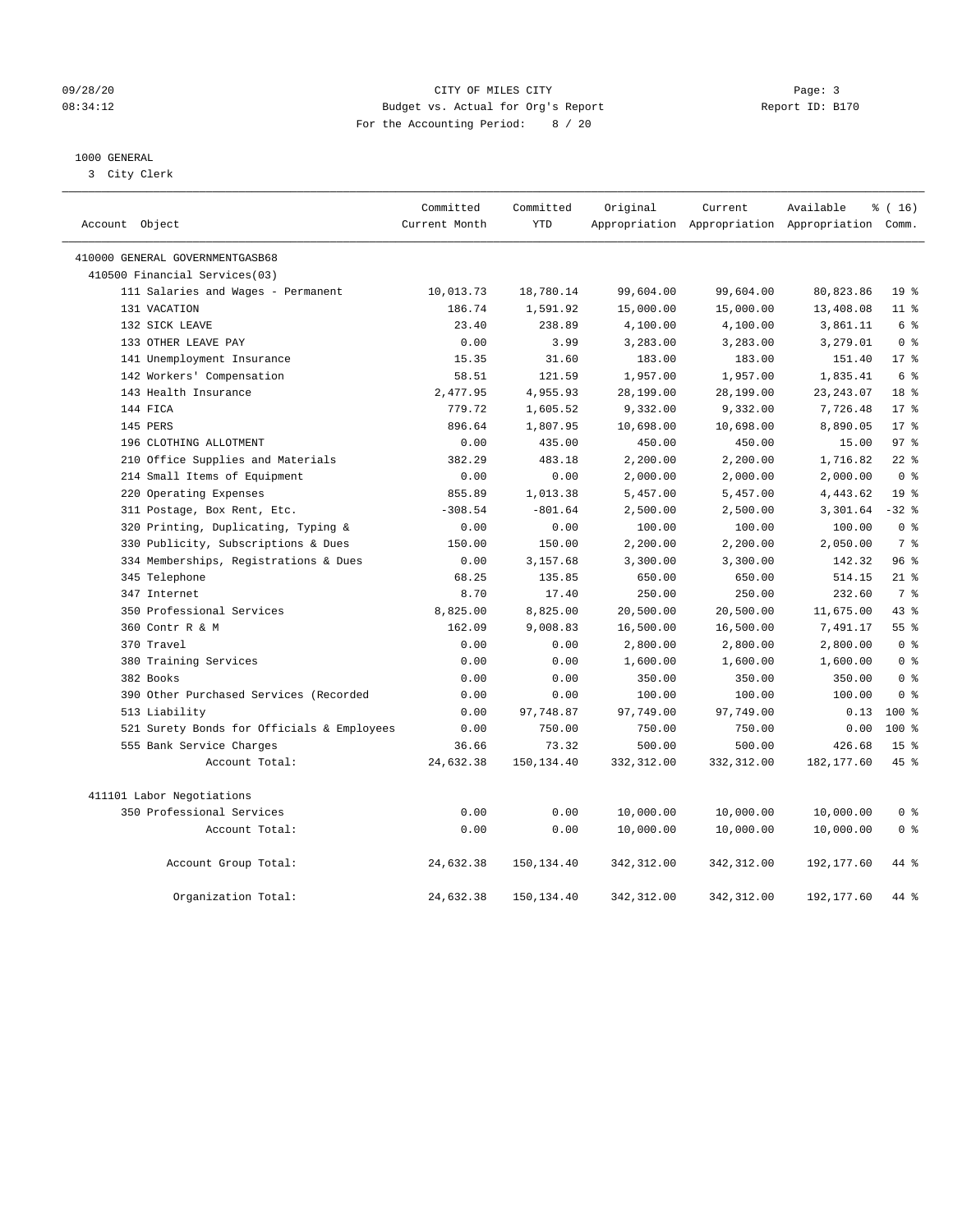#### 09/28/20 Page: 3 Page: 3 08:34:12 Budget vs. Actual for Org's Report Changer Report ID: B170 For the Accounting Period: 8 / 20

### 1000 GENERAL

3 City Clerk

| Account Object                             | Committed<br>Current Month | Committed<br><b>YTD</b> | Original    | Current     | Available<br>Appropriation Appropriation Appropriation Comm. | % (16)          |
|--------------------------------------------|----------------------------|-------------------------|-------------|-------------|--------------------------------------------------------------|-----------------|
| 410000 GENERAL GOVERNMENTGASB68            |                            |                         |             |             |                                                              |                 |
| 410500 Financial Services(03)              |                            |                         |             |             |                                                              |                 |
| 111 Salaries and Wages - Permanent         | 10,013.73                  | 18,780.14               | 99,604.00   | 99,604.00   | 80,823.86                                                    | 19 <sup>°</sup> |
| 131 VACATION                               | 186.74                     | 1,591.92                | 15,000.00   | 15,000.00   | 13,408.08                                                    | $11$ %          |
| 132 SICK LEAVE                             | 23.40                      | 238.89                  | 4,100.00    | 4,100.00    | 3,861.11                                                     | 6 %             |
| 133 OTHER LEAVE PAY                        | 0.00                       | 3.99                    | 3,283.00    | 3,283.00    | 3,279.01                                                     | 0 <sup>8</sup>  |
| 141 Unemployment Insurance                 | 15.35                      | 31.60                   | 183.00      | 183.00      | 151.40                                                       | 17 <sup>8</sup> |
| 142 Workers' Compensation                  | 58.51                      | 121.59                  | 1,957.00    | 1,957.00    | 1,835.41                                                     | 6 %             |
| 143 Health Insurance                       | 2,477.95                   | 4,955.93                | 28,199.00   | 28,199.00   | 23, 243.07                                                   | 18 <sup>8</sup> |
| 144 FICA                                   | 779.72                     | 1,605.52                | 9,332.00    | 9,332.00    | 7,726.48                                                     | $17*$           |
| 145 PERS                                   | 896.64                     | 1,807.95                | 10,698.00   | 10,698.00   | 8,890.05                                                     | 17 <sup>8</sup> |
| 196 CLOTHING ALLOTMENT                     | 0.00                       | 435.00                  | 450.00      | 450.00      | 15.00                                                        | 97 <sub>8</sub> |
| 210 Office Supplies and Materials          | 382.29                     | 483.18                  | 2,200.00    | 2,200.00    | 1,716.82                                                     | $22$ %          |
| 214 Small Items of Equipment               | 0.00                       | 0.00                    | 2,000.00    | 2,000.00    | 2,000.00                                                     | 0 <sup>8</sup>  |
| 220 Operating Expenses                     | 855.89                     | 1,013.38                | 5,457.00    | 5,457.00    | 4,443.62                                                     | 19 <sup>°</sup> |
| 311 Postage, Box Rent, Etc.                | $-308.54$                  | $-801.64$               | 2,500.00    | 2,500.00    | 3,301.64                                                     | $-32$ %         |
| 320 Printing, Duplicating, Typing &        | 0.00                       | 0.00                    | 100.00      | 100.00      | 100.00                                                       | 0 <sup>8</sup>  |
| 330 Publicity, Subscriptions & Dues        | 150.00                     | 150.00                  | 2,200.00    | 2,200.00    | 2,050.00                                                     | 7 %             |
| 334 Memberships, Registrations & Dues      | 0.00                       | 3,157.68                | 3,300.00    | 3,300.00    | 142.32                                                       | 96%             |
| 345 Telephone                              | 68.25                      | 135.85                  | 650.00      | 650.00      | 514.15                                                       | $21$ %          |
| 347 Internet                               | 8.70                       | 17.40                   | 250.00      | 250.00      | 232.60                                                       | 7 <sup>°</sup>  |
| 350 Professional Services                  | 8,825.00                   | 8,825.00                | 20,500.00   | 20,500.00   | 11,675.00                                                    | 43 %            |
| 360 Contr R & M                            | 162.09                     | 9,008.83                | 16,500.00   | 16,500.00   | 7,491.17                                                     | 55 <sup>8</sup> |
| 370 Travel                                 | 0.00                       | 0.00                    | 2,800.00    | 2,800.00    | 2,800.00                                                     | 0 <sup>8</sup>  |
| 380 Training Services                      | 0.00                       | 0.00                    | 1,600.00    | 1,600.00    | 1,600.00                                                     | 0 <sup>8</sup>  |
| 382 Books                                  | 0.00                       | 0.00                    | 350.00      | 350.00      | 350.00                                                       | 0 <sup>8</sup>  |
| 390 Other Purchased Services (Recorded     | 0.00                       | 0.00                    | 100.00      | 100.00      | 100.00                                                       | 0 <sup>8</sup>  |
| 513 Liability                              | 0.00                       | 97,748.87               | 97,749.00   | 97,749.00   | 0.13                                                         | $100*$          |
| 521 Surety Bonds for Officials & Employees | 0.00                       | 750.00                  | 750.00      | 750.00      | 0.00                                                         | 100 %           |
| 555 Bank Service Charges                   | 36.66                      | 73.32                   | 500.00      | 500.00      | 426.68                                                       | 15 <sup>°</sup> |
| Account Total:                             | 24,632.38                  | 150,134.40              | 332,312.00  | 332,312.00  | 182, 177.60                                                  | 45%             |
| 411101 Labor Negotiations                  |                            |                         |             |             |                                                              |                 |
| 350 Professional Services                  | 0.00                       | 0.00                    | 10,000.00   | 10,000.00   | 10,000.00                                                    | 0 <sup>8</sup>  |
| Account Total:                             | 0.00                       | 0.00                    | 10,000.00   | 10,000.00   | 10,000.00                                                    | 0 <sup>8</sup>  |
| Account Group Total:                       | 24,632.38                  | 150,134.40              | 342,312.00  | 342,312.00  | 192,177.60                                                   | 44 %            |
| Organization Total:                        | 24,632.38                  | 150, 134.40             | 342, 312.00 | 342, 312.00 | 192, 177.60                                                  | 44 %            |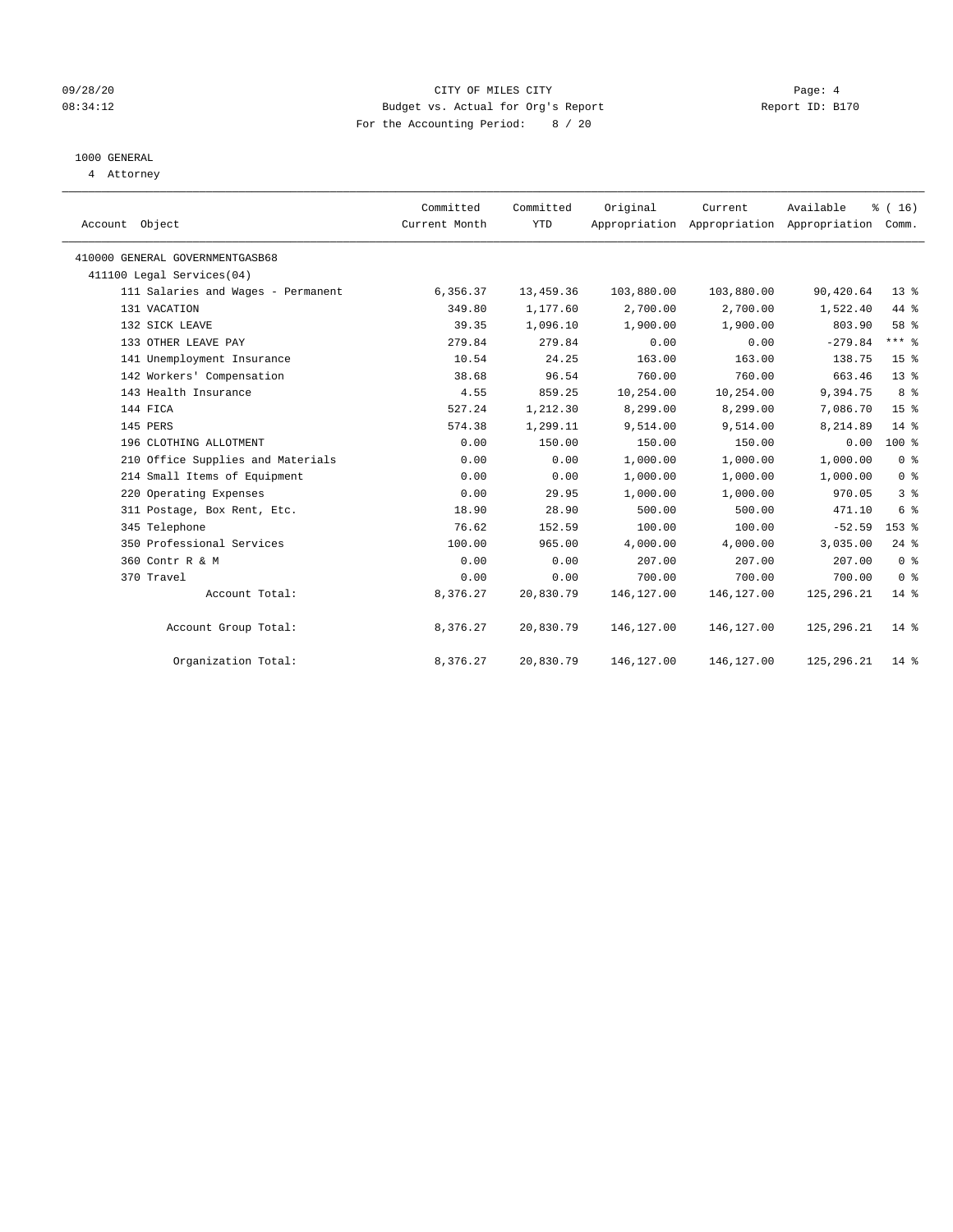#### 09/28/20 Page: 4 CITY OF MILES CITY 08:34:12 Budget vs. Actual for Org's Report Changer Report ID: B170 For the Accounting Period: 8 / 20

## 1000 GENERAL

4 Attorney

| Account Object                     | Committed<br>Current Month | Committed<br><b>YTD</b> | Original   | Current<br>Appropriation Appropriation Appropriation Comm. | Available    | % (16)          |
|------------------------------------|----------------------------|-------------------------|------------|------------------------------------------------------------|--------------|-----------------|
| 410000 GENERAL GOVERNMENTGASB68    |                            |                         |            |                                                            |              |                 |
| 411100 Legal Services(04)          |                            |                         |            |                                                            |              |                 |
| 111 Salaries and Wages - Permanent | 6,356.37                   | 13,459.36               | 103,880.00 | 103,880.00                                                 | 90,420.64    | 13 <sup>8</sup> |
| 131 VACATION                       | 349.80                     | 1,177.60                | 2,700.00   | 2,700.00                                                   | 1,522.40     | 44 %            |
| 132 SICK LEAVE                     | 39.35                      | 1,096.10                | 1,900.00   | 1,900.00                                                   | 803.90       | 58 %            |
| 133 OTHER LEAVE PAY                | 279.84                     | 279.84                  | 0.00       | 0.00                                                       | $-279.84$    | $***$ 8         |
| 141 Unemployment Insurance         | 10.54                      | 24.25                   | 163.00     | 163.00                                                     | 138.75       | 15 <sup>°</sup> |
| 142 Workers' Compensation          | 38.68                      | 96.54                   | 760.00     | 760.00                                                     | 663.46       | $13*$           |
| 143 Health Insurance               | 4.55                       | 859.25                  | 10,254.00  | 10,254.00                                                  | 9,394.75     | 8 %             |
| 144 FICA                           | 527.24                     | 1,212.30                | 8,299.00   | 8,299.00                                                   | 7,086.70     | 15 <sup>8</sup> |
| 145 PERS                           | 574.38                     | 1,299.11                | 9,514.00   | 9,514.00                                                   | 8,214.89     | 14 %            |
| 196 CLOTHING ALLOTMENT             | 0.00                       | 150.00                  | 150.00     | 150.00                                                     | 0.00         | $100*$          |
| 210 Office Supplies and Materials  | 0.00                       | 0.00                    | 1,000.00   | 1,000.00                                                   | 1,000.00     | 0 <sup>8</sup>  |
| 214 Small Items of Equipment       | 0.00                       | 0.00                    | 1,000.00   | 1,000.00                                                   | 1,000.00     | 0 <sup>8</sup>  |
| 220 Operating Expenses             | 0.00                       | 29.95                   | 1,000.00   | 1,000.00                                                   | 970.05       | 3 <sup>8</sup>  |
| 311 Postage, Box Rent, Etc.        | 18.90                      | 28.90                   | 500.00     | 500.00                                                     | 471.10       | 6 <sup>°</sup>  |
| 345 Telephone                      | 76.62                      | 152.59                  | 100.00     | 100.00                                                     | $-52.59$     | $153$ %         |
| 350 Professional Services          | 100.00                     | 965.00                  | 4,000.00   | 4,000.00                                                   | 3,035.00     | $24$ %          |
| 360 Contr R & M                    | 0.00                       | 0.00                    | 207.00     | 207.00                                                     | 207.00       | 0 <sup>8</sup>  |
| 370 Travel                         | 0.00                       | 0.00                    | 700.00     | 700.00                                                     | 700.00       | 0 <sup>8</sup>  |
| Account Total:                     | 8,376.27                   | 20,830.79               | 146,127.00 | 146, 127.00                                                | 125, 296. 21 | $14*$           |
| Account Group Total:               | 8,376.27                   | 20,830.79               | 146,127.00 | 146, 127.00                                                | 125,296.21   | $14*$           |
| Organization Total:                | 8,376.27                   | 20,830.79               | 146,127.00 | 146,127.00                                                 | 125,296.21   | $14*$           |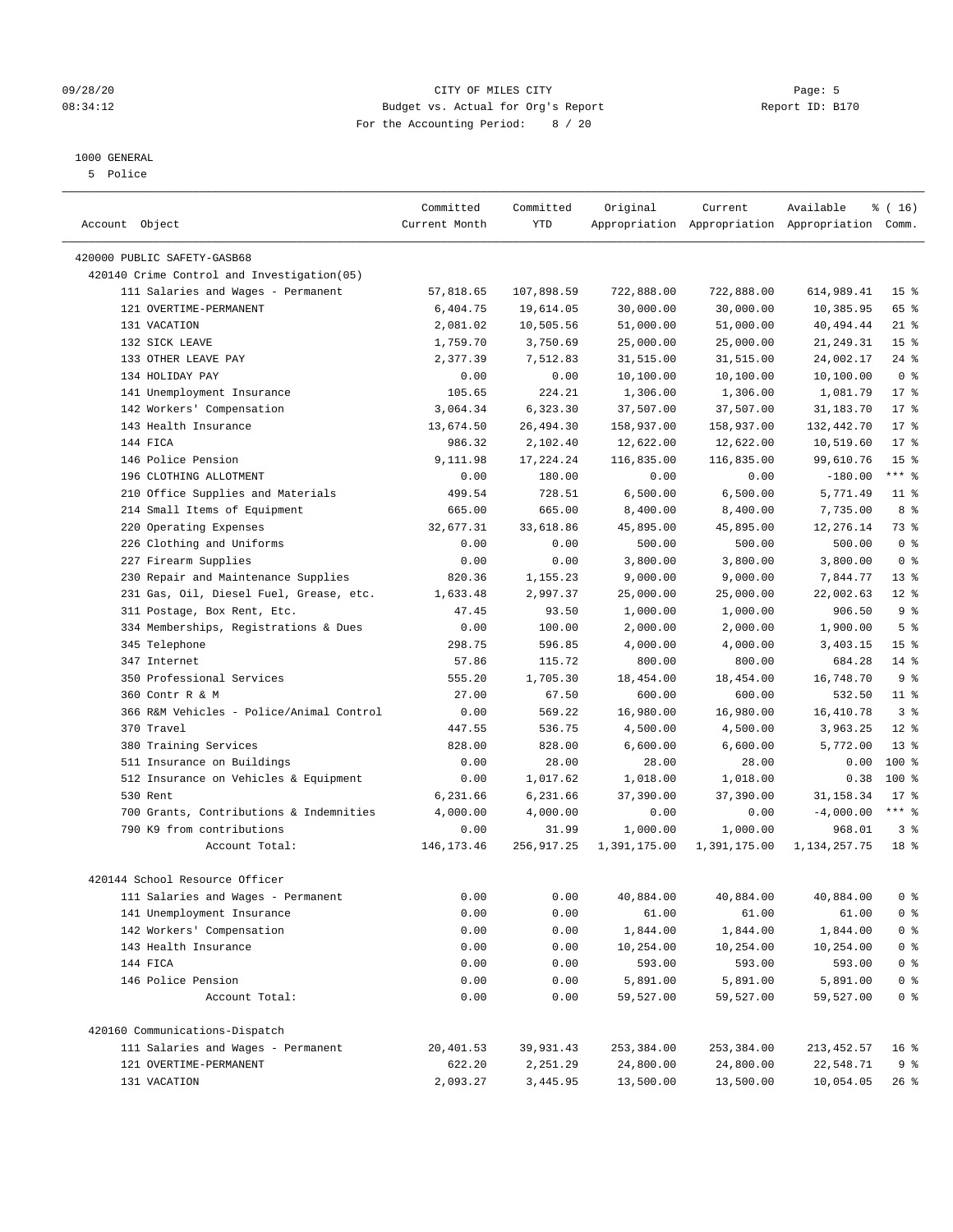#### 09/28/20 Page: 5 Page: 5 Page: 5 Page: 5 Page: 5 Page: 5 Page: 5 Page: 5 Page: 5 Page: 5 Page: 5 Page: 5 Page: 5 Page: 5 Page: 5 Page: 5 Page: 5 Page: 5 Page: 5 Page: 5 Page: 5 Page: 5 Page: 5 Page: 5 Page: 5 Page: 7 Page: 08:34:12 Budget vs. Actual for Org's Report Report ID: B170 For the Accounting Period: 8 / 20

————————————————————————————————————————————————————————————————————————————————————————————————————————————————————————————————————

### 1000 GENERAL

5 Police

|                                                                                  | Committed             | Committed  | Original           | Current                                         | Available       | $\frac{1}{6}$ ( 16 ) |
|----------------------------------------------------------------------------------|-----------------------|------------|--------------------|-------------------------------------------------|-----------------|----------------------|
| Account Object                                                                   | Current Month         | YTD        |                    | Appropriation Appropriation Appropriation Comm. |                 |                      |
|                                                                                  |                       |            |                    |                                                 |                 |                      |
| 420000 PUBLIC SAFETY-GASB68                                                      |                       |            |                    |                                                 |                 |                      |
| 420140 Crime Control and Investigation(05)<br>111 Salaries and Wages - Permanent |                       |            |                    |                                                 |                 |                      |
|                                                                                  | 57,818.65<br>6,404.75 | 107,898.59 | 722,888.00         | 722,888.00                                      | 614,989.41      | 15 <sup>8</sup>      |
| 121 OVERTIME-PERMANENT                                                           |                       | 19,614.05  | 30,000.00          | 30,000.00                                       | 10,385.95       | 65 %                 |
| 131 VACATION                                                                     | 2,081.02              | 10,505.56  | 51,000.00          | 51,000.00                                       | 40, 494. 44     | $21$ %               |
| 132 SICK LEAVE                                                                   | 1,759.70              | 3,750.69   | 25,000.00          | 25,000.00                                       | 21, 249.31      | 15 <sup>°</sup>      |
| 133 OTHER LEAVE PAY                                                              | 2,377.39              | 7,512.83   | 31,515.00          | 31,515.00                                       | 24,002.17       | $24$ %               |
| 134 HOLIDAY PAY                                                                  | 0.00                  | 0.00       | 10,100.00          | 10,100.00                                       | 10,100.00       | 0 <sup>8</sup>       |
| 141 Unemployment Insurance                                                       | 105.65                | 224.21     | 1,306.00           | 1,306.00                                        | 1,081.79        | $17*$                |
| 142 Workers' Compensation                                                        | 3,064.34              | 6,323.30   | 37,507.00          | 37,507.00                                       | 31,183.70       | $17*$                |
| 143 Health Insurance                                                             | 13,674.50             | 26,494.30  | 158,937.00         | 158,937.00                                      | 132,442.70      | $17*$                |
| 144 FICA                                                                         | 986.32                | 2,102.40   | 12,622.00          | 12,622.00                                       | 10,519.60       | $17*$                |
| 146 Police Pension                                                               | 9,111.98              | 17,224.24  | 116,835.00         | 116,835.00                                      | 99,610.76       | 15 <sup>°</sup>      |
| 196 CLOTHING ALLOTMENT                                                           | 0.00                  | 180.00     | 0.00               | 0.00                                            | $-180.00$       | $***$ $_{8}$         |
| 210 Office Supplies and Materials                                                | 499.54                | 728.51     | 6,500.00           | 6,500.00                                        | 5,771.49        | $11$ %               |
| 214 Small Items of Equipment                                                     | 665.00                | 665.00     | 8,400.00           | 8,400.00                                        | 7,735.00        | 8 %                  |
| 220 Operating Expenses                                                           | 32,677.31             | 33,618.86  | 45,895.00          | 45,895.00                                       | 12,276.14       | 73 %                 |
| 226 Clothing and Uniforms                                                        | 0.00                  | 0.00       | 500.00             | 500.00                                          | 500.00          | 0 <sup>8</sup>       |
| 227 Firearm Supplies                                                             | 0.00                  | 0.00       | 3,800.00           | 3,800.00                                        | 3,800.00        | 0 <sup>8</sup>       |
| 230 Repair and Maintenance Supplies                                              | 820.36                | 1,155.23   | 9,000.00           | 9,000.00                                        | 7,844.77        | $13*$                |
| 231 Gas, Oil, Diesel Fuel, Grease, etc.                                          | 1,633.48              | 2,997.37   | 25,000.00          | 25,000.00                                       | 22,002.63       | $12*$                |
| 311 Postage, Box Rent, Etc.                                                      | 47.45                 | 93.50      | 1,000.00           | 1,000.00                                        | 906.50          | 9 <sup>°</sup>       |
| 334 Memberships, Registrations & Dues                                            | 0.00                  | 100.00     | 2,000.00           | 2,000.00                                        | 1,900.00        | 5 <sup>°</sup>       |
| 345 Telephone                                                                    | 298.75                | 596.85     | 4,000.00           | 4,000.00                                        | 3,403.15        | 15 <sup>8</sup>      |
| 347 Internet                                                                     | 57.86                 | 115.72     | 800.00             | 800.00                                          | 684.28          | $14*$                |
| 350 Professional Services                                                        | 555.20                | 1,705.30   | 18,454.00          | 18,454.00                                       | 16,748.70       | 9 <sup>°</sup>       |
| 360 Contr R & M                                                                  | 27.00                 | 67.50      | 600.00             | 600.00                                          | 532.50          | $11$ %               |
| 366 R&M Vehicles - Police/Animal Control                                         | 0.00                  | 569.22     | 16,980.00          | 16,980.00                                       | 16,410.78       | 3 <sup>8</sup>       |
| 370 Travel                                                                       | 447.55                | 536.75     | 4,500.00           | 4,500.00                                        | 3,963.25        | $12*$                |
| 380 Training Services                                                            | 828.00                | 828.00     | 6,600.00           | 6,600.00                                        | 5,772.00        | $13*$                |
| 511 Insurance on Buildings                                                       | 0.00                  | 28.00      | 28.00              | 28.00                                           | 0.00            | 100 %                |
| 512 Insurance on Vehicles & Equipment                                            | 0.00                  | 1,017.62   | 1,018.00           | 1,018.00                                        | 0.38            | 100%                 |
| 530 Rent                                                                         | 6,231.66              | 6,231.66   | 37,390.00          | 37,390.00                                       | 31, 158.34      | $17*$                |
| 700 Grants, Contributions & Indemnities                                          | 4,000.00              | 4,000.00   | 0.00               | 0.00                                            | $-4,000.00$     | $***$ $_{8}$         |
| 790 K9 from contributions                                                        | 0.00                  | 31.99      | 1,000.00           | 1,000.00                                        | 968.01          | 3%                   |
| Account Total:                                                                   | 146, 173. 46          | 256,917.25 | 1,391,175.00       | 1,391,175.00                                    | 1, 134, 257. 75 | 18 <sup>8</sup>      |
| 420144 School Resource Officer                                                   |                       |            |                    |                                                 |                 |                      |
| 111 Salaries and Wages - Permanent                                               | 0.00                  | 0.00       |                    | 40,884.00                                       | 40,884.00       | 0 <sup>8</sup>       |
| 141 Unemployment Insurance                                                       | 0.00                  | 0.00       | 40,884.00<br>61.00 | 61.00                                           | 61.00           | 0 <sup>8</sup>       |
|                                                                                  |                       |            |                    |                                                 |                 |                      |
| 142 Workers' Compensation                                                        | 0.00                  | 0.00       | 1,844.00           | 1,844.00                                        | 1,844.00        | 0 <sup>8</sup>       |
| 143 Health Insurance                                                             | 0.00                  | 0.00       | 10,254.00          | 10,254.00                                       | 10,254.00       | $0$ %                |
| 144 FICA                                                                         | 0.00                  | 0.00       | 593.00             | 593.00                                          | 593.00          | $0$ %                |
| 146 Police Pension                                                               | 0.00                  | 0.00       | 5,891.00           | 5,891.00                                        | 5,891.00        | $0$ %                |
| Account Total:                                                                   | 0.00                  | 0.00       | 59,527.00          | 59,527.00                                       | 59,527.00       | $0$ %                |
| 420160 Communications-Dispatch                                                   |                       |            |                    |                                                 |                 |                      |
| 111 Salaries and Wages - Permanent                                               | 20,401.53             | 39,931.43  | 253,384.00         | 253,384.00                                      | 213, 452.57     | 16 <sup>8</sup>      |
| 121 OVERTIME-PERMANENT                                                           | 622.20                | 2,251.29   | 24,800.00          | 24,800.00                                       | 22,548.71       | 9 %                  |
| 131 VACATION                                                                     | 2,093.27              | 3,445.95   | 13,500.00          | 13,500.00                                       | 10,054.05       | 26 %                 |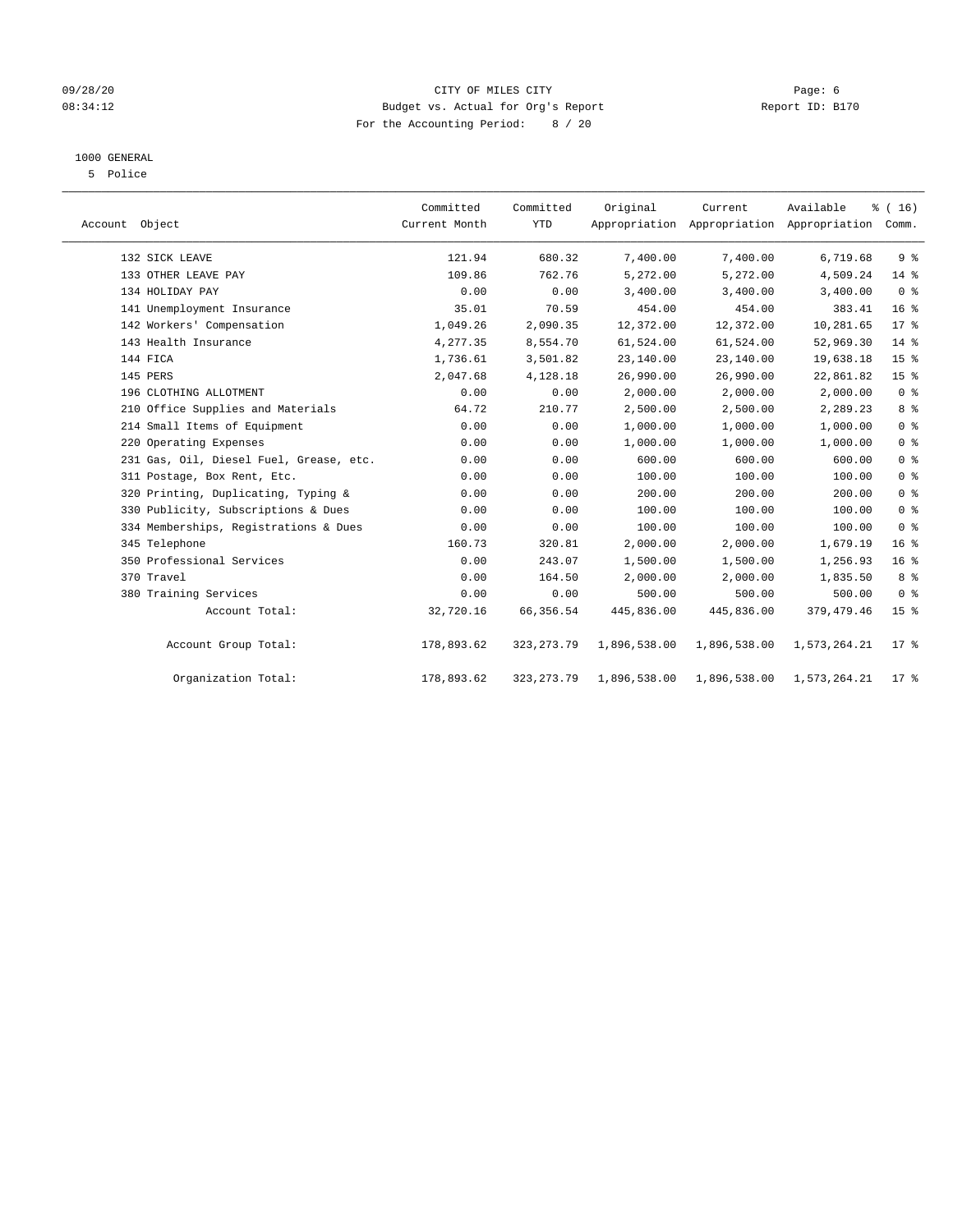#### 09/28/20 Page: 6 CITY OF MILES CITY CHANNEL CITY 08:34:12 Budget vs. Actual for Org's Report Changer Report ID: B170 For the Accounting Period: 8 / 20

### 1000 GENERAL

5 Police

| Account Object |                                         | Committed<br>Current Month | Committed<br><b>YTD</b> | Original     | Current      | Available<br>Appropriation Appropriation Appropriation | % (16)<br>Comm. |  |
|----------------|-----------------------------------------|----------------------------|-------------------------|--------------|--------------|--------------------------------------------------------|-----------------|--|
|                | 132 SICK LEAVE                          | 121.94                     | 680.32                  | 7,400.00     | 7,400.00     | 6,719.68                                               | 9 <sup>°</sup>  |  |
|                | 133 OTHER LEAVE PAY                     | 109.86                     | 762.76                  | 5,272.00     | 5,272.00     | 4,509.24                                               | 14 %            |  |
|                | 134 HOLIDAY PAY                         | 0.00                       | 0.00                    | 3,400.00     | 3,400.00     | 3,400.00                                               | 0 <sup>8</sup>  |  |
|                | 141 Unemployment Insurance              | 35.01                      | 70.59                   | 454.00       | 454.00       | 383.41                                                 | 16 <sup>°</sup> |  |
|                | 142 Workers' Compensation               | 1,049.26                   | 2,090.35                | 12,372.00    | 12,372.00    | 10,281.65                                              | $17*$           |  |
|                | 143 Health Insurance                    | 4,277.35                   | 8,554.70                | 61,524.00    | 61,524.00    | 52,969.30                                              | 14 %            |  |
|                | 144 FICA                                | 1,736.61                   | 3,501.82                | 23,140.00    | 23,140.00    | 19,638.18                                              | 15 <sup>°</sup> |  |
|                | 145 PERS                                | 2,047.68                   | 4,128.18                | 26,990.00    | 26,990.00    | 22,861.82                                              | 15 <sup>°</sup> |  |
|                | 196 CLOTHING ALLOTMENT                  | 0.00                       | 0.00                    | 2,000.00     | 2,000.00     | 2,000.00                                               | 0 <sup>8</sup>  |  |
|                | 210 Office Supplies and Materials       | 64.72                      | 210.77                  | 2,500.00     | 2,500.00     | 2,289.23                                               | 8%              |  |
|                | 214 Small Items of Equipment            | 0.00                       | 0.00                    | 1,000.00     | 1,000.00     | 1,000.00                                               | 0 <sup>8</sup>  |  |
|                | 220 Operating Expenses                  | 0.00                       | 0.00                    | 1,000.00     | 1,000.00     | 1,000.00                                               | 0 <sup>8</sup>  |  |
|                | 231 Gas, Oil, Diesel Fuel, Grease, etc. | 0.00                       | 0.00                    | 600.00       | 600.00       | 600.00                                                 | 0 <sup>8</sup>  |  |
|                | 311 Postage, Box Rent, Etc.             | 0.00                       | 0.00                    | 100.00       | 100.00       | 100.00                                                 | 0 <sup>8</sup>  |  |
|                | 320 Printing, Duplicating, Typing &     | 0.00                       | 0.00                    | 200.00       | 200.00       | 200.00                                                 | 0 <sup>8</sup>  |  |
|                | 330 Publicity, Subscriptions & Dues     | 0.00                       | 0.00                    | 100.00       | 100.00       | 100.00                                                 | 0 <sup>8</sup>  |  |
|                | 334 Memberships, Registrations & Dues   | 0.00                       | 0.00                    | 100.00       | 100.00       | 100.00                                                 | 0 <sup>8</sup>  |  |
|                | 345 Telephone                           | 160.73                     | 320.81                  | 2,000.00     | 2,000.00     | 1,679.19                                               | 16 <sup>°</sup> |  |
|                | 350 Professional Services               | 0.00                       | 243.07                  | 1,500.00     | 1,500.00     | 1,256.93                                               | 16 <sup>°</sup> |  |
|                | 370 Travel                              | 0.00                       | 164.50                  | 2,000.00     | 2,000.00     | 1,835.50                                               | 8%              |  |
|                | 380 Training Services                   | 0.00                       | 0.00                    | 500.00       | 500.00       | 500.00                                                 | 0 <sup>8</sup>  |  |
|                | Account Total:                          | 32,720.16                  | 66, 356.54              | 445,836.00   | 445,836.00   | 379, 479. 46                                           | 15 <sup>°</sup> |  |
|                | Account Group Total:                    | 178,893.62                 | 323, 273. 79            | 1,896,538.00 | 1,896,538.00 | 1,573,264.21                                           | $17*$           |  |
|                | Organization Total:                     | 178,893.62                 | 323, 273. 79            | 1,896,538.00 | 1,896,538.00 | 1,573,264.21                                           | $17*$           |  |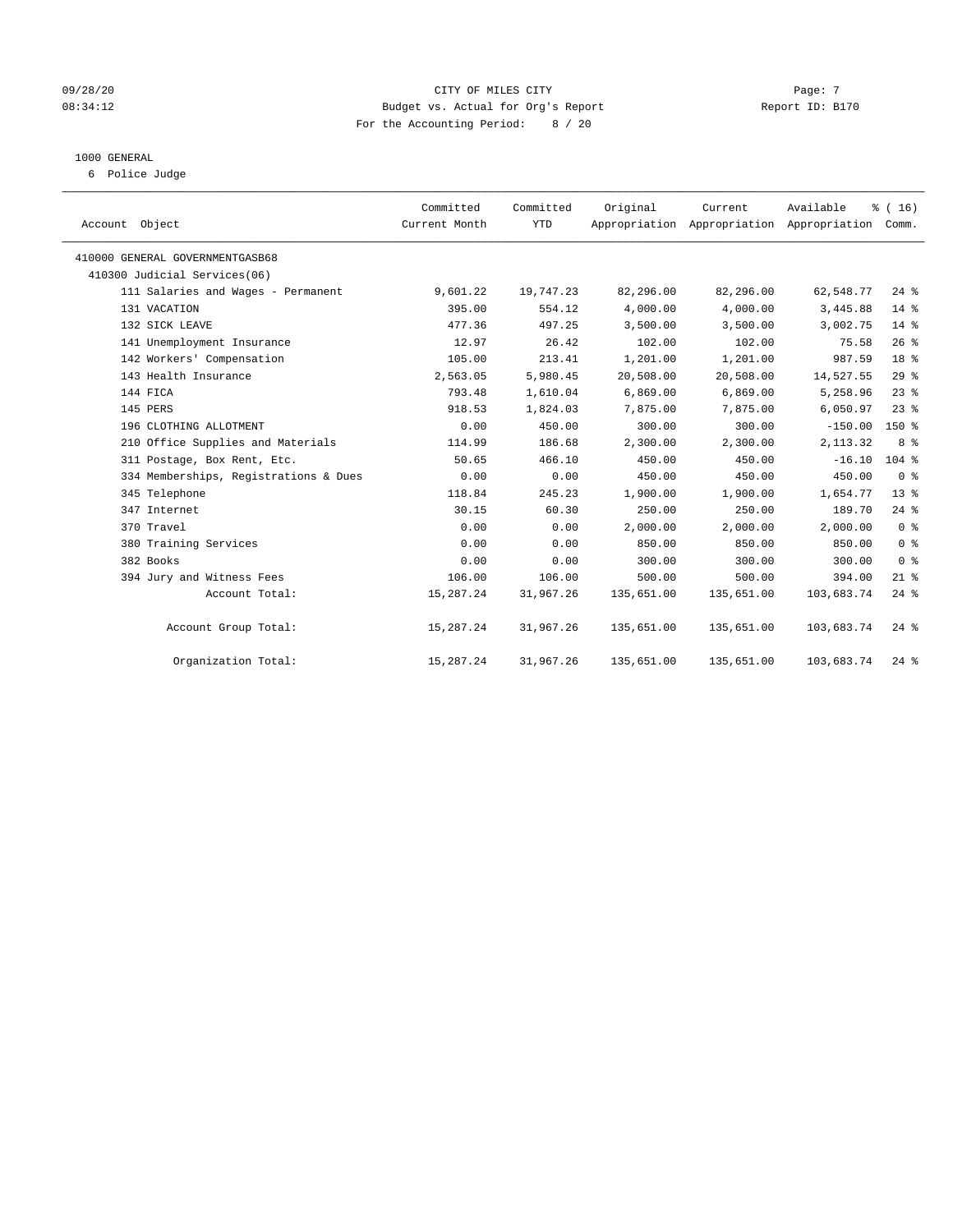#### 09/28/20 Page: 7 CITY OF MILES CITY CONTROL CITY PAGE: 7 08:34:12 Budget vs. Actual for Org's Report Report ID: B170 For the Accounting Period: 8 / 20

#### 1000 GENERAL

6 Police Judge

| Account Object                        | Committed<br>Current Month | Committed<br><b>YTD</b> | Original   | Current<br>Appropriation Appropriation Appropriation Comm. | Available  | % (16)             |
|---------------------------------------|----------------------------|-------------------------|------------|------------------------------------------------------------|------------|--------------------|
| 410000 GENERAL GOVERNMENTGASB68       |                            |                         |            |                                                            |            |                    |
| 410300 Judicial Services(06)          |                            |                         |            |                                                            |            |                    |
| 111 Salaries and Wages - Permanent    | 9,601.22                   | 19,747.23               | 82,296.00  | 82,296.00                                                  | 62,548.77  | $24$ $%$           |
| 131 VACATION                          | 395.00                     | 554.12                  | 4,000.00   | 4,000.00                                                   | 3,445.88   | $14*$              |
| 132 SICK LEAVE                        | 477.36                     | 497.25                  | 3,500.00   | 3,500.00                                                   | 3,002.75   | $14*$              |
| 141 Unemployment Insurance            | 12.97                      | 26.42                   | 102.00     | 102.00                                                     | 75.58      | 26%                |
| 142 Workers' Compensation             | 105.00                     | 213.41                  | 1,201.00   | 1,201.00                                                   | 987.59     | 18 <sup>8</sup>    |
| 143 Health Insurance                  | 2,563.05                   | 5,980.45                | 20,508.00  | 20,508.00                                                  | 14,527.55  | 29%                |
| 144 FICA                              | 793.48                     | 1,610.04                | 6,869.00   | 6,869.00                                                   | 5,258.96   | $23$ $%$           |
| 145 PERS                              | 918.53                     | 1,824.03                | 7,875.00   | 7,875.00                                                   | 6,050.97   | $23$ $%$           |
| 196 CLOTHING ALLOTMENT                | 0.00                       | 450.00                  | 300.00     | 300.00                                                     | $-150.00$  | $150*$             |
| 210 Office Supplies and Materials     | 114.99                     | 186.68                  | 2,300.00   | 2,300.00                                                   | 2,113.32   | 8 %                |
| 311 Postage, Box Rent, Etc.           | 50.65                      | 466.10                  | 450.00     | 450.00                                                     | $-16.10$   | $104$ %            |
| 334 Memberships, Registrations & Dues | 0.00                       | 0.00                    | 450.00     | 450.00                                                     | 450.00     | 0 <sup>8</sup>     |
| 345 Telephone                         | 118.84                     | 245.23                  | 1,900.00   | 1,900.00                                                   | 1,654.77   | $13*$              |
| 347 Internet                          | 30.15                      | 60.30                   | 250.00     | 250.00                                                     | 189.70     | $24$ $%$           |
| 370 Travel                            | 0.00                       | 0.00                    | 2,000.00   | 2,000.00                                                   | 2,000.00   | 0 <sup>8</sup>     |
| 380 Training Services                 | 0.00                       | 0.00                    | 850.00     | 850.00                                                     | 850.00     | 0 <sup>8</sup>     |
| 382 Books                             | 0.00                       | 0.00                    | 300.00     | 300.00                                                     | 300.00     | 0 <sup>8</sup>     |
| 394 Jury and Witness Fees             | 106.00                     | 106.00                  | 500.00     | 500.00                                                     | 394.00     | $21$ %             |
| Account Total:                        | 15,287.24                  | 31,967.26               | 135,651.00 | 135,651.00                                                 | 103,683.74 | $24$ $%$           |
| Account Group Total:                  | 15,287.24                  | 31,967.26               | 135,651.00 | 135,651.00                                                 | 103,683.74 | $24$ $\frac{6}{3}$ |
| Organization Total:                   | 15,287.24                  | 31,967.26               | 135,651.00 | 135,651.00                                                 | 103,683.74 | $24$ %             |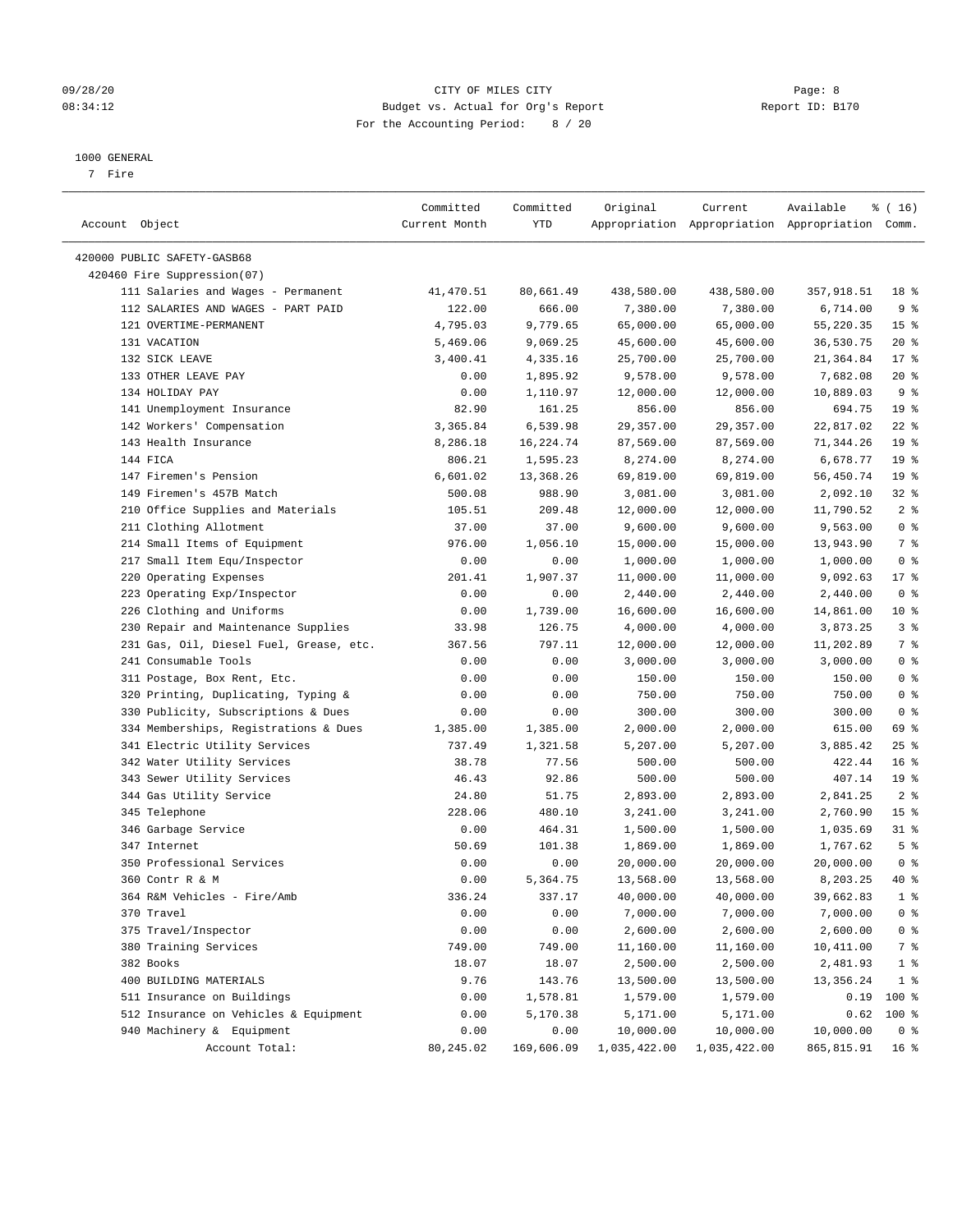#### 09/28/20 Page: 8 CITY OF MILES CITY CONTROL CITY PAGE: 8 08:34:12 Budget vs. Actual for Org's Report Report ID: B170 For the Accounting Period: 8 / 20

#### 1000 GENERAL

7 Fire

| Account Object                          | Committed<br>Current Month | Committed<br>YTD | Original     | Current      | Available<br>Appropriation Appropriation Appropriation Comm. | ៖ ( 16)         |
|-----------------------------------------|----------------------------|------------------|--------------|--------------|--------------------------------------------------------------|-----------------|
| 420000 PUBLIC SAFETY-GASB68             |                            |                  |              |              |                                                              |                 |
| 420460 Fire Suppression(07)             |                            |                  |              |              |                                                              |                 |
| 111 Salaries and Wages - Permanent      | 41,470.51                  | 80,661.49        | 438,580.00   | 438,580.00   | 357,918.51                                                   | 18 %            |
| 112 SALARIES AND WAGES - PART PAID      | 122.00                     | 666.00           | 7,380.00     | 7,380.00     | 6,714.00                                                     | 9%              |
| 121 OVERTIME-PERMANENT                  | 4,795.03                   | 9,779.65         | 65,000.00    | 65,000.00    | 55,220.35                                                    | 15 <sup>°</sup> |
| 131 VACATION                            | 5,469.06                   | 9,069.25         | 45,600.00    | 45,600.00    | 36,530.75                                                    | $20*$           |
| 132 SICK LEAVE                          | 3,400.41                   | 4,335.16         | 25,700.00    | 25,700.00    | 21,364.84                                                    | $17*$           |
| 133 OTHER LEAVE PAY                     | 0.00                       | 1,895.92         | 9,578.00     | 9,578.00     | 7,682.08                                                     | $20*$           |
| 134 HOLIDAY PAY                         | 0.00                       | 1,110.97         | 12,000.00    | 12,000.00    | 10,889.03                                                    | 9 <sub>8</sub>  |
| 141 Unemployment Insurance              | 82.90                      | 161.25           | 856.00       | 856.00       | 694.75                                                       | 19 <sup>°</sup> |
| 142 Workers' Compensation               | 3,365.84                   | 6,539.98         | 29,357.00    | 29,357.00    | 22,817.02                                                    | $22$ %          |
| 143 Health Insurance                    | 8,286.18                   | 16,224.74        | 87,569.00    | 87,569.00    | 71,344.26                                                    | 19 <sup>°</sup> |
| 144 FICA                                | 806.21                     | 1,595.23         | 8,274.00     | 8,274.00     | 6,678.77                                                     | 19 <sup>°</sup> |
| 147 Firemen's Pension                   | 6,601.02                   | 13,368.26        | 69,819.00    | 69,819.00    | 56,450.74                                                    | 19 <sup>°</sup> |
| 149 Firemen's 457B Match                | 500.08                     | 988.90           | 3,081.00     | 3,081.00     | 2,092.10                                                     | $32$ $%$        |
| 210 Office Supplies and Materials       | 105.51                     | 209.48           | 12,000.00    | 12,000.00    | 11,790.52                                                    | 2 <sup>°</sup>  |
| 211 Clothing Allotment                  | 37.00                      | 37.00            | 9,600.00     | 9,600.00     | 9,563.00                                                     | 0 <sup>8</sup>  |
| 214 Small Items of Equipment            | 976.00                     | 1,056.10         | 15,000.00    | 15,000.00    | 13,943.90                                                    | 7%              |
| 217 Small Item Equ/Inspector            | 0.00                       | 0.00             | 1,000.00     | 1,000.00     | 1,000.00                                                     | 0 <sup>8</sup>  |
| 220 Operating Expenses                  | 201.41                     | 1,907.37         | 11,000.00    | 11,000.00    | 9,092.63                                                     | $17$ %          |
| 223 Operating Exp/Inspector             | 0.00                       | 0.00             | 2,440.00     | 2,440.00     | 2,440.00                                                     | 0 <sup>8</sup>  |
| 226 Clothing and Uniforms               | 0.00                       | 1,739.00         | 16,600.00    | 16,600.00    | 14,861.00                                                    | $10*$           |
| 230 Repair and Maintenance Supplies     | 33.98                      | 126.75           | 4,000.00     | 4,000.00     | 3,873.25                                                     | 3%              |
| 231 Gas, Oil, Diesel Fuel, Grease, etc. | 367.56                     | 797.11           | 12,000.00    | 12,000.00    | 11,202.89                                                    | 7%              |
| 241 Consumable Tools                    | 0.00                       | 0.00             | 3,000.00     | 3,000.00     | 3,000.00                                                     | 0 <sup>8</sup>  |
| 311 Postage, Box Rent, Etc.             | 0.00                       | 0.00             | 150.00       | 150.00       | 150.00                                                       | 0 <sup>8</sup>  |
| 320 Printing, Duplicating, Typing &     | 0.00                       | 0.00             | 750.00       | 750.00       | 750.00                                                       | 0 <sup>8</sup>  |
| 330 Publicity, Subscriptions & Dues     | 0.00                       | 0.00             | 300.00       | 300.00       | 300.00                                                       | 0 <sup>8</sup>  |
| 334 Memberships, Registrations & Dues   | 1,385.00                   | 1,385.00         | 2,000.00     | 2,000.00     | 615.00                                                       | 69 %            |
| 341 Electric Utility Services           | 737.49                     | 1,321.58         | 5,207.00     | 5,207.00     | 3,885.42                                                     | $25$ %          |
| 342 Water Utility Services              | 38.78                      | 77.56            | 500.00       | 500.00       | 422.44                                                       | 16 <sup>°</sup> |
| 343 Sewer Utility Services              | 46.43                      | 92.86            | 500.00       | 500.00       | 407.14                                                       | 19 <sup>°</sup> |
| 344 Gas Utility Service                 | 24.80                      | 51.75            | 2,893.00     | 2,893.00     | 2,841.25                                                     | 2 <sub>8</sub>  |
| 345 Telephone                           | 228.06                     | 480.10           | 3,241.00     | 3,241.00     | 2,760.90                                                     | 15 <sup>°</sup> |
| 346 Garbage Service                     | 0.00                       | 464.31           | 1,500.00     | 1,500.00     | 1,035.69                                                     | $31$ %          |
| 347 Internet                            | 50.69                      | 101.38           | 1,869.00     | 1,869.00     | 1,767.62                                                     | 5 <sup>°</sup>  |
| 350 Professional Services               | 0.00                       | 0.00             | 20,000.00    | 20,000.00    | 20,000.00                                                    | 0 <sup>8</sup>  |
| 360 Contr R & M                         | 0.00                       | 5,364.75         | 13,568.00    | 13,568.00    | 8,203.25                                                     | 40 %            |
| 364 R&M Vehicles - Fire/Amb             | 336.24                     | 337.17           | 40,000.00    | 40,000.00    | 39,662.83                                                    | $1$ %           |
| 370 Travel                              | 0.00                       | 0.00             | 7,000.00     | 7,000.00     | 7,000.00                                                     | 0 <sup>8</sup>  |
| 375 Travel/Inspector                    | 0.00                       | 0.00             | 2,600.00     | 2,600.00     | 2,600.00                                                     | $0$ %           |
| 380 Training Services                   | 749.00                     | 749.00           | 11,160.00    | 11,160.00    | 10,411.00                                                    | 7 %             |
| 382 Books                               | 18.07                      | 18.07            | 2,500.00     | 2,500.00     | 2,481.93                                                     | $1$ %           |
| 400 BUILDING MATERIALS                  | 9.76                       | 143.76           | 13,500.00    | 13,500.00    | 13,356.24                                                    | 1 <sup>8</sup>  |
| 511 Insurance on Buildings              | 0.00                       | 1,578.81         | 1,579.00     | 1,579.00     | 0.19                                                         | 100 %           |
| 512 Insurance on Vehicles & Equipment   | 0.00                       | 5,170.38         | 5,171.00     | 5,171.00     | 0.62                                                         | 100 %           |
| 940 Machinery & Equipment               | 0.00                       | 0.00             | 10,000.00    | 10,000.00    | 10,000.00                                                    | 0 <sup>8</sup>  |
| Account Total:                          | 80, 245.02                 | 169,606.09       | 1,035,422.00 | 1,035,422.00 | 865,815.91                                                   | 16 %            |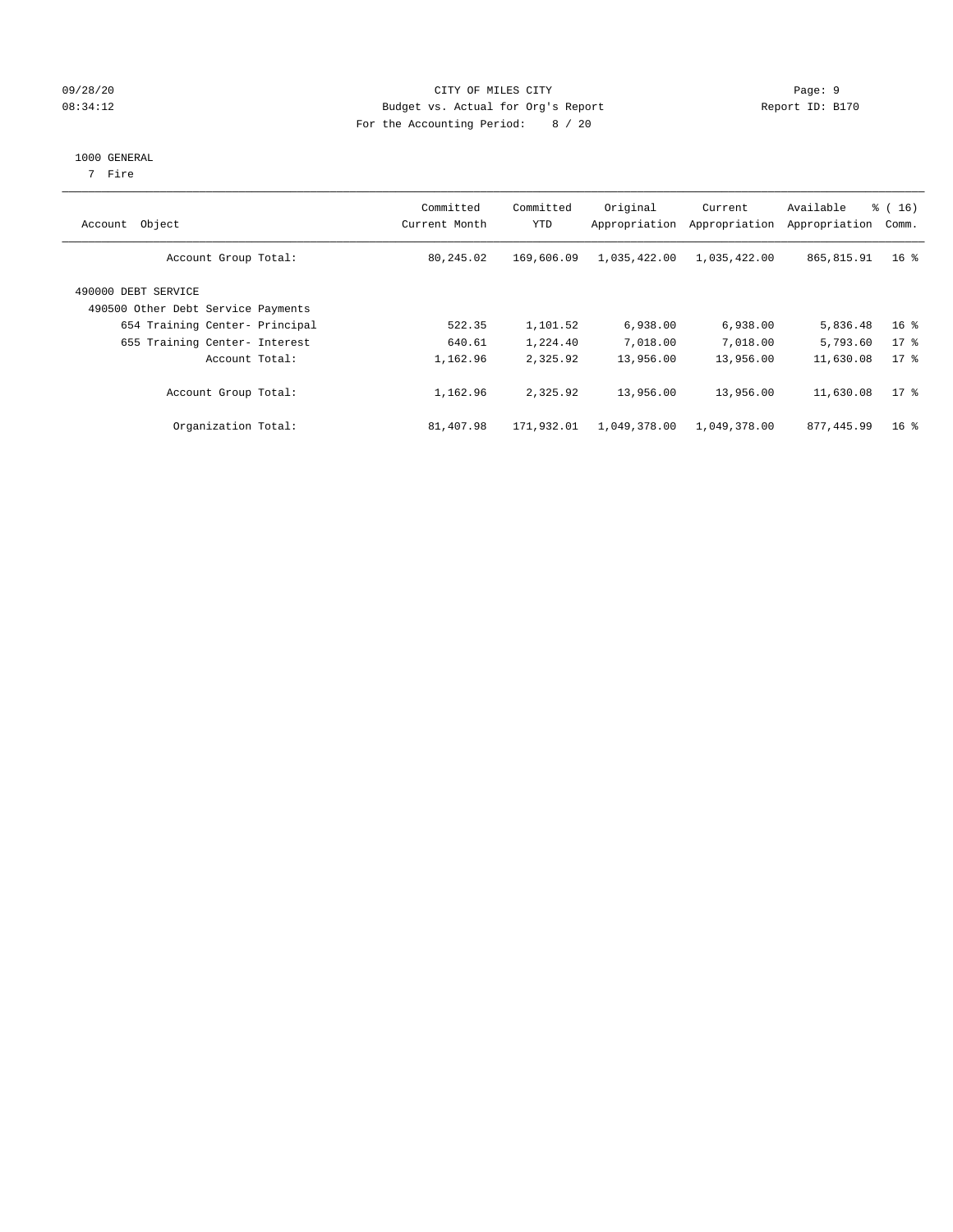#### 09/28/20 Page: 9 Page: 9 08:34:12 Budget vs. Actual for Org's Report Changer Report ID: B170 For the Accounting Period: 8 / 20

#### 1000 GENERAL

7 Fire

| Object<br>Account                                         | Committed<br>Current Month | Committed<br><b>YTD</b> | Original<br>Appropriation | Current<br>Appropriation | Available<br>Appropriation | $\frac{1}{6}$ ( 16 )<br>Comm. |
|-----------------------------------------------------------|----------------------------|-------------------------|---------------------------|--------------------------|----------------------------|-------------------------------|
| Account Group Total:                                      | 80,245.02                  | 169,606.09              | 1,035,422.00              | 1,035,422.00             | 865,815.91                 | 16 <sup>8</sup>               |
| 490000 DEBT SERVICE<br>490500 Other Debt Service Payments |                            |                         |                           |                          |                            |                               |
| 654 Training Center- Principal                            | 522.35                     | 1,101.52                | 6,938.00                  | 6,938.00                 | 5,836.48                   | 16 <sup>8</sup>               |
| 655 Training Center- Interest                             | 640.61                     | 1,224.40                | 7,018.00                  | 7,018.00                 | 5,793.60                   | $17*$                         |
| Account Total:                                            | 1,162.96                   | 2,325.92                | 13,956.00                 | 13,956.00                | 11,630.08                  | $17*$                         |
| Account Group Total:                                      | 1,162.96                   | 2,325.92                | 13,956.00                 | 13,956.00                | 11,630.08                  | 17.8                          |
| Organization Total:                                       | 81,407.98                  | 171,932.01              | 1,049,378.00              | 1,049,378.00             | 877,445.99                 | 16 <sup>8</sup>               |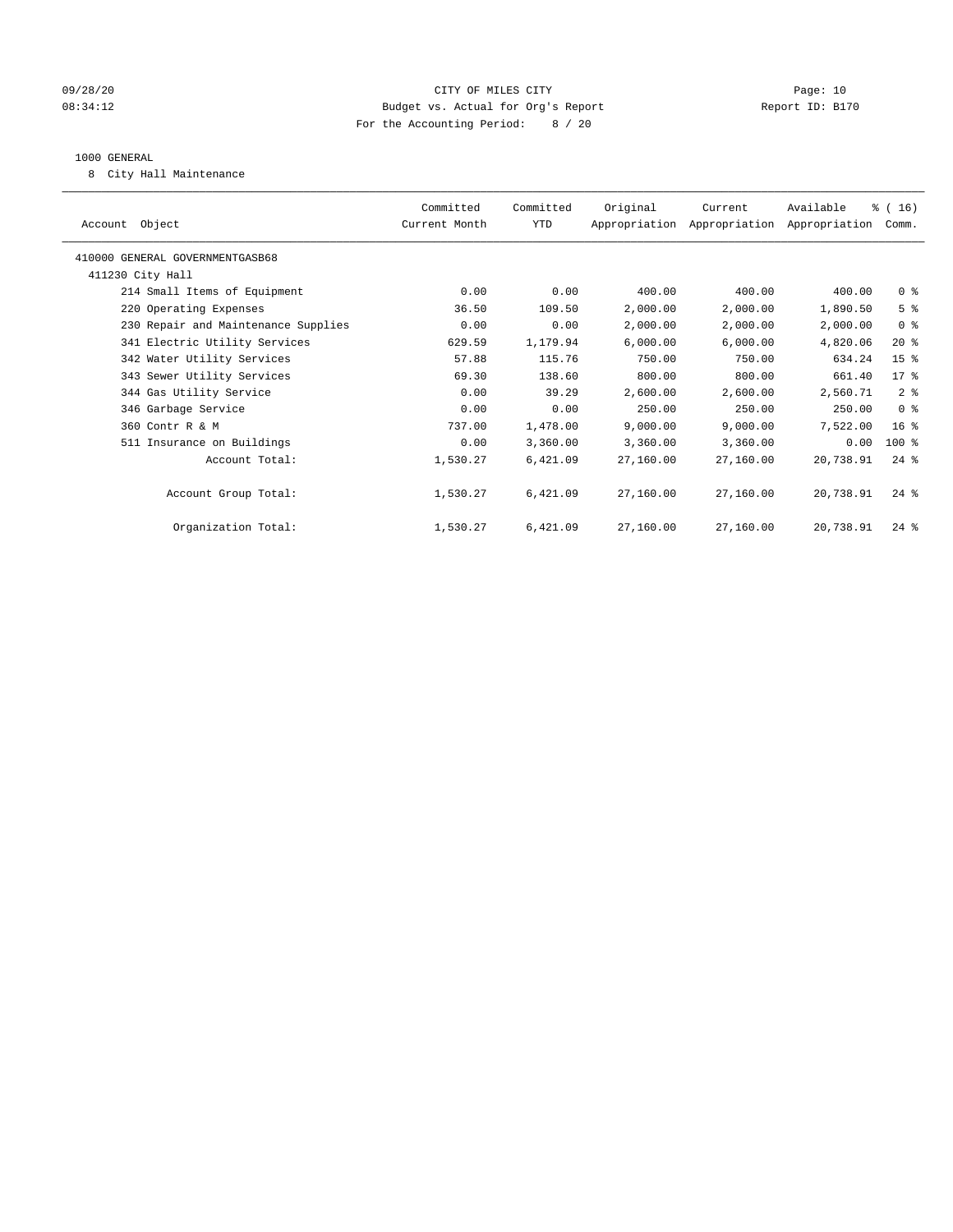#### 09/28/20 Page: 10 08:34:12 Budget vs. Actual for Org's Report Changer Report ID: B170 For the Accounting Period: 8 / 20

#### 1000 GENERAL

8 City Hall Maintenance

| Account Object                      | Committed<br>Current Month | Committed<br><b>YTD</b> | Original  | Current<br>Appropriation Appropriation Appropriation | Available | % (16)<br>Comm.    |  |
|-------------------------------------|----------------------------|-------------------------|-----------|------------------------------------------------------|-----------|--------------------|--|
| 410000 GENERAL GOVERNMENTGASB68     |                            |                         |           |                                                      |           |                    |  |
| 411230 City Hall                    |                            |                         |           |                                                      |           |                    |  |
| 214 Small Items of Equipment        | 0.00                       | 0.00                    | 400.00    | 400.00                                               | 400.00    | 0 <sup>8</sup>     |  |
| 220 Operating Expenses              | 36.50                      | 109.50                  | 2,000.00  | 2,000.00                                             | 1,890.50  | 5 <sup>8</sup>     |  |
| 230 Repair and Maintenance Supplies | 0.00                       | 0.00                    | 2,000.00  | 2,000.00                                             | 2,000.00  | 0 <sup>8</sup>     |  |
| 341 Electric Utility Services       | 629.59                     | 1,179.94                | 6,000.00  | 6,000.00                                             | 4,820.06  | $20*$              |  |
| 342 Water Utility Services          | 57.88                      | 115.76                  | 750.00    | 750.00                                               | 634.24    | 15 <sup>8</sup>    |  |
| 343 Sewer Utility Services          | 69.30                      | 138.60                  | 800.00    | 800.00                                               | 661.40    | 17 <sup>°</sup>    |  |
| 344 Gas Utility Service             | 0.00                       | 39.29                   | 2,600.00  | 2,600.00                                             | 2,560.71  | 2 <sup>8</sup>     |  |
| 346 Garbage Service                 | 0.00                       | 0.00                    | 250.00    | 250.00                                               | 250.00    | 0 <sup>8</sup>     |  |
| 360 Contr R & M                     | 737.00                     | 1,478.00                | 9,000.00  | 9,000.00                                             | 7,522.00  | $16*$              |  |
| 511 Insurance on Buildings          | 0.00                       | 3,360.00                | 3,360.00  | 3,360.00                                             | 0.00      | $100$ %            |  |
| Account Total:                      | 1,530.27                   | 6,421.09                | 27,160.00 | 27,160.00                                            | 20,738.91 | $24$ $\frac{6}{3}$ |  |
|                                     |                            |                         |           |                                                      |           |                    |  |
| Account Group Total:                | 1,530.27                   | 6,421.09                | 27,160.00 | 27,160.00                                            | 20,738.91 | $24$ %             |  |
|                                     |                            |                         |           |                                                      |           |                    |  |
| Organization Total:                 | 1,530.27                   | 6,421.09                | 27,160.00 | 27,160.00                                            | 20,738.91 | $24$ $\frac{6}{3}$ |  |
|                                     |                            |                         |           |                                                      |           |                    |  |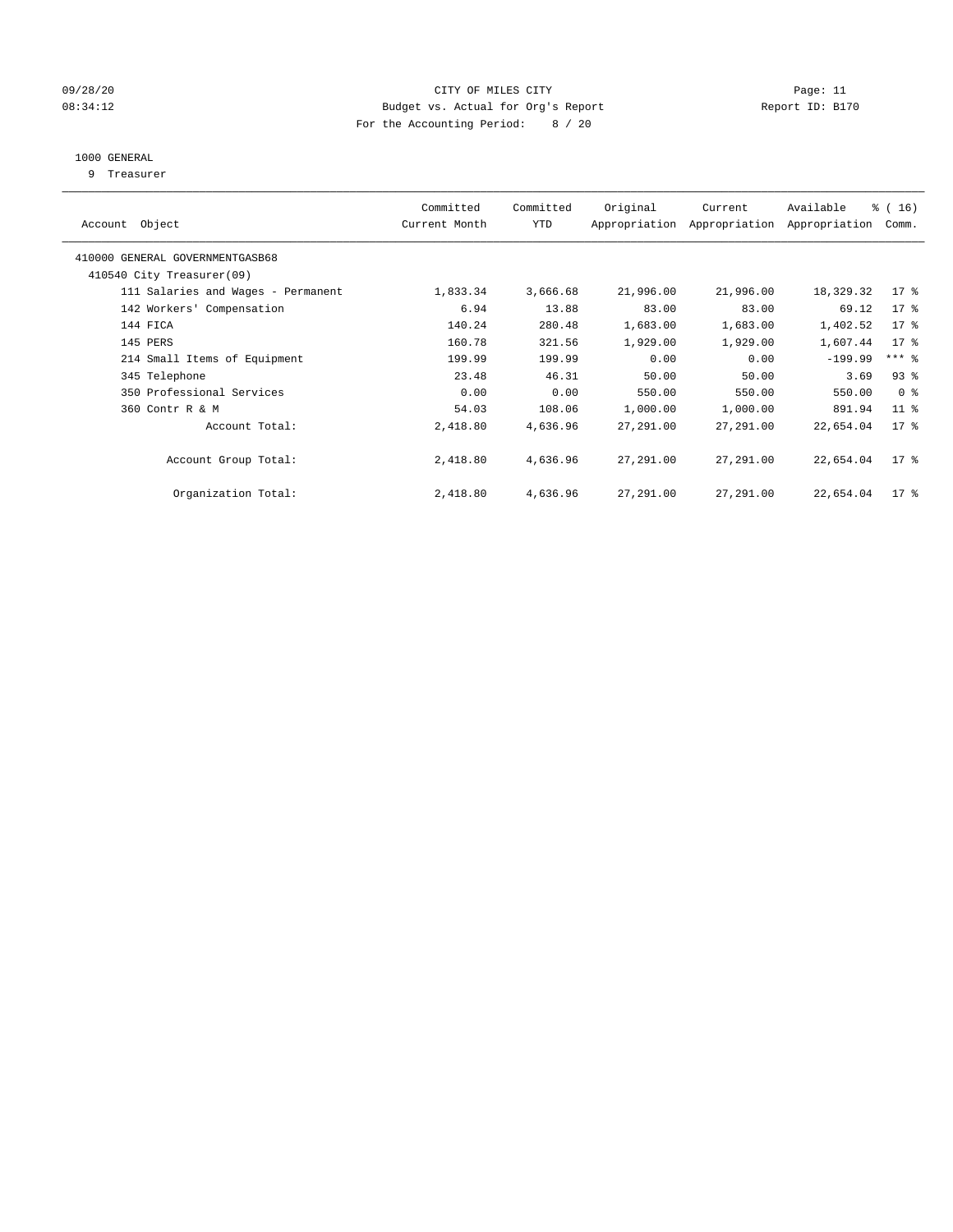#### 09/28/20 Page: 11 CITY OF MILES CITY CONTROL CONTROL Page: 11 08:34:12 Budget vs. Actual for Org's Report Changer Report ID: B170 For the Accounting Period: 8 / 20

## 1000 GENERAL

9 Treasurer

| Object<br>Account                  | Committed<br>Current Month | Committed<br><b>YTD</b> | Original  | Current<br>Appropriation Appropriation | Available<br>Appropriation | % (16)<br>Comm.     |
|------------------------------------|----------------------------|-------------------------|-----------|----------------------------------------|----------------------------|---------------------|
| 410000 GENERAL GOVERNMENTGASB68    |                            |                         |           |                                        |                            |                     |
| 410540 City Treasurer(09)          |                            |                         |           |                                        |                            |                     |
| 111 Salaries and Wages - Permanent | 1,833.34                   | 3,666.68                | 21,996.00 | 21,996.00                              | 18,329.32                  | $17*$               |
| 142 Workers' Compensation          | 6.94                       | 13.88                   | 83.00     | 83.00                                  | 69.12                      | 17 <sub>8</sub>     |
| 144 FICA                           | 140.24                     | 280.48                  | 1,683.00  | 1,683.00                               | 1,402.52                   | 17 <sup>°</sup>     |
| 145 PERS                           | 160.78                     | 321.56                  | 1,929.00  | 1,929.00                               | 1,607.44                   | 17 <sup>°</sup>     |
| 214 Small Items of Equipment       | 199.99                     | 199.99                  | 0.00      | 0.00                                   | $-199.99$                  | $***$ $\frac{6}{5}$ |
| 345 Telephone                      | 23.48                      | 46.31                   | 50.00     | 50.00                                  | 3.69                       | 93%                 |
| 350 Professional Services          | 0.00                       | 0.00                    | 550.00    | 550.00                                 | 550.00                     | 0 <sup>8</sup>      |
| 360 Contr R & M                    | 54.03                      | 108.06                  | 1,000.00  | 1,000.00                               | 891.94                     | $11$ %              |
| Account Total:                     | 2,418.80                   | 4,636.96                | 27,291.00 | 27,291.00                              | 22,654.04                  | $17*$               |
| Account Group Total:               | 2,418.80                   | 4,636.96                | 27,291.00 | 27,291.00                              | 22,654.04                  | $17*$               |
| Organization Total:                | 2,418.80                   | 4,636.96                | 27,291.00 | 27,291.00                              | 22,654.04                  | $17*$               |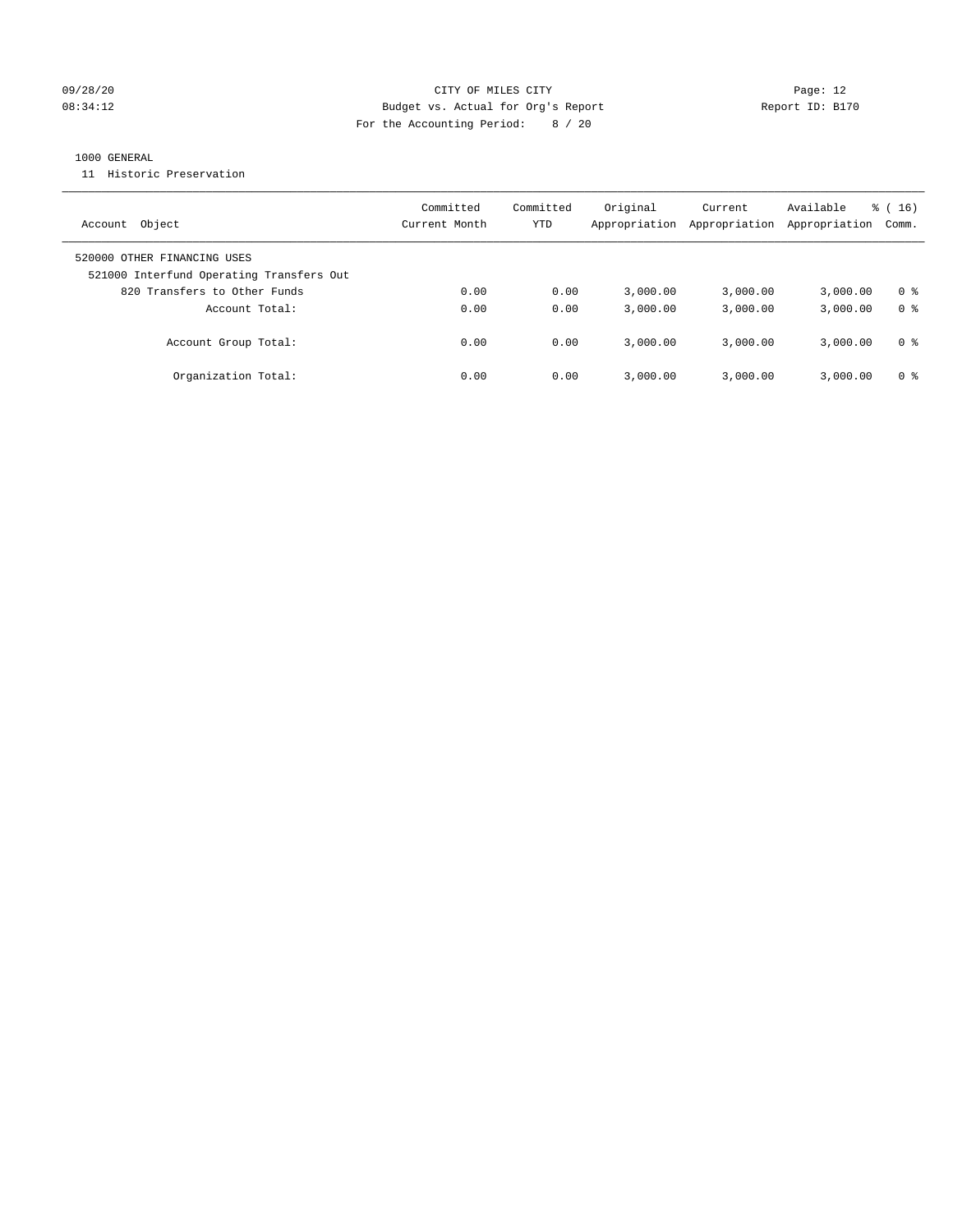#### 09/28/20 Page: 12 08:34:12 Budget vs. Actual for Org's Report Report ID: B170 For the Accounting Period: 8 / 20

#### 1000 GENERAL

11 Historic Preservation

| Object<br>Account                                                       | Committed<br>Current Month | Committed<br>YTD | Original<br>Appropriation | Current<br>Appropriation | Available<br>Appropriation | $\frac{1}{6}$ (16)<br>Comm. |
|-------------------------------------------------------------------------|----------------------------|------------------|---------------------------|--------------------------|----------------------------|-----------------------------|
| 520000 OTHER FINANCING USES<br>521000 Interfund Operating Transfers Out |                            |                  |                           |                          |                            |                             |
| 820 Transfers to Other Funds                                            | 0.00                       | 0.00             | 3.000.00                  | 3,000.00                 | 3,000.00                   | 0 %                         |
| Account Total:                                                          | 0.00                       | 0.00             | 3,000.00                  | 3,000.00                 | 3,000.00                   | 0 <sup>8</sup>              |
| Account Group Total:                                                    | 0.00                       | 0.00             | 3.000.00                  | 3,000.00                 | 3,000.00                   | 0 %                         |
| Organization Total:                                                     | 0.00                       | 0.00             | 3.000.00                  | 3,000.00                 | 3,000.00                   | 0 %                         |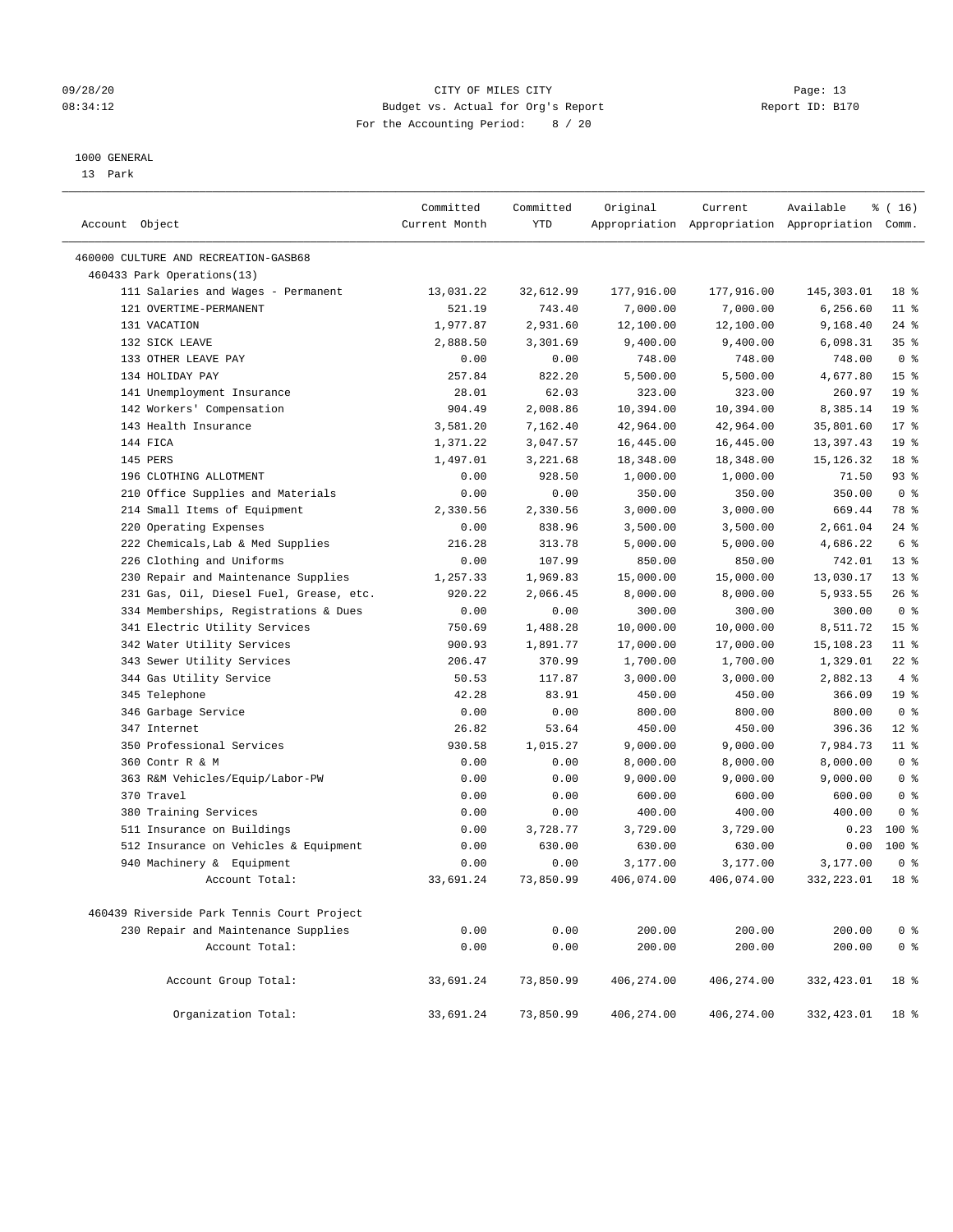#### 09/28/20 Page: 13 08:34:12 Budget vs. Actual for Org's Report Changer Report ID: B170 For the Accounting Period: 8 / 20

#### 1000 GENERAL

13 Park

| Account Object                             | Committed<br>Current Month | Committed<br>YTD | Original   | Current    | Available<br>Appropriation Appropriation Appropriation Comm. | \$(16)          |
|--------------------------------------------|----------------------------|------------------|------------|------------|--------------------------------------------------------------|-----------------|
| 460000 CULTURE AND RECREATION-GASB68       |                            |                  |            |            |                                                              |                 |
| 460433 Park Operations(13)                 |                            |                  |            |            |                                                              |                 |
| 111 Salaries and Wages - Permanent         | 13,031.22                  | 32,612.99        | 177,916.00 | 177,916.00 | 145,303.01                                                   | 18 %            |
| 121 OVERTIME-PERMANENT                     | 521.19                     | 743.40           | 7,000.00   | 7,000.00   | 6,256.60                                                     | $11$ %          |
| 131 VACATION                               | 1,977.87                   | 2,931.60         | 12,100.00  | 12,100.00  | 9,168.40                                                     | $24$ %          |
| 132 SICK LEAVE                             | 2,888.50                   | 3,301.69         | 9,400.00   | 9,400.00   | 6,098.31                                                     | 35 <sup>8</sup> |
| 133 OTHER LEAVE PAY                        | 0.00                       | 0.00             | 748.00     | 748.00     | 748.00                                                       | 0 <sup>8</sup>  |
| 134 HOLIDAY PAY                            | 257.84                     | 822.20           | 5,500.00   | 5,500.00   | 4,677.80                                                     | 15 <sup>°</sup> |
| 141 Unemployment Insurance                 | 28.01                      | 62.03            | 323.00     | 323.00     | 260.97                                                       | 19 <sup>°</sup> |
| 142 Workers' Compensation                  | 904.49                     | 2,008.86         | 10,394.00  | 10,394.00  | 8,385.14                                                     | 19 <sup>°</sup> |
| 143 Health Insurance                       | 3,581.20                   | 7,162.40         | 42,964.00  | 42,964.00  | 35,801.60                                                    | $17*$           |
| 144 FICA                                   | 1,371.22                   | 3,047.57         | 16,445.00  | 16,445.00  | 13,397.43                                                    | 19 <sup>°</sup> |
| 145 PERS                                   | 1,497.01                   | 3,221.68         | 18,348.00  | 18,348.00  | 15, 126. 32                                                  | 18 <sup>°</sup> |
| 196 CLOTHING ALLOTMENT                     | 0.00                       | 928.50           | 1,000.00   | 1,000.00   | 71.50                                                        | 93%             |
| 210 Office Supplies and Materials          | 0.00                       | 0.00             | 350.00     | 350.00     | 350.00                                                       | 0 <sup>8</sup>  |
| 214 Small Items of Equipment               | 2,330.56                   | 2,330.56         | 3,000.00   | 3,000.00   | 669.44                                                       | 78 %            |
| 220 Operating Expenses                     | 0.00                       | 838.96           | 3,500.00   | 3,500.00   | 2,661.04                                                     | $24$ %          |
| 222 Chemicals, Lab & Med Supplies          | 216.28                     | 313.78           | 5,000.00   | 5,000.00   | 4,686.22                                                     | 6 %             |
| 226 Clothing and Uniforms                  | 0.00                       | 107.99           | 850.00     | 850.00     | 742.01                                                       | $13*$           |
| 230 Repair and Maintenance Supplies        | 1,257.33                   | 1,969.83         | 15,000.00  | 15,000.00  | 13,030.17                                                    | $13*$           |
| 231 Gas, Oil, Diesel Fuel, Grease, etc.    | 920.22                     | 2,066.45         | 8,000.00   | 8,000.00   | 5,933.55                                                     | 26%             |
| 334 Memberships, Registrations & Dues      | 0.00                       | 0.00             | 300.00     | 300.00     | 300.00                                                       | 0 <sup>8</sup>  |
| 341 Electric Utility Services              | 750.69                     | 1,488.28         | 10,000.00  | 10,000.00  | 8,511.72                                                     | 15 <sup>°</sup> |
| 342 Water Utility Services                 | 900.93                     | 1,891.77         | 17,000.00  | 17,000.00  | 15,108.23                                                    | $11$ %          |
| 343 Sewer Utility Services                 | 206.47                     | 370.99           | 1,700.00   | 1,700.00   | 1,329.01                                                     | $22$ %          |
| 344 Gas Utility Service                    | 50.53                      | 117.87           | 3,000.00   | 3,000.00   | 2,882.13                                                     | 4%              |
| 345 Telephone                              | 42.28                      | 83.91            | 450.00     | 450.00     | 366.09                                                       | 19 <sup>°</sup> |
| 346 Garbage Service                        | 0.00                       | 0.00             | 800.00     | 800.00     | 800.00                                                       | 0 <sup>8</sup>  |
| 347 Internet                               | 26.82                      | 53.64            | 450.00     | 450.00     | 396.36                                                       | $12*$           |
| 350 Professional Services                  | 930.58                     | 1,015.27         | 9,000.00   | 9,000.00   | 7,984.73                                                     | $11*$           |
| 360 Contr R & M                            | 0.00                       | 0.00             | 8,000.00   | 8,000.00   | 8,000.00                                                     | 0 <sup>8</sup>  |
| 363 R&M Vehicles/Equip/Labor-PW            | 0.00                       | 0.00             | 9,000.00   | 9,000.00   | 9,000.00                                                     | 0 <sup>8</sup>  |
| 370 Travel                                 | 0.00                       | 0.00             | 600.00     | 600.00     | 600.00                                                       | 0 <sup>8</sup>  |
| 380 Training Services                      | 0.00                       | 0.00             | 400.00     | 400.00     | 400.00                                                       | 0 <sup>8</sup>  |
| 511 Insurance on Buildings                 | 0.00                       | 3,728.77         | 3,729.00   | 3,729.00   | 0.23                                                         | $100*$          |
| 512 Insurance on Vehicles & Equipment      | 0.00                       | 630.00           | 630.00     | 630.00     | 0.00                                                         | $100*$          |
| 940 Machinery & Equipment                  | 0.00                       | 0.00             | 3,177.00   | 3,177.00   | 3,177.00                                                     | 0 <sup>8</sup>  |
| Account Total:                             | 33,691.24                  | 73,850.99        | 406,074.00 | 406,074.00 | 332,223.01                                                   | 18 %            |
| 460439 Riverside Park Tennis Court Project |                            |                  |            |            |                                                              |                 |
| 230 Repair and Maintenance Supplies        | 0.00                       | 0.00             | 200.00     | 200.00     | 200.00                                                       | 0 <sup>8</sup>  |
| Account Total:                             | 0.00                       | 0.00             | 200.00     | 200.00     | 200.00                                                       | 0 <sup>°</sup>  |
| Account Group Total:                       | 33,691.24                  | 73,850.99        | 406,274.00 | 406,274.00 | 332,423.01                                                   | 18 %            |
| Organization Total:                        | 33,691.24                  | 73,850.99        | 406,274.00 | 406,274.00 | 332,423.01                                                   | 18 %            |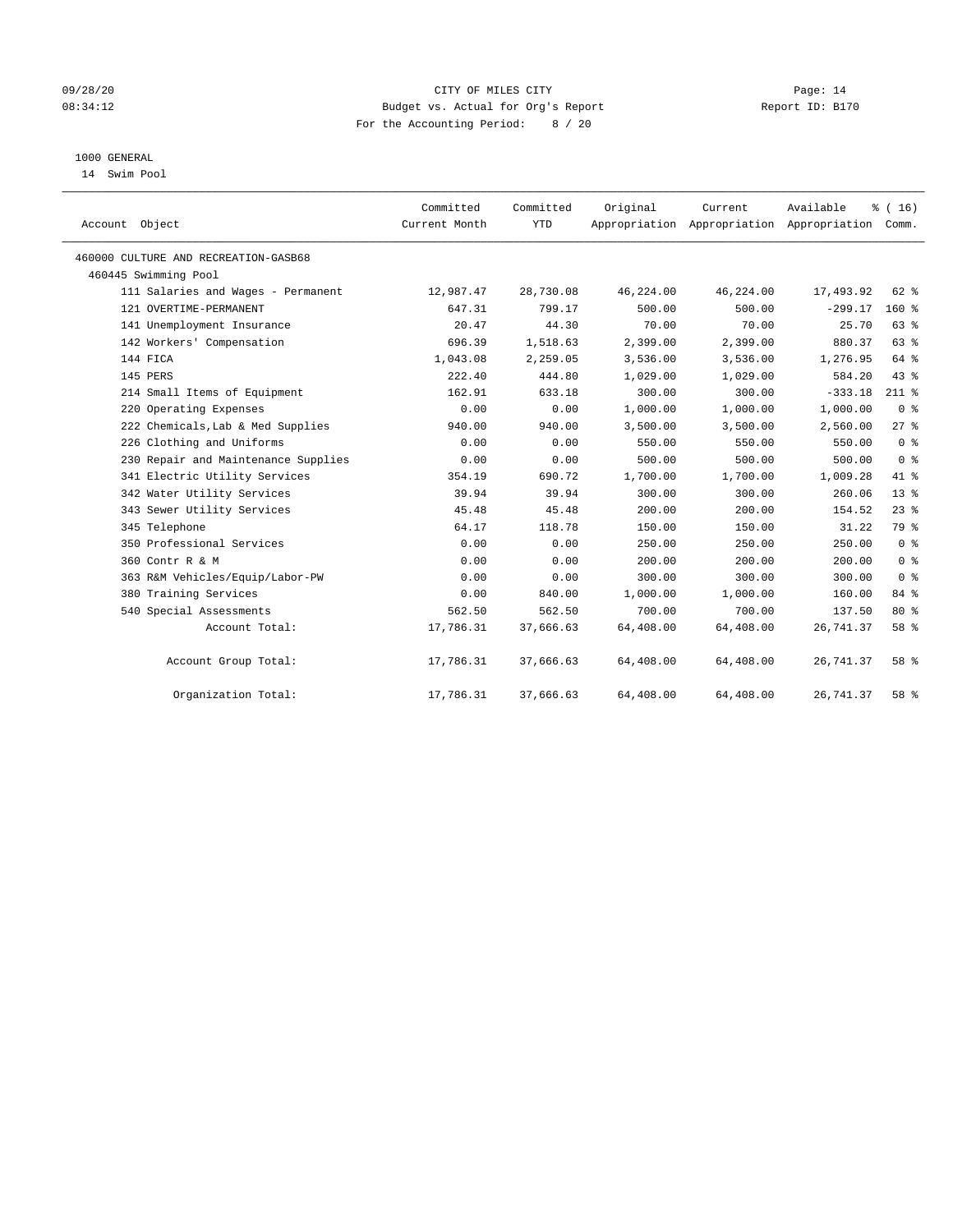#### 09/28/20 Page: 14 CITY OF MILES CITY CONTROL CONTROL Page: 14 08:34:12 Budget vs. Actual for Org's Report Changer Report ID: B170 For the Accounting Period: 8 / 20

## 1000 GENERAL

14 Swim Pool

| Account Object                       | Committed<br>Current Month | Committed<br><b>YTD</b> | Original  | Current<br>Appropriation Appropriation Appropriation | Available | % (16)<br>Comm. |
|--------------------------------------|----------------------------|-------------------------|-----------|------------------------------------------------------|-----------|-----------------|
| 460000 CULTURE AND RECREATION-GASB68 |                            |                         |           |                                                      |           |                 |
| 460445 Swimming Pool                 |                            |                         |           |                                                      |           |                 |
| 111 Salaries and Wages - Permanent   | 12,987.47                  | 28,730.08               | 46,224.00 | 46,224.00                                            | 17,493.92 | 62 %            |
| 121 OVERTIME-PERMANENT               | 647.31                     | 799.17                  | 500.00    | 500.00                                               | $-299.17$ | 160%            |
| 141 Unemployment Insurance           | 20.47                      | 44.30                   | 70.00     | 70.00                                                | 25.70     | 63%             |
| 142 Workers' Compensation            | 696.39                     | 1,518.63                | 2,399.00  | 2,399.00                                             | 880.37    | 63 %            |
| 144 FICA                             | 1,043.08                   | 2,259.05                | 3,536.00  | 3,536.00                                             | 1,276.95  | 64 %            |
| 145 PERS                             | 222.40                     | 444.80                  | 1,029.00  | 1,029.00                                             | 584.20    | 43 %            |
| 214 Small Items of Equipment         | 162.91                     | 633.18                  | 300.00    | 300.00                                               | $-333.18$ | $211$ %         |
| 220 Operating Expenses               | 0.00                       | 0.00                    | 1,000.00  | 1,000.00                                             | 1,000.00  | 0 <sup>8</sup>  |
| 222 Chemicals, Lab & Med Supplies    | 940.00                     | 940.00                  | 3,500.00  | 3,500.00                                             | 2,560.00  | 27%             |
| 226 Clothing and Uniforms            | 0.00                       | 0.00                    | 550.00    | 550.00                                               | 550.00    | 0 <sup>8</sup>  |
| 230 Repair and Maintenance Supplies  | 0.00                       | 0.00                    | 500.00    | 500.00                                               | 500.00    | 0 <sup>8</sup>  |
| 341 Electric Utility Services        | 354.19                     | 690.72                  | 1,700.00  | 1,700.00                                             | 1,009.28  | 41 %            |
| 342 Water Utility Services           | 39.94                      | 39.94                   | 300.00    | 300.00                                               | 260.06    | $13*$           |
| 343 Sewer Utility Services           | 45.48                      | 45.48                   | 200.00    | 200.00                                               | 154.52    | $23$ $%$        |
| 345 Telephone                        | 64.17                      | 118.78                  | 150.00    | 150.00                                               | 31.22     | 79 %            |
| 350 Professional Services            | 0.00                       | 0.00                    | 250.00    | 250.00                                               | 250.00    | 0 <sup>8</sup>  |
| 360 Contr R & M                      | 0.00                       | 0.00                    | 200.00    | 200.00                                               | 200.00    | 0 <sup>8</sup>  |
| 363 R&M Vehicles/Equip/Labor-PW      | 0.00                       | 0.00                    | 300.00    | 300.00                                               | 300.00    | 0 <sup>8</sup>  |
| 380 Training Services                | 0.00                       | 840.00                  | 1,000.00  | 1,000.00                                             | 160.00    | 84 %            |
| 540 Special Assessments              | 562.50                     | 562.50                  | 700.00    | 700.00                                               | 137.50    | $80*$           |
| Account Total:                       | 17,786.31                  | 37,666.63               | 64,408.00 | 64,408.00                                            | 26,741.37 | 58 %            |
| Account Group Total:                 | 17,786.31                  | 37,666.63               | 64,408.00 | 64,408.00                                            | 26,741.37 | 58 %            |
| Organization Total:                  | 17,786.31                  | 37,666.63               | 64,408.00 | 64,408.00                                            | 26,741.37 | 58 %            |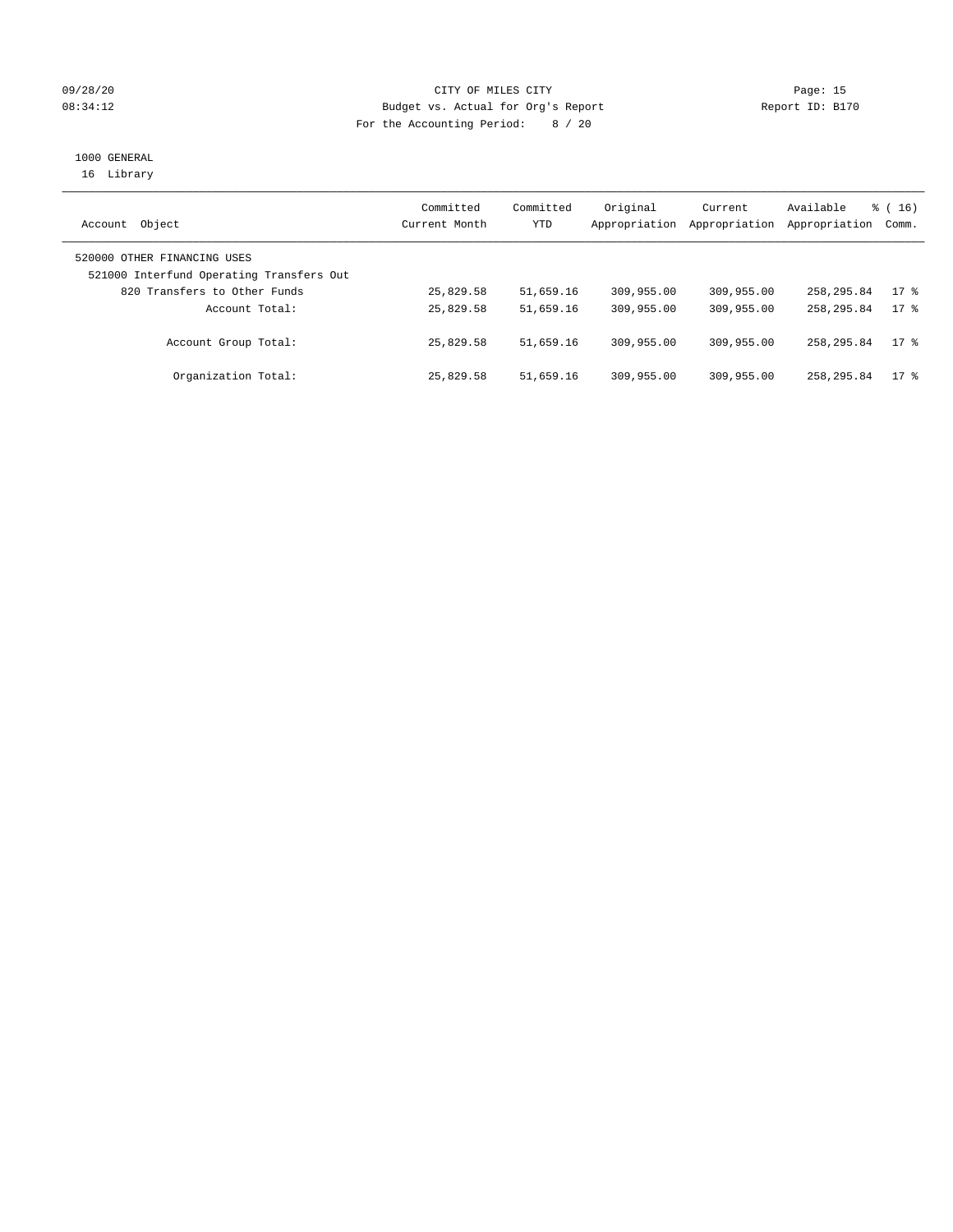#### 09/28/20 Page: 15 08:34:12 Budget vs. Actual for Org's Report Changer Report ID: B170 For the Accounting Period: 8 / 20

# 1000 GENERAL

16 Library

| Object<br>Account                                                       | Committed<br>Current Month | Committed<br>YTD | Original<br>Appropriation | Current<br>Appropriation | Available<br>Appropriation | $\frac{1}{6}$ ( 16 )<br>Comm. |
|-------------------------------------------------------------------------|----------------------------|------------------|---------------------------|--------------------------|----------------------------|-------------------------------|
| 520000 OTHER FINANCING USES<br>521000 Interfund Operating Transfers Out |                            |                  |                           |                          |                            |                               |
| 820 Transfers to Other Funds                                            | 25,829.58                  | 51,659.16        | 309,955.00                | 309,955.00               | 258, 295.84                | 17.8                          |
| Account Total:                                                          | 25,829.58                  | 51,659.16        | 309,955.00                | 309,955.00               | 258, 295.84                | 17.8                          |
| Account Group Total:                                                    | 25,829.58                  | 51,659.16        | 309,955.00                | 309,955.00               | 258, 295.84                | $17*$                         |
| Organization Total:                                                     | 25,829.58                  | 51,659.16        | 309,955.00                | 309,955.00               | 258,295.84                 | $17$ %                        |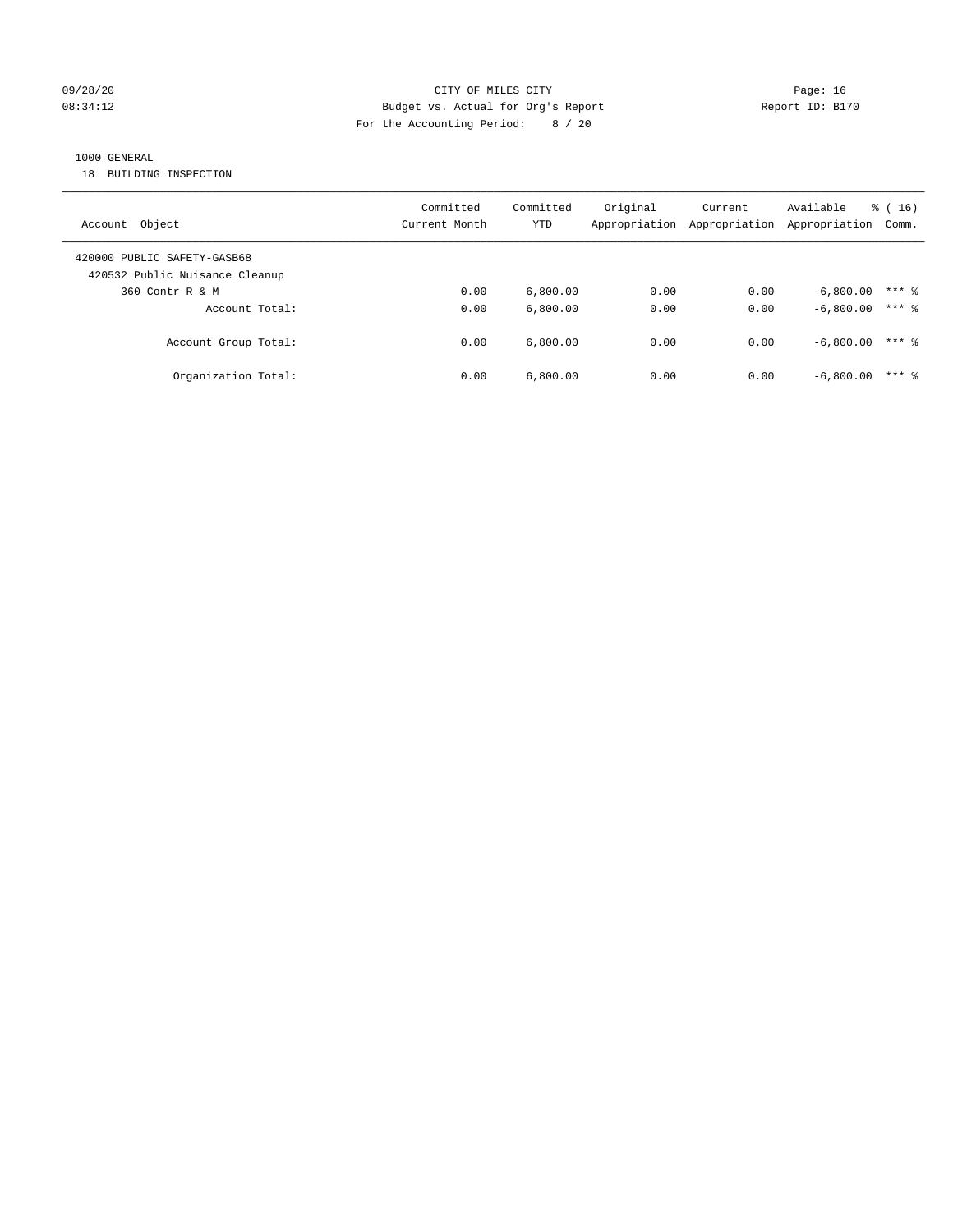#### 09/28/20 Page: 16 CITY OF MILES CITY CONTROL CONTROL Page: 16 08:34:12 Budget vs. Actual for Org's Report Changer Report ID: B170 For the Accounting Period: 8 / 20

## 1000 GENERAL

18 BUILDING INSPECTION

| Account Object                                                | Committed<br>Current Month | Committed<br>YTD | Original<br>Appropriation | Current<br>Appropriation | Available<br>Appropriation | $\frac{1}{6}$ (16)<br>Comm. |
|---------------------------------------------------------------|----------------------------|------------------|---------------------------|--------------------------|----------------------------|-----------------------------|
| 420000 PUBLIC SAFETY-GASB68<br>420532 Public Nuisance Cleanup |                            |                  |                           |                          |                            |                             |
| 360 Contr R & M                                               | 0.00                       | 6,800.00         | 0.00                      | 0.00                     | $-6.800.00$                | $***$ 2                     |
| Account Total:                                                | 0.00                       | 6.800.00         | 0.00                      | 0.00                     | $-6.800.00$                | $***$ %                     |
| Account Group Total:                                          | 0.00                       | 6.800.00         | 0.00                      | 0.00                     | $-6.800.00$                | $***$ 2                     |
| Organization Total:                                           | 0.00                       | 6,800.00         | 0.00                      | 0.00                     | $-6,800.00$                | $***$ 2                     |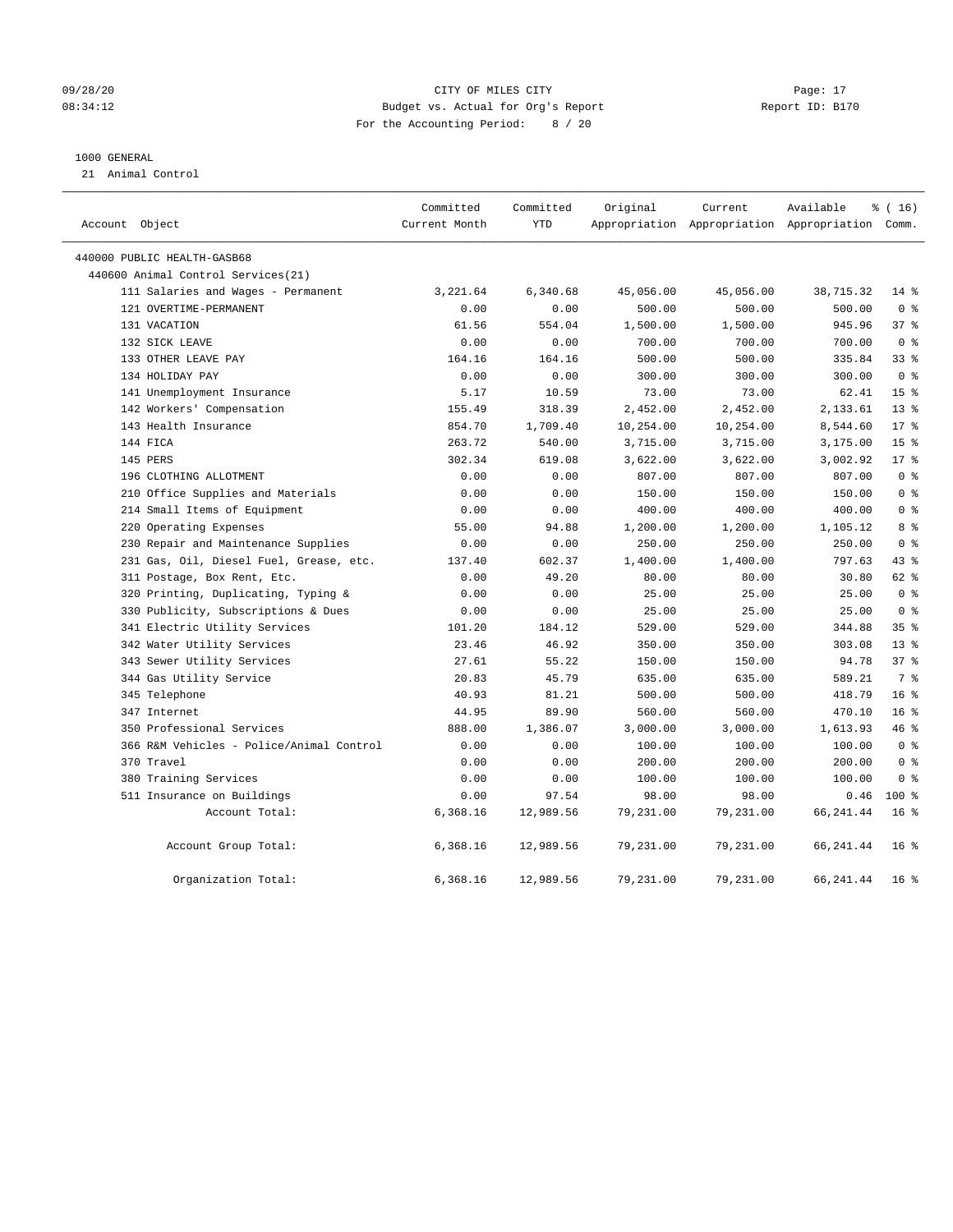#### 09/28/20 Page: 17 CITY OF MILES CITY CONTROL CONTROL Page: 17 08:34:12 Budget vs. Actual for Org's Report Changer Report ID: B170 For the Accounting Period: 8 / 20

#### 1000 GENERAL

21 Animal Control

| Account Object                           | Committed<br>Current Month | Committed<br>YTD | Original  | Current   | Available<br>Appropriation Appropriation Appropriation Comm. | $*(16)$         |  |
|------------------------------------------|----------------------------|------------------|-----------|-----------|--------------------------------------------------------------|-----------------|--|
| 440000 PUBLIC HEALTH-GASB68              |                            |                  |           |           |                                                              |                 |  |
| 440600 Animal Control Services(21)       |                            |                  |           |           |                                                              |                 |  |
| 111 Salaries and Wages - Permanent       | 3,221.64                   | 6,340.68         | 45,056.00 | 45,056.00 | 38,715.32                                                    | $14*$           |  |
| 121 OVERTIME-PERMANENT                   | 0.00                       | 0.00             | 500.00    | 500.00    | 500.00                                                       | 0 <sup>8</sup>  |  |
| 131 VACATION                             | 61.56                      | 554.04           | 1,500.00  | 1,500.00  | 945.96                                                       | 37%             |  |
| 132 SICK LEAVE                           | 0.00                       | 0.00             | 700.00    | 700.00    | 700.00                                                       | 0 <sup>8</sup>  |  |
| 133 OTHER LEAVE PAY                      | 164.16                     | 164.16           | 500.00    | 500.00    | 335.84                                                       | 33%             |  |
| 134 HOLIDAY PAY                          | 0.00                       | 0.00             | 300.00    | 300.00    | 300.00                                                       | 0 <sup>8</sup>  |  |
| 141 Unemployment Insurance               | 5.17                       | 10.59            | 73.00     | 73.00     | 62.41                                                        | 15 <sup>°</sup> |  |
| 142 Workers' Compensation                | 155.49                     | 318.39           | 2,452.00  | 2,452.00  | 2,133.61                                                     | $13*$           |  |
| 143 Health Insurance                     | 854.70                     | 1,709.40         | 10,254.00 | 10,254.00 | 8,544.60                                                     | $17*$           |  |
| 144 FICA                                 | 263.72                     | 540.00           | 3,715.00  | 3,715.00  | 3,175.00                                                     | 15 <sup>°</sup> |  |
| 145 PERS                                 | 302.34                     | 619.08           | 3,622.00  | 3,622.00  | 3,002.92                                                     | $17*$           |  |
| 196 CLOTHING ALLOTMENT                   | 0.00                       | 0.00             | 807.00    | 807.00    | 807.00                                                       | 0 <sup>8</sup>  |  |
| 210 Office Supplies and Materials        | 0.00                       | 0.00             | 150.00    | 150.00    | 150.00                                                       | 0 <sup>8</sup>  |  |
| 214 Small Items of Equipment             | 0.00                       | 0.00             | 400.00    | 400.00    | 400.00                                                       | 0 <sup>8</sup>  |  |
| 220 Operating Expenses                   | 55.00                      | 94.88            | 1,200.00  | 1,200.00  | 1,105.12                                                     | 8 %             |  |
| 230 Repair and Maintenance Supplies      | 0.00                       | 0.00             | 250.00    | 250.00    | 250.00                                                       | 0 <sup>8</sup>  |  |
| 231 Gas, Oil, Diesel Fuel, Grease, etc.  | 137.40                     | 602.37           | 1,400.00  | 1,400.00  | 797.63                                                       | $43$ %          |  |
| 311 Postage, Box Rent, Etc.              | 0.00                       | 49.20            | 80.00     | 80.00     | 30.80                                                        | 62 %            |  |
| 320 Printing, Duplicating, Typing &      | 0.00                       | 0.00             | 25.00     | 25.00     | 25.00                                                        | 0 <sup>8</sup>  |  |
| 330 Publicity, Subscriptions & Dues      | 0.00                       | 0.00             | 25.00     | 25.00     | 25.00                                                        | 0 <sup>8</sup>  |  |
| 341 Electric Utility Services            | 101.20                     | 184.12           | 529.00    | 529.00    | 344.88                                                       | 35 <sup>8</sup> |  |
| 342 Water Utility Services               | 23.46                      | 46.92            | 350.00    | 350.00    | 303.08                                                       | $13*$           |  |
| 343 Sewer Utility Services               | 27.61                      | 55.22            | 150.00    | 150.00    | 94.78                                                        | 37%             |  |
| 344 Gas Utility Service                  | 20.83                      | 45.79            | 635.00    | 635.00    | 589.21                                                       | 7 %             |  |
| 345 Telephone                            | 40.93                      | 81.21            | 500.00    | 500.00    | 418.79                                                       | 16 <sup>°</sup> |  |
| 347 Internet                             | 44.95                      | 89.90            | 560.00    | 560.00    | 470.10                                                       | 16 <sup>°</sup> |  |
| 350 Professional Services                | 888.00                     | 1,386.07         | 3,000.00  | 3,000.00  | 1,613.93                                                     | 46 %            |  |
| 366 R&M Vehicles - Police/Animal Control | 0.00                       | 0.00             | 100.00    | 100.00    | 100.00                                                       | 0 <sup>8</sup>  |  |
| 370 Travel                               | 0.00                       | 0.00             | 200.00    | 200.00    | 200.00                                                       | 0 <sup>8</sup>  |  |
| 380 Training Services                    | 0.00                       | 0.00             | 100.00    | 100.00    | 100.00                                                       | 0 <sup>8</sup>  |  |
| 511 Insurance on Buildings               | 0.00                       | 97.54            | 98.00     | 98.00     | 0.46                                                         | $100*$          |  |
| Account Total:                           | 6,368.16                   | 12,989.56        | 79,231.00 | 79,231.00 | 66, 241.44                                                   | 16 <sup>8</sup> |  |
| Account Group Total:                     | 6,368.16                   | 12,989.56        | 79,231.00 | 79,231.00 | 66, 241.44                                                   | 16 <sup>8</sup> |  |
| Organization Total:                      | 6,368.16                   | 12,989.56        | 79,231.00 | 79,231.00 | 66, 241.44                                                   | 16 <sup>°</sup> |  |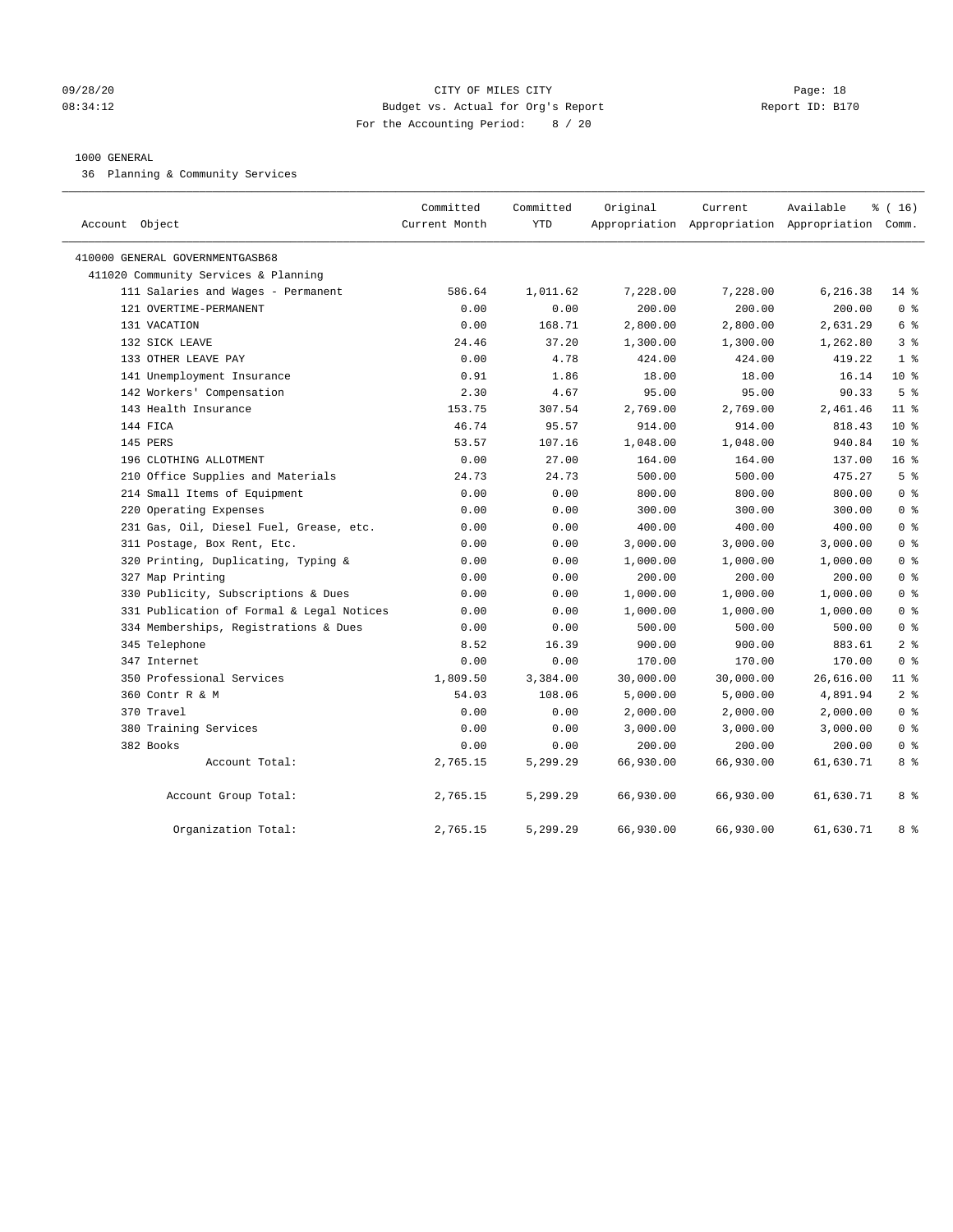#### 09/28/20 Page: 18 08:34:12 Budget vs. Actual for Org's Report Changer Report ID: B170 For the Accounting Period: 8 / 20

#### 1000 GENERAL

36 Planning & Community Services

| Object<br>Account                         | Committed<br>Current Month | Committed<br><b>YTD</b> | Original  | Current   | Available<br>Appropriation Appropriation Appropriation Comm. | % (16)          |
|-------------------------------------------|----------------------------|-------------------------|-----------|-----------|--------------------------------------------------------------|-----------------|
| 410000 GENERAL GOVERNMENTGASB68           |                            |                         |           |           |                                                              |                 |
| 411020 Community Services & Planning      |                            |                         |           |           |                                                              |                 |
| 111 Salaries and Wages - Permanent        | 586.64                     | 1,011.62                | 7,228.00  | 7,228.00  | 6,216.38                                                     | $14$ %          |
| 121 OVERTIME-PERMANENT                    | 0.00                       | 0.00                    | 200.00    | 200.00    | 200.00                                                       | 0 <sup>8</sup>  |
| 131 VACATION                              | 0.00                       | 168.71                  | 2,800.00  | 2,800.00  | 2,631.29                                                     | 6 %             |
| 132 SICK LEAVE                            | 24.46                      | 37.20                   | 1,300.00  | 1,300.00  | 1,262.80                                                     | 3 <sup>8</sup>  |
| 133 OTHER LEAVE PAY                       | 0.00                       | 4.78                    | 424.00    | 424.00    | 419.22                                                       | 1 <sup>8</sup>  |
| 141 Unemployment Insurance                | 0.91                       | 1.86                    | 18.00     | 18.00     | 16.14                                                        | $10*$           |
| 142 Workers' Compensation                 | 2.30                       | 4.67                    | 95.00     | 95.00     | 90.33                                                        | 5 <sup>°</sup>  |
| 143 Health Insurance                      | 153.75                     | 307.54                  | 2,769.00  | 2,769.00  | 2,461.46                                                     | $11$ %          |
| 144 FICA                                  | 46.74                      | 95.57                   | 914.00    | 914.00    | 818.43                                                       | $10*$           |
| 145 PERS                                  | 53.57                      | 107.16                  | 1,048.00  | 1,048.00  | 940.84                                                       | $10*$           |
| 196 CLOTHING ALLOTMENT                    | 0.00                       | 27.00                   | 164.00    | 164.00    | 137.00                                                       | 16 <sup>°</sup> |
| 210 Office Supplies and Materials         | 24.73                      | 24.73                   | 500.00    | 500.00    | 475.27                                                       | 5 <sup>8</sup>  |
| 214 Small Items of Equipment              | 0.00                       | 0.00                    | 800.00    | 800.00    | 800.00                                                       | 0 <sup>8</sup>  |
| 220 Operating Expenses                    | 0.00                       | 0.00                    | 300.00    | 300.00    | 300.00                                                       | 0 <sup>8</sup>  |
| 231 Gas, Oil, Diesel Fuel, Grease, etc.   | 0.00                       | 0.00                    | 400.00    | 400.00    | 400.00                                                       | 0 <sup>8</sup>  |
| 311 Postage, Box Rent, Etc.               | 0.00                       | 0.00                    | 3,000.00  | 3,000.00  | 3,000.00                                                     | 0 <sup>8</sup>  |
| 320 Printing, Duplicating, Typing &       | 0.00                       | 0.00                    | 1,000.00  | 1,000.00  | 1,000.00                                                     | 0 <sup>8</sup>  |
| 327 Map Printing                          | 0.00                       | 0.00                    | 200.00    | 200.00    | 200.00                                                       | 0 <sup>8</sup>  |
| 330 Publicity, Subscriptions & Dues       | 0.00                       | 0.00                    | 1,000.00  | 1,000.00  | 1,000.00                                                     | 0 <sup>8</sup>  |
| 331 Publication of Formal & Legal Notices | 0.00                       | 0.00                    | 1,000.00  | 1,000.00  | 1,000.00                                                     | 0 <sup>8</sup>  |
| 334 Memberships, Registrations & Dues     | 0.00                       | 0.00                    | 500.00    | 500.00    | 500.00                                                       | 0 <sup>8</sup>  |
| 345 Telephone                             | 8.52                       | 16.39                   | 900.00    | 900.00    | 883.61                                                       | 2 <sup>8</sup>  |
| 347 Internet                              | 0.00                       | 0.00                    | 170.00    | 170.00    | 170.00                                                       | 0 <sup>8</sup>  |
| 350 Professional Services                 | 1,809.50                   | 3,384.00                | 30,000.00 | 30,000.00 | 26,616.00                                                    | $11*$           |
| 360 Contr R & M                           | 54.03                      | 108.06                  | 5,000.00  | 5,000.00  | 4,891.94                                                     | 2 <sup>°</sup>  |
| 370 Travel                                | 0.00                       | 0.00                    | 2,000.00  | 2,000.00  | 2,000.00                                                     | 0 <sup>8</sup>  |
| 380 Training Services                     | 0.00                       | 0.00                    | 3,000.00  | 3,000.00  | 3,000.00                                                     | 0 <sup>8</sup>  |
| 382 Books                                 | 0.00                       | 0.00                    | 200.00    | 200.00    | 200.00                                                       | 0 <sup>8</sup>  |
| Account Total:                            | 2,765.15                   | 5,299.29                | 66,930.00 | 66,930.00 | 61,630.71                                                    | 8 %             |
| Account Group Total:                      | 2,765.15                   | 5,299.29                | 66,930.00 | 66,930.00 | 61,630.71                                                    | 8 %             |
| Organization Total:                       | 2,765.15                   | 5,299.29                | 66,930.00 | 66,930.00 | 61,630.71                                                    | 8 %             |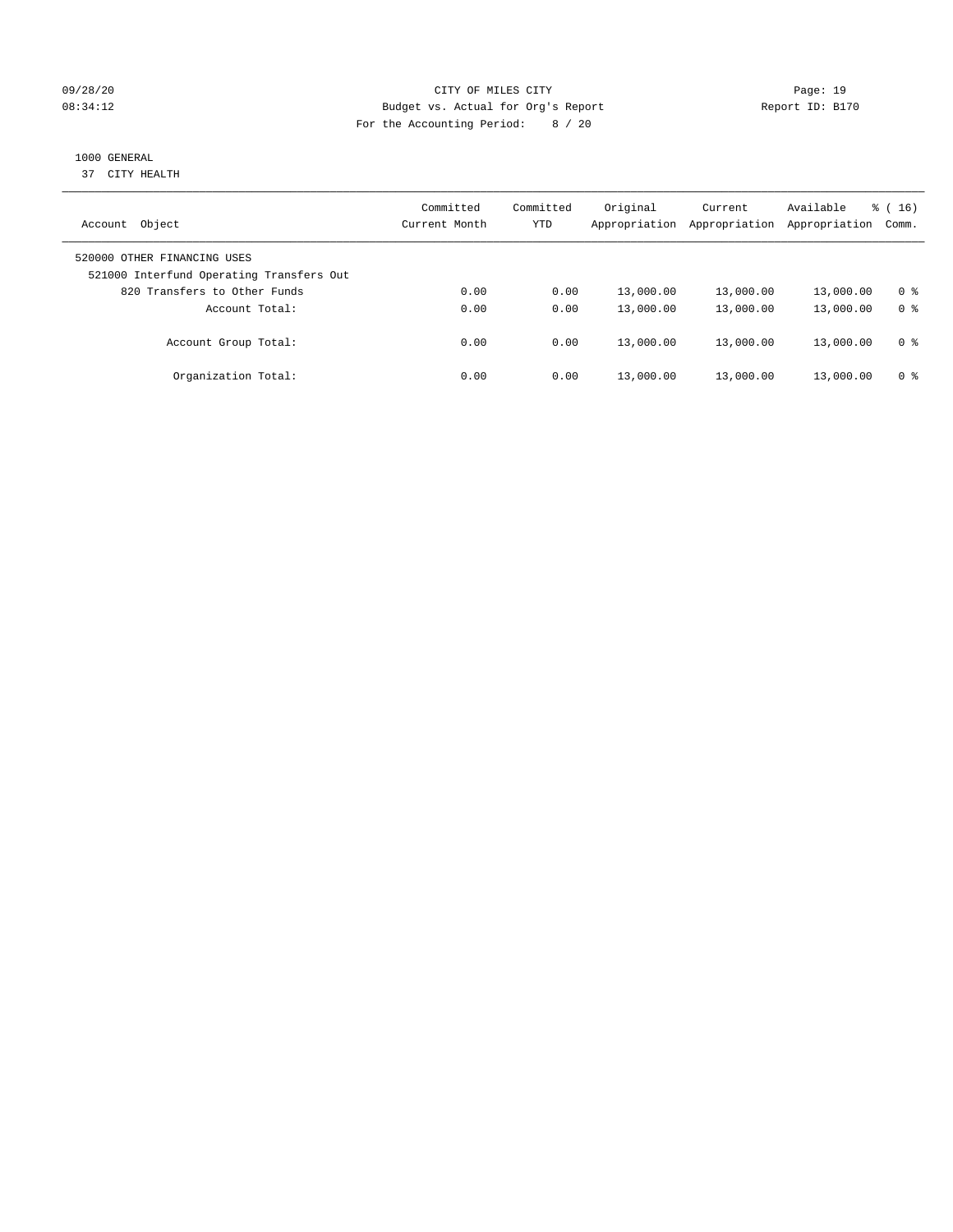#### 09/28/20 Page: 19 08:34:12 Budget vs. Actual for Org's Report Changer Report ID: B170 For the Accounting Period: 8 / 20

# 1000 GENERAL

37 CITY HEALTH

| Object<br>Account                                                       | Committed<br>Current Month | Committed<br><b>YTD</b> | Original<br>Appropriation | Current<br>Appropriation | Available<br>Appropriation | $\frac{1}{6}$ (16)<br>Comm. |
|-------------------------------------------------------------------------|----------------------------|-------------------------|---------------------------|--------------------------|----------------------------|-----------------------------|
| 520000 OTHER FINANCING USES<br>521000 Interfund Operating Transfers Out |                            |                         |                           |                          |                            |                             |
| 820 Transfers to Other Funds                                            | 0.00                       | 0.00                    | 13,000.00                 | 13,000.00                | 13,000.00                  | 0 %                         |
| Account Total:                                                          | 0.00                       | 0.00                    | 13,000.00                 | 13,000.00                | 13,000.00                  | 0 <sup>8</sup>              |
| Account Group Total:                                                    | 0.00                       | 0.00                    | 13,000.00                 | 13,000.00                | 13,000.00                  | 0 <sup>8</sup>              |
| Organization Total:                                                     | 0.00                       | 0.00                    | 13,000.00                 | 13,000.00                | 13,000.00                  | 0 %                         |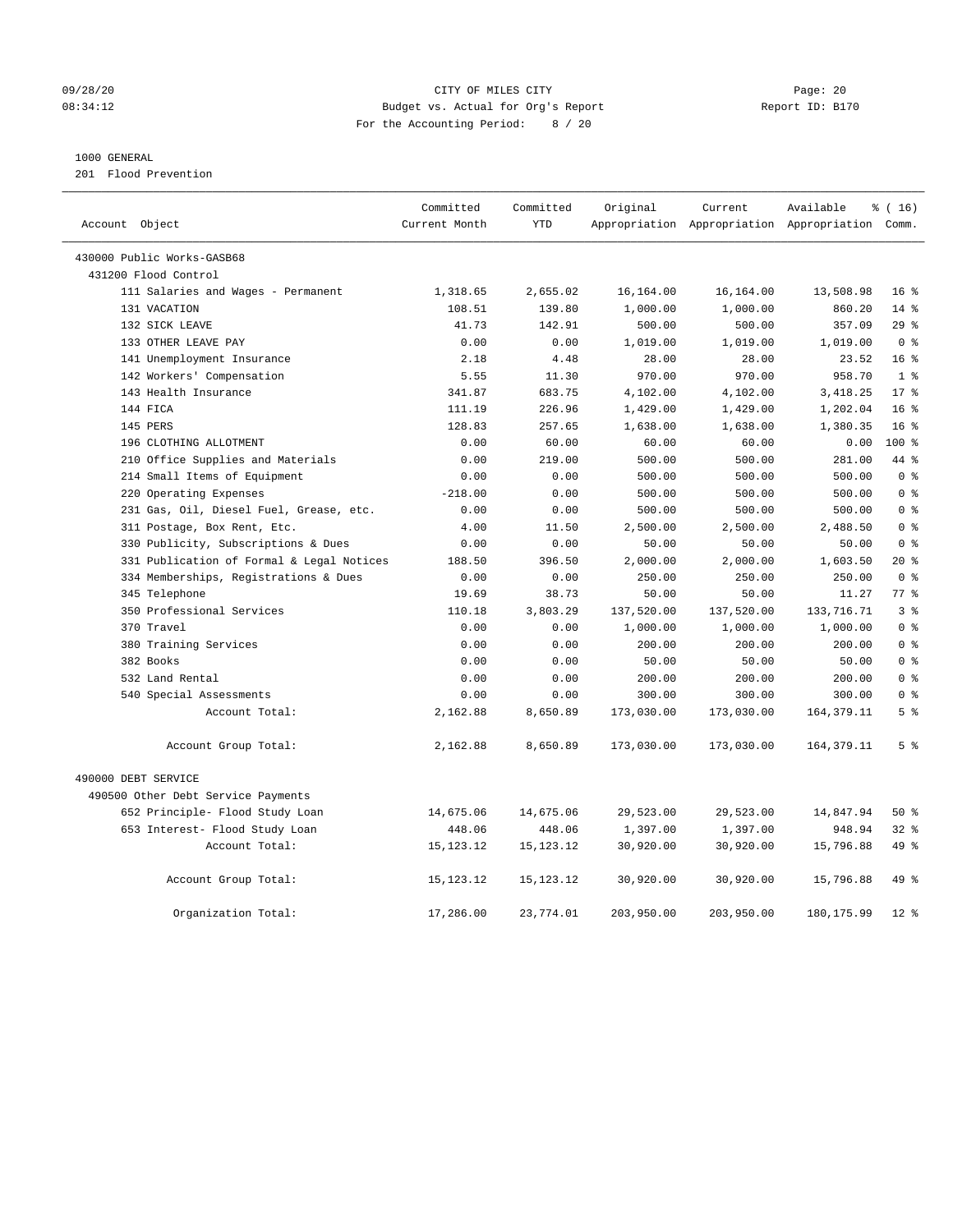#### 09/28/20 Page: 20 08:34:12 Budget vs. Actual for Org's Report Changer Report ID: B170 For the Accounting Period: 8 / 20

#### 1000 GENERAL

201 Flood Prevention

| Account Object                            | Committed<br>Current Month | Committed<br><b>YTD</b> | Original   | Current<br>Appropriation Appropriation Appropriation | Available    | % (16)<br>Comm. |
|-------------------------------------------|----------------------------|-------------------------|------------|------------------------------------------------------|--------------|-----------------|
|                                           |                            |                         |            |                                                      |              |                 |
| 430000 Public Works-GASB68                |                            |                         |            |                                                      |              |                 |
| 431200 Flood Control                      |                            |                         |            |                                                      |              |                 |
| 111 Salaries and Wages - Permanent        | 1,318.65                   | 2,655.02                | 16, 164.00 | 16,164.00                                            | 13,508.98    | 16 <sup>8</sup> |
| 131 VACATION                              | 108.51                     | 139.80                  | 1,000.00   | 1,000.00                                             | 860.20       | $14*$           |
| 132 SICK LEAVE                            | 41.73                      | 142.91                  | 500.00     | 500.00                                               | 357.09       | 29%             |
| 133 OTHER LEAVE PAY                       | 0.00                       | 0.00                    | 1,019.00   | 1,019.00                                             | 1,019.00     | 0 <sup>8</sup>  |
| 141 Unemployment Insurance                | 2.18                       | 4.48                    | 28.00      | 28.00                                                | 23.52        | 16 <sup>°</sup> |
| 142 Workers' Compensation                 | 5.55                       | 11.30                   | 970.00     | 970.00                                               | 958.70       | 1 <sup>°</sup>  |
| 143 Health Insurance                      | 341.87                     | 683.75                  | 4,102.00   | 4,102.00                                             | 3,418.25     | 17 <sup>8</sup> |
| 144 FICA                                  | 111.19                     | 226.96                  | 1,429.00   | 1,429.00                                             | 1,202.04     | 16 <sup>°</sup> |
| 145 PERS                                  | 128.83                     | 257.65                  | 1,638.00   | 1,638.00                                             | 1,380.35     | 16 <sup>8</sup> |
| 196 CLOTHING ALLOTMENT                    | 0.00                       | 60.00                   | 60.00      | 60.00                                                | 0.00         | $100*$          |
| 210 Office Supplies and Materials         | 0.00                       | 219.00                  | 500.00     | 500.00                                               | 281.00       | 44 %            |
| 214 Small Items of Equipment              | 0.00                       | 0.00                    | 500.00     | 500.00                                               | 500.00       | 0 <sup>8</sup>  |
| 220 Operating Expenses                    | $-218.00$                  | 0.00                    | 500.00     | 500.00                                               | 500.00       | 0 <sup>8</sup>  |
| 231 Gas, Oil, Diesel Fuel, Grease, etc.   | 0.00                       | 0.00                    | 500.00     | 500.00                                               | 500.00       | 0 <sup>8</sup>  |
| 311 Postage, Box Rent, Etc.               | 4.00                       | 11.50                   | 2,500.00   | 2,500.00                                             | 2,488.50     | 0 <sup>8</sup>  |
| 330 Publicity, Subscriptions & Dues       | 0.00                       | 0.00                    | 50.00      | 50.00                                                | 50.00        | 0 <sup>8</sup>  |
| 331 Publication of Formal & Legal Notices | 188.50                     | 396.50                  | 2,000.00   | 2,000.00                                             | 1,603.50     | $20*$           |
| 334 Memberships, Registrations & Dues     | 0.00                       | 0.00                    | 250.00     | 250.00                                               | 250.00       | 0 <sup>8</sup>  |
| 345 Telephone                             | 19.69                      | 38.73                   | 50.00      | 50.00                                                | 11.27        | 77.8            |
| 350 Professional Services                 | 110.18                     | 3,803.29                | 137,520.00 | 137,520.00                                           | 133, 716. 71 | 3 <sup>8</sup>  |
| 370 Travel                                | 0.00                       | 0.00                    | 1,000.00   | 1,000.00                                             | 1,000.00     | 0 <sup>8</sup>  |
| 380 Training Services                     | 0.00                       | 0.00                    | 200.00     | 200.00                                               | 200.00       | 0 <sup>8</sup>  |
| 382 Books                                 | 0.00                       | 0.00                    | 50.00      | 50.00                                                | 50.00        | 0 <sup>8</sup>  |
| 532 Land Rental                           | 0.00                       | 0.00                    | 200.00     | 200.00                                               | 200.00       | 0 %             |
| 540 Special Assessments                   | 0.00                       | 0.00                    | 300.00     | 300.00                                               | 300.00       | 0 <sup>8</sup>  |
| Account Total:                            | 2,162.88                   | 8,650.89                | 173,030.00 | 173,030.00                                           | 164, 379.11  | 5 <sup>8</sup>  |
| Account Group Total:                      | 2,162.88                   | 8,650.89                | 173,030.00 | 173,030.00                                           | 164, 379. 11 | 5 <sup>°</sup>  |
| 490000 DEBT SERVICE                       |                            |                         |            |                                                      |              |                 |
| 490500 Other Debt Service Payments        |                            |                         |            |                                                      |              |                 |
| 652 Principle- Flood Study Loan           | 14,675.06                  | 14,675.06               | 29,523.00  | 29,523.00                                            | 14,847.94    | $50*$           |
| 653 Interest- Flood Study Loan            | 448.06                     | 448.06                  | 1,397.00   | 1,397.00                                             | 948.94       | $32$ $%$        |
| Account Total:                            | 15, 123. 12                | 15, 123. 12             | 30,920.00  | 30,920.00                                            | 15,796.88    | 49 %            |
| Account Group Total:                      | 15, 123. 12                | 15, 123. 12             | 30,920.00  | 30,920.00                                            | 15,796.88    | 49 %            |
| Organization Total:                       | 17,286.00                  | 23,774.01               | 203,950.00 | 203,950.00                                           | 180, 175.99  | $12*$           |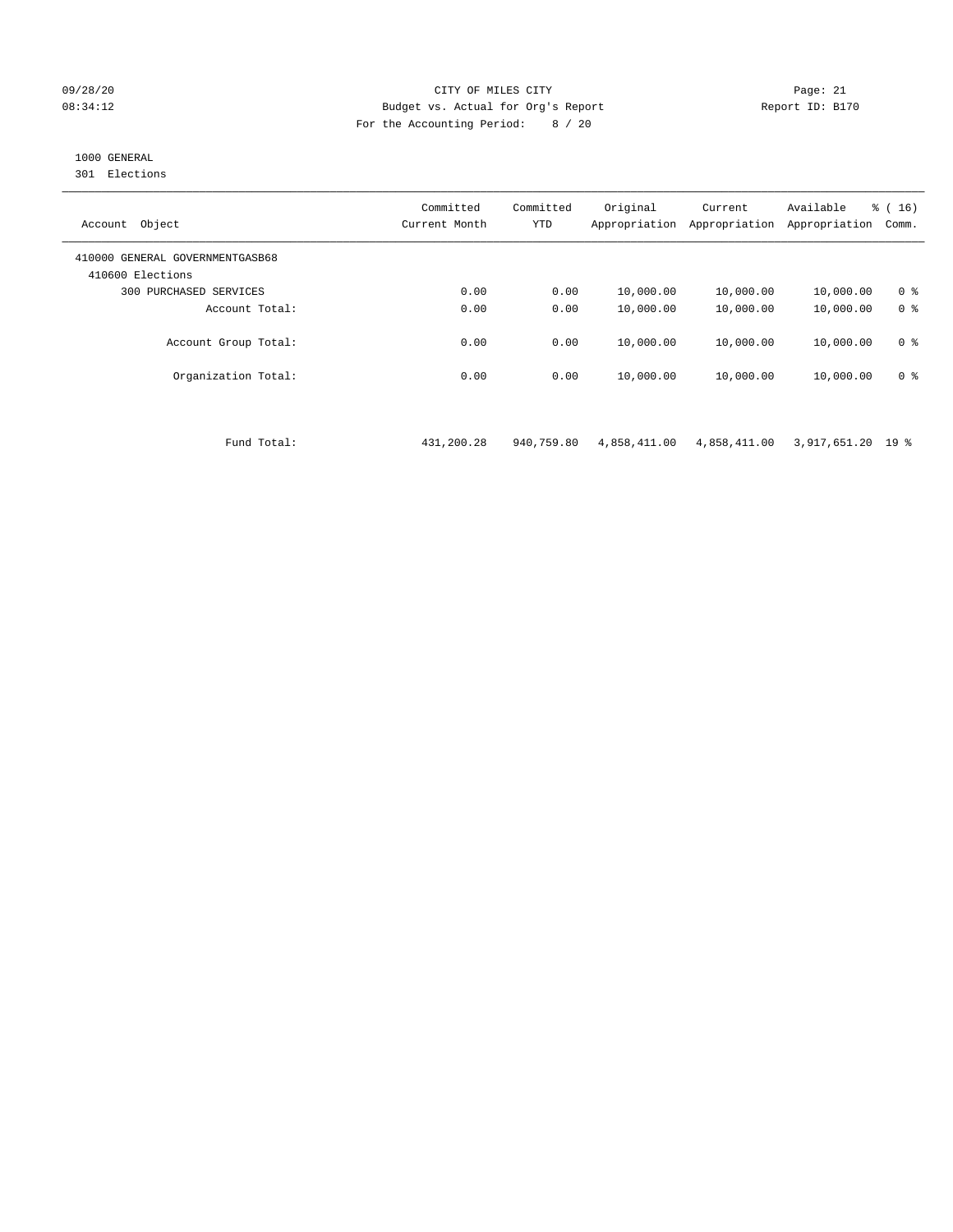#### 09/28/20 Page: 21 CITY OF MILES CITY CONTROL CONTROL Page: 21 08:34:12 Budget vs. Actual for Org's Report Report ID: B170 For the Accounting Period: 8 / 20

# 1000 GENERAL

301 Elections

| Object<br>Account                                   | Committed<br>Current Month | Committed<br><b>YTD</b> | Original<br>Appropriation | Current<br>Appropriation | Available<br>Appropriation | $\frac{1}{6}$ ( 16 )<br>Comm. |
|-----------------------------------------------------|----------------------------|-------------------------|---------------------------|--------------------------|----------------------------|-------------------------------|
| 410000 GENERAL GOVERNMENTGASB68<br>410600 Elections |                            |                         |                           |                          |                            |                               |
| PURCHASED SERVICES<br>300                           | 0.00                       | 0.00                    | 10,000.00                 | 10,000.00                | 10,000.00                  | 0 <sup>8</sup>                |
| Account Total:                                      | 0.00                       | 0.00                    | 10,000.00                 | 10,000.00                | 10,000.00                  | 0 <sup>8</sup>                |
| Account Group Total:                                | 0.00                       | 0.00                    | 10,000.00                 | 10,000.00                | 10,000.00                  | 0 <sup>8</sup>                |
| Organization Total:                                 | 0.00                       | 0.00                    | 10,000.00                 | 10,000.00                | 10,000.00                  | 0 <sup>8</sup>                |

Fund Total: 431,200.28 940,759.80 4,858,411.00 4,858,411.00 3,917,651.20 19 %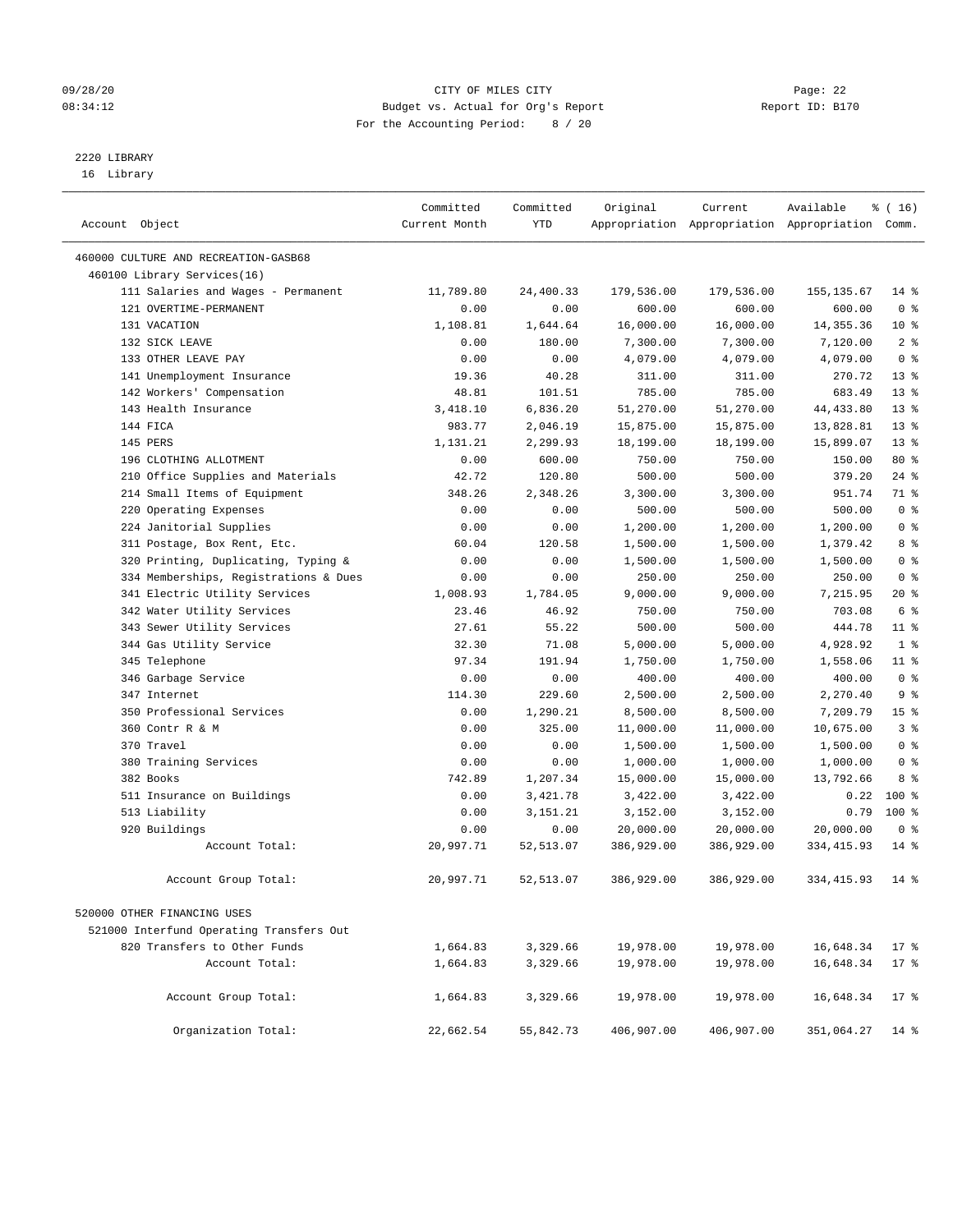#### 09/28/20 Page: 22 08:34:12 Budget vs. Actual for Org's Report Changer Report ID: B170 For the Accounting Period: 8 / 20

————————————————————————————————————————————————————————————————————————————————————————————————————————————————————————————————————

# 2220 LIBRARY

16 Library

|                                          | Committed     | Committed        | Original           | Current          | Available                                       | $\frac{1}{6}$ ( 16 ) |
|------------------------------------------|---------------|------------------|--------------------|------------------|-------------------------------------------------|----------------------|
| Account Object                           | Current Month | YTD              |                    |                  | Appropriation Appropriation Appropriation Comm. |                      |
|                                          |               |                  |                    |                  |                                                 |                      |
| 460000 CULTURE AND RECREATION-GASB68     |               |                  |                    |                  |                                                 |                      |
| 460100 Library Services(16)              |               |                  |                    |                  |                                                 |                      |
| 111 Salaries and Wages - Permanent       | 11,789.80     | 24,400.33        | 179,536.00         | 179,536.00       | 155,135.67                                      | $14*$                |
| 121 OVERTIME-PERMANENT                   | 0.00          | 0.00             | 600.00             | 600.00           | 600.00                                          | 0 <sup>8</sup>       |
| 131 VACATION                             | 1,108.81      | 1,644.64         | 16,000.00          | 16,000.00        | 14, 355.36                                      | $10*$                |
| 132 SICK LEAVE                           | 0.00          | 180.00           | 7,300.00           | 7,300.00         | 7,120.00                                        | 2 <sup>°</sup>       |
| 133 OTHER LEAVE PAY                      | 0.00          | 0.00             | 4,079.00           | 4,079.00         | 4,079.00                                        | 0 <sup>8</sup>       |
| 141 Unemployment Insurance               | 19.36         | 40.28<br>101.51  | 311.00             | 311.00<br>785.00 | 270.72                                          | $13*$<br>$13*$       |
| 142 Workers' Compensation                | 48.81         |                  | 785.00             |                  | 683.49                                          | $13*$                |
| 143 Health Insurance<br>144 FICA         | 3,418.10      | 6,836.20         | 51,270.00          | 51,270.00        | 44, 433.80                                      | 13 <sup>°</sup>      |
| 145 PERS                                 | 983.77        | 2,046.19         | 15,875.00          | 15,875.00        | 13,828.81                                       | $13*$                |
| 196 CLOTHING ALLOTMENT                   | 1,131.21      | 2,299.93         | 18,199.00          | 18,199.00        | 15,899.07                                       | 80 %                 |
| 210 Office Supplies and Materials        | 0.00<br>42.72 | 600.00<br>120.80 | 750.00<br>500.00   | 750.00<br>500.00 | 150.00<br>379.20                                | $24$ %               |
| 214 Small Items of Equipment             | 348.26        | 2,348.26         |                    | 3,300.00         | 951.74                                          | 71 %                 |
| 220 Operating Expenses                   | 0.00          | 0.00             | 3,300.00<br>500.00 | 500.00           | 500.00                                          | 0 <sup>8</sup>       |
| 224 Janitorial Supplies                  | 0.00          | 0.00             | 1,200.00           | 1,200.00         | 1,200.00                                        | 0 <sup>8</sup>       |
| 311 Postage, Box Rent, Etc.              | 60.04         | 120.58           | 1,500.00           | 1,500.00         | 1,379.42                                        | 8 %                  |
| 320 Printing, Duplicating, Typing &      | 0.00          | 0.00             | 1,500.00           | 1,500.00         | 1,500.00                                        | 0 <sup>8</sup>       |
| 334 Memberships, Registrations & Dues    | 0.00          | 0.00             | 250.00             | 250.00           | 250.00                                          | 0 <sup>8</sup>       |
| 341 Electric Utility Services            | 1,008.93      | 1,784.05         | 9,000.00           | 9,000.00         | 7,215.95                                        | $20*$                |
| 342 Water Utility Services               | 23.46         | 46.92            | 750.00             | 750.00           | 703.08                                          | 6 %                  |
| 343 Sewer Utility Services               | 27.61         | 55.22            | 500.00             | 500.00           | 444.78                                          | $11$ %               |
| 344 Gas Utility Service                  | 32.30         | 71.08            | 5,000.00           | 5,000.00         | 4,928.92                                        | 1 <sup>°</sup>       |
| 345 Telephone                            | 97.34         | 191.94           | 1,750.00           | 1,750.00         | 1,558.06                                        | $11$ %               |
| 346 Garbage Service                      | 0.00          | 0.00             | 400.00             | 400.00           | 400.00                                          | 0 <sup>8</sup>       |
| 347 Internet                             | 114.30        | 229.60           | 2,500.00           | 2,500.00         | 2,270.40                                        | 9 <sup>°</sup>       |
| 350 Professional Services                | 0.00          | 1,290.21         | 8,500.00           | 8,500.00         | 7,209.79                                        | 15 <sup>°</sup>      |
| 360 Contr R & M                          | 0.00          | 325.00           | 11,000.00          | 11,000.00        | 10,675.00                                       | 3 <sup>°</sup>       |
| 370 Travel                               | 0.00          | 0.00             | 1,500.00           | 1,500.00         | 1,500.00                                        | 0 <sup>8</sup>       |
| 380 Training Services                    | 0.00          | 0.00             | 1,000.00           | 1,000.00         | 1,000.00                                        | 0 <sup>8</sup>       |
| 382 Books                                | 742.89        | 1,207.34         | 15,000.00          | 15,000.00        | 13,792.66                                       | 8 %                  |
| 511 Insurance on Buildings               | 0.00          | 3,421.78         | 3,422.00           | 3,422.00         | 0.22                                            | $100*$               |
| 513 Liability                            | 0.00          | 3,151.21         | 3,152.00           | 3,152.00         | 0.79                                            | $100*$               |
| 920 Buildings                            | 0.00          | 0.00             | 20,000.00          | 20,000.00        | 20,000.00                                       | 0 <sup>8</sup>       |
| Account Total:                           | 20,997.71     | 52, 513.07       | 386,929.00         | 386,929.00       | 334, 415.93                                     | $14*$                |
|                                          |               |                  |                    |                  |                                                 |                      |
| Account Group Total:                     | 20,997.71     | 52,513.07        | 386,929.00         | 386,929.00       | 334, 415.93                                     | $14*$                |
| 520000 OTHER FINANCING USES              |               |                  |                    |                  |                                                 |                      |
| 521000 Interfund Operating Transfers Out |               |                  |                    |                  |                                                 |                      |
| 820 Transfers to Other Funds             | 1,664.83      | 3,329.66         | 19,978.00          | 19,978.00        | 16,648.34                                       | $17*$                |
| Account Total:                           | 1,664.83      | 3,329.66         | 19,978.00          | 19,978.00        | 16,648.34                                       | $17*$                |
|                                          |               |                  |                    |                  |                                                 |                      |
| Account Group Total:                     | 1,664.83      | 3,329.66         | 19,978.00          | 19,978.00        | 16,648.34                                       | $17*$                |
| Organization Total:                      | 22,662.54     | 55,842.73        | 406,907.00         | 406,907.00       | 351,064.27                                      | $14$ %               |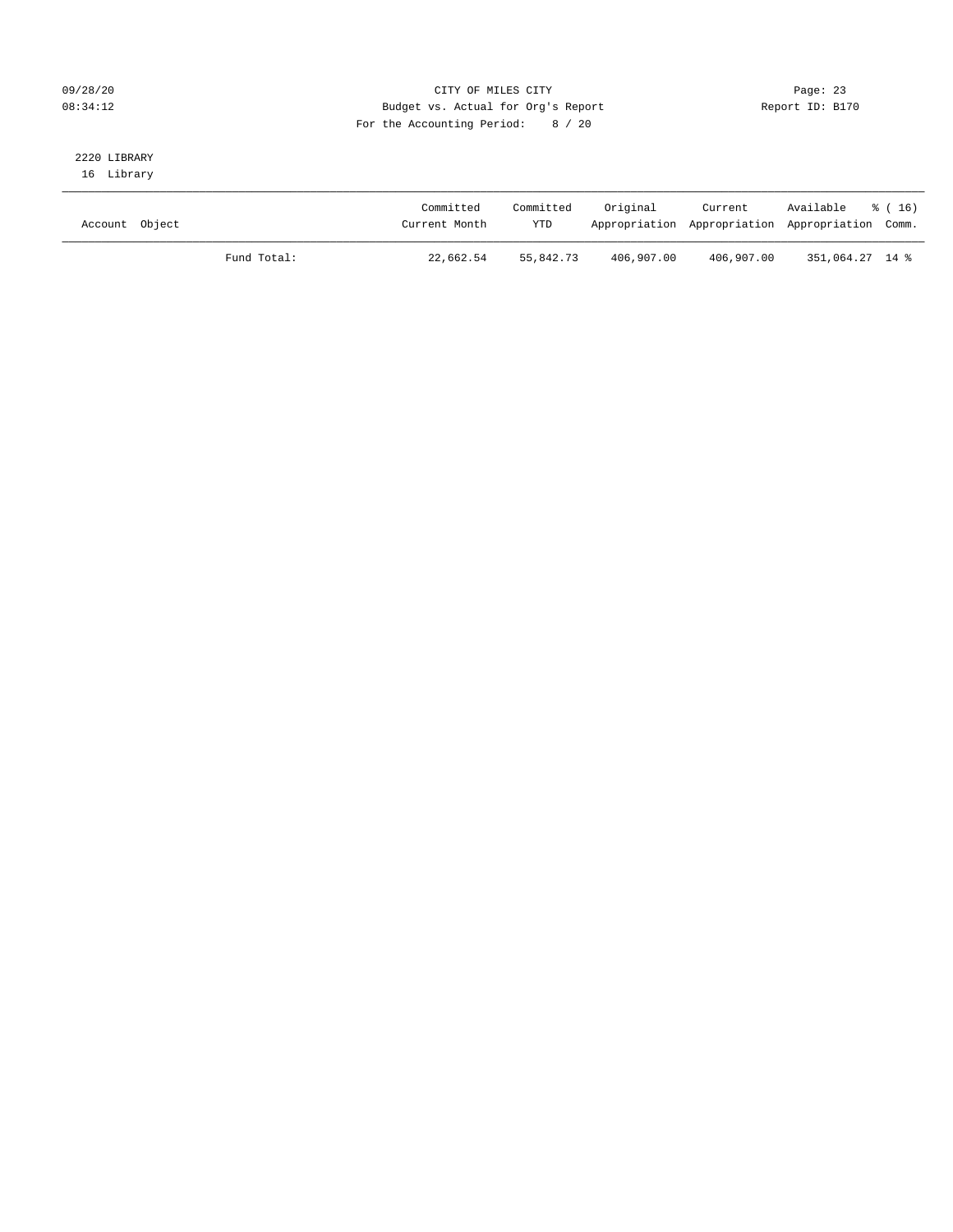#### 09/28/20 Page: 23 08:34:12 Budget vs. Actual for Org's Report Changer Report ID: B170 For the Accounting Period: 8 / 20

# 2220 LIBRARY

16 Library

| Account Object |             | Committed<br>Current Month | Committed<br>YTD | Original   | Current    | Available<br>Appropriation Appropriation Appropriation Comm. | * (16) |
|----------------|-------------|----------------------------|------------------|------------|------------|--------------------------------------------------------------|--------|
|                | Fund Total: | 22,662.54                  | 55,842.73        | 406,907.00 | 406,907.00 | 351,064.27 14 %                                              |        |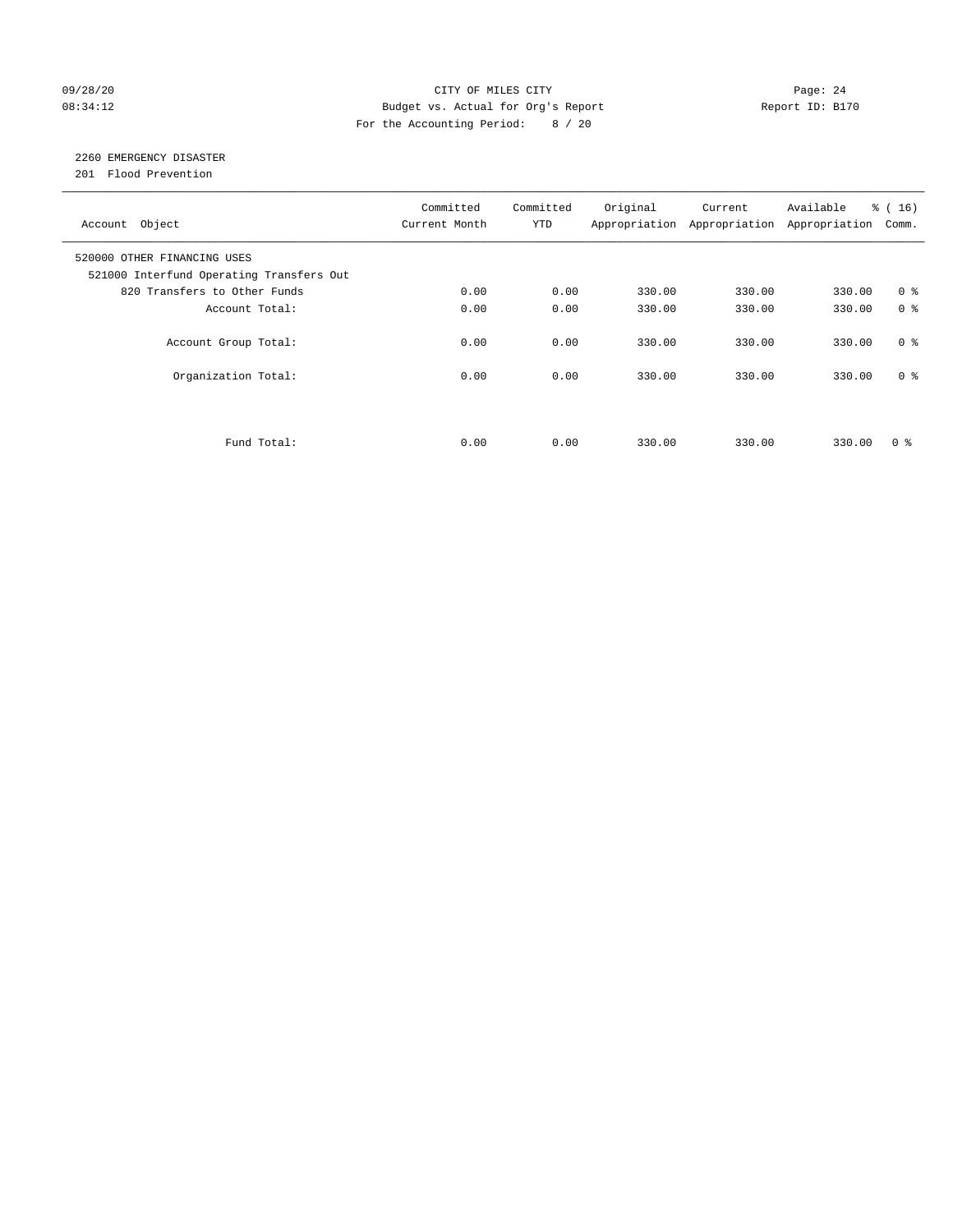#### 09/28/20 Page: 24 08:34:12 Budget vs. Actual for Org's Report Report ID: B170 For the Accounting Period: 8 / 20

# 2260 EMERGENCY DISASTER

201 Flood Prevention

| Account Object                                                          | Committed<br>Current Month | Committed<br><b>YTD</b> | Original | Current<br>Appropriation Appropriation | Available<br>Appropriation | % (16)<br>Comm. |
|-------------------------------------------------------------------------|----------------------------|-------------------------|----------|----------------------------------------|----------------------------|-----------------|
| 520000 OTHER FINANCING USES<br>521000 Interfund Operating Transfers Out |                            |                         |          |                                        |                            |                 |
| 820 Transfers to Other Funds                                            | 0.00                       | 0.00                    | 330.00   | 330.00                                 | 330.00                     | 0 <sup>8</sup>  |
| Account Total:                                                          | 0.00                       | 0.00                    | 330.00   | 330.00                                 | 330.00                     | 0 <sup>8</sup>  |
| Account Group Total:                                                    | 0.00                       | 0.00                    | 330.00   | 330.00                                 | 330.00                     | 0 <sup>8</sup>  |
| Organization Total:                                                     | 0.00                       | 0.00                    | 330.00   | 330.00                                 | 330.00                     | 0 <sup>8</sup>  |
|                                                                         |                            |                         |          |                                        |                            |                 |
| Fund Total:                                                             | 0.00                       | 0.00                    | 330.00   | 330.00                                 | 330.00                     | 0 %             |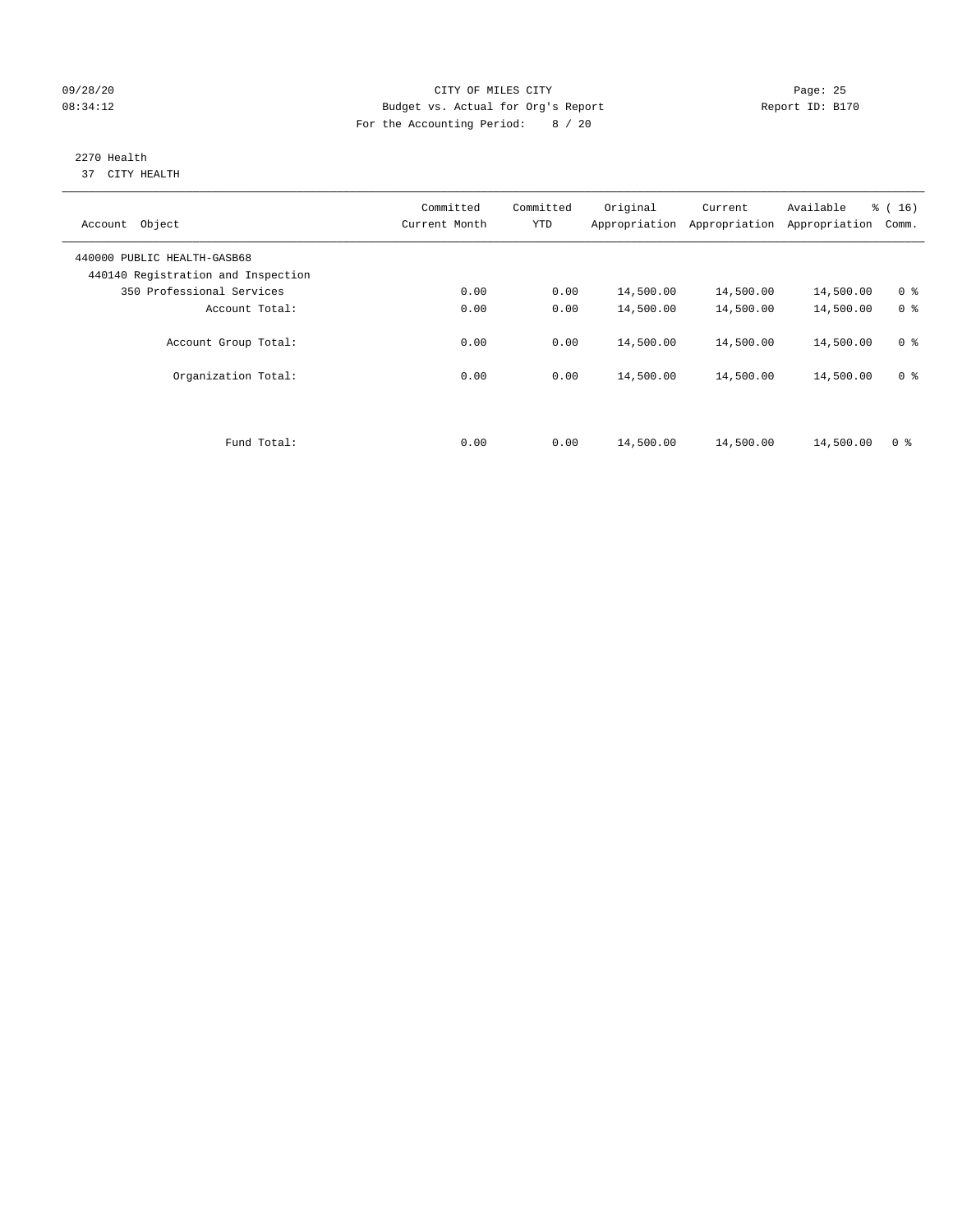#### 09/28/20 Page: 25 08:34:12 Budget vs. Actual for Org's Report Changer Report ID: B170 For the Accounting Period: 8 / 20

#### 2270 Health 37 CITY HEALTH

| Object<br>Account                                                 | Committed<br>Current Month | Committed<br><b>YTD</b> | Original<br>Appropriation | Current<br>Appropriation | Available<br>Appropriation | % (16)<br>Comm. |
|-------------------------------------------------------------------|----------------------------|-------------------------|---------------------------|--------------------------|----------------------------|-----------------|
| 440000 PUBLIC HEALTH-GASB68<br>440140 Registration and Inspection |                            |                         |                           |                          |                            |                 |
| 350 Professional Services                                         | 0.00                       | 0.00                    | 14,500.00                 | 14,500.00                | 14,500.00                  | 0 <sup>8</sup>  |
| Account Total:                                                    | 0.00                       | 0.00                    | 14,500.00                 | 14,500.00                | 14,500.00                  | 0 <sup>8</sup>  |
| Account Group Total:                                              | 0.00                       | 0.00                    | 14,500.00                 | 14,500.00                | 14,500.00                  | 0 <sup>8</sup>  |
| Organization Total:                                               | 0.00                       | 0.00                    | 14,500.00                 | 14,500.00                | 14,500.00                  | 0 <sup>8</sup>  |
|                                                                   |                            |                         |                           |                          |                            |                 |
| Fund Total:                                                       | 0.00                       | 0.00                    | 14,500.00                 | 14,500.00                | 14,500.00                  | 0 <sup>8</sup>  |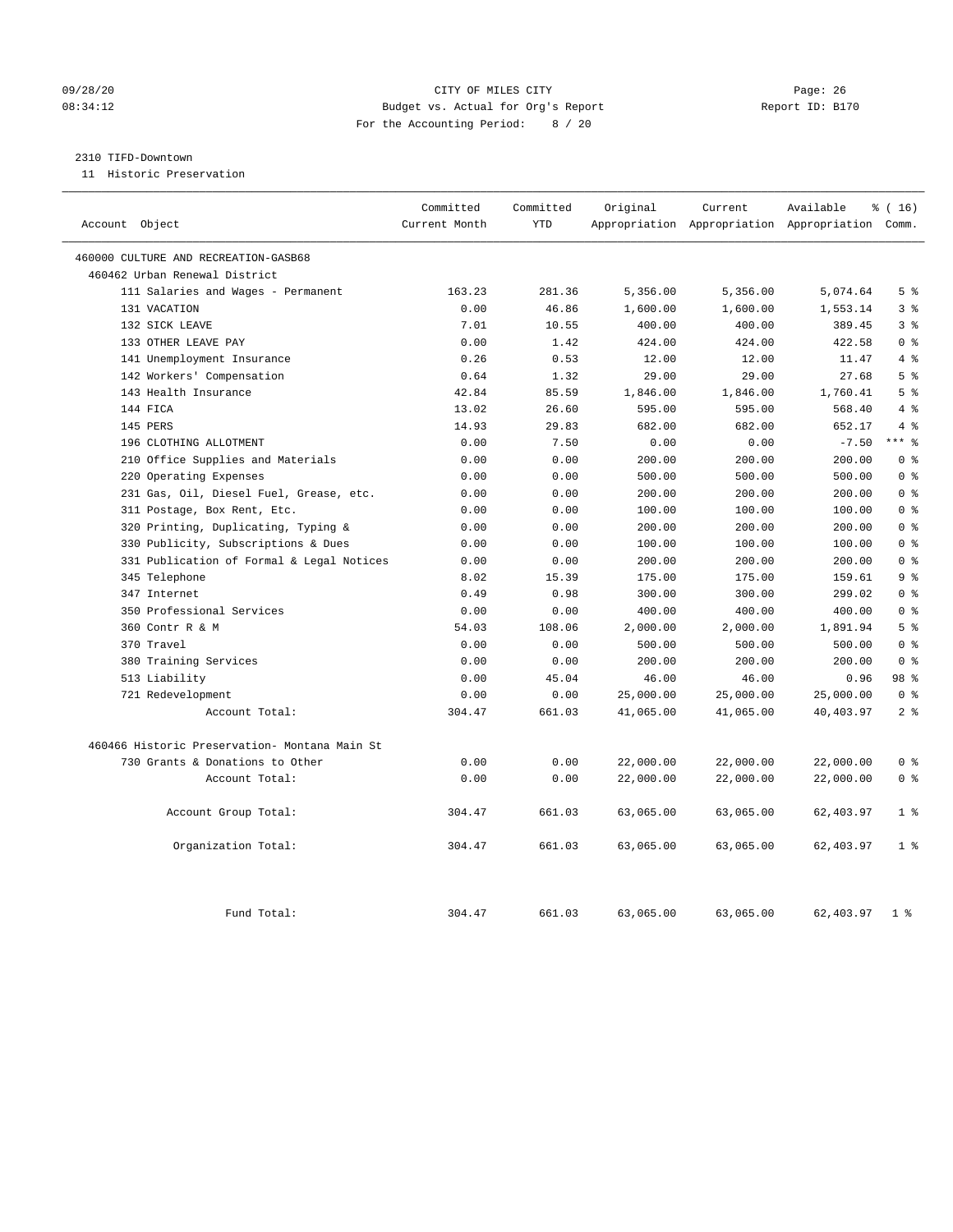#### 09/28/20 Page: 26 CITY OF MILES CITY CONTROL CONTROL Page: 26 08:34:12 Budget vs. Actual for Org's Report Report ID: B170 For the Accounting Period: 8 / 20

#### 2310 TIFD-Downtown

11 Historic Preservation

| Account Object                                | Committed<br>Current Month | Committed<br><b>YTD</b> | Original  | Current   | Available<br>Appropriation Appropriation Appropriation Comm. | % (16)                  |
|-----------------------------------------------|----------------------------|-------------------------|-----------|-----------|--------------------------------------------------------------|-------------------------|
|                                               |                            |                         |           |           |                                                              |                         |
| 460000 CULTURE AND RECREATION-GASB68          |                            |                         |           |           |                                                              |                         |
| 460462 Urban Renewal District                 |                            |                         |           |           |                                                              |                         |
| 111 Salaries and Wages - Permanent            | 163.23                     | 281.36                  | 5,356.00  | 5,356.00  | 5,074.64                                                     | 5 <sup>8</sup>          |
| 131 VACATION                                  | 0.00                       | 46.86                   | 1,600.00  | 1,600.00  | 1,553.14                                                     | 3 <sup>8</sup>          |
| 132 SICK LEAVE                                | 7.01                       | 10.55                   | 400.00    | 400.00    | 389.45                                                       | 3 <sup>8</sup>          |
| 133 OTHER LEAVE PAY                           | 0.00                       | 1.42                    | 424.00    | 424.00    | 422.58                                                       | 0 <sup>8</sup>          |
| 141 Unemployment Insurance                    | 0.26                       | 0.53                    | 12.00     | 12.00     | 11.47                                                        | 4%                      |
| 142 Workers' Compensation                     | 0.64                       | 1.32                    | 29.00     | 29.00     | 27.68                                                        | 5 <sup>8</sup>          |
| 143 Health Insurance                          | 42.84                      | 85.59                   | 1,846.00  | 1,846.00  | 1,760.41                                                     | 5 <sup>8</sup>          |
| 144 FICA                                      | 13.02                      | 26.60                   | 595.00    | 595.00    | 568.40                                                       | 4%                      |
| 145 PERS                                      | 14.93                      | 29.83                   | 682.00    | 682.00    | 652.17                                                       | 4%                      |
| 196 CLOTHING ALLOTMENT                        | 0.00                       | 7.50                    | 0.00      | 0.00      | $-7.50$                                                      | $***$ $_{8}^{\circ}$    |
| 210 Office Supplies and Materials             | 0.00                       | 0.00                    | 200.00    | 200.00    | 200.00                                                       | 0 <sup>8</sup>          |
| 220 Operating Expenses                        | 0.00                       | 0.00                    | 500.00    | 500.00    | 500.00                                                       | 0 <sup>8</sup>          |
| 231 Gas, Oil, Diesel Fuel, Grease, etc.       | 0.00                       | 0.00                    | 200.00    | 200.00    | 200.00                                                       | 0 <sup>8</sup>          |
| 311 Postage, Box Rent, Etc.                   | 0.00                       | 0.00                    | 100.00    | 100.00    | 100.00                                                       | 0 <sup>8</sup>          |
| 320 Printing, Duplicating, Typing &           | 0.00                       | 0.00                    | 200.00    | 200.00    | 200.00                                                       | 0 <sup>8</sup>          |
| 330 Publicity, Subscriptions & Dues           | 0.00                       | 0.00                    | 100.00    | 100.00    | 100.00                                                       | 0 <sup>8</sup>          |
| 331 Publication of Formal & Legal Notices     | 0.00                       | 0.00                    | 200.00    | 200.00    | 200.00                                                       | 0 <sup>8</sup>          |
| 345 Telephone                                 | 8.02                       | 15.39                   | 175.00    | 175.00    | 159.61                                                       | 9 <sup>°</sup>          |
| 347 Internet                                  | 0.49                       | 0.98                    | 300.00    | 300.00    | 299.02                                                       | 0 <sup>8</sup>          |
| 350 Professional Services                     | 0.00                       | 0.00                    | 400.00    | 400.00    | 400.00                                                       | $0 \text{ }$ $\text{ }$ |
| 360 Contr R & M                               | 54.03                      | 108.06                  | 2,000.00  | 2,000.00  | 1,891.94                                                     | 5 <sup>8</sup>          |
| 370 Travel                                    | 0.00                       | 0.00                    | 500.00    | 500.00    | 500.00                                                       | 0 <sup>8</sup>          |
| 380 Training Services                         | 0.00                       | 0.00                    | 200.00    | 200.00    | 200.00                                                       | 0 <sup>8</sup>          |
| 513 Liability                                 | 0.00                       | 45.04                   | 46.00     | 46.00     | 0.96                                                         | 98 %                    |
| 721 Redevelopment                             | 0.00                       | 0.00                    | 25,000.00 | 25,000.00 | 25,000.00                                                    | 0 <sup>8</sup>          |
| Account Total:                                | 304.47                     | 661.03                  | 41,065.00 | 41,065.00 | 40,403.97                                                    | 2 <sup>8</sup>          |
| 460466 Historic Preservation- Montana Main St |                            |                         |           |           |                                                              |                         |
| 730 Grants & Donations to Other               | 0.00                       | 0.00                    | 22,000.00 | 22,000.00 | 22,000.00                                                    | 0 <sup>8</sup>          |
| Account Total:                                | 0.00                       | 0.00                    | 22,000.00 | 22,000.00 | 22,000.00                                                    | 0 <sup>8</sup>          |
| Account Group Total:                          | 304.47                     | 661.03                  | 63,065.00 | 63,065.00 | 62,403.97                                                    | 1 <sup>8</sup>          |
| Organization Total:                           | 304.47                     | 661.03                  | 63,065.00 | 63,065.00 | 62,403.97                                                    | 1 <sup>8</sup>          |
| Fund Total:                                   | 304.47                     | 661.03                  | 63,065.00 | 63,065.00 | 62,403.97                                                    | 1 <sup>8</sup>          |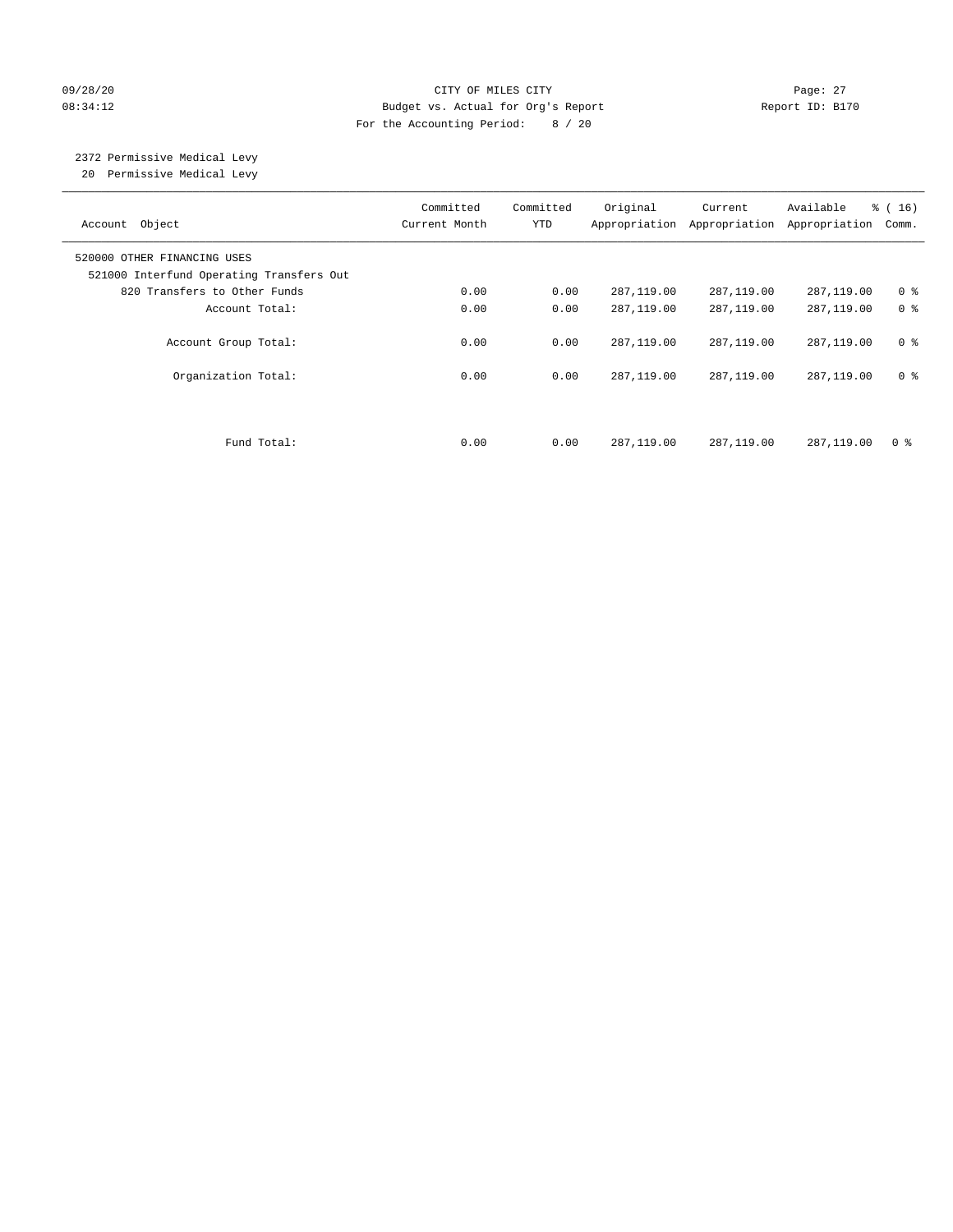#### 09/28/20 Page: 27 CITY OF MILES CITY CONTROL CONTROL Page: 27 08:34:12 Budget vs. Actual for Org's Report Report ID: B170 For the Accounting Period: 8 / 20

#### 2372 Permissive Medical Levy 20 Permissive Medical Levy

———————————————————————————————————————————————————————————————————————————————————————————————————————————————————————————————————— Committed Committed Original Current Available % ( 16) Account Object **Current Month** YTD Appropriation Appropriation Appropriation Comm. ———————————————————————————————————————————————————————————————————————————————————————————————————————————————————————————————————— 520000 OTHER FINANCING USES 521000 Interfund Operating Transfers Out 820 Transfers to Other Funds 0.00 0.00 287,119.00 287,119.00 287,119.00 0 % Account Total:  $0.00$  0.00 287,119.00 287,119.00 287,119.00 0 % Account Group Total: 0.00 0.00 287,119.00 287,119.00 287,119.00 0 % Organization Total: 0.00 0.00 287,119.00 287,119.00 287,119.00 0 % Fund Total: 0.00 0.00 287,119.00 287,119.00 287,119.00 0 %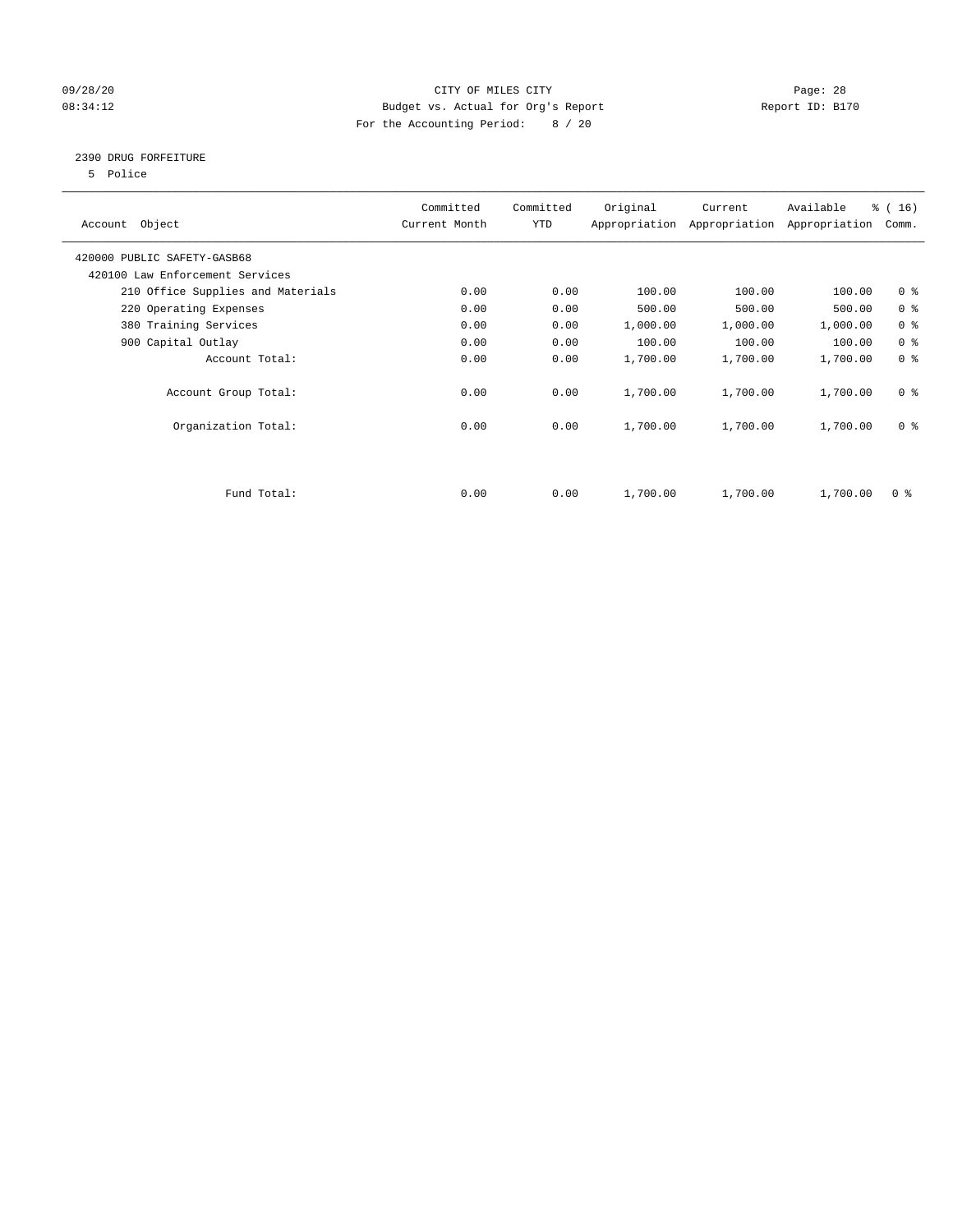#### 09/28/20 Page: 28 08:34:12 Budget vs. Actual for Org's Report Changer Report ID: B170 For the Accounting Period: 8 / 20

#### 2390 DRUG FORFEITURE

5 Police

| Account Object                    | Committed<br>Current Month | Committed<br><b>YTD</b> | Original | Current<br>Appropriation Appropriation | Available<br>Appropriation | % (16)<br>Comm. |
|-----------------------------------|----------------------------|-------------------------|----------|----------------------------------------|----------------------------|-----------------|
| 420000 PUBLIC SAFETY-GASB68       |                            |                         |          |                                        |                            |                 |
| 420100 Law Enforcement Services   |                            |                         |          |                                        |                            |                 |
| 210 Office Supplies and Materials | 0.00                       | 0.00                    | 100.00   | 100.00                                 | 100.00                     | 0 <sup>8</sup>  |
| 220 Operating Expenses            | 0.00                       | 0.00                    | 500.00   | 500.00                                 | 500.00                     | 0 <sup>8</sup>  |
| 380 Training Services             | 0.00                       | 0.00                    | 1,000.00 | 1,000.00                               | 1,000.00                   | 0 <sup>8</sup>  |
| 900 Capital Outlay                | 0.00                       | 0.00                    | 100.00   | 100.00                                 | 100.00                     | 0 <sup>8</sup>  |
| Account Total:                    | 0.00                       | 0.00                    | 1,700.00 | 1,700.00                               | 1,700.00                   | 0 <sup>8</sup>  |
| Account Group Total:              | 0.00                       | 0.00                    | 1,700.00 | 1,700.00                               | 1,700.00                   | 0 <sup>8</sup>  |
| Organization Total:               | 0.00                       | 0.00                    | 1,700.00 | 1,700.00                               | 1,700.00                   | 0 <sup>8</sup>  |
|                                   |                            |                         |          |                                        |                            |                 |
| Fund Total:                       | 0.00                       | 0.00                    | 1,700.00 | 1,700.00                               | 1,700.00                   | 0 %             |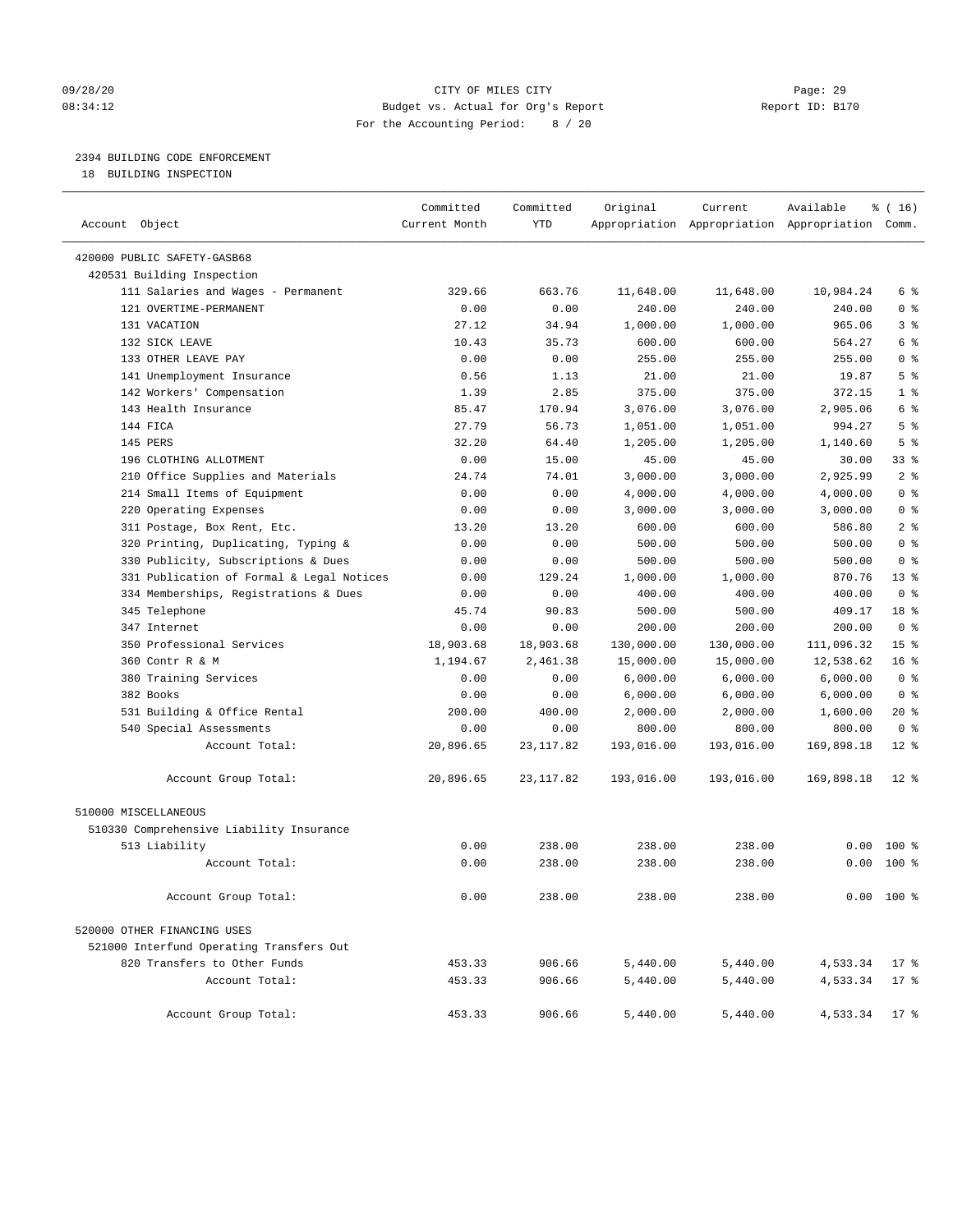#### 09/28/20 Page: 29 08:34:12 Budget vs. Actual for Org's Report Changer Report ID: B170 For the Accounting Period: 8 / 20

————————————————————————————————————————————————————————————————————————————————————————————————————————————————————————————————————

### 2394 BUILDING CODE ENFORCEMENT

18 BUILDING INSPECTION

|                                           | Committed     | Committed  | Original   | Current    | Available                                       | $\frac{1}{6}$ ( 16 ) |  |
|-------------------------------------------|---------------|------------|------------|------------|-------------------------------------------------|----------------------|--|
| Account Object                            | Current Month | <b>YTD</b> |            |            | Appropriation Appropriation Appropriation Comm. |                      |  |
| 420000 PUBLIC SAFETY-GASB68               |               |            |            |            |                                                 |                      |  |
| 420531 Building Inspection                |               |            |            |            |                                                 |                      |  |
| 111 Salaries and Wages - Permanent        | 329.66        | 663.76     | 11,648.00  | 11,648.00  | 10,984.24                                       | 6 %                  |  |
| 121 OVERTIME-PERMANENT                    | 0.00          | 0.00       | 240.00     | 240.00     | 240.00                                          | 0 <sup>8</sup>       |  |
| 131 VACATION                              | 27.12         | 34.94      | 1,000.00   | 1,000.00   | 965.06                                          | 3 <sup>°</sup>       |  |
| 132 SICK LEAVE                            | 10.43         | 35.73      | 600.00     | 600.00     | 564.27                                          | 6 %                  |  |
| 133 OTHER LEAVE PAY                       | 0.00          | 0.00       | 255.00     | 255.00     | 255.00                                          | 0 <sup>8</sup>       |  |
| 141 Unemployment Insurance                | 0.56          | 1.13       | 21.00      | 21.00      | 19.87                                           | 5 <sup>8</sup>       |  |
| 142 Workers' Compensation                 | 1.39          | 2.85       | 375.00     | 375.00     | 372.15                                          | 1 <sup>°</sup>       |  |
| 143 Health Insurance                      | 85.47         | 170.94     | 3,076.00   | 3,076.00   | 2,905.06                                        | 6 %                  |  |
| 144 FICA                                  | 27.79         | 56.73      | 1,051.00   | 1,051.00   | 994.27                                          | 5 <sup>°</sup>       |  |
| 145 PERS                                  | 32.20         | 64.40      | 1,205.00   | 1,205.00   | 1,140.60                                        | 5 <sup>°</sup>       |  |
| 196 CLOTHING ALLOTMENT                    | 0.00          | 15.00      | 45.00      | 45.00      | 30.00                                           | 33 %                 |  |
| 210 Office Supplies and Materials         | 24.74         | 74.01      | 3,000.00   | 3,000.00   | 2,925.99                                        | 2 <sup>°</sup>       |  |
| 214 Small Items of Equipment              | 0.00          | 0.00       | 4,000.00   | 4,000.00   | 4,000.00                                        | 0 <sup>8</sup>       |  |
| 220 Operating Expenses                    | 0.00          | 0.00       | 3,000.00   | 3,000.00   | 3,000.00                                        | 0 <sup>8</sup>       |  |
| 311 Postage, Box Rent, Etc.               | 13.20         | 13.20      | 600.00     | 600.00     | 586.80                                          | 2 <sub>8</sub>       |  |
| 320 Printing, Duplicating, Typing &       | 0.00          | 0.00       | 500.00     | 500.00     | 500.00                                          | 0 <sup>8</sup>       |  |
| 330 Publicity, Subscriptions & Dues       | 0.00          | 0.00       | 500.00     | 500.00     | 500.00                                          | 0 <sup>8</sup>       |  |
| 331 Publication of Formal & Legal Notices | 0.00          | 129.24     | 1,000.00   | 1,000.00   | 870.76                                          | $13*$                |  |
| 334 Memberships, Registrations & Dues     | 0.00          | 0.00       | 400.00     | 400.00     | 400.00                                          | 0 <sup>8</sup>       |  |
| 345 Telephone                             | 45.74         | 90.83      | 500.00     | 500.00     | 409.17                                          | 18 %                 |  |
| 347 Internet                              | 0.00          | 0.00       | 200.00     | 200.00     | 200.00                                          | 0 <sup>8</sup>       |  |
| 350 Professional Services                 | 18,903.68     | 18,903.68  | 130,000.00 | 130,000.00 | 111,096.32                                      | 15 <sup>°</sup>      |  |
| 360 Contr R & M                           | 1,194.67      | 2,461.38   | 15,000.00  | 15,000.00  | 12,538.62                                       | 16 <sup>°</sup>      |  |
| 380 Training Services                     | 0.00          | 0.00       | 6,000.00   | 6,000.00   | 6,000.00                                        | 0 <sup>8</sup>       |  |
| 382 Books                                 | 0.00          | 0.00       | 6,000.00   | 6,000.00   | 6,000.00                                        | 0 <sup>8</sup>       |  |
| 531 Building & Office Rental              | 200.00        | 400.00     | 2,000.00   | 2,000.00   | 1,600.00                                        | $20*$                |  |
| 540 Special Assessments                   | 0.00          | 0.00       | 800.00     | 800.00     | 800.00                                          | 0 <sup>8</sup>       |  |
| Account Total:                            | 20,896.65     | 23, 117.82 | 193,016.00 | 193,016.00 | 169,898.18                                      | $12*$                |  |
| Account Group Total:                      | 20,896.65     | 23, 117.82 | 193,016.00 | 193,016.00 | 169,898.18                                      | $12$ %               |  |
| 510000 MISCELLANEOUS                      |               |            |            |            |                                                 |                      |  |
| 510330 Comprehensive Liability Insurance  |               |            |            |            |                                                 |                      |  |
| 513 Liability                             | 0.00          | 238.00     | 238.00     | 238.00     | 0.00                                            | $100*$               |  |
| Account Total:                            | 0.00          | 238.00     | 238.00     | 238.00     |                                                 | $0.00$ 100 %         |  |
| Account Group Total:                      | 0.00          | 238.00     | 238.00     | 238.00     |                                                 | $0.00$ 100 %         |  |
| 520000 OTHER FINANCING USES               |               |            |            |            |                                                 |                      |  |
| 521000 Interfund Operating Transfers Out  |               |            |            |            |                                                 |                      |  |
| 820 Transfers to Other Funds              | 453.33        | 906.66     | 5,440.00   | 5,440.00   | 4,533.34                                        | $17*$                |  |
| Account Total:                            | 453.33        | 906.66     | 5,440.00   | 5,440.00   | 4,533.34                                        | $17*$                |  |
| Account Group Total:                      | 453.33        | 906.66     | 5,440.00   | 5,440.00   | 4,533.34 17 %                                   |                      |  |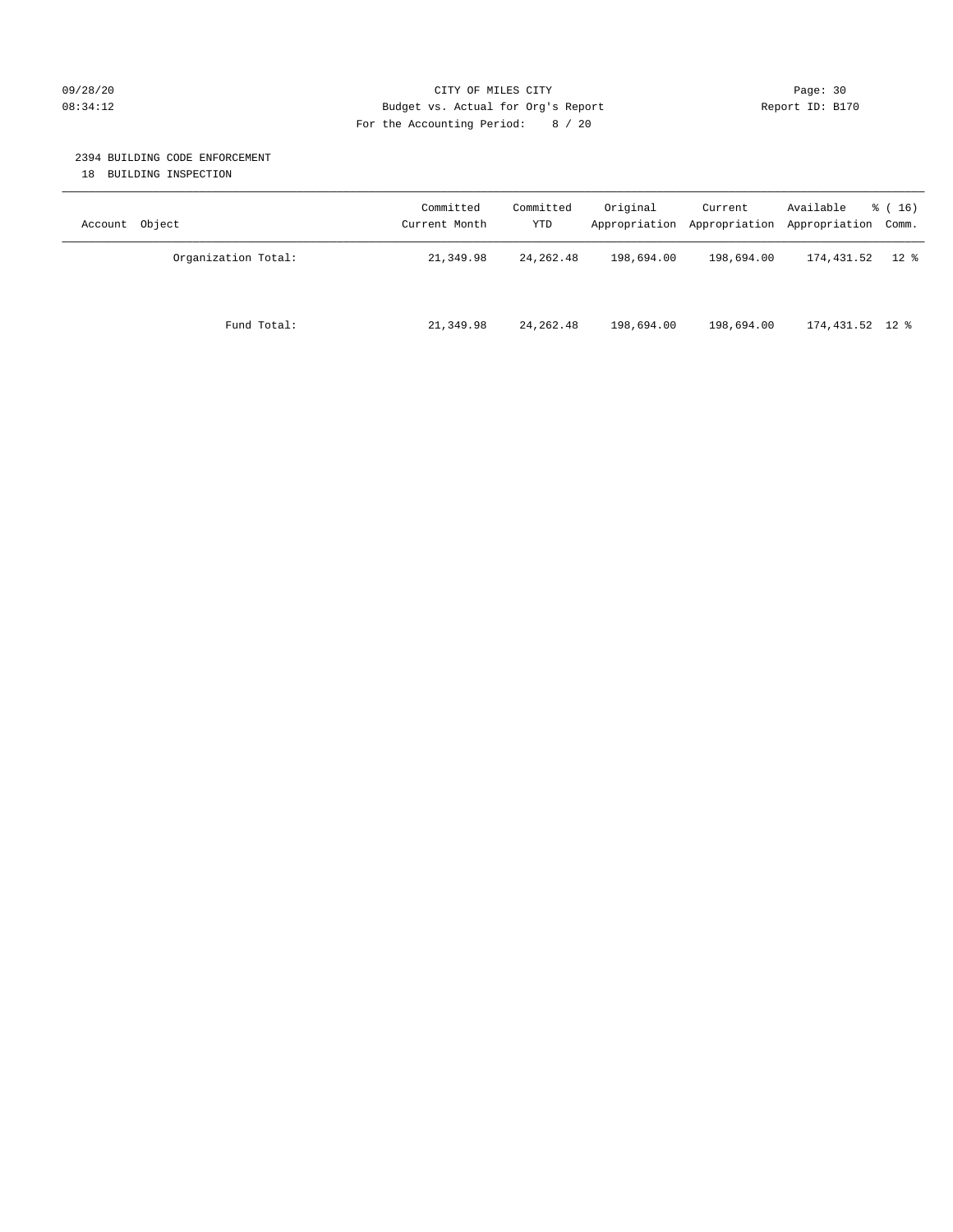#### 09/28/20 Page: 30 08:34:12 Budget vs. Actual for Org's Report Changer Report ID: B170 For the Accounting Period: 8 / 20

#### 2394 BUILDING CODE ENFORCEMENT

18 BUILDING INSPECTION

| Account Object      | Committed<br>Current Month | Committed<br>YTD | Original   | Current<br>Appropriation Appropriation | Available<br>Appropriation Comm. | $\frac{1}{6}$ (16) |
|---------------------|----------------------------|------------------|------------|----------------------------------------|----------------------------------|--------------------|
| Organization Total: | 21,349.98                  | 24, 262, 48      | 198,694.00 | 198,694.00                             | 174,431.52                       | $12 \text{ }$ %    |
| Fund Total:         | 21,349.98                  | 24, 262.48       | 198,694.00 | 198,694.00                             | 174,431.52 12 %                  |                    |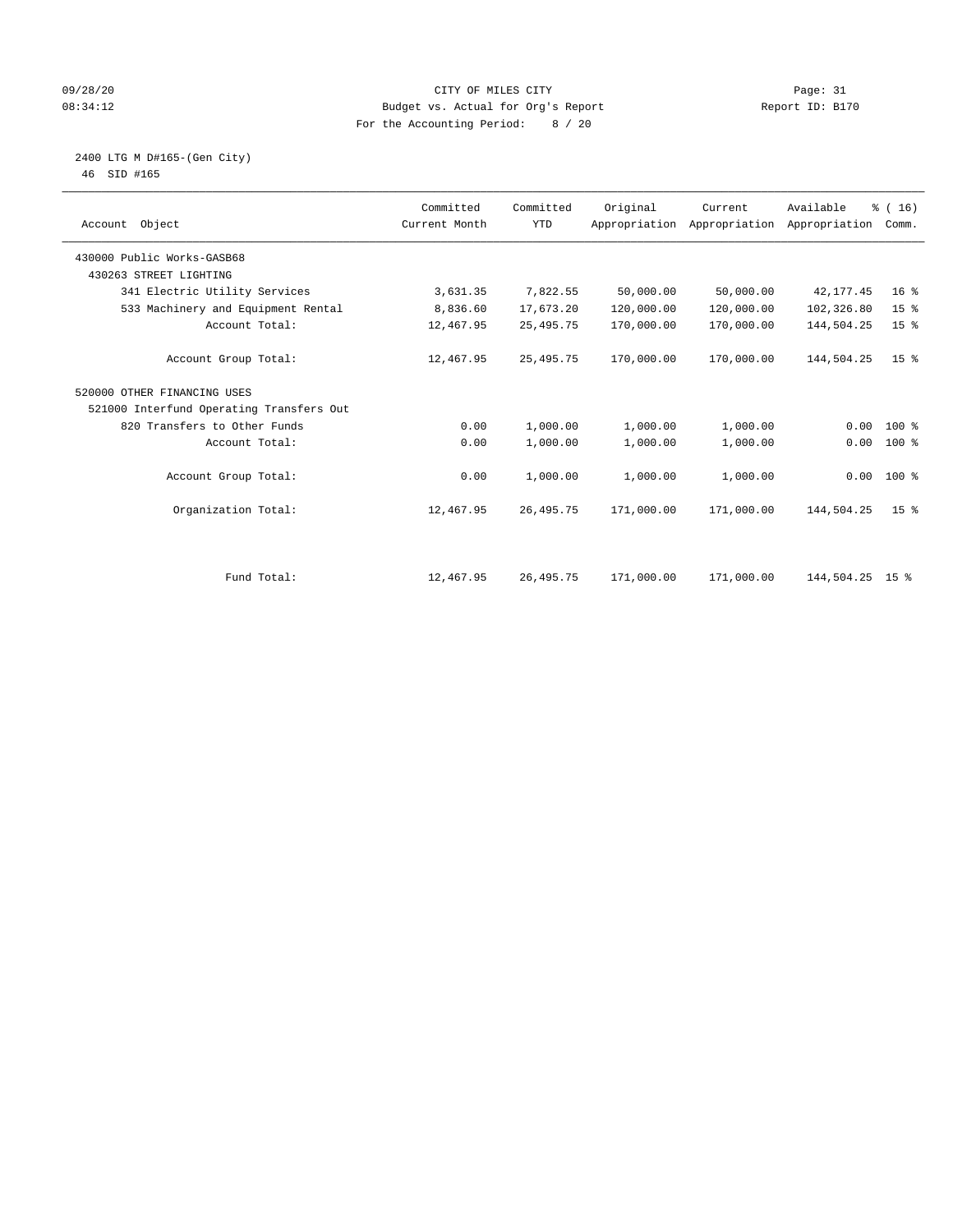#### 09/28/20 Page: 31 CITY OF MILES CITY CONTROL CONTROL Page: 31 08:34:12 Budget vs. Actual for Org's Report Changer Report ID: B170 For the Accounting Period: 8 / 20

 2400 LTG M D#165-(Gen City) 46 SID #165

| Account Object                           | Committed<br>Current Month | Committed<br><b>YTD</b> | Original   | Current<br>Appropriation Appropriation | Available<br>Appropriation | % (16)<br>Comm. |  |
|------------------------------------------|----------------------------|-------------------------|------------|----------------------------------------|----------------------------|-----------------|--|
| 430000 Public Works-GASB68               |                            |                         |            |                                        |                            |                 |  |
| 430263 STREET LIGHTING                   |                            |                         |            |                                        |                            |                 |  |
| 341 Electric Utility Services            | 3,631.35                   | 7,822.55                | 50,000.00  | 50,000.00                              | 42, 177.45                 | 16 <sup>8</sup> |  |
| 533 Machinery and Equipment Rental       | 8,836.60                   | 17,673.20               | 120,000.00 | 120,000.00                             | 102,326.80                 | 15 <sup>°</sup> |  |
| Account Total:                           | 12,467.95                  | 25, 495. 75             | 170,000.00 | 170,000.00                             | 144,504.25                 | 15 <sup>°</sup> |  |
| Account Group Total:                     | 12,467.95                  | 25, 495. 75             | 170,000.00 | 170,000.00                             | 144,504.25                 | 15 <sup>8</sup> |  |
| 520000 OTHER FINANCING USES              |                            |                         |            |                                        |                            |                 |  |
| 521000 Interfund Operating Transfers Out |                            |                         |            |                                        |                            |                 |  |
| 820 Transfers to Other Funds             | 0.00                       | 1,000.00                | 1,000.00   | 1,000.00                               | 0.00                       | $100*$          |  |
| Account Total:                           | 0.00                       | 1,000.00                | 1,000.00   | 1,000.00                               | 0.00                       | $100*$          |  |
| Account Group Total:                     | 0.00                       | 1,000.00                | 1,000.00   | 1,000.00                               |                            | $0.00$ 100 %    |  |
| Organization Total:                      | 12,467.95                  | 26, 495. 75             | 171,000.00 | 171,000.00                             | 144,504.25                 | 15 <sup>8</sup> |  |
|                                          |                            |                         |            |                                        |                            |                 |  |
| Fund Total:                              | 12,467.95                  | 26, 495. 75             | 171,000.00 | 171,000.00                             | 144,504.25 15 %            |                 |  |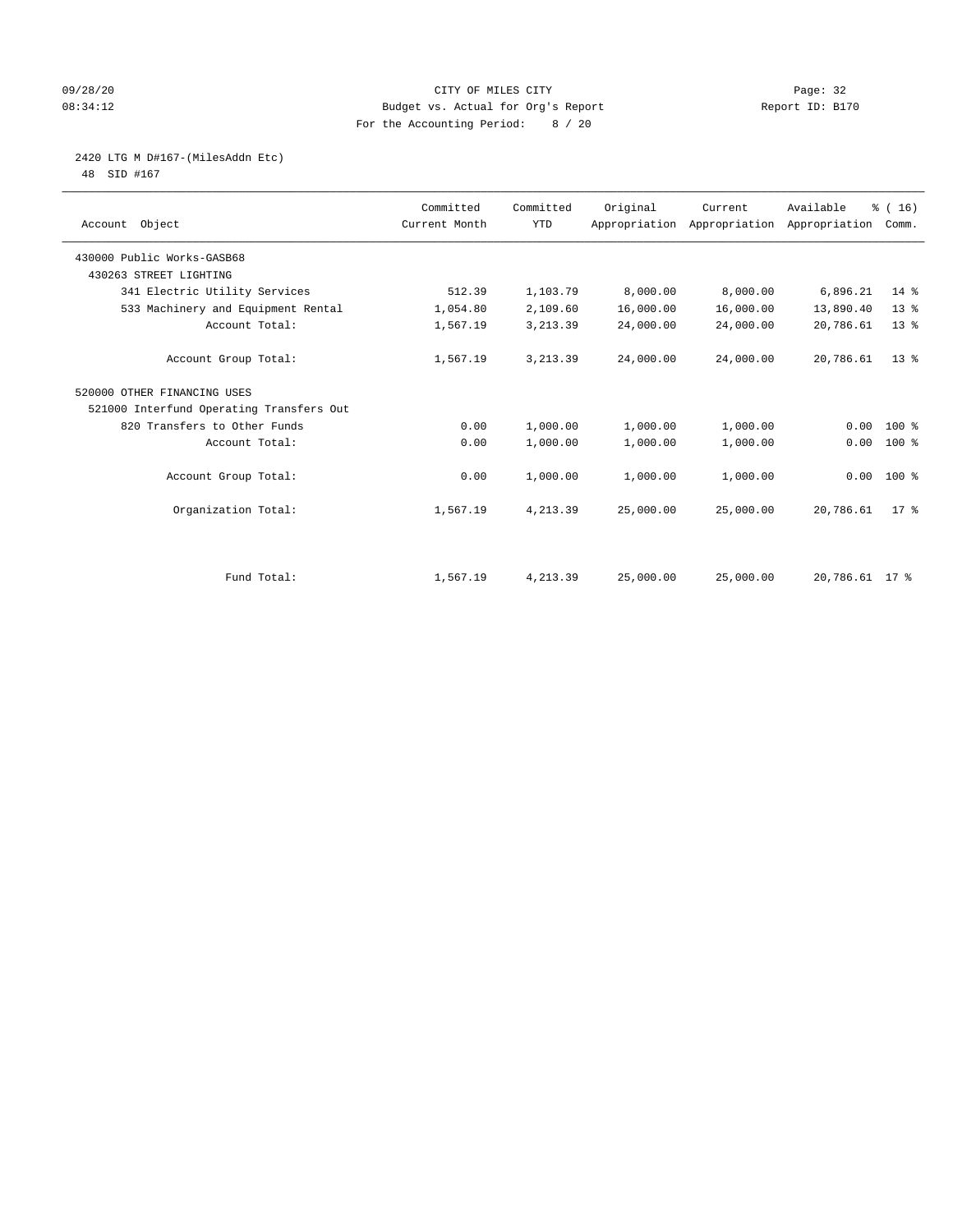#### 09/28/20 Page: 32 08:34:12 Budget vs. Actual for Org's Report Report ID: B170 For the Accounting Period: 8 / 20

# 2420 LTG M D#167-(MilesAddn Etc)

48 SID #167

| Account Object                           | Committed<br>Current Month | Committed<br><b>YTD</b> | Original  | Current<br>Appropriation Appropriation Appropriation | Available      | % (16)<br>Comm. |
|------------------------------------------|----------------------------|-------------------------|-----------|------------------------------------------------------|----------------|-----------------|
| 430000 Public Works-GASB68               |                            |                         |           |                                                      |                |                 |
| 430263 STREET LIGHTING                   |                            |                         |           |                                                      |                |                 |
| 341 Electric Utility Services            | 512.39                     | 1,103.79                | 8,000.00  | 8,000.00                                             | 6,896.21       | 14 %            |
| 533 Machinery and Equipment Rental       | 1,054.80                   | 2,109.60                | 16,000.00 | 16,000.00                                            | 13,890.40      | $13*$           |
| Account Total:                           | 1,567.19                   | 3, 213.39               | 24,000.00 | 24,000.00                                            | 20,786.61      | $13*$           |
| Account Group Total:                     | 1,567.19                   | 3, 213.39               | 24,000.00 | 24,000.00                                            | 20,786.61      | $13*$           |
| 520000 OTHER FINANCING USES              |                            |                         |           |                                                      |                |                 |
| 521000 Interfund Operating Transfers Out |                            |                         |           |                                                      |                |                 |
| 820 Transfers to Other Funds             | 0.00                       | 1,000.00                | 1,000.00  | 1,000.00                                             | 0.00           | $100*$          |
| Account Total:                           | 0.00                       | 1,000.00                | 1,000.00  | 1,000.00                                             | 0.00           | 100 %           |
| Account Group Total:                     | 0.00                       | 1,000.00                | 1,000.00  | 1,000.00                                             |                | $0.00 100$ %    |
| Organization Total:                      | 1,567.19                   | 4,213.39                | 25,000.00 | 25,000.00                                            | 20,786.61      | $17*$           |
|                                          |                            |                         |           |                                                      |                |                 |
| Fund Total:                              | 1,567.19                   | 4,213.39                | 25,000.00 | 25,000.00                                            | 20,786.61 17 % |                 |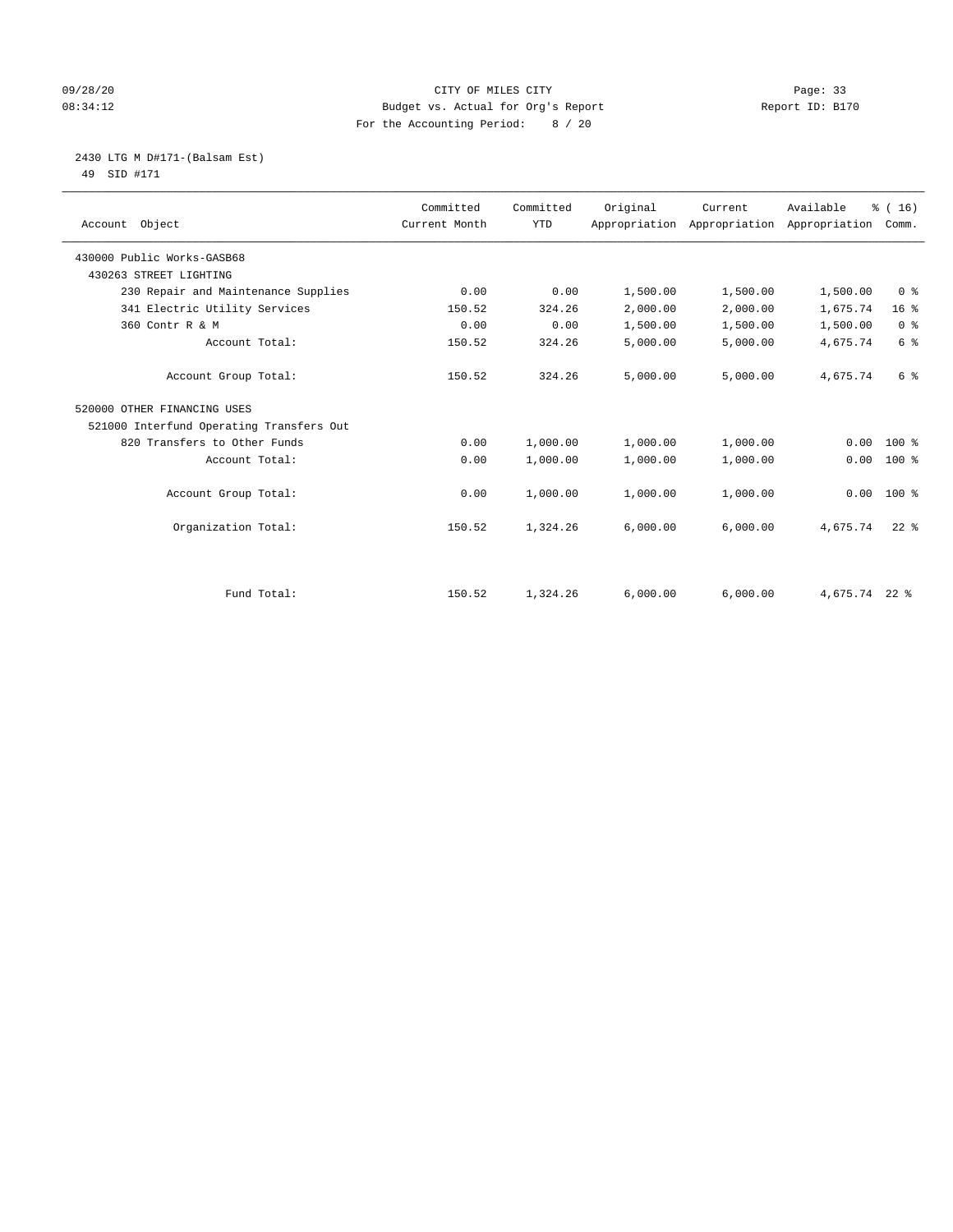#### 09/28/20 Page: 33 08:34:12 Budget vs. Actual for Org's Report Report ID: B170 For the Accounting Period: 8 / 20

 2430 LTG M D#171-(Balsam Est) 49 SID #171

| Account Object                           | Committed<br>Current Month | Committed<br><b>YTD</b> | Original | Current  | Available<br>Appropriation Appropriation Appropriation Comm. | % (16)          |
|------------------------------------------|----------------------------|-------------------------|----------|----------|--------------------------------------------------------------|-----------------|
| 430000 Public Works-GASB68               |                            |                         |          |          |                                                              |                 |
| 430263 STREET LIGHTING                   |                            |                         |          |          |                                                              |                 |
| 230 Repair and Maintenance Supplies      | 0.00                       | 0.00                    | 1,500.00 | 1,500.00 | 1,500.00                                                     | 0 <sup>8</sup>  |
| 341 Electric Utility Services            | 150.52                     | 324.26                  | 2,000.00 | 2,000.00 | 1,675.74                                                     | 16 <sup>°</sup> |
| 360 Contr R & M                          | 0.00                       | 0.00                    | 1,500.00 | 1,500.00 | 1,500.00                                                     | 0 <sup>8</sup>  |
| Account Total:                           | 150.52                     | 324.26                  | 5,000.00 | 5,000.00 | 4,675.74                                                     | 6 <sup>°</sup>  |
| Account Group Total:                     | 150.52                     | 324.26                  | 5,000.00 | 5,000.00 | 4,675.74                                                     | 6 %             |
| 520000 OTHER FINANCING USES              |                            |                         |          |          |                                                              |                 |
| 521000 Interfund Operating Transfers Out |                            |                         |          |          |                                                              |                 |
| 820 Transfers to Other Funds             | 0.00                       | 1,000.00                | 1,000.00 | 1,000.00 | 0.00                                                         | $100*$          |
| Account Total:                           | 0.00                       | 1,000.00                | 1,000.00 | 1,000.00 | 0.00                                                         | $100*$          |
| Account Group Total:                     | 0.00                       | 1,000.00                | 1,000.00 | 1,000.00 | 0.00                                                         | $100*$          |
| Organization Total:                      | 150.52                     | 1,324.26                | 6,000.00 | 6,000.00 | 4,675.74                                                     | $22$ $%$        |
|                                          |                            |                         |          |          |                                                              |                 |
| Fund Total:                              | 150.52                     | 1,324.26                | 6,000.00 | 6,000.00 | 4,675.74 22 %                                                |                 |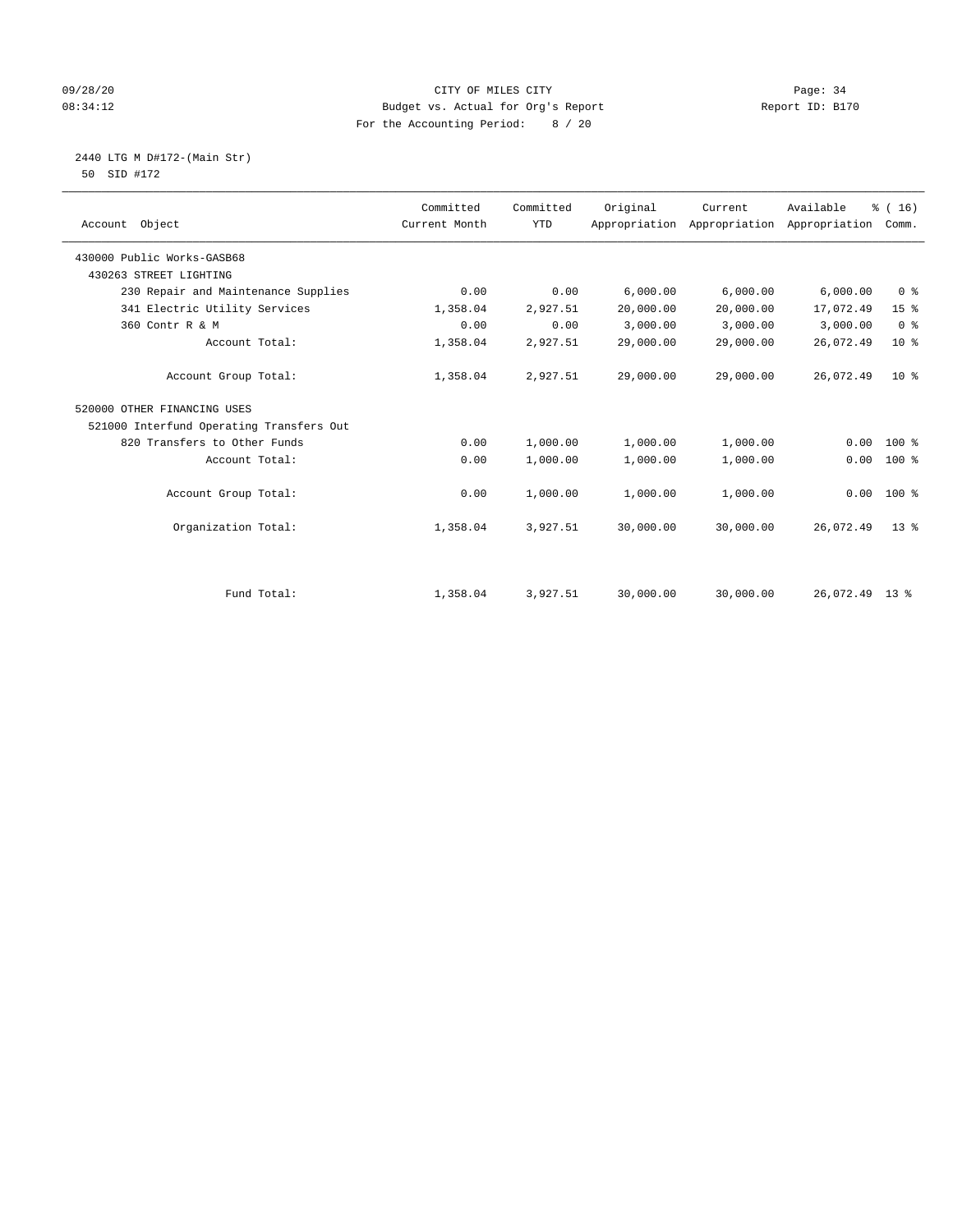#### 09/28/20 Page: 34 08:34:12 Budget vs. Actual for Org's Report Changer Report ID: B170 For the Accounting Period: 8 / 20

 2440 LTG M D#172-(Main Str) 50 SID #172

| Account Object                           | Committed<br>Current Month | Committed<br><b>YTD</b> | Original  | Current<br>Appropriation Appropriation Appropriation | Available | % (16)<br>Comm. |  |
|------------------------------------------|----------------------------|-------------------------|-----------|------------------------------------------------------|-----------|-----------------|--|
| 430000 Public Works-GASB68               |                            |                         |           |                                                      |           |                 |  |
| 430263 STREET LIGHTING                   |                            |                         |           |                                                      |           |                 |  |
| 230 Repair and Maintenance Supplies      | 0.00                       | 0.00                    | 6,000.00  | 6,000.00                                             | 6,000.00  | 0 <sup>8</sup>  |  |
| 341 Electric Utility Services            | 1,358.04                   | 2,927.51                | 20,000.00 | 20,000.00                                            | 17,072.49 | 15 <sup>°</sup> |  |
| 360 Contr R & M                          | 0.00                       | 0.00                    | 3,000.00  | 3,000.00                                             | 3,000.00  | 0 <sup>8</sup>  |  |
| Account Total:                           | 1,358.04                   | 2,927.51                | 29,000.00 | 29,000.00                                            | 26,072.49 | $10*$           |  |
| Account Group Total:                     | 1,358.04                   | 2,927.51                | 29,000.00 | 29,000.00                                            | 26,072.49 | $10*$           |  |
| 520000 OTHER FINANCING USES              |                            |                         |           |                                                      |           |                 |  |
| 521000 Interfund Operating Transfers Out |                            |                         |           |                                                      |           |                 |  |
| 820 Transfers to Other Funds             | 0.00                       | 1,000.00                | 1,000.00  | 1,000.00                                             | 0.00      | $100*$          |  |
| Account Total:                           | 0.00                       | 1,000.00                | 1,000.00  | 1,000.00                                             | 0.00      | $100$ %         |  |
| Account Group Total:                     | 0.00                       | 1,000.00                | 1,000.00  | 1,000.00                                             |           | $0.00 100$ %    |  |
| Organization Total:                      | 1,358.04                   | 3,927.51                | 30,000.00 | 30,000.00                                            | 26,072.49 | $13*$           |  |
|                                          |                            |                         |           |                                                      |           |                 |  |
| Fund Total:                              | 1,358.04                   | 3,927.51                | 30,000.00 | 30,000.00                                            | 26,072.49 | $13 \text{ }$ % |  |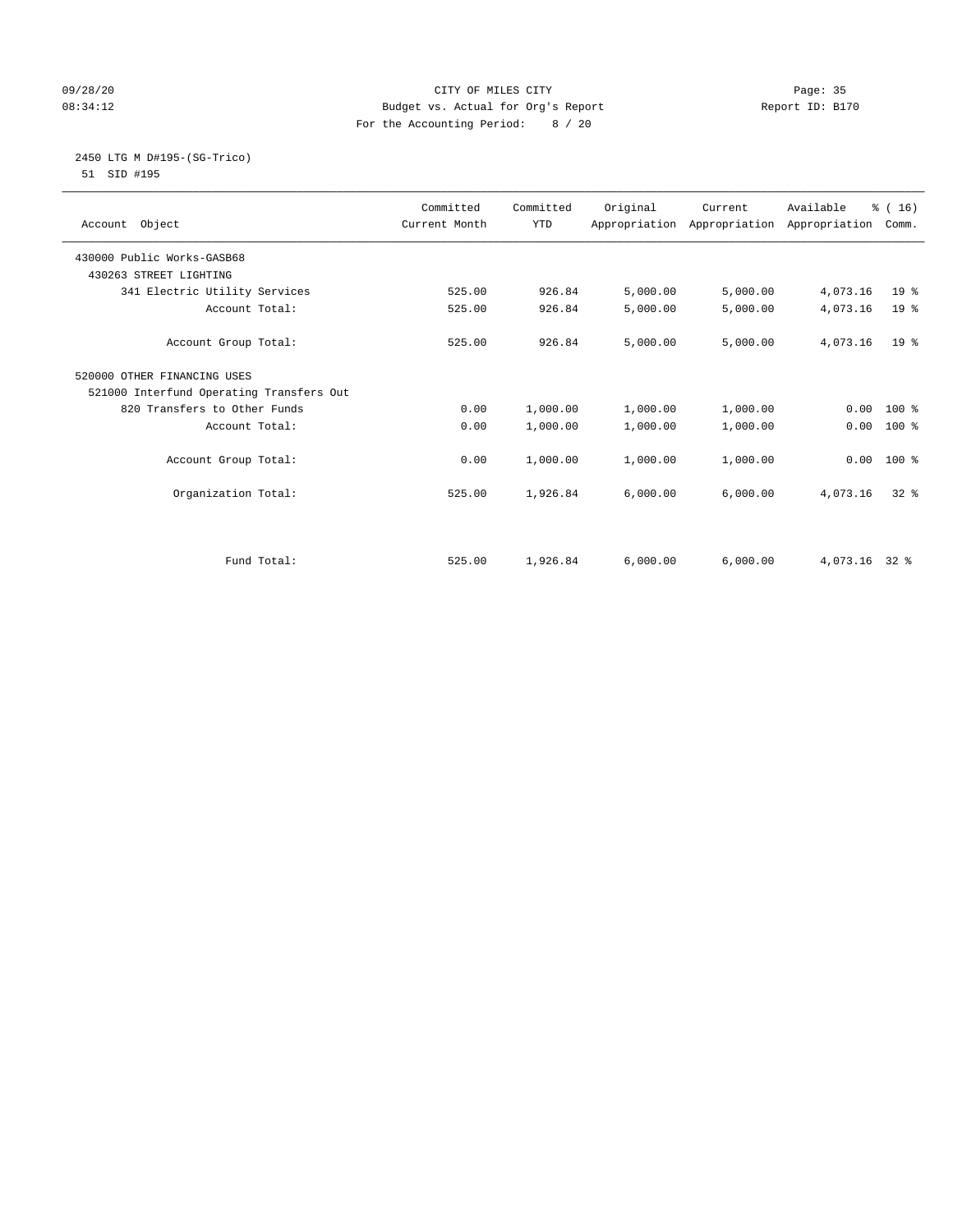#### 09/28/20 Page: 35 08:34:12 Budget vs. Actual for Org's Report Report ID: B170 For the Accounting Period: 8 / 20

#### 2450 LTG M D#195-(SG-Trico) 51 SID #195

| Account Object                           | Committed<br>Current Month | Committed<br><b>YTD</b> | Original | Current<br>Appropriation Appropriation Appropriation | Available | % (16)<br>Comm. |
|------------------------------------------|----------------------------|-------------------------|----------|------------------------------------------------------|-----------|-----------------|
| 430000 Public Works-GASB68               |                            |                         |          |                                                      |           |                 |
| 430263 STREET LIGHTING                   |                            |                         |          |                                                      |           |                 |
| 341 Electric Utility Services            | 525.00                     | 926.84                  | 5,000.00 | 5,000.00                                             | 4,073.16  | 19 <sup>°</sup> |
| Account Total:                           | 525.00                     | 926.84                  | 5,000.00 | 5,000.00                                             | 4,073.16  | 19 <sup>8</sup> |
| Account Group Total:                     | 525.00                     | 926.84                  | 5,000.00 | 5,000.00                                             | 4,073.16  | 19 <sup>°</sup> |
| 520000 OTHER FINANCING USES              |                            |                         |          |                                                      |           |                 |
| 521000 Interfund Operating Transfers Out |                            |                         |          |                                                      |           |                 |
| 820 Transfers to Other Funds             | 0.00                       | 1,000.00                | 1,000.00 | 1,000.00                                             | 0.00      | $100*$          |
| Account Total:                           | 0.00                       | 1,000.00                | 1,000.00 | 1,000.00                                             | 0.00      | $100*$          |
| Account Group Total:                     | 0.00                       | 1,000.00                | 1,000.00 | 1,000.00                                             | 0.00      | $100*$          |
| Organization Total:                      | 525.00                     | 1,926.84                | 6,000.00 | 6,000.00                                             | 4,073.16  | $32*$           |
|                                          |                            |                         |          |                                                      |           |                 |
| Fund Total:                              | 525.00                     | 1,926.84                | 6,000.00 | 6,000.00                                             | 4,073.16  | 32.8            |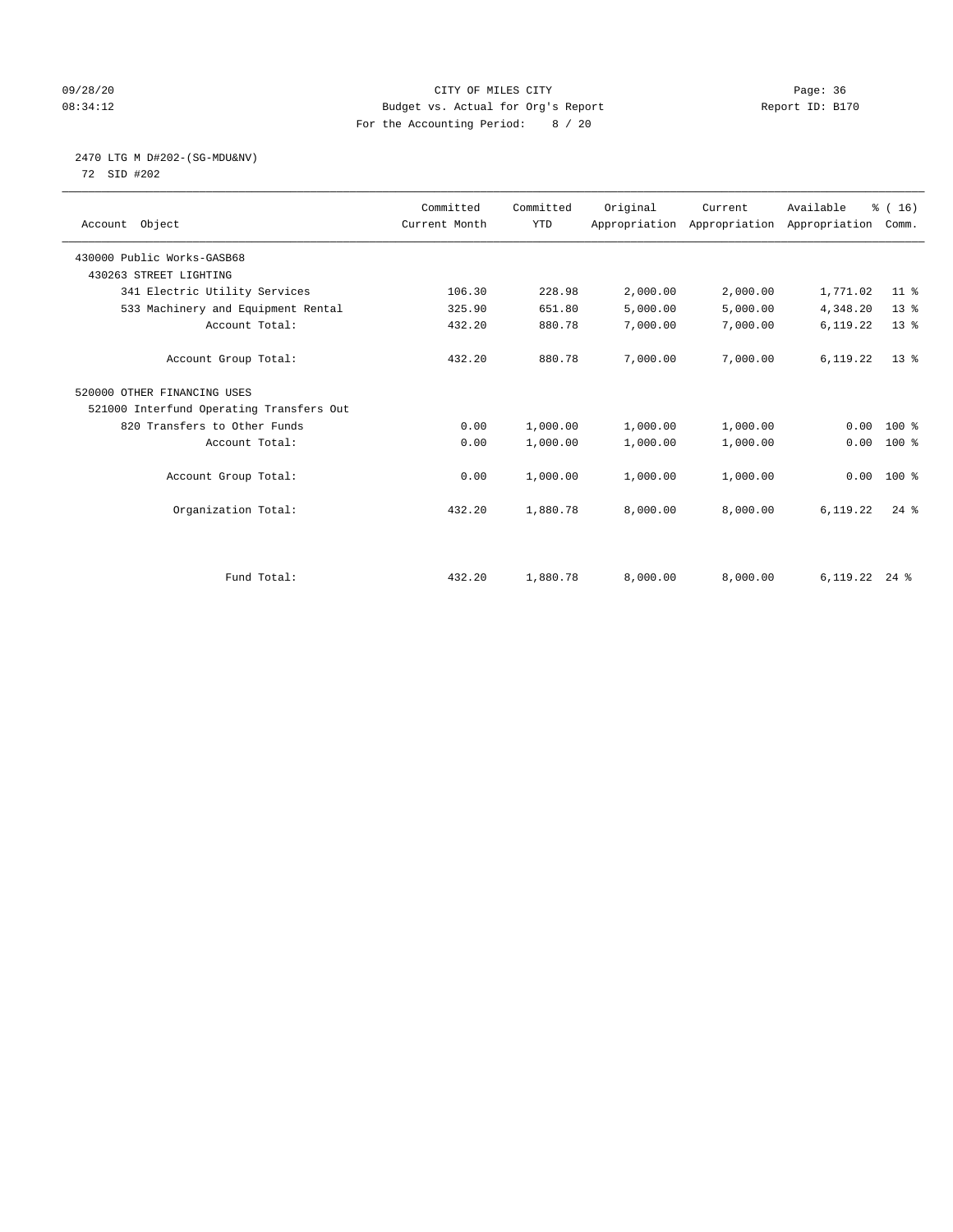#### 09/28/20 Page: 36 08:34:12 Budget vs. Actual for Org's Report Report ID: B170 For the Accounting Period: 8 / 20

2470 LTG M D#202-(SG-MDU&NV)

72 SID #202

|                                          | Committed     | Committed  | Original | Current  | Available                                 | % (16)   |
|------------------------------------------|---------------|------------|----------|----------|-------------------------------------------|----------|
| Account Object                           | Current Month | <b>YTD</b> |          |          | Appropriation Appropriation Appropriation | Comm.    |
| 430000 Public Works-GASB68               |               |            |          |          |                                           |          |
| 430263 STREET LIGHTING                   |               |            |          |          |                                           |          |
|                                          | 106.30        | 228.98     |          |          |                                           | $11$ %   |
| 341 Electric Utility Services            |               |            | 2,000.00 | 2,000.00 | 1,771.02                                  |          |
| 533 Machinery and Equipment Rental       | 325.90        | 651.80     | 5,000.00 | 5,000.00 | 4,348.20                                  | $13*$    |
| Account Total:                           | 432.20        | 880.78     | 7,000.00 | 7,000.00 | 6,119.22                                  | $13*$    |
|                                          |               |            |          |          |                                           |          |
| Account Group Total:                     | 432.20        | 880.78     | 7,000.00 | 7,000.00 | 6,119.22                                  | $13*$    |
| 520000 OTHER FINANCING USES              |               |            |          |          |                                           |          |
| 521000 Interfund Operating Transfers Out |               |            |          |          |                                           |          |
| 820 Transfers to Other Funds             | 0.00          | 1,000.00   | 1,000.00 | 1,000.00 | 0.00                                      | 100 %    |
| Account Total:                           | 0.00          | 1,000.00   | 1,000.00 | 1,000.00 | 0.00                                      | 100 %    |
|                                          |               |            |          |          |                                           |          |
| Account Group Total:                     | 0.00          | 1,000.00   | 1,000.00 | 1,000.00 | 0.00                                      | $100*$   |
| Organization Total:                      | 432.20        | 1,880.78   | 8,000.00 | 8,000.00 | 6,119.22                                  | $24$ $%$ |
|                                          |               |            |          |          |                                           |          |
|                                          |               |            |          |          |                                           |          |
|                                          |               |            |          |          |                                           |          |
| Fund Total:                              | 432.20        | 1,880.78   | 8,000.00 | 8,000.00 | $6,119.22$ 24 %                           |          |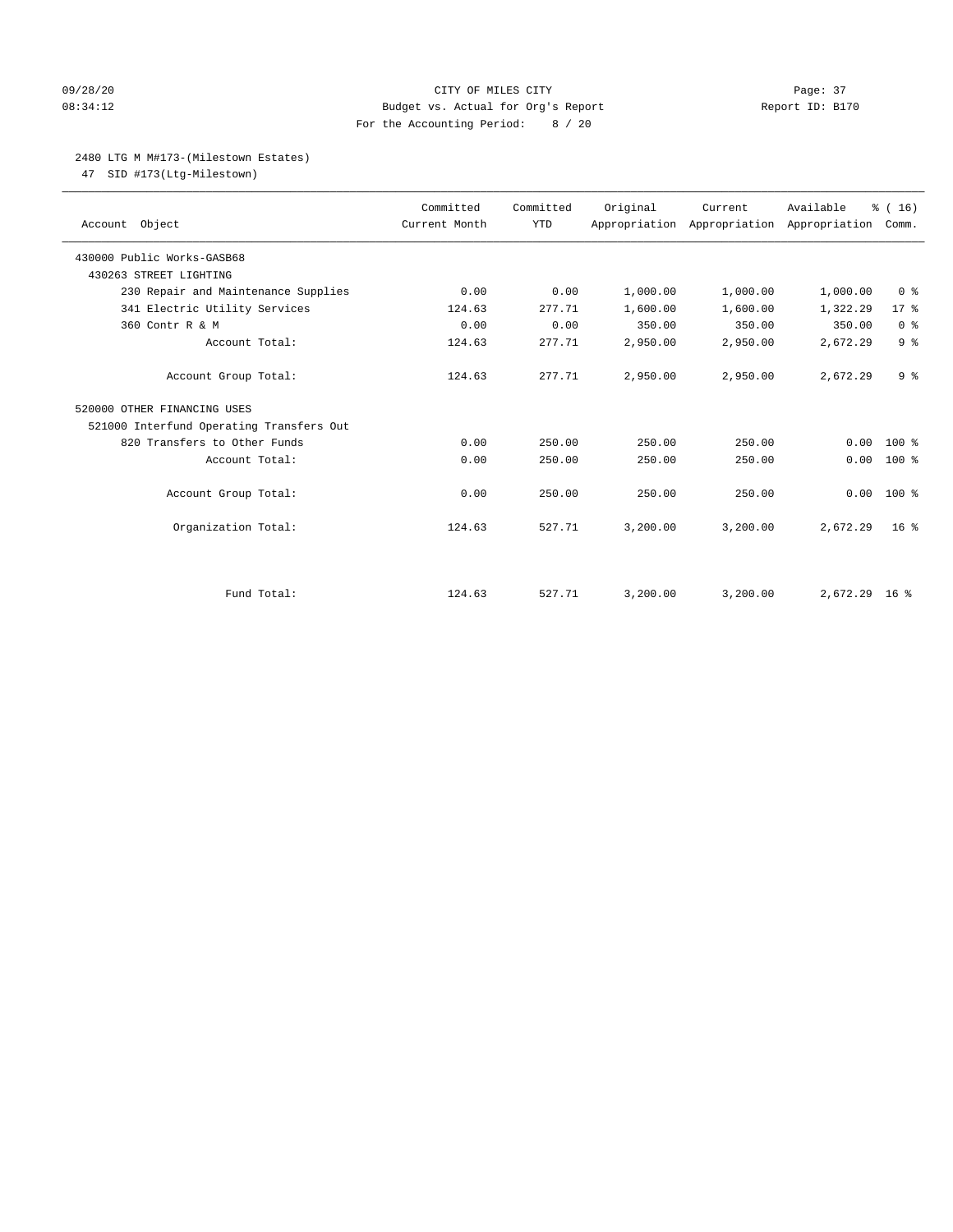#### 09/28/20 Page: 37 08:34:12 Budget vs. Actual for Org's Report Report ID: B170 For the Accounting Period: 8 / 20

#### 2480 LTG M M#173-(Milestown Estates)

47 SID #173(Ltg-Milestown)

| Account Object                           | Committed<br>Current Month | Committed<br><b>YTD</b> | Original | Current<br>Appropriation Appropriation Appropriation | Available     | % (16)<br>Comm. |
|------------------------------------------|----------------------------|-------------------------|----------|------------------------------------------------------|---------------|-----------------|
| 430000 Public Works-GASB68               |                            |                         |          |                                                      |               |                 |
| 430263 STREET LIGHTING                   |                            |                         |          |                                                      |               |                 |
| 230 Repair and Maintenance Supplies      | 0.00                       | 0.00                    | 1,000.00 | 1,000.00                                             | 1,000.00      | 0 <sup>8</sup>  |
| 341 Electric Utility Services            | 124.63                     | 277.71                  | 1,600.00 | 1,600.00                                             | 1,322.29      | $17*$           |
| 360 Contr R & M                          | 0.00                       | 0.00                    | 350.00   | 350.00                                               | 350.00        | 0 <sup>8</sup>  |
| Account Total:                           | 124.63                     | 277.71                  | 2,950.00 | 2,950.00                                             | 2,672.29      | 9 <sup>°</sup>  |
| Account Group Total:                     | 124.63                     | 277.71                  | 2,950.00 | 2,950.00                                             | 2,672.29      | 9 <sup>°</sup>  |
| 520000 OTHER FINANCING USES              |                            |                         |          |                                                      |               |                 |
| 521000 Interfund Operating Transfers Out |                            |                         |          |                                                      |               |                 |
| 820 Transfers to Other Funds             | 0.00                       | 250.00                  | 250.00   | 250.00                                               | 0.00          | $100*$          |
| Account Total:                           | 0.00                       | 250.00                  | 250.00   | 250.00                                               | 0.00          | 100 %           |
| Account Group Total:                     | 0.00                       | 250.00                  | 250.00   | 250.00                                               | 0.00          | $100*$          |
| Organization Total:                      | 124.63                     | 527.71                  | 3,200.00 | 3,200.00                                             | 2,672.29      | 16 <sup>8</sup> |
|                                          |                            |                         |          |                                                      |               |                 |
| Fund Total:                              | 124.63                     | 527.71                  | 3,200.00 | 3,200.00                                             | 2,672.29 16 % |                 |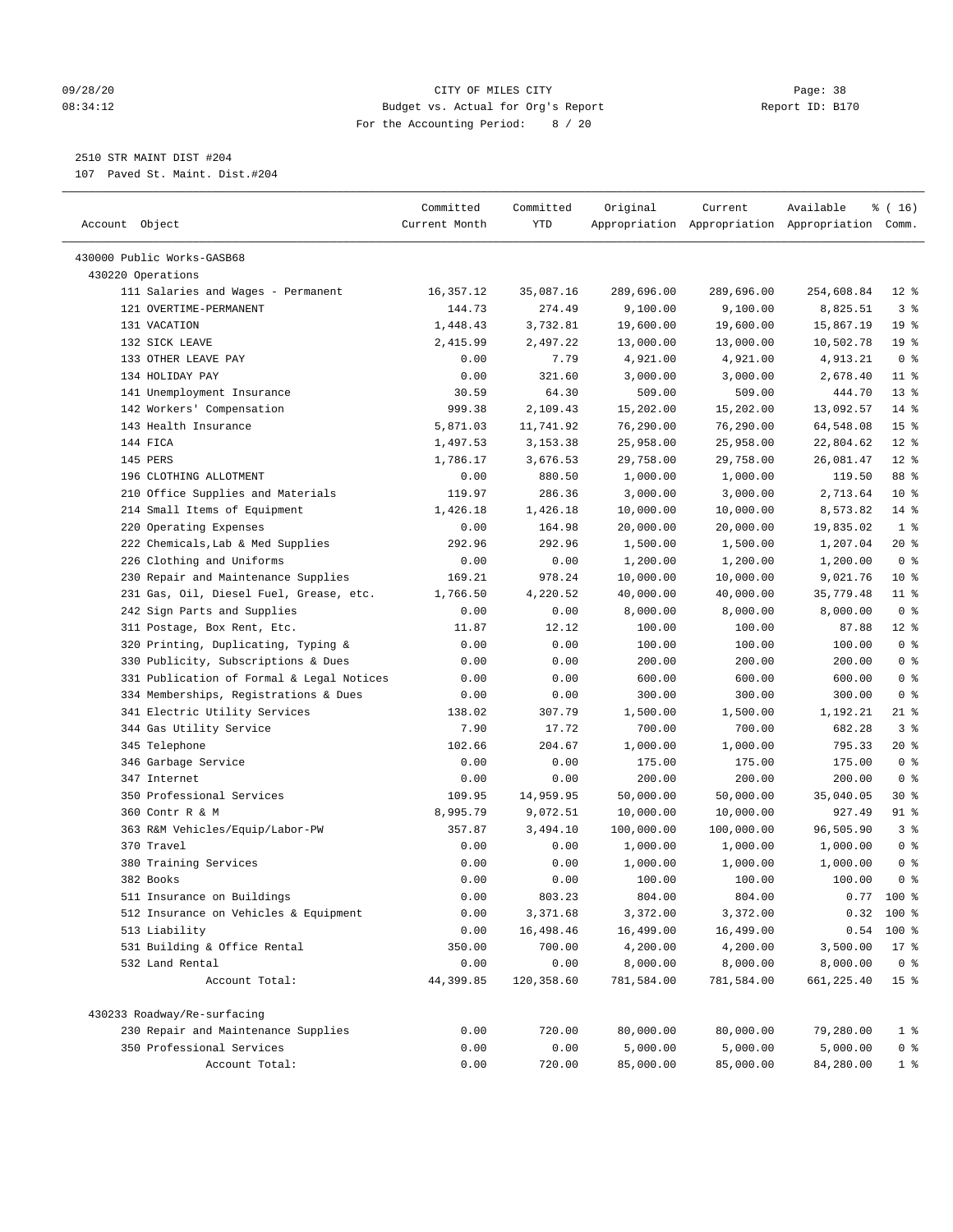#### 09/28/20 Page: 38 CITY OF MILES CITY CONTROL CONTROL Page: 38 08:34:12 Budget vs. Actual for Org's Report Report ID: B170 For the Accounting Period: 8 / 20

————————————————————————————————————————————————————————————————————————————————————————————————————————————————————————————————————

# 2510 STR MAINT DIST #204

107 Paved St. Maint. Dist.#204

|                                           | Committed     | Committed  | Original   | Current    | Available                                       | % ( 16)         |
|-------------------------------------------|---------------|------------|------------|------------|-------------------------------------------------|-----------------|
| Account Object                            | Current Month | YTD        |            |            | Appropriation Appropriation Appropriation Comm. |                 |
| 430000 Public Works-GASB68                |               |            |            |            |                                                 |                 |
| 430220 Operations                         |               |            |            |            |                                                 |                 |
| 111 Salaries and Wages - Permanent        | 16,357.12     | 35,087.16  | 289,696.00 | 289,696.00 | 254,608.84                                      | $12*$           |
| 121 OVERTIME-PERMANENT                    | 144.73        | 274.49     | 9,100.00   | 9,100.00   | 8,825.51                                        | 3%              |
| 131 VACATION                              | 1,448.43      | 3,732.81   | 19,600.00  | 19,600.00  | 15,867.19                                       | 19 <sup>°</sup> |
| 132 SICK LEAVE                            | 2,415.99      | 2,497.22   | 13,000.00  | 13,000.00  | 10,502.78                                       | 19 <sup>°</sup> |
| 133 OTHER LEAVE PAY                       | 0.00          | 7.79       | 4,921.00   | 4,921.00   | 4,913.21                                        | 0 <sup>8</sup>  |
| 134 HOLIDAY PAY                           | 0.00          | 321.60     | 3,000.00   | 3,000.00   | 2,678.40                                        | $11$ %          |
| 141 Unemployment Insurance                | 30.59         | 64.30      | 509.00     | 509.00     | 444.70                                          | $13*$           |
| 142 Workers' Compensation                 | 999.38        | 2,109.43   | 15,202.00  | 15,202.00  | 13,092.57                                       | $14*$           |
| 143 Health Insurance                      | 5,871.03      | 11,741.92  | 76,290.00  | 76,290.00  | 64,548.08                                       | 15 <sup>°</sup> |
| 144 FICA                                  | 1,497.53      | 3,153.38   | 25,958.00  | 25,958.00  | 22,804.62                                       | $12*$           |
| 145 PERS                                  | 1,786.17      | 3,676.53   | 29,758.00  | 29,758.00  | 26,081.47                                       | $12*$           |
| 196 CLOTHING ALLOTMENT                    | 0.00          | 880.50     | 1,000.00   | 1,000.00   | 119.50                                          | 88 %            |
| 210 Office Supplies and Materials         | 119.97        | 286.36     | 3,000.00   | 3,000.00   | 2,713.64                                        | $10*$           |
| 214 Small Items of Equipment              | 1,426.18      | 1,426.18   | 10,000.00  | 10,000.00  | 8,573.82                                        | 14 %            |
| 220 Operating Expenses                    | 0.00          | 164.98     | 20,000.00  | 20,000.00  | 19,835.02                                       | 1 <sup>°</sup>  |
| 222 Chemicals, Lab & Med Supplies         | 292.96        | 292.96     | 1,500.00   | 1,500.00   | 1,207.04                                        | $20*$           |
| 226 Clothing and Uniforms                 | 0.00          | 0.00       | 1,200.00   | 1,200.00   | 1,200.00                                        | 0 <sup>8</sup>  |
| 230 Repair and Maintenance Supplies       | 169.21        | 978.24     | 10,000.00  | 10,000.00  | 9,021.76                                        | $10*$           |
| 231 Gas, Oil, Diesel Fuel, Grease, etc.   | 1,766.50      | 4,220.52   | 40,000.00  | 40,000.00  | 35,779.48                                       | $11$ %          |
| 242 Sign Parts and Supplies               | 0.00          | 0.00       | 8,000.00   | 8,000.00   | 8,000.00                                        | 0 <sup>8</sup>  |
| 311 Postage, Box Rent, Etc.               | 11.87         | 12.12      | 100.00     | 100.00     | 87.88                                           | $12*$           |
| 320 Printing, Duplicating, Typing &       | 0.00          | 0.00       | 100.00     | 100.00     | 100.00                                          | 0 <sup>8</sup>  |
| 330 Publicity, Subscriptions & Dues       | 0.00          | 0.00       | 200.00     | 200.00     | 200.00                                          | 0 <sup>8</sup>  |
| 331 Publication of Formal & Legal Notices | 0.00          | 0.00       | 600.00     | 600.00     | 600.00                                          | 0 <sup>8</sup>  |
| 334 Memberships, Registrations & Dues     | 0.00          | 0.00       | 300.00     | 300.00     | 300.00                                          | 0 <sup>8</sup>  |
| 341 Electric Utility Services             | 138.02        | 307.79     | 1,500.00   | 1,500.00   | 1,192.21                                        | $21$ %          |
| 344 Gas Utility Service                   | 7.90          | 17.72      | 700.00     | 700.00     | 682.28                                          | 3 <sup>°</sup>  |
| 345 Telephone                             | 102.66        | 204.67     | 1,000.00   | 1,000.00   | 795.33                                          | 20 %            |
| 346 Garbage Service                       | 0.00          | 0.00       | 175.00     | 175.00     | 175.00                                          | 0 <sup>8</sup>  |
| 347 Internet                              | 0.00          | 0.00       | 200.00     | 200.00     | 200.00                                          | 0 <sup>8</sup>  |
| 350 Professional Services                 | 109.95        | 14,959.95  | 50,000.00  | 50,000.00  | 35,040.05                                       | $30*$           |
| 360 Contr R & M                           | 8,995.79      | 9,072.51   | 10,000.00  | 10,000.00  | 927.49                                          | 91 %            |
| 363 R&M Vehicles/Equip/Labor-PW           | 357.87        | 3,494.10   | 100,000.00 | 100,000.00 | 96,505.90                                       | 3 <sup>°</sup>  |
| 370 Travel                                | 0.00          | 0.00       | 1,000.00   | 1,000.00   | 1,000.00                                        | 0 <sup>8</sup>  |
| 380 Training Services                     | 0.00          | 0.00       | 1,000.00   | 1,000.00   | 1,000.00                                        | 0 <sup>8</sup>  |
| 382 Books                                 | 0.00          | 0.00       | 100.00     | 100.00     | 100.00                                          | 0 <sup>8</sup>  |
| 511 Insurance on Buildings                | 0.00          | 803.23     | 804.00     | 804.00     |                                                 | $0.77$ 100 %    |
| 512 Insurance on Vehicles & Equipment     | 0.00          | 3,371.68   | 3,372.00   | 3,372.00   |                                                 | $0.32$ 100 %    |
| 513 Liability                             | 0.00          | 16,498.46  | 16,499.00  | 16,499.00  | 0.54                                            | $100*$          |
| 531 Building & Office Rental              | 350.00        | 700.00     | 4,200.00   | 4,200.00   | 3,500.00                                        | $17$ %          |
| 532 Land Rental                           | 0.00          | 0.00       | 8,000.00   | 8,000.00   | 8,000.00                                        | 0 <sup>8</sup>  |
| Account Total:                            | 44,399.85     | 120,358.60 | 781,584.00 | 781,584.00 | 661,225.40                                      | 15 <sup>°</sup> |
| 430233 Roadway/Re-surfacing               |               |            |            |            |                                                 |                 |
| 230 Repair and Maintenance Supplies       | 0.00          | 720.00     | 80,000.00  | 80,000.00  | 79,280.00                                       | 1 <sup>°</sup>  |
| 350 Professional Services                 | 0.00          | 0.00       | 5,000.00   | 5,000.00   | 5,000.00                                        | $0$ %           |
| Account Total:                            | 0.00          | 720.00     | 85,000.00  | 85,000.00  | 84,280.00                                       | 1 <sup>8</sup>  |
|                                           |               |            |            |            |                                                 |                 |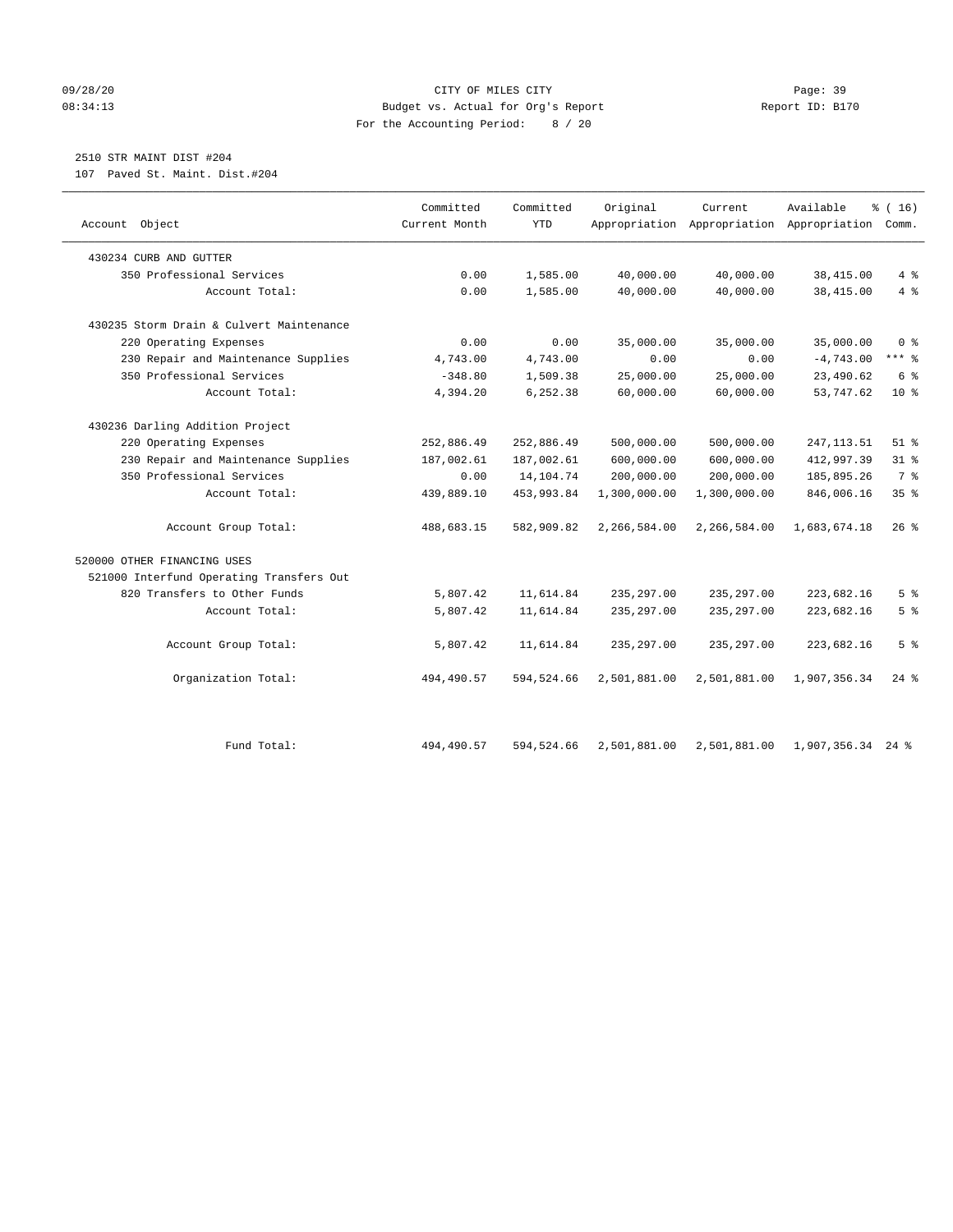#### 09/28/20 Page: 39 08:34:13 Budget vs. Actual for Org's Report Report ID: B170 For the Accounting Period: 8 / 20

# 2510 STR MAINT DIST #204

107 Paved St. Maint. Dist.#204

| Account Object                           | Committed<br>Current Month | Committed<br><b>YTD</b> | Original     | Current      | Available<br>Appropriation Appropriation Appropriation | % (16)<br>Comm. |
|------------------------------------------|----------------------------|-------------------------|--------------|--------------|--------------------------------------------------------|-----------------|
| 430234 CURB AND GUTTER                   |                            |                         |              |              |                                                        |                 |
| 350 Professional Services                | 0.00                       | 1,585.00                | 40,000.00    | 40,000.00    | 38,415.00                                              | 4%              |
| Account Total:                           | 0.00                       | 1,585.00                | 40,000.00    | 40,000.00    | 38,415.00                                              | 4%              |
| 430235 Storm Drain & Culvert Maintenance |                            |                         |              |              |                                                        |                 |
| 220 Operating Expenses                   | 0.00                       | 0.00                    | 35,000.00    | 35,000.00    | 35,000.00                                              | 0 <sup>8</sup>  |
| 230 Repair and Maintenance Supplies      | 4,743.00                   | 4,743.00                | 0.00         | 0.00         | $-4,743.00$                                            | $***$ $%$       |
| 350 Professional Services                | $-348.80$                  | 1,509.38                | 25,000.00    | 25,000.00    | 23,490.62                                              | 6 <sup>°</sup>  |
| Account Total:                           | 4,394.20                   | 6,252.38                | 60,000.00    | 60,000.00    | 53,747.62                                              | 10 <sup>8</sup> |
| 430236 Darling Addition Project          |                            |                         |              |              |                                                        |                 |
| 220 Operating Expenses                   | 252,886.49                 | 252,886.49              | 500,000.00   | 500,000.00   | 247, 113.51                                            | $51$ %          |
| 230 Repair and Maintenance Supplies      | 187,002.61                 | 187,002.61              | 600,000.00   | 600,000.00   | 412,997.39                                             | $31$ %          |
| 350 Professional Services                | 0.00                       | 14, 104. 74             | 200,000.00   | 200,000.00   | 185,895.26                                             | 7 <sup>°</sup>  |
| Account Total:                           | 439,889.10                 | 453,993.84              | 1,300,000.00 | 1,300,000.00 | 846,006.16                                             | 35%             |
| Account Group Total:                     | 488,683.15                 | 582,909.82              | 2,266,584.00 | 2,266,584.00 | 1,683,674.18                                           | $26$ %          |
| 520000 OTHER FINANCING USES              |                            |                         |              |              |                                                        |                 |
| 521000 Interfund Operating Transfers Out |                            |                         |              |              |                                                        |                 |
| 820 Transfers to Other Funds             | 5,807.42                   | 11,614.84               | 235, 297.00  | 235, 297.00  | 223,682.16                                             | 5 <sup>°</sup>  |
| Account Total:                           | 5,807.42                   | 11,614.84               | 235, 297.00  | 235, 297.00  | 223,682.16                                             | 5 <sup>°</sup>  |
| Account Group Total:                     | 5,807.42                   | 11,614.84               | 235, 297.00  | 235,297.00   | 223,682.16                                             | 5 <sup>°</sup>  |
| Organization Total:                      | 494,490.57                 | 594,524.66              | 2,501,881.00 | 2,501,881.00 | 1,907,356.34                                           | $24$ %          |
| Fund Total:                              | 494,490.57                 | 594,524.66              | 2,501,881.00 | 2,501,881.00 | 1,907,356.34 24 %                                      |                 |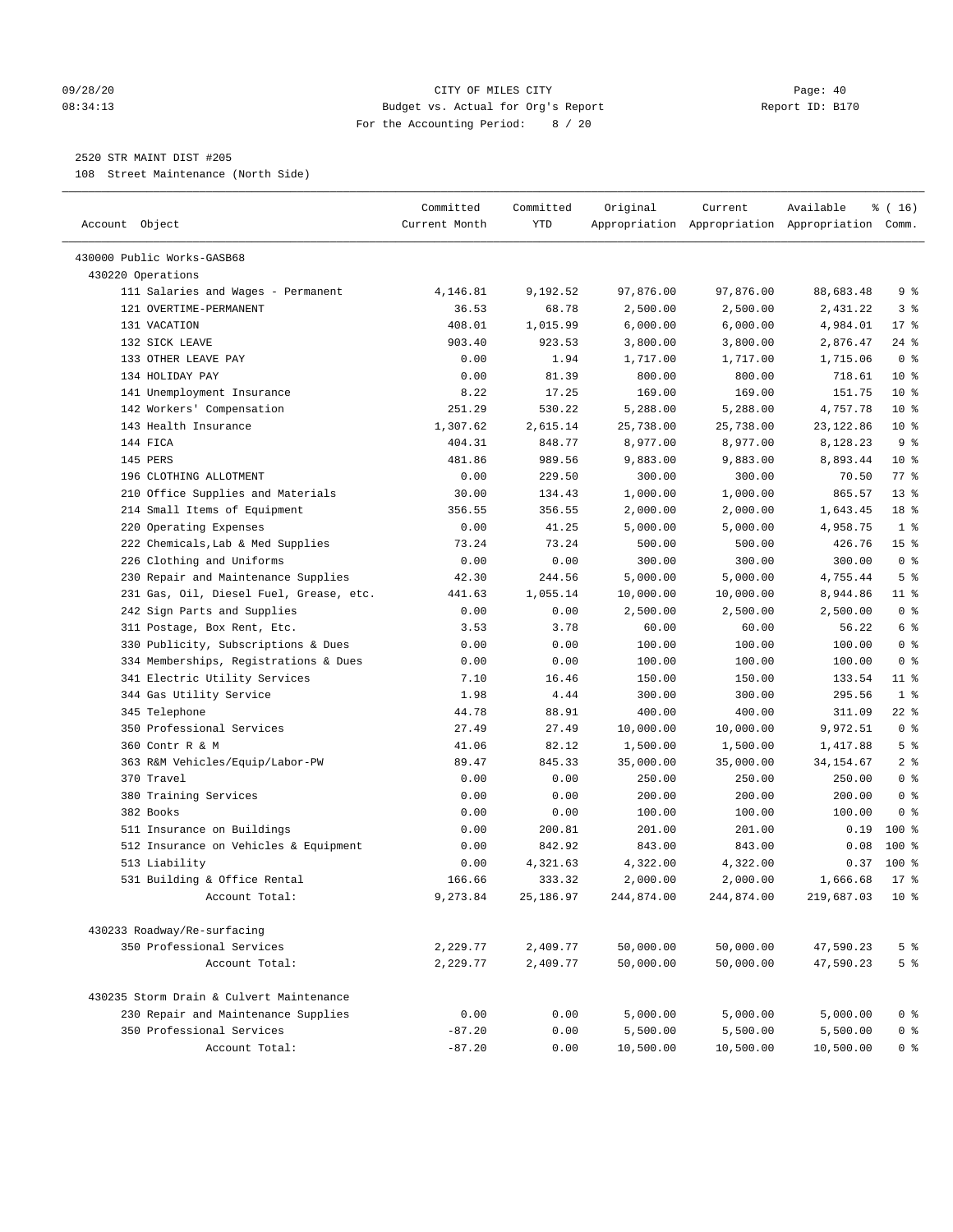#### 09/28/20 Page: 40 08:34:13 Budget vs. Actual for Org's Report Report ID: B170 For the Accounting Period: 8 / 20

————————————————————————————————————————————————————————————————————————————————————————————————————————————————————————————————————

### 2520 STR MAINT DIST #205

108 Street Maintenance (North Side)

|                                          | Committed     | Committed | Original         | Current    | Available                                       | % ( 16)            |
|------------------------------------------|---------------|-----------|------------------|------------|-------------------------------------------------|--------------------|
| Account Object                           | Current Month | YTD       |                  |            | Appropriation Appropriation Appropriation Comm. |                    |
|                                          |               |           |                  |            |                                                 |                    |
| 430000 Public Works-GASB68               |               |           |                  |            |                                                 |                    |
| 430220 Operations                        |               |           |                  |            |                                                 |                    |
| 111 Salaries and Wages - Permanent       | 4,146.81      | 9,192.52  | 97,876.00        | 97,876.00  | 88,683.48                                       | 9%                 |
| 121 OVERTIME-PERMANENT                   | 36.53         | 68.78     | 2,500.00         | 2,500.00   | 2,431.22                                        | 3%                 |
| 131 VACATION                             | 408.01        | 1,015.99  | 6,000.00         | 6,000.00   | 4,984.01                                        | $17*$              |
| 132 SICK LEAVE                           | 903.40        | 923.53    | 3,800.00         | 3,800.00   | 2,876.47                                        | $24$ %             |
| 133 OTHER LEAVE PAY                      | 0.00          | 1.94      | 1,717.00         | 1,717.00   | 1,715.06                                        | 0 <sup>8</sup>     |
| 134 HOLIDAY PAY                          | 0.00          | 81.39     | 800.00           | 800.00     | 718.61                                          | $10*$              |
| 141 Unemployment Insurance               | 8.22          | 17.25     | 169.00           | 169.00     | 151.75                                          | $10*$              |
| 142 Workers' Compensation                | 251.29        | 530.22    | 5,288.00         | 5,288.00   | 4,757.78                                        | $10*$              |
| 143 Health Insurance                     | 1,307.62      | 2,615.14  | 25,738.00        | 25,738.00  | 23, 122.86                                      | $10*$              |
| 144 FICA                                 | 404.31        | 848.77    | 8,977.00         | 8,977.00   | 8,128.23                                        | 9 <sub>8</sub>     |
| 145 PERS                                 | 481.86        | 989.56    | 9,883.00         | 9,883.00   | 8,893.44                                        | $10*$              |
| 196 CLOTHING ALLOTMENT                   | 0.00          | 229.50    | 300.00           | 300.00     | 70.50                                           | $77$ $\frac{6}{9}$ |
| 210 Office Supplies and Materials        | 30.00         | 134.43    | 1,000.00         | 1,000.00   | 865.57                                          | $13*$              |
| 214 Small Items of Equipment             | 356.55        | 356.55    | 2,000.00         | 2,000.00   | 1,643.45                                        | 18 %               |
| 220 Operating Expenses                   | 0.00          | 41.25     | 5,000.00         | 5,000.00   | 4,958.75                                        | 1 <sup>8</sup>     |
| 222 Chemicals, Lab & Med Supplies        | 73.24         | 73.24     | 500.00           | 500.00     | 426.76                                          | 15 <sup>°</sup>    |
| 226 Clothing and Uniforms                | 0.00          | 0.00      | 300.00           | 300.00     | 300.00                                          | 0 <sup>8</sup>     |
| 230 Repair and Maintenance Supplies      | 42.30         | 244.56    | 5,000.00         | 5,000.00   | 4,755.44                                        | 5 <sup>°</sup>     |
| 231 Gas, Oil, Diesel Fuel, Grease, etc.  | 441.63        | 1,055.14  | 10,000.00        | 10,000.00  | 8,944.86                                        | $11$ %             |
| 242 Sign Parts and Supplies              | 0.00          | 0.00      | 2,500.00         | 2,500.00   | 2,500.00                                        | 0 <sup>8</sup>     |
| 311 Postage, Box Rent, Etc.              | 3.53          | 3.78      | 60.00            | 60.00      | 56.22                                           | 6 <sup>°</sup>     |
| 330 Publicity, Subscriptions & Dues      | 0.00          | 0.00      | 100.00           | 100.00     | 100.00                                          | 0 <sup>8</sup>     |
| 334 Memberships, Registrations & Dues    | 0.00          | 0.00      | 100.00           | 100.00     | 100.00                                          | 0 <sup>8</sup>     |
| 341 Electric Utility Services            | 7.10          | 16.46     | 150.00           | 150.00     | 133.54                                          | $11$ %             |
| 344 Gas Utility Service                  | 1.98          | 4.44      | 300.00           | 300.00     | 295.56                                          | 1 <sup>°</sup>     |
| 345 Telephone                            | 44.78         | 88.91     | 400.00           | 400.00     | 311.09                                          | $22$ %             |
| 350 Professional Services                | 27.49         | 27.49     | 10,000.00        | 10,000.00  | 9,972.51                                        | 0 <sup>8</sup>     |
| 360 Contr R & M                          | 41.06         | 82.12     | 1,500.00         | 1,500.00   | 1,417.88                                        | 5 <sup>8</sup>     |
| 363 R&M Vehicles/Equip/Labor-PW          | 89.47         | 845.33    | 35,000.00        | 35,000.00  | 34, 154.67                                      | 2 <sup>°</sup>     |
| 370 Travel                               | 0.00          | 0.00      | 250.00           | 250.00     | 250.00                                          | 0 <sup>8</sup>     |
|                                          | 0.00          | 0.00      | 200.00           | 200.00     | 200.00                                          | 0 <sup>8</sup>     |
| 380 Training Services<br>382 Books       | 0.00          | 0.00      | 100.00           | 100.00     | 100.00                                          | 0 <sup>8</sup>     |
|                                          | 0.00          | 200.81    |                  | 201.00     |                                                 | $100*$             |
| 511 Insurance on Buildings               |               |           | 201.00<br>843.00 |            | 0.19                                            | $100*$             |
| 512 Insurance on Vehicles & Equipment    | 0.00          | 842.92    |                  | 843.00     | 0.08                                            |                    |
| 513 Liability                            | 0.00          | 4,321.63  | 4,322.00         | 4,322.00   | 0.37                                            | $100*$             |
| 531 Building & Office Rental             | 166.66        | 333.32    | 2,000.00         | 2,000.00   | 1,666.68                                        | $17*$              |
| Account Total:                           | 9,273.84      | 25,186.97 | 244,874.00       | 244,874.00 | 219,687.03                                      | $10*$              |
| 430233 Roadway/Re-surfacing              |               |           |                  |            |                                                 |                    |
| 350 Professional Services                | 2,229.77      | 2,409.77  | 50,000.00        | 50,000.00  | 47,590.23                                       | 5 <sup>°</sup>     |
| Account Total:                           | 2,229.77      | 2,409.77  | 50,000.00        | 50,000.00  | 47,590.23                                       | 5 <sup>°</sup>     |
|                                          |               |           |                  |            |                                                 |                    |
| 430235 Storm Drain & Culvert Maintenance |               |           |                  |            |                                                 |                    |
| 230 Repair and Maintenance Supplies      | 0.00          | 0.00      | 5,000.00         | 5,000.00   | 5,000.00                                        | 0 <sup>8</sup>     |
| 350 Professional Services                | $-87.20$      | 0.00      | 5,500.00         | 5,500.00   | 5,500.00                                        | 0 <sup>8</sup>     |
| Account Total:                           | $-87.20$      | 0.00      | 10,500.00        | 10,500.00  | 10,500.00                                       | 0 <sup>8</sup>     |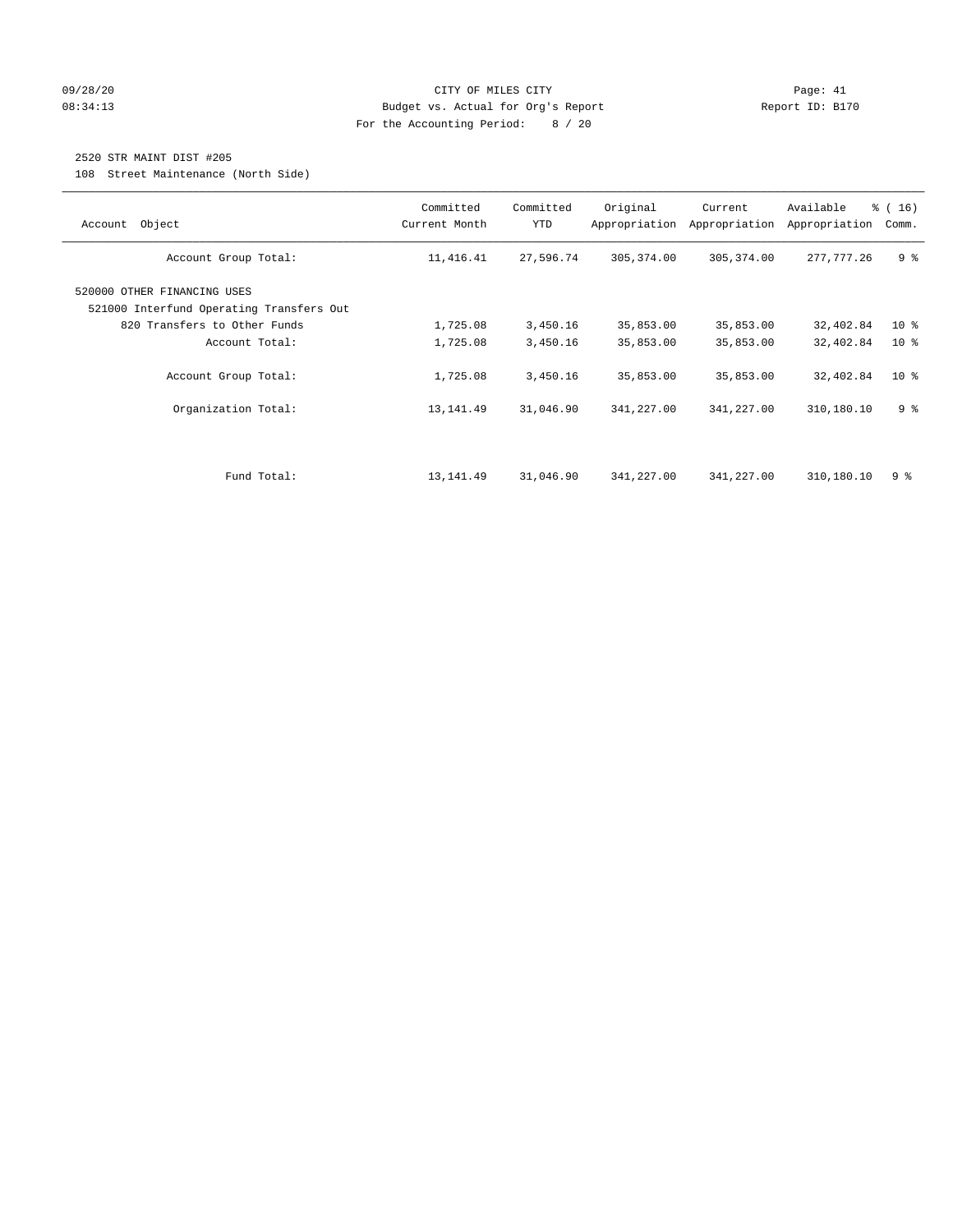#### 09/28/20 Page: 41 CITY OF MILES CITY CONTROL CONTROL Page: 41 08:34:13 Budget vs. Actual for Org's Report Communication Report ID: B170 For the Accounting Period: 8 / 20

## 2520 STR MAINT DIST #205

108 Street Maintenance (North Side)

| Account Object                                                                                                            | Committed<br>Current Month | Committed<br><b>YTD</b> | Original<br>Appropriation | Current<br>Appropriation | Available<br>Appropriation | % (16)<br>Comm.                    |
|---------------------------------------------------------------------------------------------------------------------------|----------------------------|-------------------------|---------------------------|--------------------------|----------------------------|------------------------------------|
| Account Group Total:                                                                                                      | 11, 416.41                 | 27,596.74               | 305,374.00                | 305, 374.00              | 277, 777.26                | 9 <sup>8</sup>                     |
| 520000 OTHER FINANCING USES<br>521000 Interfund Operating Transfers Out<br>820 Transfers to Other Funds<br>Account Total: | 1,725.08<br>1,725.08       | 3,450.16<br>3,450.16    | 35,853.00<br>35,853.00    | 35,853.00<br>35,853.00   | 32,402.84<br>32,402.84     | 10 <sup>8</sup><br>10 <sup>8</sup> |
| Account Group Total:                                                                                                      | 1,725.08                   | 3,450.16                | 35,853.00                 | 35,853.00                | 32,402.84                  | 10 <sup>°</sup>                    |
| Organization Total:                                                                                                       | 13, 141.49                 | 31,046.90               | 341,227.00                | 341,227.00               | 310,180.10                 | 9 <sup>8</sup>                     |
| Fund Total:                                                                                                               | 13,141.49                  | 31,046.90               | 341,227.00                | 341,227.00               | 310,180.10                 | 98                                 |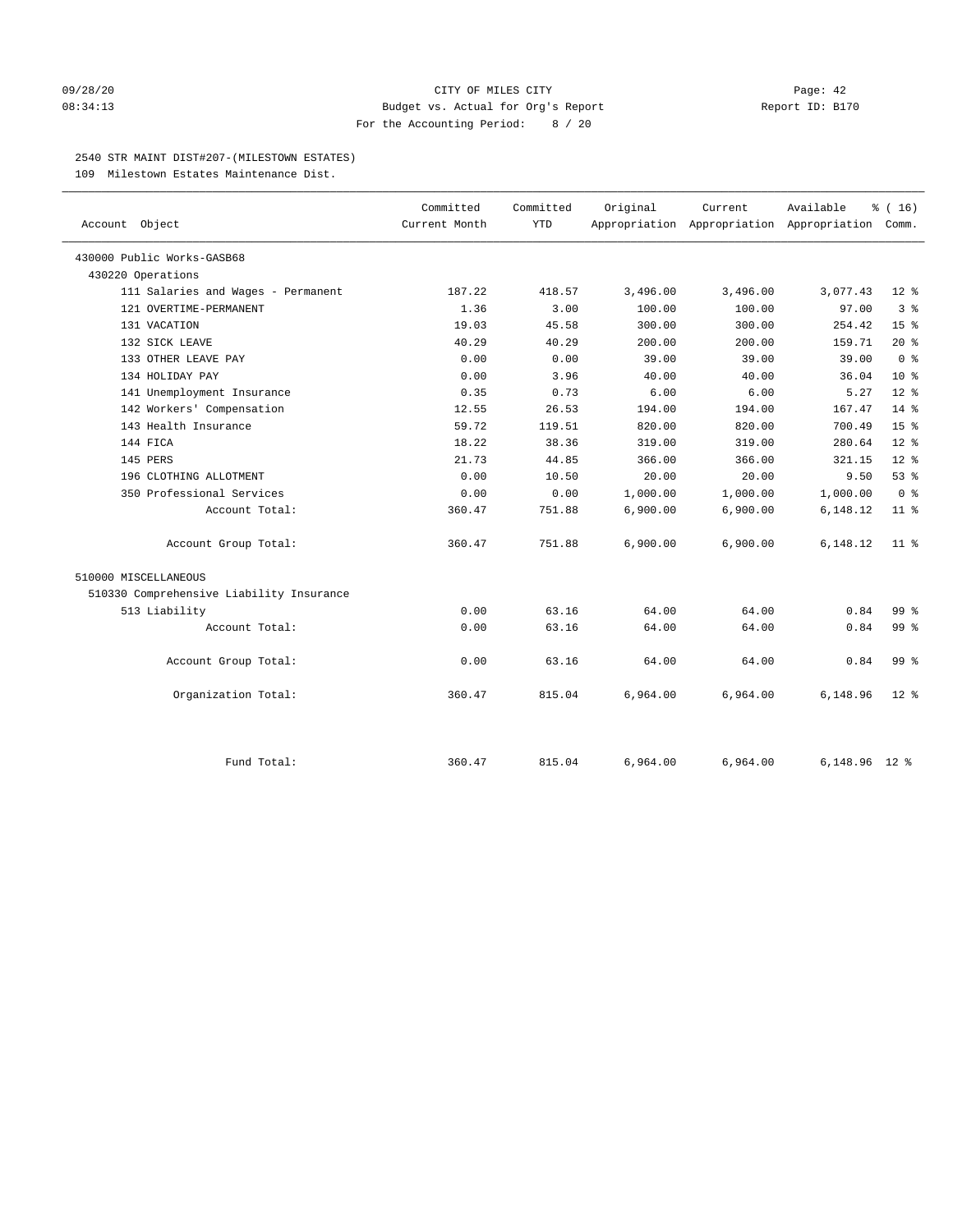#### 09/28/20 Page: 42 08:34:13 Budget vs. Actual for Org's Report Report ID: B170 For the Accounting Period: 8 / 20

#### 2540 STR MAINT DIST#207-(MILESTOWN ESTATES)

109 Milestown Estates Maintenance Dist.

| Account Object                           | Committed<br>Current Month | Committed<br><b>YTD</b> | Original | Current  | Available<br>Appropriation Appropriation Appropriation Comm. | % (16)          |
|------------------------------------------|----------------------------|-------------------------|----------|----------|--------------------------------------------------------------|-----------------|
| 430000 Public Works-GASB68               |                            |                         |          |          |                                                              |                 |
| 430220 Operations                        |                            |                         |          |          |                                                              |                 |
| 111 Salaries and Wages - Permanent       | 187.22                     | 418.57                  | 3,496.00 | 3,496.00 | 3,077.43                                                     | $12$ %          |
| 121 OVERTIME-PERMANENT                   | 1.36                       | 3.00                    | 100.00   | 100.00   | 97.00                                                        | 3 <sup>8</sup>  |
| 131 VACATION                             | 19.03                      | 45.58                   | 300.00   | 300.00   | 254.42                                                       | 15 <sup>8</sup> |
| 132 SICK LEAVE                           | 40.29                      | 40.29                   | 200.00   | 200.00   | 159.71                                                       | $20*$           |
| 133 OTHER LEAVE PAY                      | 0.00                       | 0.00                    | 39.00    | 39.00    | 39.00                                                        | 0 <sup>8</sup>  |
| 134 HOLIDAY PAY                          | 0.00                       | 3.96                    | 40.00    | 40.00    | 36.04                                                        | 10 <sup>8</sup> |
| 141 Unemployment Insurance               | 0.35                       | 0.73                    | 6.00     | 6.00     | 5.27                                                         | $12*$           |
| 142 Workers' Compensation                | 12.55                      | 26.53                   | 194.00   | 194.00   | 167.47                                                       | $14*$           |
| 143 Health Insurance                     | 59.72                      | 119.51                  | 820.00   | 820.00   | 700.49                                                       | 15 <sup>8</sup> |
| 144 FICA                                 | 18.22                      | 38.36                   | 319.00   | 319.00   | 280.64                                                       | $12*$           |
| 145 PERS                                 | 21.73                      | 44.85                   | 366.00   | 366.00   | 321.15                                                       | $12*$           |
| 196 CLOTHING ALLOTMENT                   | 0.00                       | 10.50                   | 20.00    | 20.00    | 9.50                                                         | 53%             |
| 350 Professional Services                | 0.00                       | 0.00                    | 1,000.00 | 1,000.00 | 1,000.00                                                     | 0 <sup>8</sup>  |
| Account Total:                           | 360.47                     | 751.88                  | 6,900.00 | 6,900.00 | 6,148.12                                                     | 11 <sup>8</sup> |
| Account Group Total:                     | 360.47                     | 751.88                  | 6,900.00 | 6,900.00 | 6,148.12                                                     | $11$ %          |
| 510000 MISCELLANEOUS                     |                            |                         |          |          |                                                              |                 |
| 510330 Comprehensive Liability Insurance |                            |                         |          |          |                                                              |                 |
| 513 Liability                            | 0.00                       | 63.16                   | 64.00    | 64.00    | 0.84                                                         | 99.8            |
| Account Total:                           | 0.00                       | 63.16                   | 64.00    | 64.00    | 0.84                                                         | 99 <sub>8</sub> |
| Account Group Total:                     | 0.00                       | 63.16                   | 64.00    | 64.00    | 0.84                                                         | 99 <sup>8</sup> |
| Organization Total:                      | 360.47                     | 815.04                  | 6,964.00 | 6,964.00 | 6,148.96                                                     | $12*$           |
| Fund Total:                              | 360.47                     | 815.04                  | 6,964.00 | 6,964.00 | 6, 148. 96 12 %                                              |                 |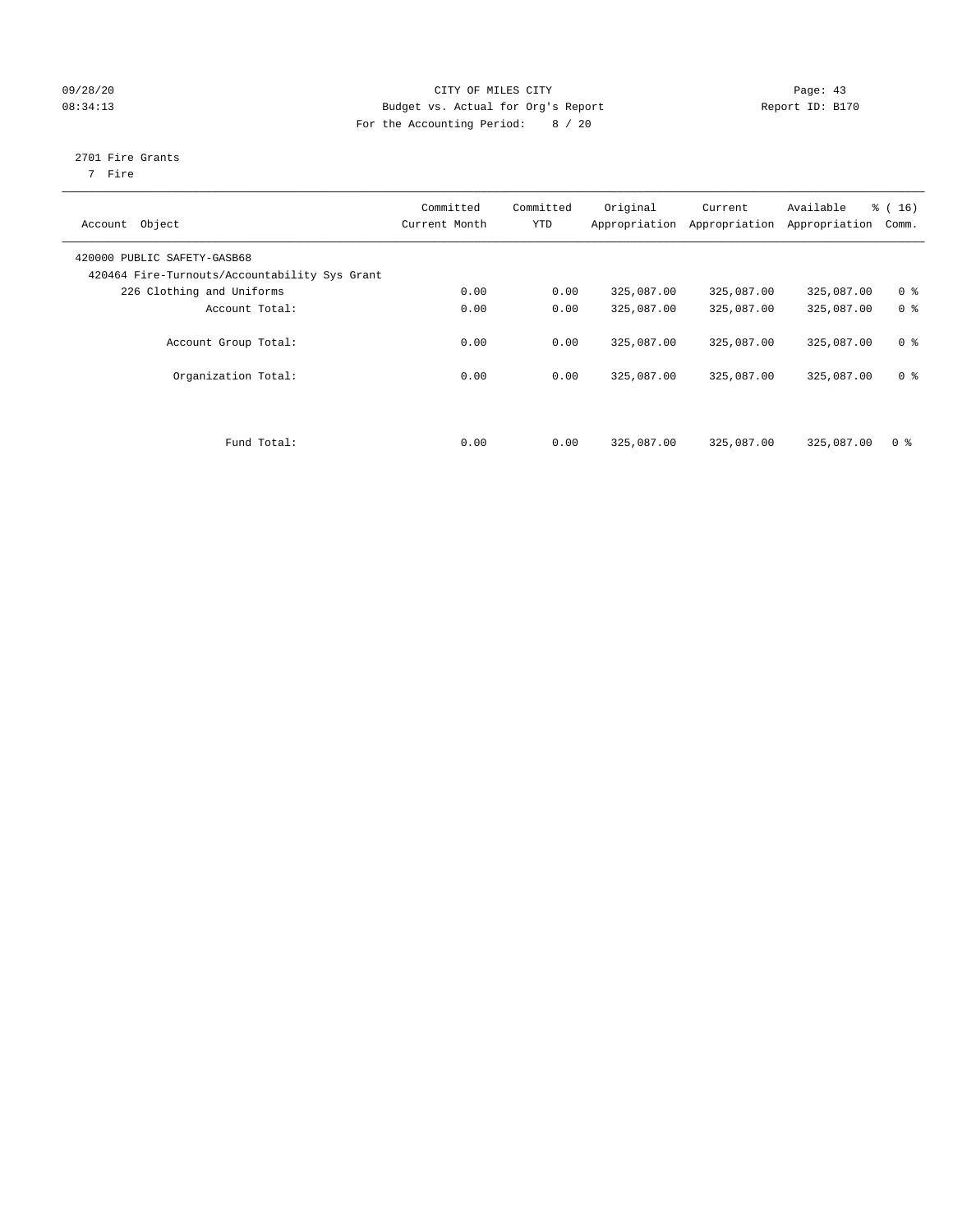#### 09/28/20 Page: 43 08:34:13 Budget vs. Actual for Org's Report Report ID: B170 For the Accounting Period: 8 / 20

## 2701 Fire Grants

7 Fire

| Object<br>Account                                                            | Committed<br>Current Month | Committed<br><b>YTD</b> | Original<br>Appropriation | Current<br>Appropriation | Available<br>Appropriation | % (16)<br>Comm. |
|------------------------------------------------------------------------------|----------------------------|-------------------------|---------------------------|--------------------------|----------------------------|-----------------|
| 420000 PUBLIC SAFETY-GASB68<br>420464 Fire-Turnouts/Accountability Sys Grant |                            |                         |                           |                          |                            |                 |
| 226 Clothing and Uniforms                                                    | 0.00                       | 0.00                    | 325,087.00                | 325,087.00               | 325,087.00                 | 0 <sup>8</sup>  |
| Account Total:                                                               | 0.00                       | 0.00                    | 325,087.00                | 325,087.00               | 325,087.00                 | 0 <sup>8</sup>  |
| Account Group Total:                                                         | 0.00                       | 0.00                    | 325,087.00                | 325,087.00               | 325,087.00                 | 0 <sup>8</sup>  |
| Organization Total:                                                          | 0.00                       | 0.00                    | 325,087.00                | 325,087.00               | 325,087.00                 | 0 <sup>8</sup>  |
| Fund Total:                                                                  | 0.00                       | 0.00                    | 325,087.00                | 325,087.00               | 325,087.00                 | 0 <sup>8</sup>  |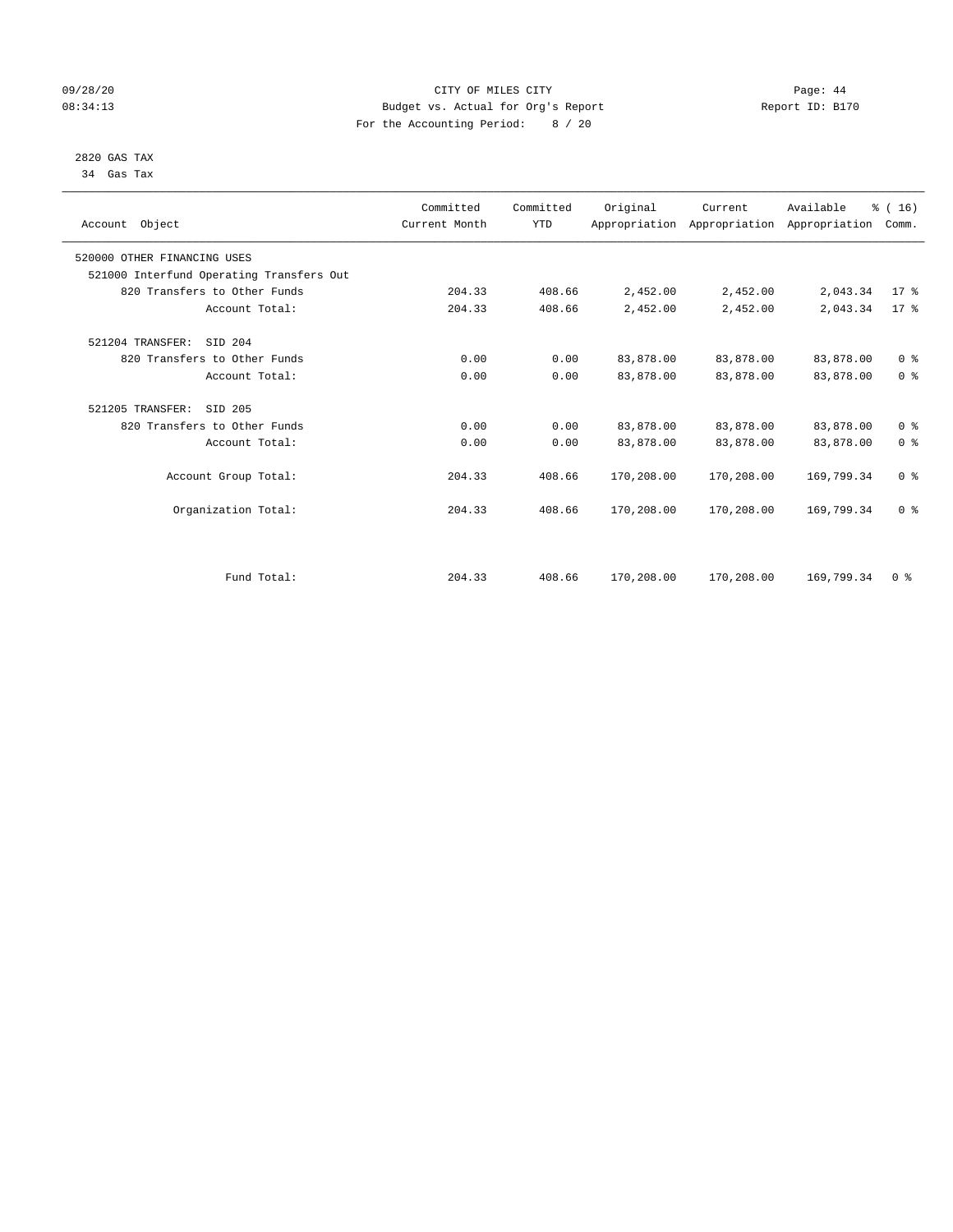#### 09/28/20 Page: 44 08:34:13 Budget vs. Actual for Org's Report Report ID: B170 For the Accounting Period: 8 / 20

 2820 GAS TAX 34 Gas Tax

| Account Object                           | Committed<br>Current Month | Committed<br><b>YTD</b> | Original   | Current<br>Appropriation Appropriation Appropriation | Available  | % (16)<br>Comm. |
|------------------------------------------|----------------------------|-------------------------|------------|------------------------------------------------------|------------|-----------------|
| 520000 OTHER FINANCING USES              |                            |                         |            |                                                      |            |                 |
| 521000 Interfund Operating Transfers Out |                            |                         |            |                                                      |            |                 |
| 820 Transfers to Other Funds             | 204.33                     | 408.66                  | 2,452.00   | 2,452.00                                             | 2,043.34   | $17*$           |
| Account Total:                           | 204.33                     | 408.66                  | 2,452.00   | 2,452.00                                             | 2,043.34   | 17.8            |
| SID 204<br>521204 TRANSFER:              |                            |                         |            |                                                      |            |                 |
| 820 Transfers to Other Funds             | 0.00                       | 0.00                    | 83,878.00  | 83,878.00                                            | 83,878.00  | 0 <sup>8</sup>  |
| Account Total:                           | 0.00                       | 0.00                    | 83,878.00  | 83,878.00                                            | 83,878.00  | 0 <sup>8</sup>  |
| 521205 TRANSFER:<br>SID 205              |                            |                         |            |                                                      |            |                 |
| 820 Transfers to Other Funds             | 0.00                       | 0.00                    | 83,878.00  | 83,878.00                                            | 83,878.00  | 0 <sup>8</sup>  |
| Account Total:                           | 0.00                       | 0.00                    | 83,878.00  | 83,878.00                                            | 83,878.00  | 0 <sup>8</sup>  |
| Account Group Total:                     | 204.33                     | 408.66                  | 170,208.00 | 170,208.00                                           | 169,799.34 | 0 <sup>8</sup>  |
| Organization Total:                      | 204.33                     | 408.66                  | 170,208.00 | 170,208.00                                           | 169,799.34 | 0 <sup>8</sup>  |
|                                          |                            |                         |            |                                                      |            |                 |
| Fund Total:                              | 204.33                     | 408.66                  | 170,208.00 | 170,208.00                                           | 169,799.34 | 0 <sup>8</sup>  |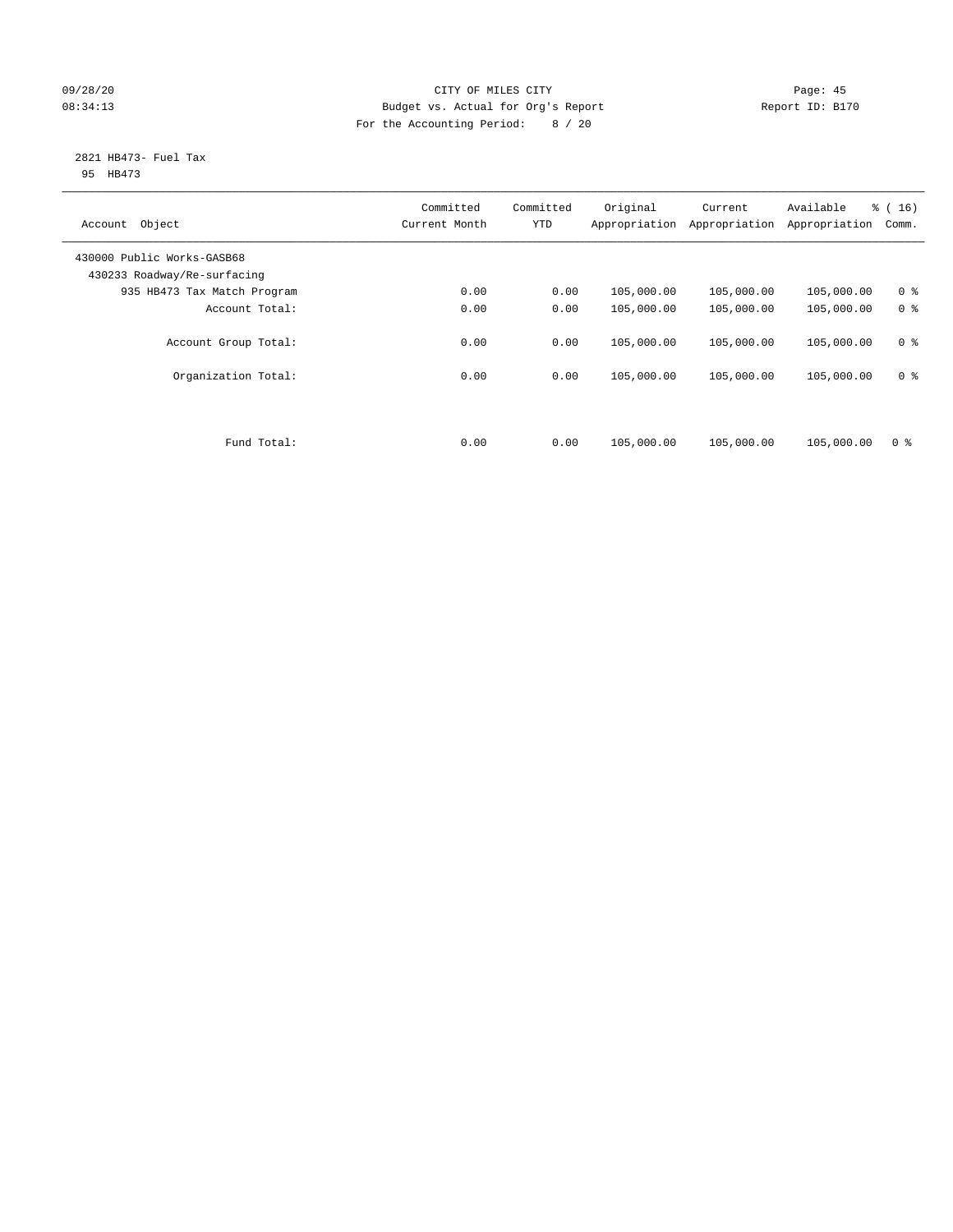#### 09/28/20 Page: 45 08:34:13 Budget vs. Actual for Org's Report Report ID: B170 For the Accounting Period: 8 / 20

#### 2821 HB473- Fuel Tax 95 HB473

| Object<br>Account                                         | Committed<br>Current Month | Committed<br><b>YTD</b> | Original<br>Appropriation | Current<br>Appropriation | Available<br>Appropriation | % (16)<br>Comm. |
|-----------------------------------------------------------|----------------------------|-------------------------|---------------------------|--------------------------|----------------------------|-----------------|
| 430000 Public Works-GASB68<br>430233 Roadway/Re-surfacing |                            |                         |                           |                          |                            |                 |
| 935 HB473 Tax Match Program                               | 0.00                       | 0.00                    | 105,000.00                | 105,000.00               | 105,000.00                 | 0 <sup>8</sup>  |
| Account Total:                                            | 0.00                       | 0.00                    | 105,000.00                | 105,000.00               | 105,000.00                 | 0 <sup>8</sup>  |
| Account Group Total:                                      | 0.00                       | 0.00                    | 105,000.00                | 105,000.00               | 105,000.00                 | 0 <sup>8</sup>  |
| Organization Total:                                       | 0.00                       | 0.00                    | 105,000.00                | 105,000.00               | 105,000.00                 | 0 <sup>8</sup>  |
|                                                           |                            |                         |                           |                          |                            |                 |
| Fund Total:                                               | 0.00                       | 0.00                    | 105,000.00                | 105,000.00               | 105,000.00                 | 0 <sup>8</sup>  |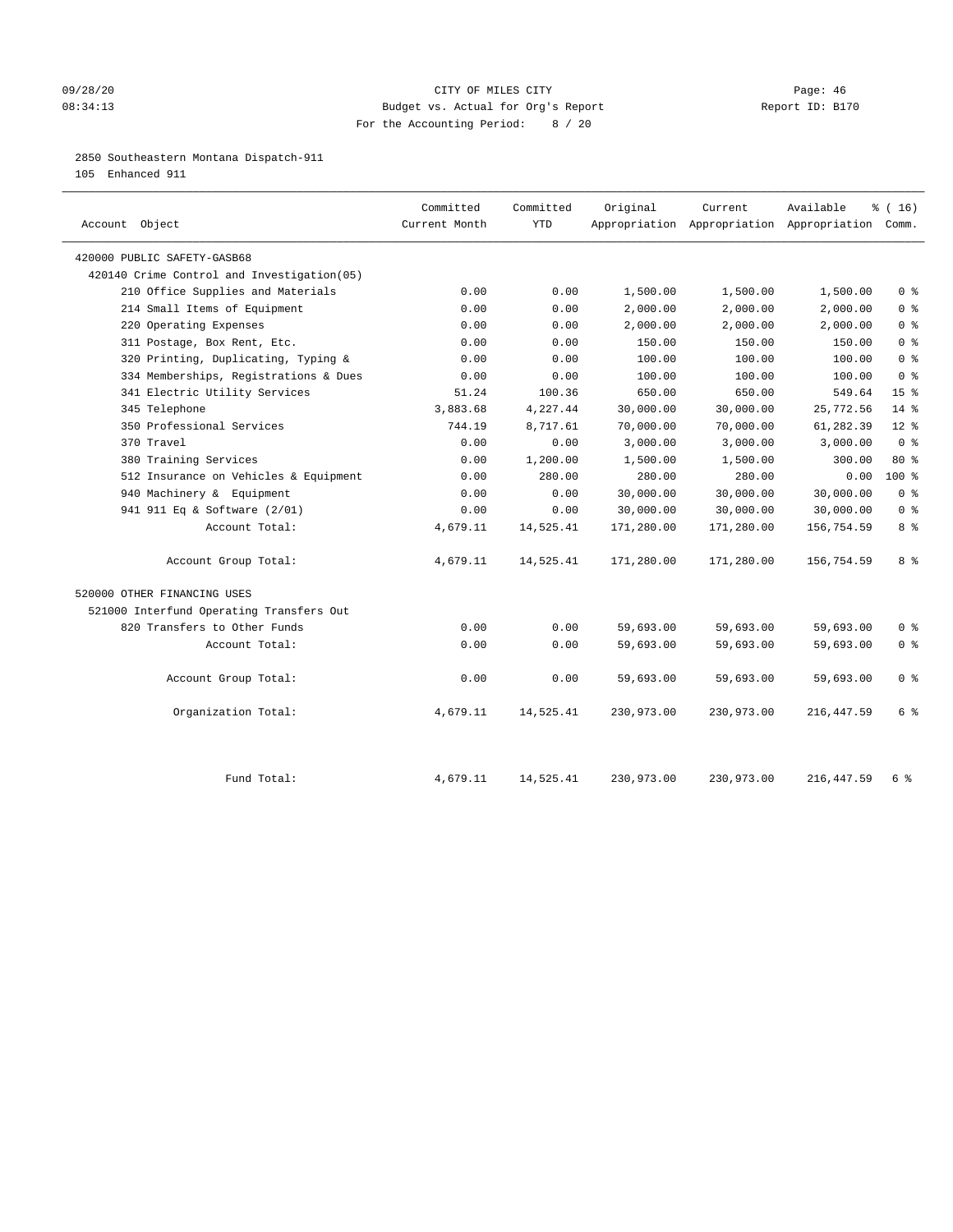#### 09/28/20 Page: 46 08:34:13 Budget vs. Actual for Org's Report Report ID: B170 For the Accounting Period: 8 / 20

2850 Southeastern Montana Dispatch-911

105 Enhanced 911

| Account Object                              | Committed<br>Current Month | Committed<br><b>YTD</b> | Original   | Current<br>Appropriation Appropriation Appropriation Comm. | Available   | % (16)          |
|---------------------------------------------|----------------------------|-------------------------|------------|------------------------------------------------------------|-------------|-----------------|
| 420000 PUBLIC SAFETY-GASB68                 |                            |                         |            |                                                            |             |                 |
| 420140 Crime Control and Investigation (05) |                            |                         |            |                                                            |             |                 |
| 210 Office Supplies and Materials           | 0.00                       | 0.00                    | 1,500.00   | 1,500.00                                                   | 1,500.00    | 0 <sup>8</sup>  |
| 214 Small Items of Equipment                | 0.00                       | 0.00                    | 2,000.00   | 2,000.00                                                   | 2,000.00    | 0 <sup>8</sup>  |
| 220 Operating Expenses                      | 0.00                       | 0.00                    | 2,000.00   | 2,000.00                                                   | 2,000.00    | 0 <sup>8</sup>  |
| 311 Postage, Box Rent, Etc.                 | 0.00                       | 0.00                    | 150.00     | 150.00                                                     | 150.00      | 0 <sup>8</sup>  |
| 320 Printing, Duplicating, Typing &         | 0.00                       | 0.00                    | 100.00     | 100.00                                                     | 100.00      | 0 <sup>8</sup>  |
| 334 Memberships, Registrations & Dues       | 0.00                       | 0.00                    | 100.00     | 100.00                                                     | 100.00      | 0 <sup>8</sup>  |
| 341 Electric Utility Services               | 51.24                      | 100.36                  | 650.00     | 650.00                                                     | 549.64      | 15 <sup>°</sup> |
| 345 Telephone                               | 3,883.68                   | 4,227.44                | 30,000.00  | 30,000.00                                                  | 25,772.56   | $14*$           |
| 350 Professional Services                   | 744.19                     | 8,717.61                | 70,000.00  | 70,000.00                                                  | 61,282.39   | $12*$           |
| 370 Travel                                  | 0.00                       | 0.00                    | 3,000.00   | 3,000.00                                                   | 3,000.00    | 0 <sup>8</sup>  |
| 380 Training Services                       | 0.00                       | 1,200.00                | 1,500.00   | 1,500.00                                                   | 300.00      | 80 %            |
| 512 Insurance on Vehicles & Equipment       | 0.00                       | 280.00                  | 280.00     | 280.00                                                     | 0.00        | $100*$          |
| 940 Machinery & Equipment                   | 0.00                       | 0.00                    | 30,000.00  | 30,000.00                                                  | 30,000.00   | 0 <sup>8</sup>  |
| 941 911 Eq & Software (2/01)                | 0.00                       | 0.00                    | 30,000.00  | 30,000.00                                                  | 30,000.00   | 0 <sup>8</sup>  |
| Account Total:                              | 4,679.11                   | 14,525.41               | 171,280.00 | 171,280.00                                                 | 156,754.59  | 8%              |
| Account Group Total:                        | 4,679.11                   | 14,525.41               | 171,280.00 | 171,280.00                                                 | 156,754.59  | 8 %             |
| 520000 OTHER FINANCING USES                 |                            |                         |            |                                                            |             |                 |
| 521000 Interfund Operating Transfers Out    |                            |                         |            |                                                            |             |                 |
| 820 Transfers to Other Funds                | 0.00                       | 0.00                    | 59,693.00  | 59,693.00                                                  | 59,693.00   | 0 <sup>8</sup>  |
| Account Total:                              | 0.00                       | 0.00                    | 59,693.00  | 59,693.00                                                  | 59,693.00   | 0 <sup>8</sup>  |
| Account Group Total:                        | 0.00                       | 0.00                    | 59,693.00  | 59,693.00                                                  | 59,693.00   | 0 <sup>8</sup>  |
| Organization Total:                         | 4,679.11                   | 14,525.41               | 230,973.00 | 230,973.00                                                 | 216,447.59  | 6 %             |
| Fund Total:                                 | 4,679.11                   | 14,525.41               | 230,973.00 | 230,973.00                                                 | 216, 447.59 | 6 %             |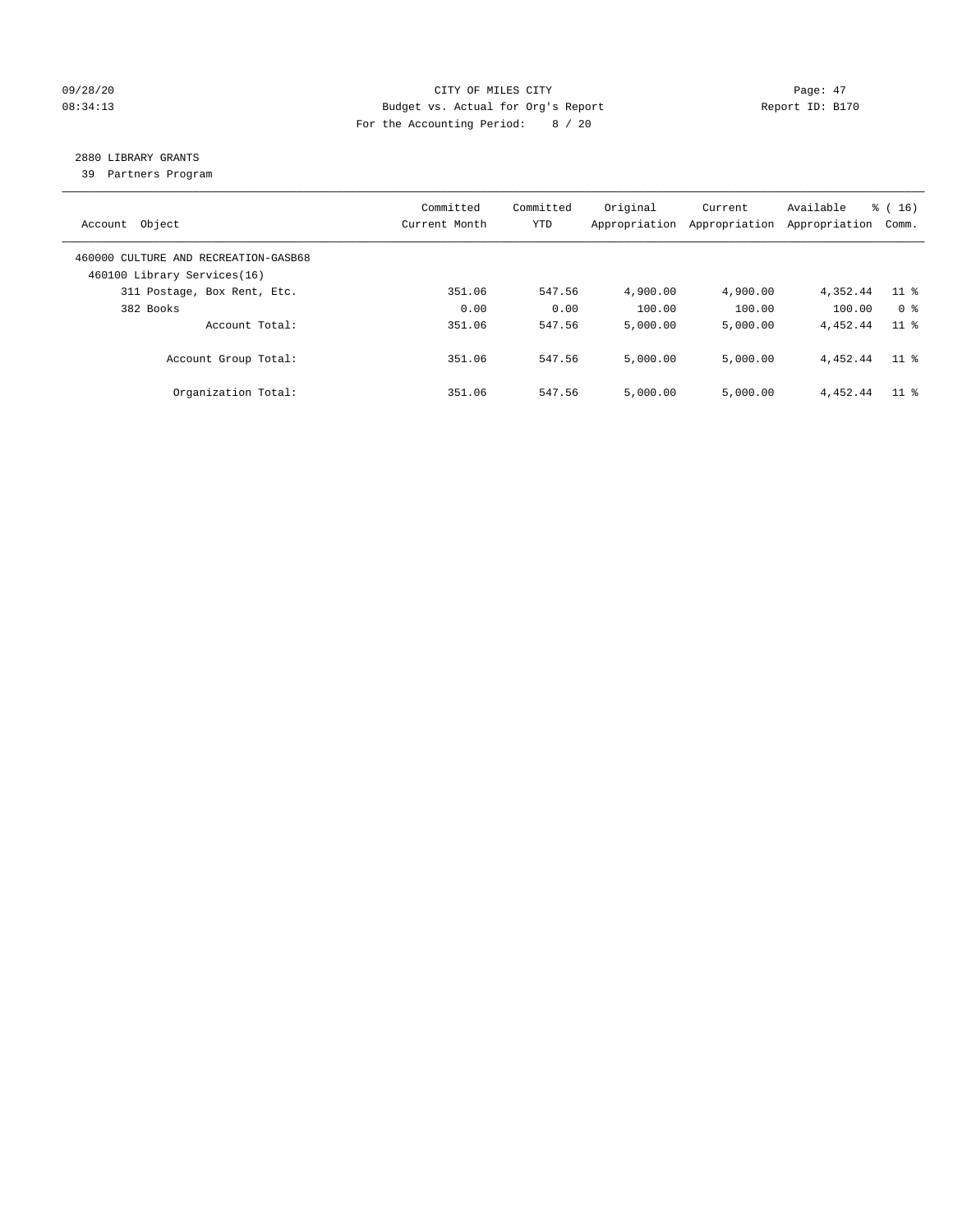#### 09/28/20 Page: 47 08:34:13 Budget vs. Actual for Org's Report Report ID: B170 For the Accounting Period: 8 / 20

## 2880 LIBRARY GRANTS

39 Partners Program

| Account Object                                                      | Committed<br>Current Month | Committed<br><b>YTD</b> | Original<br>Appropriation | Current<br>Appropriation | Available<br>Appropriation | % (16)<br>Comm. |
|---------------------------------------------------------------------|----------------------------|-------------------------|---------------------------|--------------------------|----------------------------|-----------------|
| 460000 CULTURE AND RECREATION-GASB68<br>460100 Library Services(16) |                            |                         |                           |                          |                            |                 |
| 311 Postage, Box Rent, Etc.                                         | 351.06                     | 547.56                  | 4,900.00                  | 4,900.00                 | 4,352.44                   | $11$ %          |
| 382 Books                                                           | 0.00                       | 0.00                    | 100.00                    | 100.00                   | 100.00                     | 0 <sup>8</sup>  |
| Account Total:                                                      | 351.06                     | 547.56                  | 5,000.00                  | 5,000.00                 | 4,452.44                   | $11$ %          |
| Account Group Total:                                                | 351.06                     | 547.56                  | 5,000.00                  | 5,000.00                 | 4.452.44                   | 11 <sup>8</sup> |
| Organization Total:                                                 | 351.06                     | 547.56                  | 5.000.00                  | 5,000.00                 | 4,452.44                   | $11$ %          |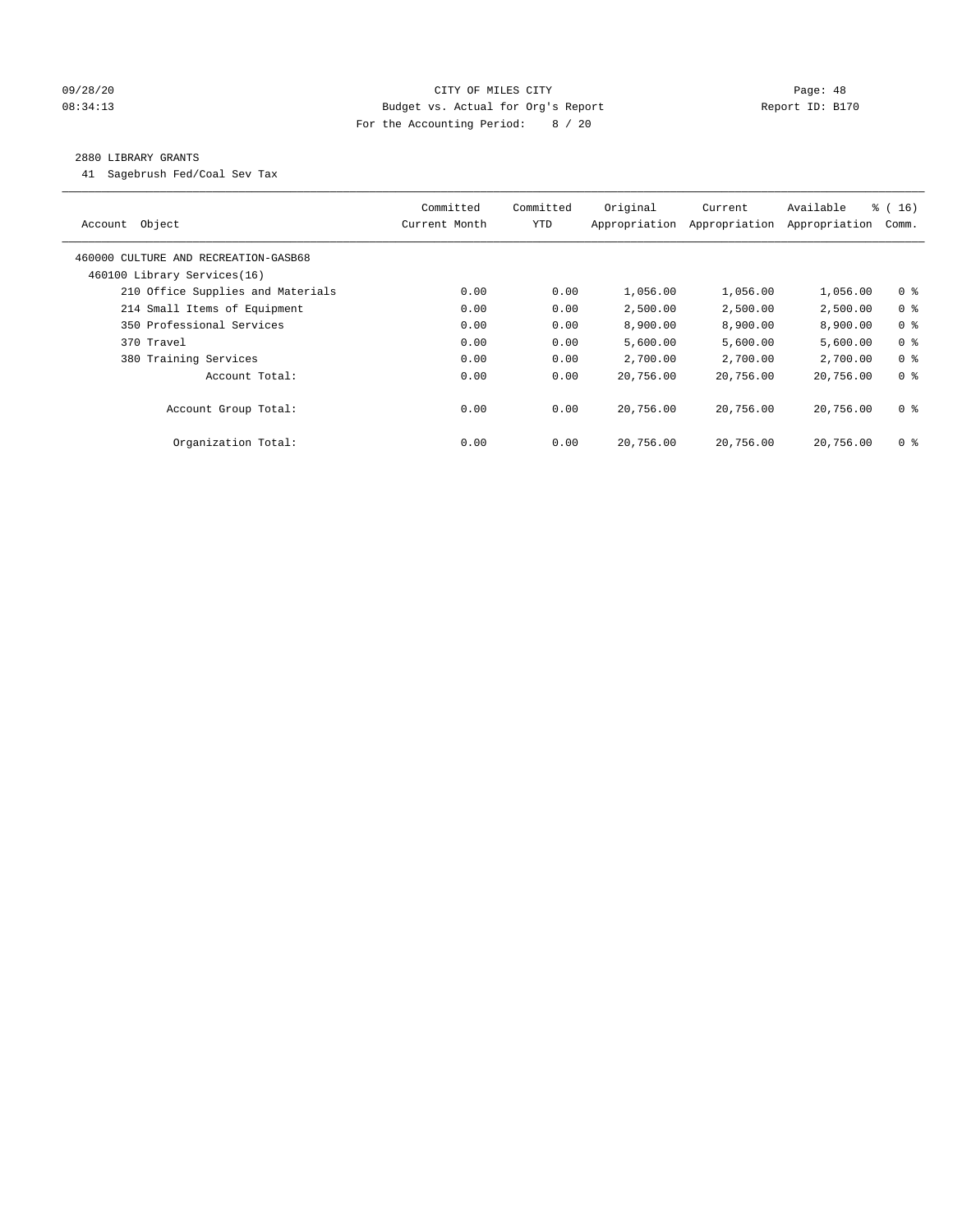#### 09/28/20 Page: 48 08:34:13 Budget vs. Actual for Org's Report Report ID: B170 For the Accounting Period: 8 / 20

#### 2880 LIBRARY GRANTS

41 Sagebrush Fed/Coal Sev Tax

| Object<br>Account                    | Committed<br>Current Month | Committed<br><b>YTD</b> | Original<br>Appropriation | Current<br>Appropriation | Available<br>Appropriation | $\frac{1}{6}$ ( 16 )<br>Comm. |
|--------------------------------------|----------------------------|-------------------------|---------------------------|--------------------------|----------------------------|-------------------------------|
| 460000 CULTURE AND RECREATION-GASB68 |                            |                         |                           |                          |                            |                               |
| 460100 Library Services(16)          |                            |                         |                           |                          |                            |                               |
| 210 Office Supplies and Materials    | 0.00                       | 0.00                    | 1,056.00                  | 1,056.00                 | 1,056.00                   | 0 <sub>8</sub>                |
| 214 Small Items of Equipment         | 0.00                       | 0.00                    | 2,500.00                  | 2,500.00                 | 2,500.00                   | 0 <sup>8</sup>                |
| 350 Professional Services            | 0.00                       | 0.00                    | 8,900.00                  | 8,900.00                 | 8,900.00                   | 0 <sup>8</sup>                |
| 370 Travel                           | 0.00                       | 0.00                    | 5,600.00                  | 5,600.00                 | 5,600.00                   | 0 <sup>8</sup>                |
| 380 Training Services                | 0.00                       | 0.00                    | 2,700.00                  | 2,700.00                 | 2,700.00                   | 0 <sup>8</sup>                |
| Account Total:                       | 0.00                       | 0.00                    | 20,756.00                 | 20,756.00                | 20,756.00                  | 0 <sup>8</sup>                |
| Account Group Total:                 | 0.00                       | 0.00                    | 20,756.00                 | 20,756.00                | 20,756.00                  | 0 <sup>8</sup>                |
| Organization Total:                  | 0.00                       | 0.00                    | 20,756.00                 | 20,756.00                | 20,756.00                  | 0 %                           |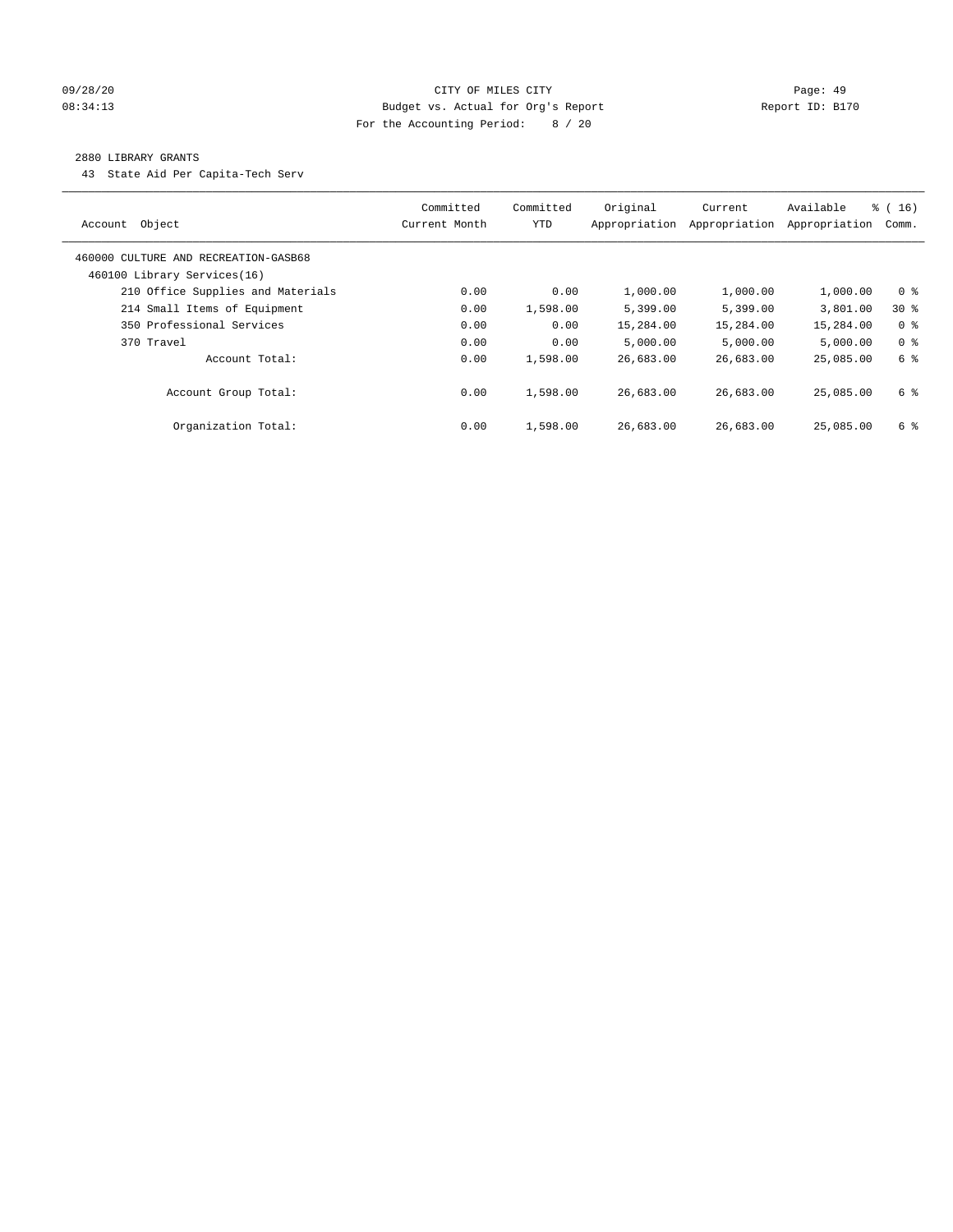#### 09/28/20 Page: 49 08:34:13 Budget vs. Actual for Org's Report Report ID: B170 For the Accounting Period: 8 / 20

#### 2880 LIBRARY GRANTS

43 State Aid Per Capita-Tech Serv

| Object<br>Account                                                   | Committed<br>Current Month | Committed<br><b>YTD</b> | Original<br>Appropriation | Current<br>Appropriation | Available<br>Appropriation | % (16)<br>Comm. |
|---------------------------------------------------------------------|----------------------------|-------------------------|---------------------------|--------------------------|----------------------------|-----------------|
| 460000 CULTURE AND RECREATION-GASB68<br>460100 Library Services(16) |                            |                         |                           |                          |                            |                 |
| 210 Office Supplies and Materials                                   | 0.00                       | 0.00                    | 1,000.00                  | 1,000.00                 | 1,000.00                   | 0 <sup>8</sup>  |
| 214 Small Items of Equipment                                        | 0.00                       | 1,598.00                | 5,399.00                  | 5,399.00                 | 3,801.00                   | $30*$           |
| 350 Professional Services                                           | 0.00                       | 0.00                    | 15,284.00                 | 15,284.00                | 15,284.00                  | 0 <sup>8</sup>  |
| 370 Travel                                                          | 0.00                       | 0.00                    | 5.000.00                  | 5,000.00                 | 5.000.00                   | 0 <sup>8</sup>  |
| Account Total:                                                      | 0.00                       | 1,598.00                | 26,683.00                 | 26,683.00                | 25,085.00                  | 6 %             |
| Account Group Total:                                                | 0.00                       | 1,598.00                | 26,683.00                 | 26,683.00                | 25,085,00                  | 6 %             |
| Organization Total:                                                 | 0.00                       | 1,598.00                | 26,683.00                 | 26,683.00                | 25,085,00                  | 6 %             |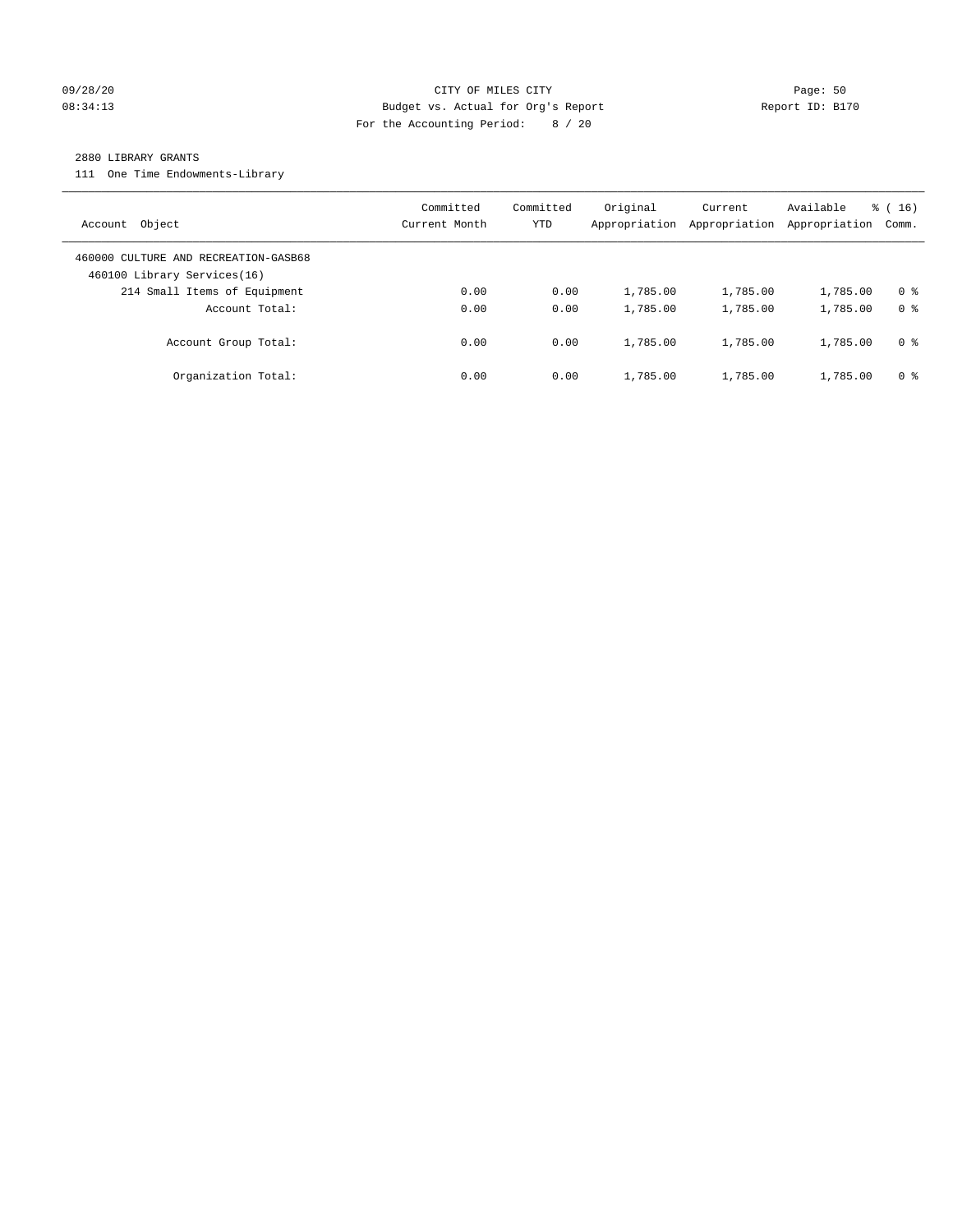#### 09/28/20 Page: 50 08:34:13 Budget vs. Actual for Org's Report Report ID: B170 For the Accounting Period: 8 / 20

#### 2880 LIBRARY GRANTS

111 One Time Endowments-Library

| Object<br>Account                                                   | Committed<br>Current Month | Committed<br>YTD | Original<br>Appropriation | Current<br>Appropriation | Available<br>Appropriation | % (16)<br>Comm. |
|---------------------------------------------------------------------|----------------------------|------------------|---------------------------|--------------------------|----------------------------|-----------------|
| 460000 CULTURE AND RECREATION-GASB68<br>460100 Library Services(16) |                            |                  |                           |                          |                            |                 |
| 214 Small Items of Equipment                                        | 0.00                       | 0.00             | 1,785.00                  | 1,785.00                 | 1,785.00                   | 0 <sup>8</sup>  |
| Account Total:                                                      | 0.00                       | 0.00             | 1,785.00                  | 1,785.00                 | 1,785.00                   | 0 <sup>8</sup>  |
| Account Group Total:                                                | 0.00                       | 0.00             | 1,785.00                  | 1,785.00                 | 1,785.00                   | 0 <sup>8</sup>  |
| Organization Total:                                                 | 0.00                       | 0.00             | 1,785.00                  | 1,785.00                 | 1,785.00                   | 0 %             |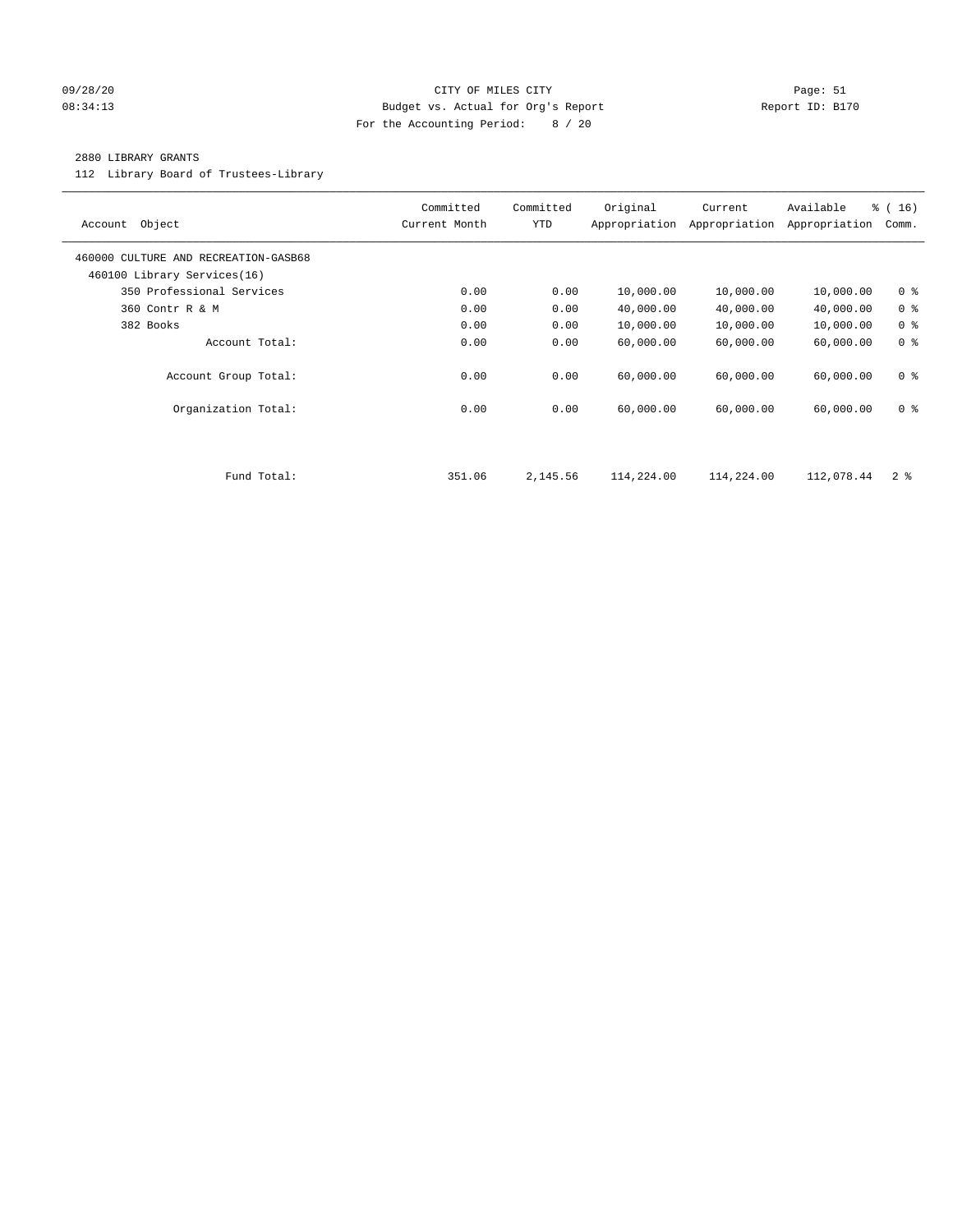#### 09/28/20 Page: 51 CITY OF MILES CITY CONTROL CONTROL Page: 51 08:34:13 Budget vs. Actual for Org's Report Communication Report ID: B170 For the Accounting Period: 8 / 20

#### 2880 LIBRARY GRANTS

112 Library Board of Trustees-Library

| Object<br>Account                                                   | Committed<br>Current Month | Committed<br><b>YTD</b> | Original<br>Appropriation | Current<br>Appropriation | Available<br>Appropriation | % (16)<br>Comm. |
|---------------------------------------------------------------------|----------------------------|-------------------------|---------------------------|--------------------------|----------------------------|-----------------|
| 460000 CULTURE AND RECREATION-GASB68<br>460100 Library Services(16) |                            |                         |                           |                          |                            |                 |
| 350 Professional Services                                           | 0.00                       | 0.00                    | 10,000.00                 | 10,000.00                | 10,000.00                  | 0 <sup>8</sup>  |
| 360 Contr R & M                                                     | 0.00                       | 0.00                    | 40,000.00                 | 40,000.00                | 40,000.00                  | 0 <sup>8</sup>  |
| 382 Books                                                           | 0.00                       | 0.00                    | 10,000.00                 | 10,000.00                | 10,000.00                  | 0 <sup>8</sup>  |
| Account Total:                                                      | 0.00                       | 0.00                    | 60,000.00                 | 60,000.00                | 60,000.00                  | 0 <sup>8</sup>  |
| Account Group Total:                                                | 0.00                       | 0.00                    | 60,000.00                 | 60,000.00                | 60,000.00                  | 0 <sup>8</sup>  |
| Organization Total:                                                 | 0.00                       | 0.00                    | 60,000.00                 | 60,000.00                | 60,000.00                  | 0 <sup>8</sup>  |
|                                                                     |                            |                         |                           |                          |                            |                 |
| Fund Total:                                                         | 351.06                     | 2,145.56                | 114,224.00                | 114,224.00               | 112,078.44                 | 2 <sup>8</sup>  |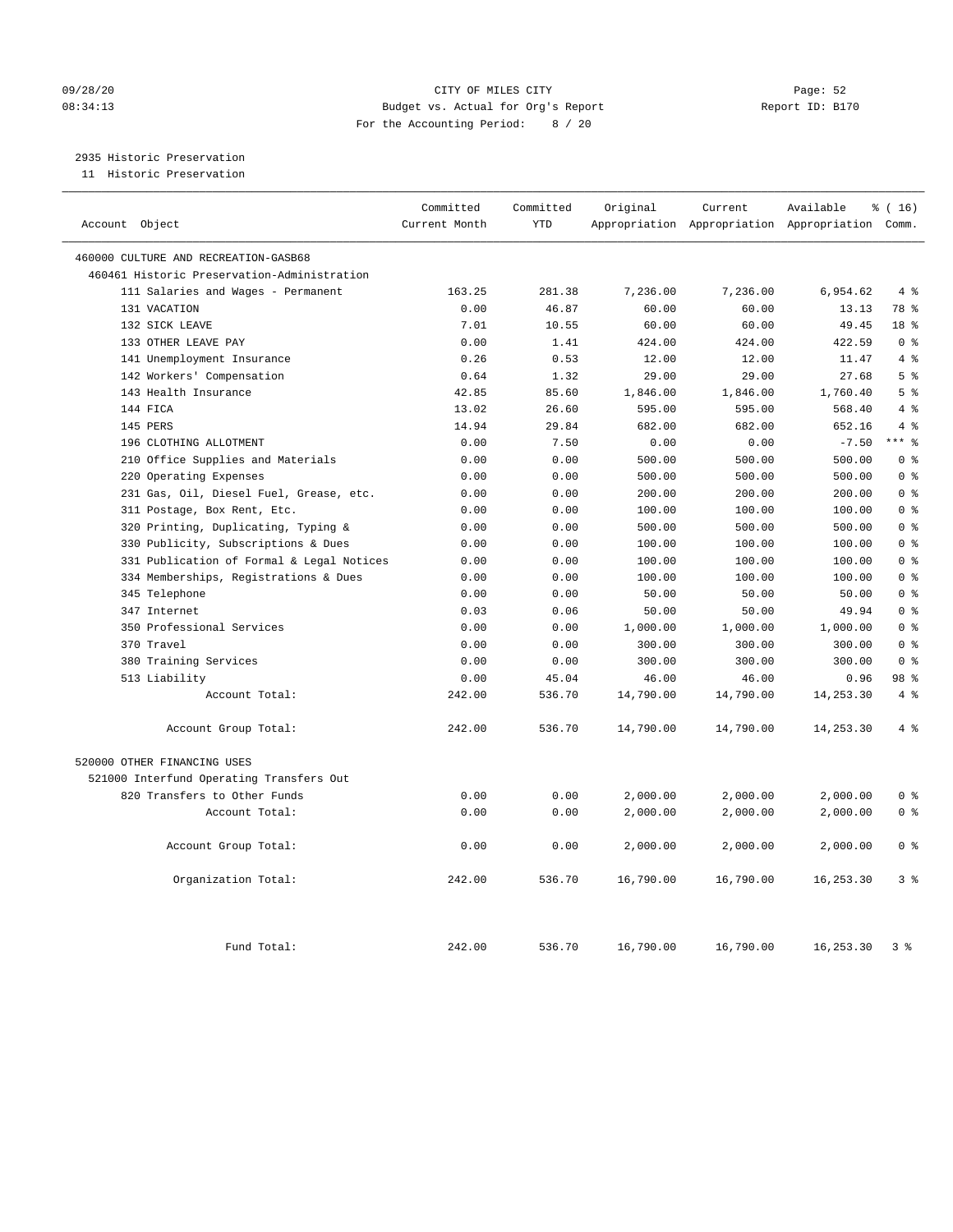#### 09/28/20 Page: 52 08:34:13 Budget vs. Actual for Org's Report Report ID: B170 For the Accounting Period: 8 / 20

2935 Historic Preservation

11 Historic Preservation

| Account Object                              | Committed<br>Current Month | Committed<br><b>YTD</b> | Original  | Current<br>Appropriation Appropriation Appropriation Comm. | Available  | % (16)         |
|---------------------------------------------|----------------------------|-------------------------|-----------|------------------------------------------------------------|------------|----------------|
| 460000 CULTURE AND RECREATION-GASB68        |                            |                         |           |                                                            |            |                |
| 460461 Historic Preservation-Administration |                            |                         |           |                                                            |            |                |
| 111 Salaries and Wages - Permanent          | 163.25                     | 281.38                  | 7,236.00  | 7,236.00                                                   | 6,954.62   | 4%             |
| 131 VACATION                                | 0.00                       | 46.87                   | 60.00     | 60.00                                                      | 13.13      | 78 %           |
| 132 SICK LEAVE                              | 7.01                       | 10.55                   | 60.00     | 60.00                                                      | 49.45      | 18 %           |
| 133 OTHER LEAVE PAY                         | 0.00                       | 1.41                    | 424.00    | 424.00                                                     | 422.59     | 0 <sup>8</sup> |
| 141 Unemployment Insurance                  | 0.26                       | 0.53                    | 12.00     | 12.00                                                      | 11.47      | 4%             |
| 142 Workers' Compensation                   | 0.64                       | 1.32                    | 29.00     | 29.00                                                      | 27.68      | 5 <sup>°</sup> |
| 143 Health Insurance                        | 42.85                      | 85.60                   | 1,846.00  | 1,846.00                                                   | 1,760.40   | 5 <sup>8</sup> |
| 144 FICA                                    | 13.02                      | 26.60                   | 595.00    | 595.00                                                     | 568.40     | $4\degree$     |
| 145 PERS                                    | 14.94                      | 29.84                   | 682.00    | 682.00                                                     | 652.16     | 4%             |
| 196 CLOTHING ALLOTMENT                      | 0.00                       | 7.50                    | 0.00      | 0.00                                                       | $-7.50$    | $***$ $_{8}$   |
| 210 Office Supplies and Materials           | 0.00                       | 0.00                    | 500.00    | 500.00                                                     | 500.00     | 0 <sup>8</sup> |
| 220 Operating Expenses                      | 0.00                       | 0.00                    | 500.00    | 500.00                                                     | 500.00     | 0 <sup>8</sup> |
| 231 Gas, Oil, Diesel Fuel, Grease, etc.     | 0.00                       | 0.00                    | 200.00    | 200.00                                                     | 200.00     | 0 <sup>8</sup> |
| 311 Postage, Box Rent, Etc.                 | 0.00                       | 0.00                    | 100.00    | 100.00                                                     | 100.00     | 0 <sup>8</sup> |
| 320 Printing, Duplicating, Typing &         | 0.00                       | 0.00                    | 500.00    | 500.00                                                     | 500.00     | 0 <sup>8</sup> |
| 330 Publicity, Subscriptions & Dues         | 0.00                       | 0.00                    | 100.00    | 100.00                                                     | 100.00     | 0 <sup>8</sup> |
| 331 Publication of Formal & Legal Notices   | 0.00                       | 0.00                    | 100.00    | 100.00                                                     | 100.00     | 0 <sup>8</sup> |
| 334 Memberships, Registrations & Dues       | 0.00                       | 0.00                    | 100.00    | 100.00                                                     | 100.00     | 0 <sup>8</sup> |
| 345 Telephone                               | 0.00                       | 0.00                    | 50.00     | 50.00                                                      | 50.00      | 0 <sup>8</sup> |
| 347 Internet                                | 0.03                       | 0.06                    | 50.00     | 50.00                                                      | 49.94      | 0 <sup>8</sup> |
| 350 Professional Services                   | 0.00                       | 0.00                    | 1,000.00  | 1,000.00                                                   | 1,000.00   | 0 <sup>8</sup> |
| 370 Travel                                  | 0.00                       | 0.00                    | 300.00    | 300.00                                                     | 300.00     | 0 <sup>8</sup> |
| 380 Training Services                       | 0.00                       | 0.00                    | 300.00    | 300.00                                                     | 300.00     | 0 <sup>8</sup> |
| 513 Liability                               | 0.00                       | 45.04                   | 46.00     | 46.00                                                      | 0.96       | 98 %           |
| Account Total:                              | 242.00                     | 536.70                  | 14,790.00 | 14,790.00                                                  | 14,253.30  | 4%             |
| Account Group Total:                        | 242.00                     | 536.70                  | 14,790.00 | 14,790.00                                                  | 14,253.30  | 4%             |
| 520000 OTHER FINANCING USES                 |                            |                         |           |                                                            |            |                |
| 521000 Interfund Operating Transfers Out    |                            |                         |           |                                                            |            |                |
| 820 Transfers to Other Funds                | 0.00                       | 0.00                    | 2,000.00  | 2,000.00                                                   | 2,000.00   | 0 <sup>8</sup> |
| Account Total:                              | 0.00                       | 0.00                    | 2,000.00  | 2,000.00                                                   | 2,000.00   | 0 <sup>8</sup> |
| Account Group Total:                        | 0.00                       | 0.00                    | 2,000.00  | 2,000.00                                                   | 2,000.00   | 0 <sup>8</sup> |
| Organization Total:                         | 242.00                     | 536.70                  | 16,790.00 | 16,790.00                                                  | 16, 253.30 | 3 <sup>8</sup> |
| Fund Total:                                 | 242.00                     | 536.70                  | 16,790.00 | 16,790.00                                                  | 16,253.30  | 3 %            |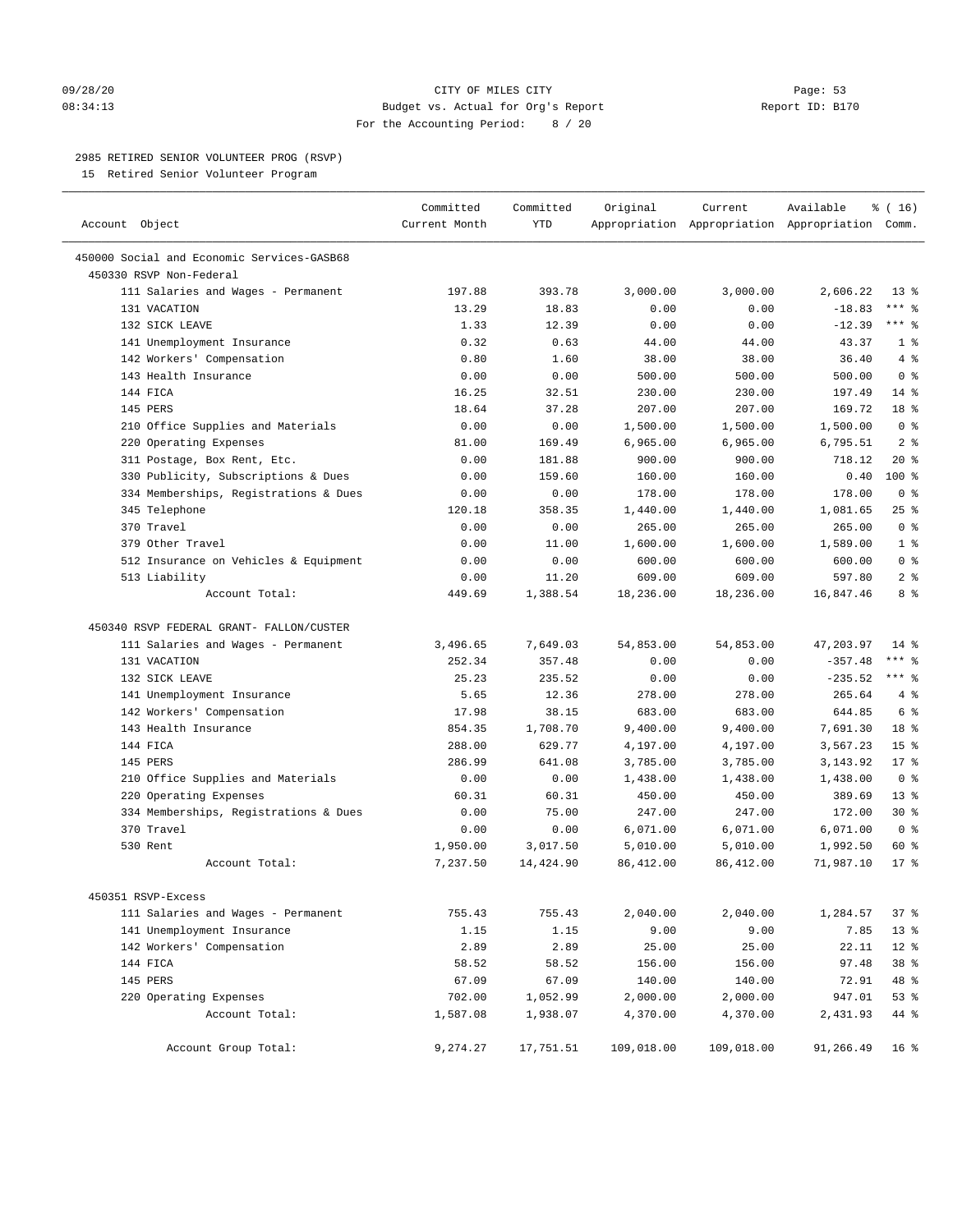#### 09/28/20 Page: 53 08:34:13 Budget vs. Actual for Org's Report Report ID: B170 For the Accounting Period: 8 / 20

————————————————————————————————————————————————————————————————————————————————————————————————————————————————————————————————————

### 2985 RETIRED SENIOR VOLUNTEER PROG (RSVP)

15 Retired Senior Volunteer Program

|                                                     | Committed     | Committed | Original   | Current    | Available                                       | % (16)          |
|-----------------------------------------------------|---------------|-----------|------------|------------|-------------------------------------------------|-----------------|
| Account Object                                      | Current Month | YTD       |            |            | Appropriation Appropriation Appropriation Comm. |                 |
| 450000 Social and Economic Services-GASB68          |               |           |            |            |                                                 |                 |
| 450330 RSVP Non-Federal                             |               |           |            |            |                                                 |                 |
| 111 Salaries and Wages - Permanent                  | 197.88        | 393.78    | 3,000.00   | 3,000.00   | 2,606.22                                        | $13*$           |
| 131 VACATION                                        | 13.29         | 18.83     | 0.00       | 0.00       | $-18.83$                                        | $***$ $-$       |
| 132 SICK LEAVE                                      | 1.33          | 12.39     | 0.00       | 0.00       | $-12.39$                                        | $***$ $%$       |
| 141 Unemployment Insurance                          | 0.32          | 0.63      | 44.00      | 44.00      | 43.37                                           | 1 <sup>°</sup>  |
| 142 Workers' Compensation                           | 0.80          | 1.60      | 38.00      | 38.00      | 36.40                                           | 4%              |
| 143 Health Insurance                                |               | 0.00      | 500.00     | 500.00     | 500.00                                          | 0 <sup>8</sup>  |
| 144 FICA                                            | 0.00<br>16.25 | 32.51     | 230.00     | 230.00     | 197.49                                          | $14*$           |
| 145 PERS                                            | 18.64         | 37.28     | 207.00     | 207.00     | 169.72                                          | 18 <sup>8</sup> |
|                                                     |               |           |            |            |                                                 |                 |
| 210 Office Supplies and Materials                   | 0.00          | 0.00      | 1,500.00   | 1,500.00   | 1,500.00                                        | 0 <sup>8</sup>  |
| 220 Operating Expenses                              | 81.00         | 169.49    | 6,965.00   | 6,965.00   | 6,795.51                                        | 2 <sup>°</sup>  |
| 311 Postage, Box Rent, Etc.                         | 0.00          | 181.88    | 900.00     | 900.00     | 718.12                                          | $20*$           |
| 330 Publicity, Subscriptions & Dues                 | 0.00          | 159.60    | 160.00     | 160.00     | 0.40                                            | 100 %           |
| 334 Memberships, Registrations & Dues               | 0.00          | 0.00      | 178.00     | 178.00     | 178.00                                          | 0 <sup>8</sup>  |
| 345 Telephone                                       | 120.18        | 358.35    | 1,440.00   | 1,440.00   | 1,081.65                                        | $25$ %          |
| 370 Travel                                          | 0.00          | 0.00      | 265.00     | 265.00     | 265.00                                          | 0 <sup>8</sup>  |
| 379 Other Travel                                    | 0.00          | 11.00     | 1,600.00   | 1,600.00   | 1,589.00                                        | 1 <sup>°</sup>  |
| 512 Insurance on Vehicles & Equipment               | 0.00          | 0.00      | 600.00     | 600.00     | 600.00                                          | 0 <sup>8</sup>  |
| 513 Liability                                       | 0.00          | 11.20     | 609.00     | 609.00     | 597.80                                          | 2 <sup>8</sup>  |
| Account Total:                                      | 449.69        | 1,388.54  | 18,236.00  | 18,236.00  | 16,847.46                                       | 8%              |
| 450340 RSVP FEDERAL GRANT- FALLON/CUSTER            |               |           |            |            |                                                 |                 |
| 111 Salaries and Wages - Permanent                  | 3,496.65      | 7,649.03  | 54,853.00  | 54,853.00  | 47,203.97                                       | $14$ %          |
| 131 VACATION                                        | 252.34        | 357.48    | 0.00       | 0.00       | $-357.48$                                       | $***$ $_{8}$    |
| 132 SICK LEAVE                                      | 25.23         | 235.52    | 0.00       | 0.00       | $-235.52$                                       | $***$ 8         |
| 141 Unemployment Insurance                          | 5.65          | 12.36     | 278.00     | 278.00     | 265.64                                          | 4%              |
| 142 Workers' Compensation                           | 17.98         | 38.15     | 683.00     | 683.00     | 644.85                                          | 6 %             |
| 143 Health Insurance                                | 854.35        | 1,708.70  | 9,400.00   | 9,400.00   | 7,691.30                                        | 18 %            |
| 144 FICA                                            | 288.00        | 629.77    | 4,197.00   | 4,197.00   | 3,567.23                                        | 15 <sup>°</sup> |
| 145 PERS                                            | 286.99        | 641.08    | 3,785.00   | 3,785.00   | 3,143.92                                        | $17*$           |
| 210 Office Supplies and Materials                   | 0.00          | 0.00      | 1,438.00   | 1,438.00   | 1,438.00                                        | 0 <sup>8</sup>  |
|                                                     |               | 60.31     |            |            | 389.69                                          | $13*$           |
| 220 Operating Expenses                              | 60.31         | 75.00     | 450.00     | 450.00     | 172.00                                          | $30*$           |
| 334 Memberships, Registrations & Dues<br>370 Travel | 0.00          |           | 247.00     | 247.00     |                                                 |                 |
|                                                     | 0.00          | 0.00      | 6,071.00   | 6,071.00   | 6,071.00                                        | 0 <sup>8</sup>  |
| 530 Rent                                            | 1,950.00      | 3,017.50  | 5,010.00   | 5,010.00   | 1,992.50                                        | 60 %            |
| Account Total:                                      | 7,237.50      | 14,424.90 | 86, 412.00 | 86,412.00  | 71,987.10                                       | $17*$           |
| 450351 RSVP-Excess                                  |               |           |            |            |                                                 |                 |
| 111 Salaries and Wages - Permanent                  | 755.43        | 755.43    | 2,040.00   | 2,040.00   | 1,284.57                                        | 37%             |
| 141 Unemployment Insurance                          | 1.15          | 1.15      | 9.00       | 9.00       | 7.85                                            | 13 <sup>°</sup> |
| 142 Workers' Compensation                           | 2.89          | 2.89      | 25.00      | 25.00      | 22.11                                           | $12$ %          |
| 144 FICA                                            | 58.52         | 58.52     | 156.00     | 156.00     | 97.48                                           | 38 %            |
| 145 PERS                                            | 67.09         | 67.09     | 140.00     | 140.00     | 72.91                                           | 48 %            |
| 220 Operating Expenses                              | 702.00        | 1,052.99  | 2,000.00   | 2,000.00   | 947.01                                          | 53 %            |
| Account Total:                                      | 1,587.08      | 1,938.07  | 4,370.00   | 4,370.00   | 2,431.93                                        | 44 %            |
| Account Group Total:                                | 9,274.27      | 17,751.51 | 109,018.00 | 109,018.00 | 91,266.49                                       | 16 %            |
|                                                     |               |           |            |            |                                                 |                 |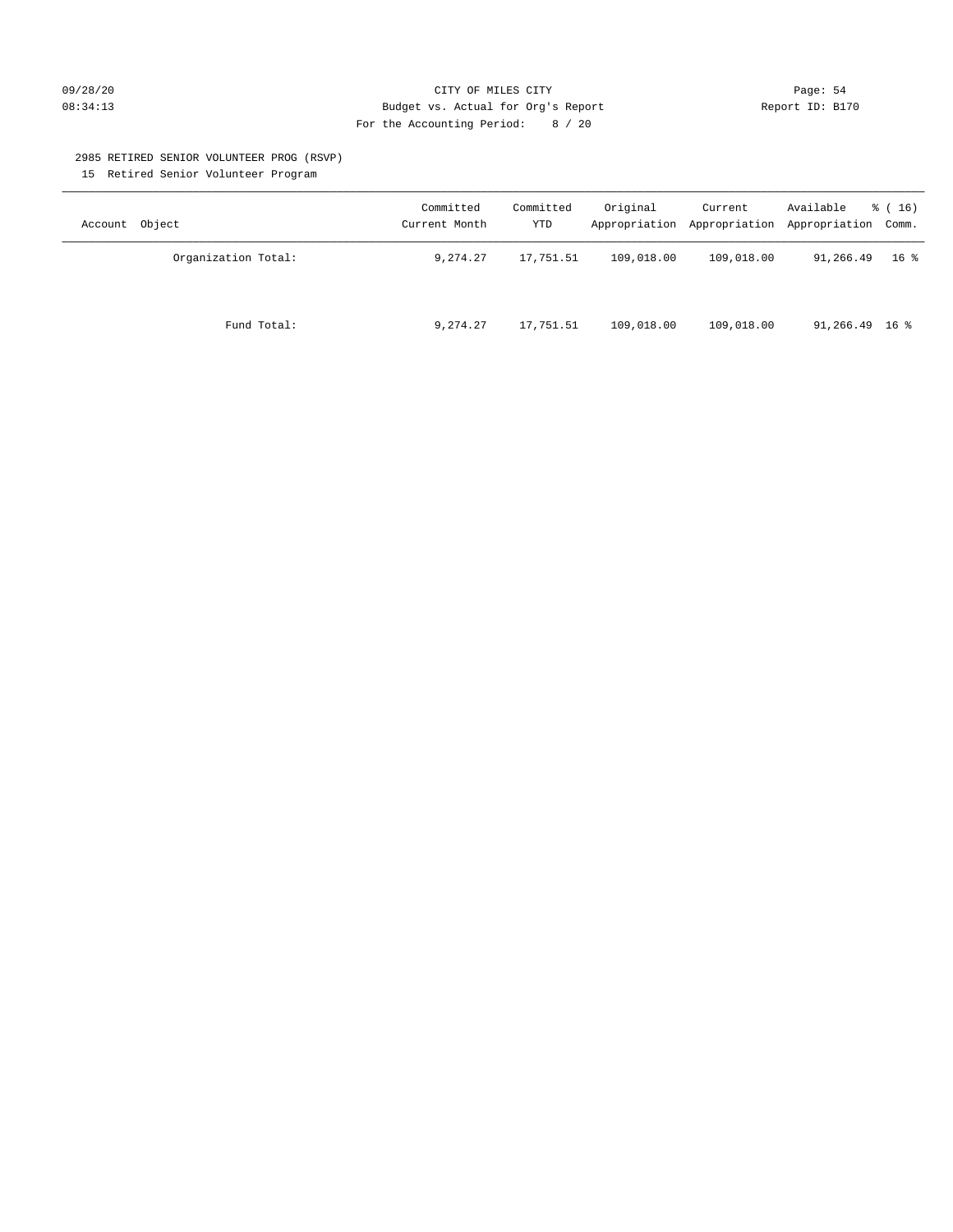#### 09/28/20 Page: 54 08:34:13 Budget vs. Actual for Org's Report Report ID: B170 For the Accounting Period: 8 / 20

#### 2985 RETIRED SENIOR VOLUNTEER PROG (RSVP)

15 Retired Senior Volunteer Program

| Account Object      | Committed<br>Current Month | Committed<br><b>YTD</b> | Original   | Current    | Available<br>Appropriation Appropriation Appropriation Comm. | $\frac{1}{6}$ (16) |
|---------------------|----------------------------|-------------------------|------------|------------|--------------------------------------------------------------|--------------------|
| Organization Total: | 9,274.27                   | 17,751.51               | 109,018.00 | 109,018.00 | 91,266.49                                                    | 16 %               |
| Fund Total:         | 9,274.27                   | 17,751.51               | 109,018.00 | 109,018.00 | $91,266.49$ 16 %                                             |                    |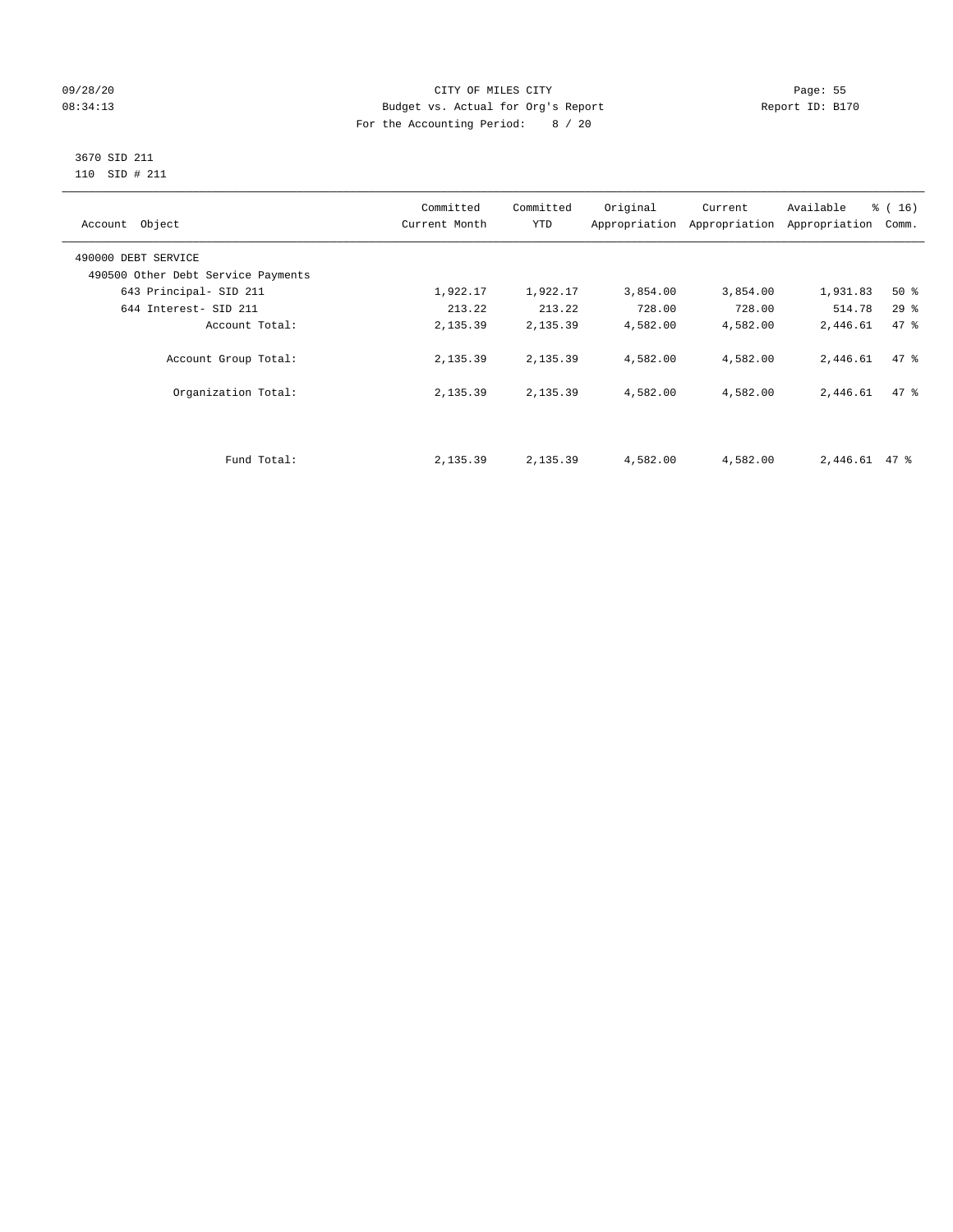#### 09/28/20 Page: 55 08:34:13 Budget vs. Actual for Org's Report Report ID: B170 For the Accounting Period: 8 / 20

#### 3670 SID 211 110 SID # 211

| Account Object                     | Committed<br>Current Month | Committed<br><b>YTD</b> | Original | Current<br>Appropriation Appropriation | Available<br>Appropriation | % (16)<br>Comm. |
|------------------------------------|----------------------------|-------------------------|----------|----------------------------------------|----------------------------|-----------------|
| 490000 DEBT SERVICE                |                            |                         |          |                                        |                            |                 |
| 490500 Other Debt Service Payments |                            |                         |          |                                        |                            |                 |
| 643 Principal- SID 211             | 1,922.17                   | 1,922.17                | 3,854.00 | 3,854.00                               | 1,931.83                   | $50*$           |
| 644 Interest- SID 211              | 213.22                     | 213.22                  | 728.00   | 728.00                                 | 514.78                     | 29%             |
| Account Total:                     | 2,135.39                   | 2,135.39                | 4,582.00 | 4,582.00                               | 2,446.61                   | 47 %            |
| Account Group Total:               | 2,135.39                   | 2,135.39                | 4,582.00 | 4,582.00                               | 2,446.61                   | 47.8            |
| Organization Total:                | 2,135.39                   | 2,135.39                | 4,582.00 | 4,582.00                               | 2,446.61                   | 47.8            |
|                                    |                            |                         |          |                                        |                            |                 |
| Fund Total:                        | 2,135.39                   | 2,135.39                | 4,582.00 | 4,582.00                               | 2,446.61                   | 47 %            |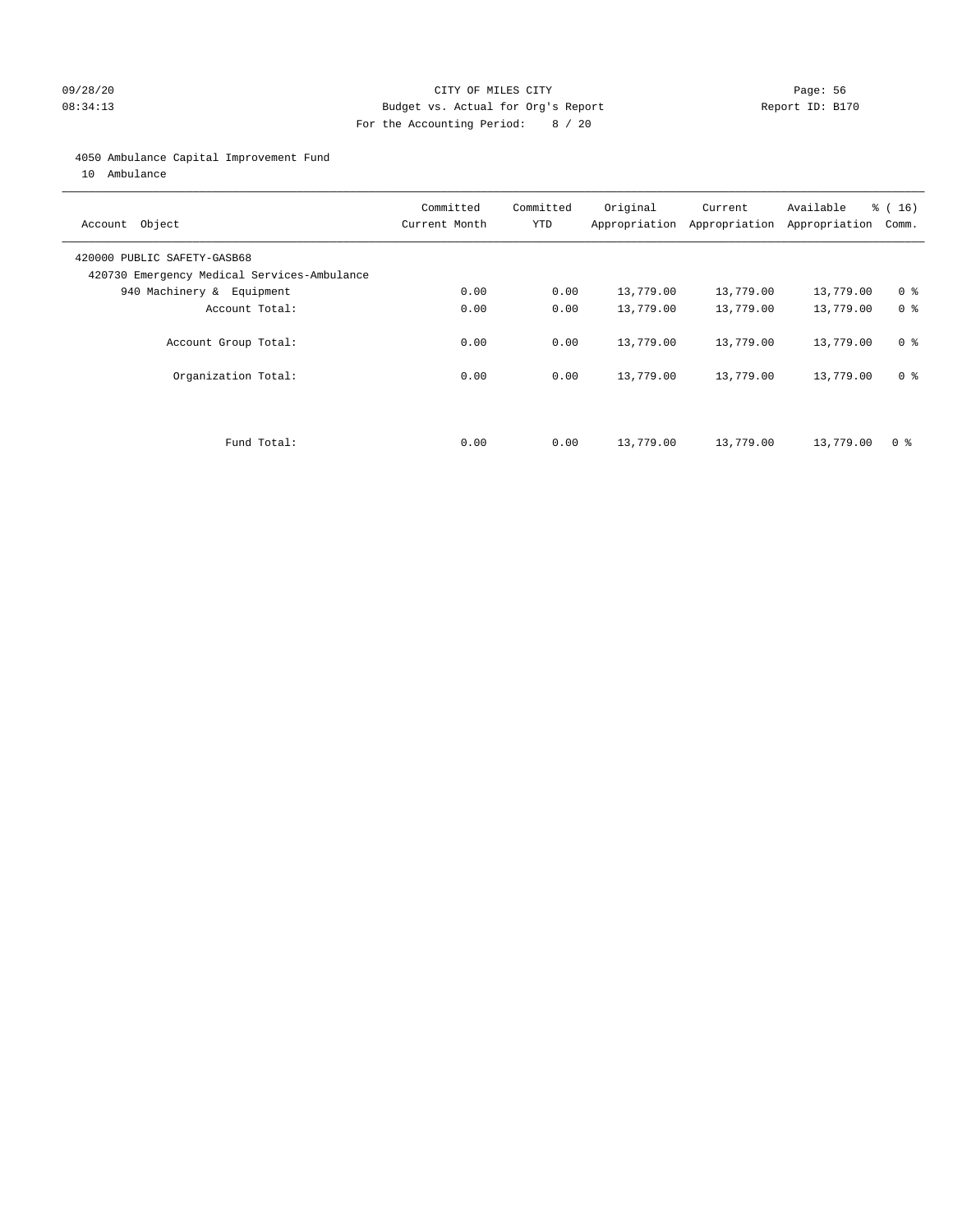#### 09/28/20 Page: 56 CITY OF MILES CITY CONTROL CONTROL Page: 56 08:34:13 Budget vs. Actual for Org's Report Communication Report ID: B170 For the Accounting Period: 8 / 20

#### 4050 Ambulance Capital Improvement Fund

10 Ambulance

| Account Object                                                             | Committed<br>Current Month | Committed<br><b>YTD</b> | Original  | Current<br>Appropriation Appropriation | Available<br>Appropriation | % (16)<br>Comm. |
|----------------------------------------------------------------------------|----------------------------|-------------------------|-----------|----------------------------------------|----------------------------|-----------------|
| 420000 PUBLIC SAFETY-GASB68<br>420730 Emergency Medical Services-Ambulance |                            |                         |           |                                        |                            |                 |
| 940 Machinery & Equipment                                                  | 0.00                       | 0.00                    | 13,779.00 | 13,779.00                              | 13,779.00                  | 0 <sup>8</sup>  |
| Account Total:                                                             | 0.00                       | 0.00                    | 13,779.00 | 13,779.00                              | 13,779.00                  | 0 <sup>8</sup>  |
| Account Group Total:                                                       | 0.00                       | 0.00                    | 13,779.00 | 13,779.00                              | 13,779.00                  | 0 <sup>8</sup>  |
| Organization Total:                                                        | 0.00                       | 0.00                    | 13,779.00 | 13,779.00                              | 13,779.00                  | 0 <sup>8</sup>  |
|                                                                            |                            |                         |           |                                        |                            |                 |
| Fund Total:                                                                | 0.00                       | 0.00                    | 13,779.00 | 13,779.00                              | 13,779.00                  | 0 %             |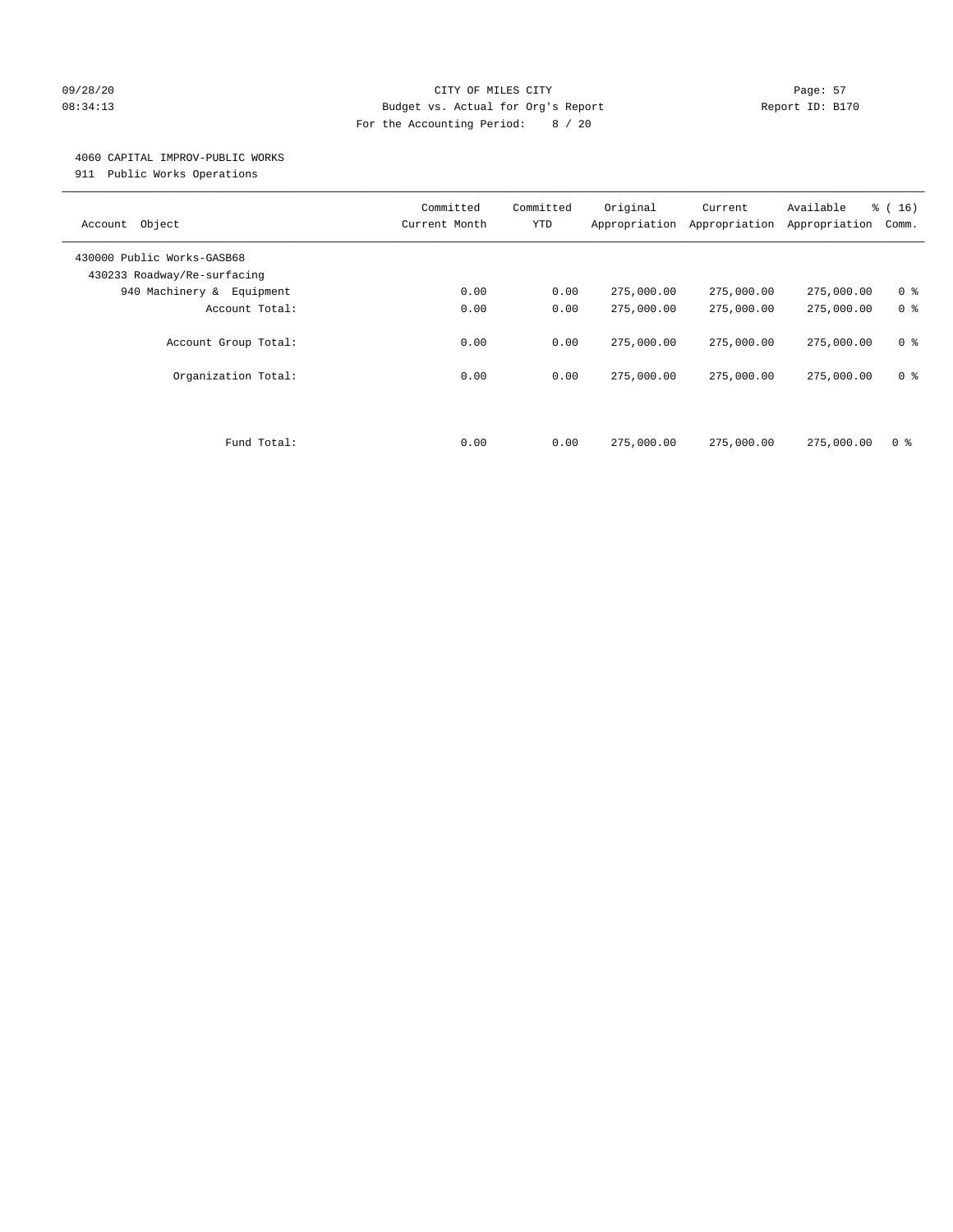#### 09/28/20 Page: 57 CITY OF MILES CITY CONTROL Page: 57 08:34:13 Budget vs. Actual for Org's Report Report ID: B170 For the Accounting Period: 8 / 20

#### 4060 CAPITAL IMPROV-PUBLIC WORKS

911 Public Works Operations

| Object<br>Account                                         | Committed<br>Current Month | Committed<br><b>YTD</b> | Original<br>Appropriation | Current<br>Appropriation | Available<br>Appropriation | % (16)<br>Comm. |
|-----------------------------------------------------------|----------------------------|-------------------------|---------------------------|--------------------------|----------------------------|-----------------|
| 430000 Public Works-GASB68<br>430233 Roadway/Re-surfacing |                            |                         |                           |                          |                            |                 |
| 940 Machinery &<br>Equipment                              | 0.00                       | 0.00                    | 275,000.00                | 275,000.00               | 275,000.00                 | 0 <sup>8</sup>  |
| Account Total:                                            | 0.00                       | 0.00                    | 275,000.00                | 275,000.00               | 275,000.00                 | 0 <sup>8</sup>  |
| Account Group Total:                                      | 0.00                       | 0.00                    | 275,000.00                | 275,000.00               | 275,000.00                 | 0 <sup>8</sup>  |
| Organization Total:                                       | 0.00                       | 0.00                    | 275,000.00                | 275,000.00               | 275,000.00                 | 0 <sup>8</sup>  |
|                                                           |                            |                         |                           |                          |                            |                 |
| Fund Total:                                               | 0.00                       | 0.00                    | 275,000.00                | 275,000.00               | 275,000.00                 | 0 %             |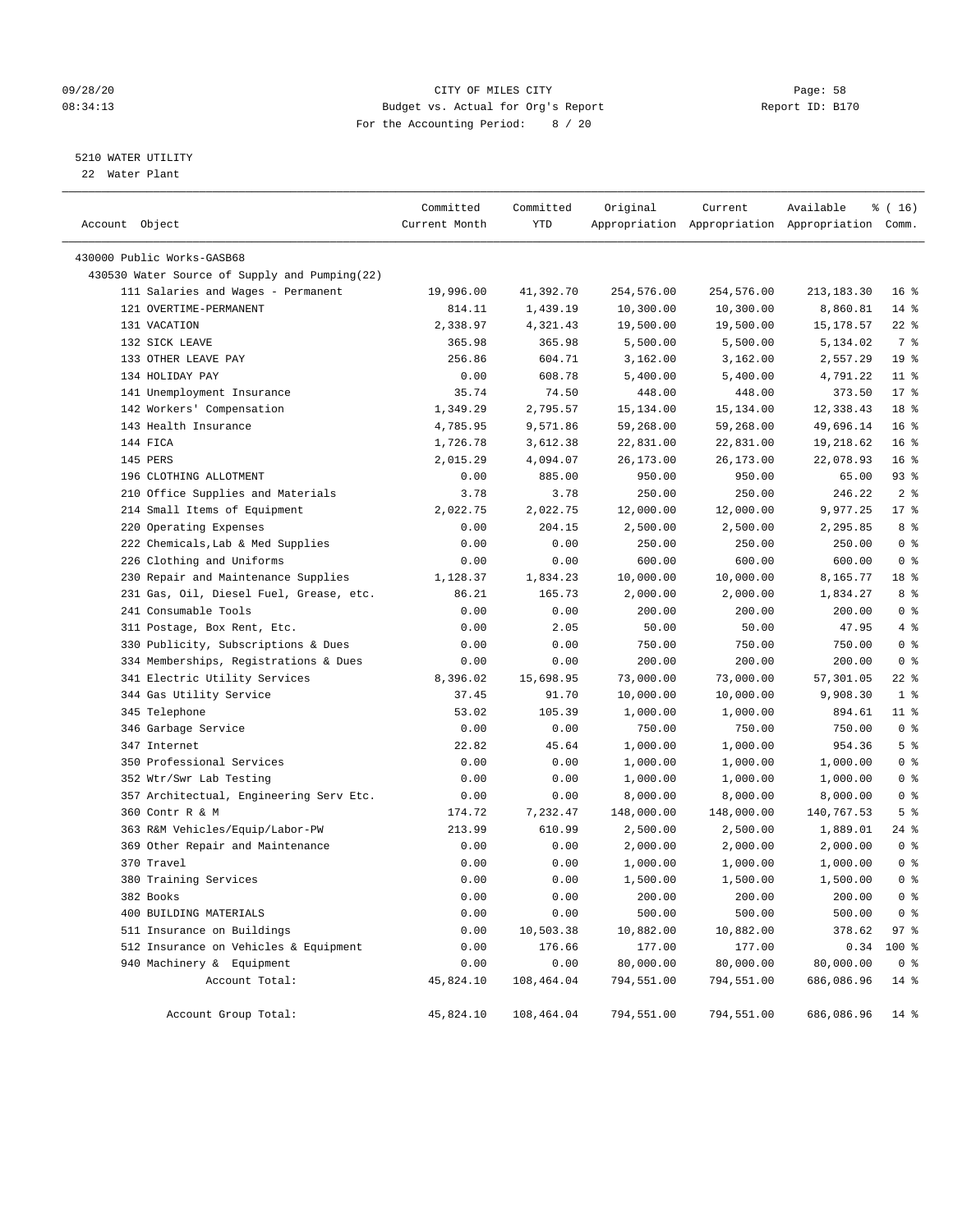#### 09/28/20 Page: 58 08:34:13 Budget vs. Actual for Org's Report Report ID: B170 For the Accounting Period: 8 / 20

#### 5210 WATER UTILITY

22 Water Plant

| Account Object                                | Committed<br>Current Month | Committed<br>YTD | Original   | Current    | Available<br>Appropriation Appropriation Appropriation Comm. | ៖ ( 16)                |
|-----------------------------------------------|----------------------------|------------------|------------|------------|--------------------------------------------------------------|------------------------|
| 430000 Public Works-GASB68                    |                            |                  |            |            |                                                              |                        |
| 430530 Water Source of Supply and Pumping(22) |                            |                  |            |            |                                                              |                        |
| 111 Salaries and Wages - Permanent            | 19,996.00                  | 41,392.70        | 254,576.00 | 254,576.00 | 213, 183. 30                                                 | 16 <sup>8</sup>        |
| 121 OVERTIME-PERMANENT                        | 814.11                     | 1,439.19         | 10,300.00  | 10,300.00  | 8,860.81                                                     | $14*$                  |
| 131 VACATION                                  | 2,338.97                   | 4,321.43         | 19,500.00  | 19,500.00  | 15,178.57                                                    | $22$ %                 |
| 132 SICK LEAVE                                | 365.98                     | 365.98           | 5,500.00   | 5,500.00   | 5,134.02                                                     | 7 %                    |
| 133 OTHER LEAVE PAY                           | 256.86                     | 604.71           | 3,162.00   | 3,162.00   | 2,557.29                                                     | 19 <sup>°</sup>        |
| 134 HOLIDAY PAY                               | 0.00                       | 608.78           | 5,400.00   | 5,400.00   | 4,791.22                                                     | $11$ %                 |
| 141 Unemployment Insurance                    | 35.74                      | 74.50            | 448.00     | 448.00     | 373.50                                                       | $17*$                  |
| 142 Workers' Compensation                     | 1,349.29                   | 2,795.57         | 15,134.00  | 15,134.00  | 12,338.43                                                    | 18 %                   |
| 143 Health Insurance                          | 4,785.95                   | 9,571.86         | 59,268.00  | 59,268.00  | 49,696.14                                                    | 16 <sup>°</sup>        |
| 144 FICA                                      | 1,726.78                   | 3,612.38         | 22,831.00  | 22,831.00  | 19,218.62                                                    | 16 <sup>8</sup>        |
| 145 PERS                                      | 2,015.29                   | 4,094.07         | 26,173.00  | 26,173.00  | 22,078.93                                                    | 16 <sup>8</sup>        |
| 196 CLOTHING ALLOTMENT                        | 0.00                       | 885.00           | 950.00     | 950.00     | 65.00                                                        | 93%                    |
| 210 Office Supplies and Materials             | 3.78                       | 3.78             | 250.00     | 250.00     | 246.22                                                       | 2 <sup>8</sup>         |
| 214 Small Items of Equipment                  | 2,022.75                   | 2,022.75         | 12,000.00  | 12,000.00  | 9,977.25                                                     | $17*$                  |
| 220 Operating Expenses                        | 0.00                       | 204.15           | 2,500.00   | 2,500.00   | 2,295.85                                                     | 8 %                    |
| 222 Chemicals, Lab & Med Supplies             | 0.00                       | 0.00             | 250.00     | 250.00     | 250.00                                                       | 0 <sup>8</sup>         |
| 226 Clothing and Uniforms                     | 0.00                       | 0.00             | 600.00     | 600.00     | 600.00                                                       | 0 <sup>8</sup>         |
| 230 Repair and Maintenance Supplies           | 1,128.37                   | 1,834.23         | 10,000.00  | 10,000.00  | 8,165.77                                                     | 18 %                   |
| 231 Gas, Oil, Diesel Fuel, Grease, etc.       | 86.21                      | 165.73           | 2,000.00   | 2,000.00   | 1,834.27                                                     | 8 %                    |
| 241 Consumable Tools                          | 0.00                       | 0.00             | 200.00     | 200.00     | 200.00                                                       | 0 <sup>8</sup>         |
| 311 Postage, Box Rent, Etc.                   | 0.00                       | 2.05             | 50.00      | 50.00      | 47.95                                                        | 4%                     |
| 330 Publicity, Subscriptions & Dues           | 0.00                       | 0.00             | 750.00     | 750.00     | 750.00                                                       | 0 <sup>8</sup>         |
|                                               |                            |                  |            |            |                                                              | 0 <sup>8</sup>         |
| 334 Memberships, Registrations & Dues         | 0.00                       | 0.00             | 200.00     | 200.00     | 200.00                                                       | 22 %                   |
| 341 Electric Utility Services                 | 8,396.02                   | 15,698.95        | 73,000.00  | 73,000.00  | 57,301.05                                                    |                        |
| 344 Gas Utility Service                       | 37.45                      | 91.70            | 10,000.00  | 10,000.00  | 9,908.30                                                     | 1 <sup>8</sup>         |
| 345 Telephone                                 | 53.02                      | 105.39           | 1,000.00   | 1,000.00   | 894.61                                                       | 11 %<br>0 <sup>8</sup> |
| 346 Garbage Service                           | 0.00                       | 0.00             | 750.00     | 750.00     | 750.00                                                       | 5 <sup>°</sup>         |
| 347 Internet                                  | 22.82                      | 45.64            | 1,000.00   | 1,000.00   | 954.36                                                       |                        |
| 350 Professional Services                     | 0.00                       | 0.00             | 1,000.00   | 1,000.00   | 1,000.00                                                     | 0 <sup>8</sup>         |
| 352 Wtr/Swr Lab Testing                       | 0.00                       | 0.00             | 1,000.00   | 1,000.00   | 1,000.00                                                     | 0 <sup>8</sup>         |
| 357 Architectual, Engineering Serv Etc.       | 0.00                       | 0.00             | 8,000.00   | 8,000.00   | 8,000.00                                                     | 0 <sup>8</sup>         |
| 360 Contr R & M                               | 174.72                     | 7,232.47         | 148,000.00 | 148,000.00 | 140,767.53                                                   | 5 <sup>°</sup>         |
| 363 R&M Vehicles/Equip/Labor-PW               | 213.99                     | 610.99           | 2,500.00   | 2,500.00   | 1,889.01                                                     | 24 %                   |
| 369 Other Repair and Maintenance              | 0.00                       | 0.00             | 2,000.00   | 2,000.00   | 2,000.00                                                     | 0 <sup>8</sup>         |
| 370 Travel                                    | 0.00                       | 0.00             | 1,000.00   | 1,000.00   | 1,000.00                                                     | 0 <sup>8</sup>         |
| 380 Training Services                         | 0.00                       | 0.00             | 1,500.00   | 1,500.00   | 1,500.00                                                     | 0 <sup>8</sup>         |
| 382 Books                                     | 0.00                       | 0.00             | 200.00     | 200.00     | 200.00                                                       | 0 <sup>8</sup>         |
| 400 BUILDING MATERIALS                        | 0.00                       | 0.00             | 500.00     | 500.00     | 500.00                                                       | 0 <sup>8</sup>         |
| 511 Insurance on Buildings                    | 0.00                       | 10,503.38        | 10,882.00  | 10,882.00  | 378.62                                                       | 97%                    |
| 512 Insurance on Vehicles & Equipment         | 0.00                       | 176.66           | 177.00     | 177.00     | 0.34                                                         | $100$ %                |
| 940 Machinery & Equipment                     | 0.00                       | 0.00             | 80,000.00  | 80,000.00  | 80,000.00                                                    | 0 <sup>8</sup>         |
| Account Total:                                | 45,824.10                  | 108,464.04       | 794,551.00 | 794,551.00 | 686,086.96                                                   | $14*$                  |
| Account Group Total:                          | 45,824.10                  | 108,464.04       | 794,551.00 | 794,551.00 | 686,086.96                                                   | $14$ %                 |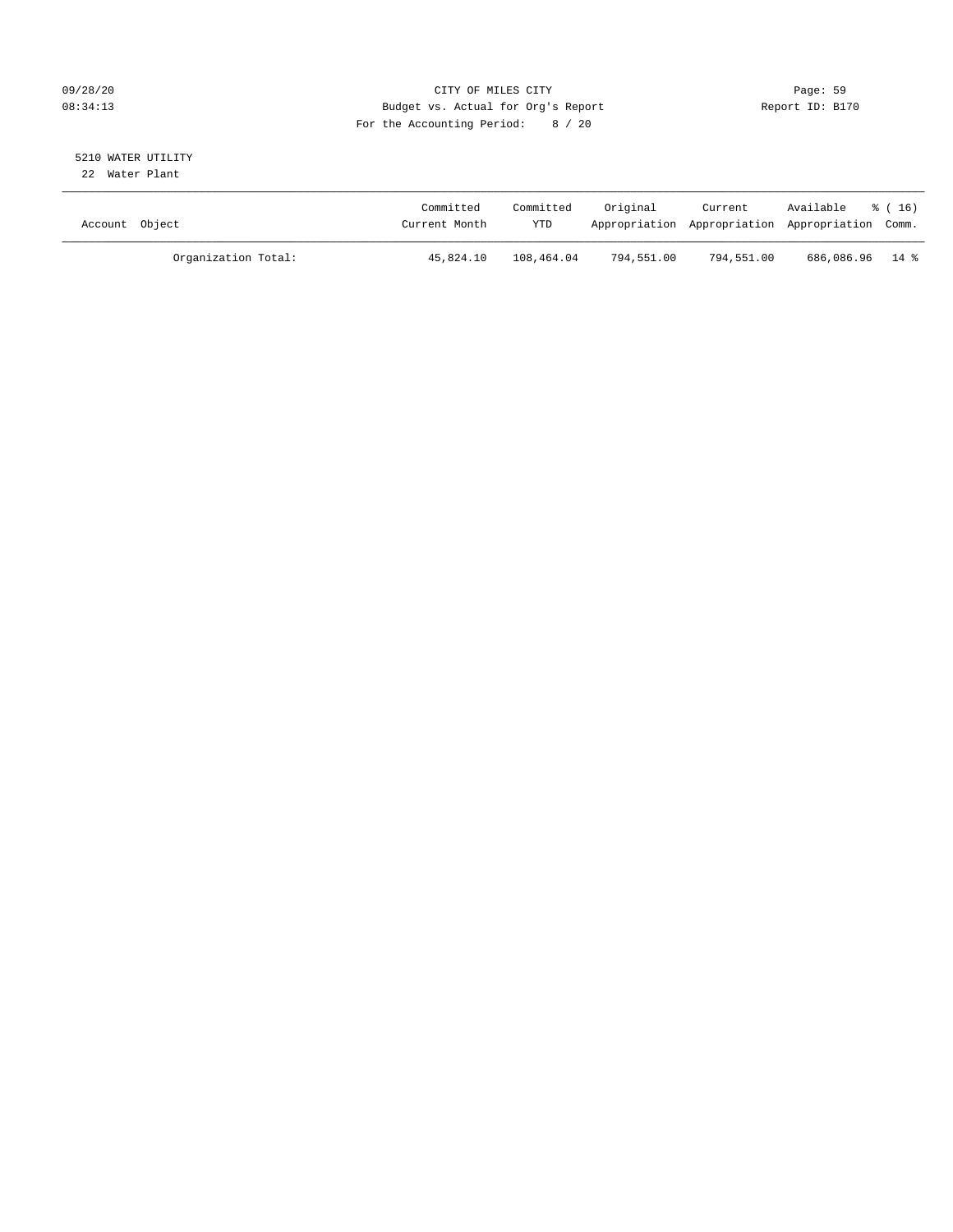#### 09/28/20 Page: 59 08:34:13 Budget vs. Actual for Org's Report Report ID: B170 For the Accounting Period: 8 / 20

#### 5210 WATER UTILITY 22 Water Plant

| Account Object |                     | Committed<br>Current Month | Committed<br>YTD | Original   | Current    | Available<br>Appropriation Appropriation Appropriation Comm. | $\frac{1}{6}$ (16) |
|----------------|---------------------|----------------------------|------------------|------------|------------|--------------------------------------------------------------|--------------------|
|                | Organization Total: | 45,824.10                  | 108,464.04       | 794,551.00 | 794,551.00 | 686,086.96 14 %                                              |                    |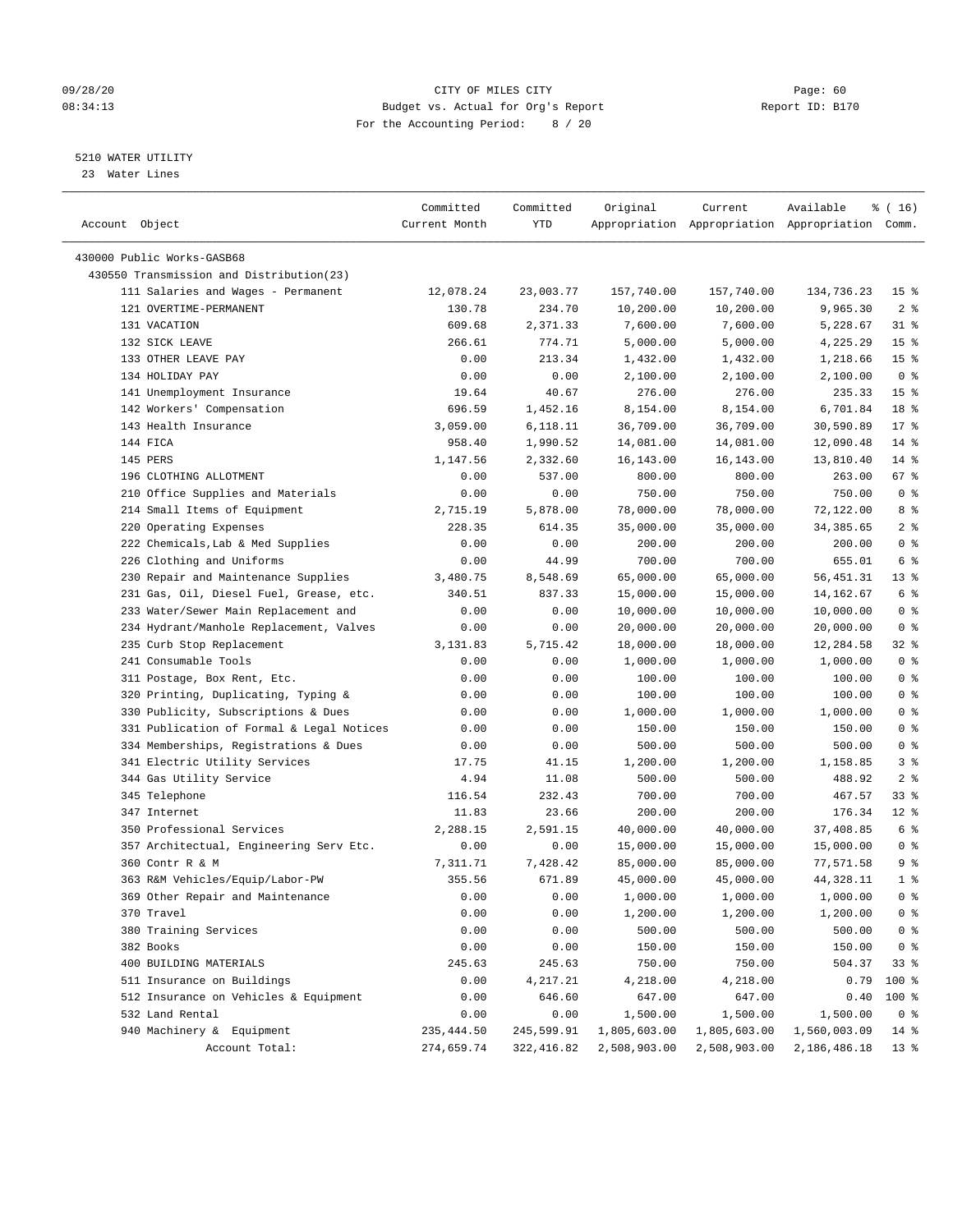#### 09/28/20 Page: 60 08:34:13 Budget vs. Actual for Org's Report Report ID: B170 For the Accounting Period: 8 / 20

————————————————————————————————————————————————————————————————————————————————————————————————————————————————————————————————————

#### 5210 WATER UTILITY

23 Water Lines

|                                           | Committed     | Committed  | Original     | Current                                         | Available    | ៖ ( 16)         |
|-------------------------------------------|---------------|------------|--------------|-------------------------------------------------|--------------|-----------------|
| Account Object                            | Current Month | YTD        |              | Appropriation Appropriation Appropriation Comm. |              |                 |
|                                           |               |            |              |                                                 |              |                 |
| 430000 Public Works-GASB68                |               |            |              |                                                 |              |                 |
| 430550 Transmission and Distribution(23)  |               |            |              |                                                 |              |                 |
| 111 Salaries and Wages - Permanent        | 12,078.24     | 23,003.77  | 157,740.00   | 157,740.00                                      | 134,736.23   | 15 <sup>8</sup> |
| 121 OVERTIME-PERMANENT                    | 130.78        | 234.70     | 10,200.00    | 10,200.00                                       | 9,965.30     | 2 <sup>8</sup>  |
| 131 VACATION                              | 609.68        | 2,371.33   | 7,600.00     | 7,600.00                                        | 5,228.67     | 31 %            |
| 132 SICK LEAVE                            | 266.61        | 774.71     | 5,000.00     | 5,000.00                                        | 4,225.29     | 15 <sup>°</sup> |
| 133 OTHER LEAVE PAY                       | 0.00          | 213.34     | 1,432.00     | 1,432.00                                        | 1,218.66     | 15 <sup>°</sup> |
| 134 HOLIDAY PAY                           | 0.00          | 0.00       | 2,100.00     | 2,100.00                                        | 2,100.00     | 0 <sup>8</sup>  |
| 141 Unemployment Insurance                | 19.64         | 40.67      | 276.00       | 276.00                                          | 235.33       | 15 <sup>°</sup> |
| 142 Workers' Compensation                 | 696.59        | 1,452.16   | 8,154.00     | 8,154.00                                        | 6,701.84     | 18 %            |
| 143 Health Insurance                      | 3,059.00      | 6,118.11   | 36,709.00    | 36,709.00                                       | 30,590.89    | $17*$           |
| 144 FICA                                  | 958.40        | 1,990.52   | 14,081.00    | 14,081.00                                       | 12,090.48    | $14*$           |
| 145 PERS                                  | 1,147.56      | 2,332.60   | 16,143.00    | 16,143.00                                       | 13,810.40    | $14$ %          |
| 196 CLOTHING ALLOTMENT                    | 0.00          | 537.00     | 800.00       | 800.00                                          | 263.00       | 67 %            |
| 210 Office Supplies and Materials         | 0.00          | 0.00       | 750.00       | 750.00                                          | 750.00       | 0 <sup>8</sup>  |
| 214 Small Items of Equipment              | 2,715.19      | 5,878.00   | 78,000.00    | 78,000.00                                       | 72,122.00    | 8 %             |
| 220 Operating Expenses                    | 228.35        | 614.35     | 35,000.00    | 35,000.00                                       | 34,385.65    | 2 <sup>°</sup>  |
| 222 Chemicals, Lab & Med Supplies         | 0.00          | 0.00       | 200.00       | 200.00                                          | 200.00       | 0 <sup>°</sup>  |
| 226 Clothing and Uniforms                 | 0.00          | 44.99      | 700.00       | 700.00                                          | 655.01       | 6 %             |
| 230 Repair and Maintenance Supplies       | 3,480.75      | 8,548.69   | 65,000.00    | 65,000.00                                       | 56,451.31    | $13*$           |
| 231 Gas, Oil, Diesel Fuel, Grease, etc.   | 340.51        | 837.33     | 15,000.00    | 15,000.00                                       | 14,162.67    | 6 %             |
| 233 Water/Sewer Main Replacement and      | 0.00          | 0.00       | 10,000.00    | 10,000.00                                       | 10,000.00    | 0 <sup>8</sup>  |
| 234 Hydrant/Manhole Replacement, Valves   | 0.00          | 0.00       | 20,000.00    | 20,000.00                                       | 20,000.00    | 0 <sup>8</sup>  |
| 235 Curb Stop Replacement                 | 3,131.83      | 5,715.42   | 18,000.00    | 18,000.00                                       | 12,284.58    | $32$ $%$        |
| 241 Consumable Tools                      | 0.00          | 0.00       | 1,000.00     | 1,000.00                                        | 1,000.00     | 0 <sup>8</sup>  |
| 311 Postage, Box Rent, Etc.               | 0.00          | 0.00       | 100.00       | 100.00                                          | 100.00       | 0 <sup>8</sup>  |
| 320 Printing, Duplicating, Typing &       | 0.00          | 0.00       | 100.00       | 100.00                                          | 100.00       | 0 <sup>8</sup>  |
| 330 Publicity, Subscriptions & Dues       | 0.00          | 0.00       | 1,000.00     | 1,000.00                                        | 1,000.00     | 0 <sup>°</sup>  |
| 331 Publication of Formal & Legal Notices | 0.00          | 0.00       | 150.00       | 150.00                                          | 150.00       | 0 <sup>°</sup>  |
| 334 Memberships, Registrations & Dues     | 0.00          | 0.00       | 500.00       | 500.00                                          | 500.00       | 0 <sup>8</sup>  |
| 341 Electric Utility Services             | 17.75         | 41.15      | 1,200.00     | 1,200.00                                        | 1,158.85     | 3 <sup>°</sup>  |
| 344 Gas Utility Service                   | 4.94          | 11.08      | 500.00       | 500.00                                          | 488.92       | 2 <sup>°</sup>  |
| 345 Telephone                             | 116.54        | 232.43     | 700.00       | 700.00                                          | 467.57       | 33%             |
| 347 Internet                              | 11.83         | 23.66      | 200.00       | 200.00                                          | 176.34       | $12$ %          |
| 350 Professional Services                 | 2,288.15      | 2,591.15   | 40,000.00    | 40,000.00                                       | 37,408.85    | 6 %             |
| 357 Architectual, Engineering Serv Etc.   | 0.00          | 0.00       | 15,000.00    | 15,000.00                                       | 15,000.00    | 0 <sup>8</sup>  |
| 360 Contr R & M                           | 7,311.71      | 7,428.42   | 85,000.00    | 85,000.00                                       | 77,571.58    | 9%              |
| 363 R&M Vehicles/Equip/Labor-PW           | 355.56        | 671.89     | 45,000.00    | 45,000.00                                       | 44,328.11    | 1 <sup>°</sup>  |
| 369 Other Repair and Maintenance          | 0.00          | 0.00       | 1,000.00     | 1,000.00                                        | 1,000.00     | 0 <sup>8</sup>  |
| 370 Travel                                | 0.00          | 0.00       | 1,200.00     | 1,200.00                                        | 1,200.00     | 0 <sup>8</sup>  |
| 380 Training Services                     | 0.00          | 0.00       | 500.00       | 500.00                                          | 500.00       | 0 <sup>8</sup>  |
| 382 Books                                 | 0.00          | 0.00       | 150.00       | 150.00                                          | 150.00       | 0 <sup>8</sup>  |
| 400 BUILDING MATERIALS                    | 245.63        | 245.63     | 750.00       | 750.00                                          | 504.37       | 33%             |
| 511 Insurance on Buildings                | 0.00          | 4,217.21   | 4,218.00     | 4,218.00                                        | 0.79         | 100 %           |
| 512 Insurance on Vehicles & Equipment     | 0.00          | 646.60     | 647.00       | 647.00                                          | 0.40         | 100 %           |
| 532 Land Rental                           | 0.00          | 0.00       | 1,500.00     | 1,500.00                                        | 1,500.00     | 0 <sup>8</sup>  |
| 940 Machinery & Equipment                 | 235, 444.50   | 245,599.91 | 1,805,603.00 | 1,805,603.00                                    | 1,560,003.09 | $14*$           |
| Account Total:                            | 274,659.74    | 322,416.82 | 2,508,903.00 | 2,508,903.00                                    | 2,186,486.18 | 13 <sup>°</sup> |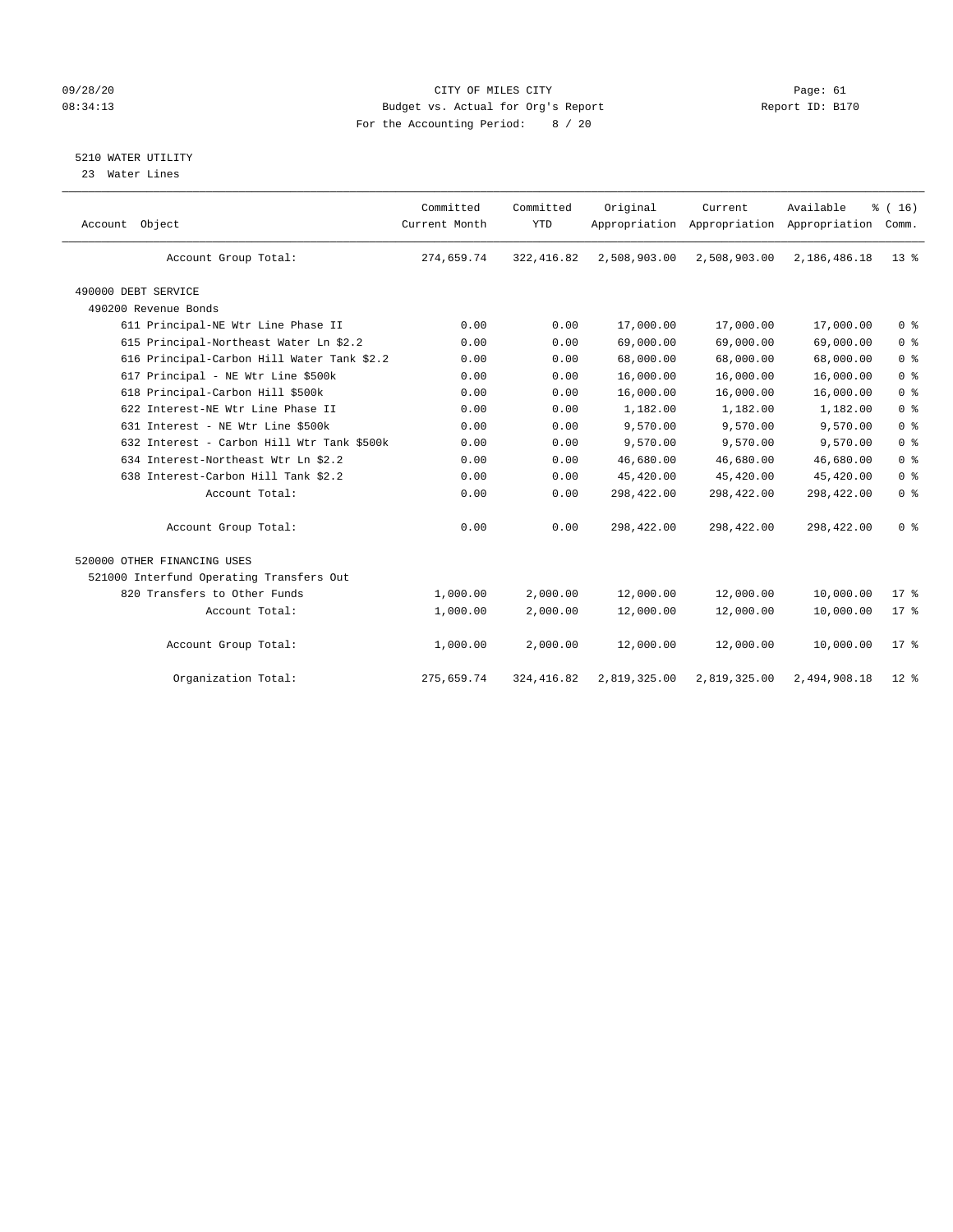#### 09/28/20 Page: 61 08:34:13 Budget vs. Actual for Org's Report Report ID: B170 For the Accounting Period: 8 / 20

5210 WATER UTILITY

23 Water Lines

| Account Object                             | Committed<br>Current Month | Committed<br><b>YTD</b> | Original     | Current<br>Appropriation Appropriation Appropriation | Available    | % (16)<br>Comm. |
|--------------------------------------------|----------------------------|-------------------------|--------------|------------------------------------------------------|--------------|-----------------|
| Account Group Total:                       | 274,659.74                 | 322, 416.82             | 2,508,903.00 | 2,508,903.00                                         | 2,186,486.18 | $13*$           |
| 490000 DEBT SERVICE                        |                            |                         |              |                                                      |              |                 |
| 490200 Revenue Bonds                       |                            |                         |              |                                                      |              |                 |
| 611 Principal-NE Wtr Line Phase II         | 0.00                       | 0.00                    | 17,000.00    | 17,000.00                                            | 17,000.00    | 0 <sup>8</sup>  |
| 615 Principal-Northeast Water Ln \$2.2     | 0.00                       | 0.00                    | 69,000.00    | 69,000.00                                            | 69,000.00    | 0 <sup>8</sup>  |
| 616 Principal-Carbon Hill Water Tank \$2.2 | 0.00                       | 0.00                    | 68,000.00    | 68,000.00                                            | 68,000.00    | 0 <sup>8</sup>  |
| 617 Principal - NE Wtr Line \$500k         | 0.00                       | 0.00                    | 16,000.00    | 16,000.00                                            | 16,000.00    | 0 <sup>8</sup>  |
| 618 Principal-Carbon Hill \$500k           | 0.00                       | 0.00                    | 16,000.00    | 16,000.00                                            | 16,000.00    | 0 <sup>8</sup>  |
| 622 Interest-NE Wtr Line Phase II          | 0.00                       | 0.00                    | 1,182.00     | 1,182.00                                             | 1,182.00     | 0 <sup>8</sup>  |
| 631 Interest - NE Wtr Line \$500k          | 0.00                       | 0.00                    | 9,570.00     | 9,570.00                                             | 9,570.00     | 0 <sup>8</sup>  |
| 632 Interest - Carbon Hill Wtr Tank \$500k | 0.00                       | 0.00                    | 9,570.00     | 9,570.00                                             | 9,570.00     | 0 <sup>8</sup>  |
| 634 Interest-Northeast Wtr Ln \$2.2        | 0.00                       | 0.00                    | 46,680.00    | 46,680.00                                            | 46,680.00    | 0 <sup>8</sup>  |
| 638 Interest-Carbon Hill Tank \$2.2        | 0.00                       | 0.00                    | 45,420.00    | 45,420.00                                            | 45,420.00    | 0 <sup>8</sup>  |
| Account Total:                             | 0.00                       | 0.00                    | 298,422.00   | 298,422.00                                           | 298,422.00   | 0 <sup>8</sup>  |
| Account Group Total:                       | 0.00                       | 0.00                    | 298,422.00   | 298,422.00                                           | 298,422.00   | 0 <sup>8</sup>  |
| 520000 OTHER FINANCING USES                |                            |                         |              |                                                      |              |                 |
| 521000 Interfund Operating Transfers Out   |                            |                         |              |                                                      |              |                 |
| 820 Transfers to Other Funds               | 1,000.00                   | 2,000.00                | 12,000.00    | 12,000.00                                            | 10,000.00    | 17.8            |
| Account Total:                             | 1,000.00                   | 2,000.00                | 12,000.00    | 12,000.00                                            | 10,000.00    | 17.8            |
| Account Group Total:                       | 1,000.00                   | 2,000.00                | 12,000.00    | 12,000.00                                            | 10,000.00    | $17*$           |
| Organization Total:                        | 275,659.74                 | 324, 416.82             | 2,819,325.00 | 2,819,325.00                                         | 2,494,908.18 | $12*$           |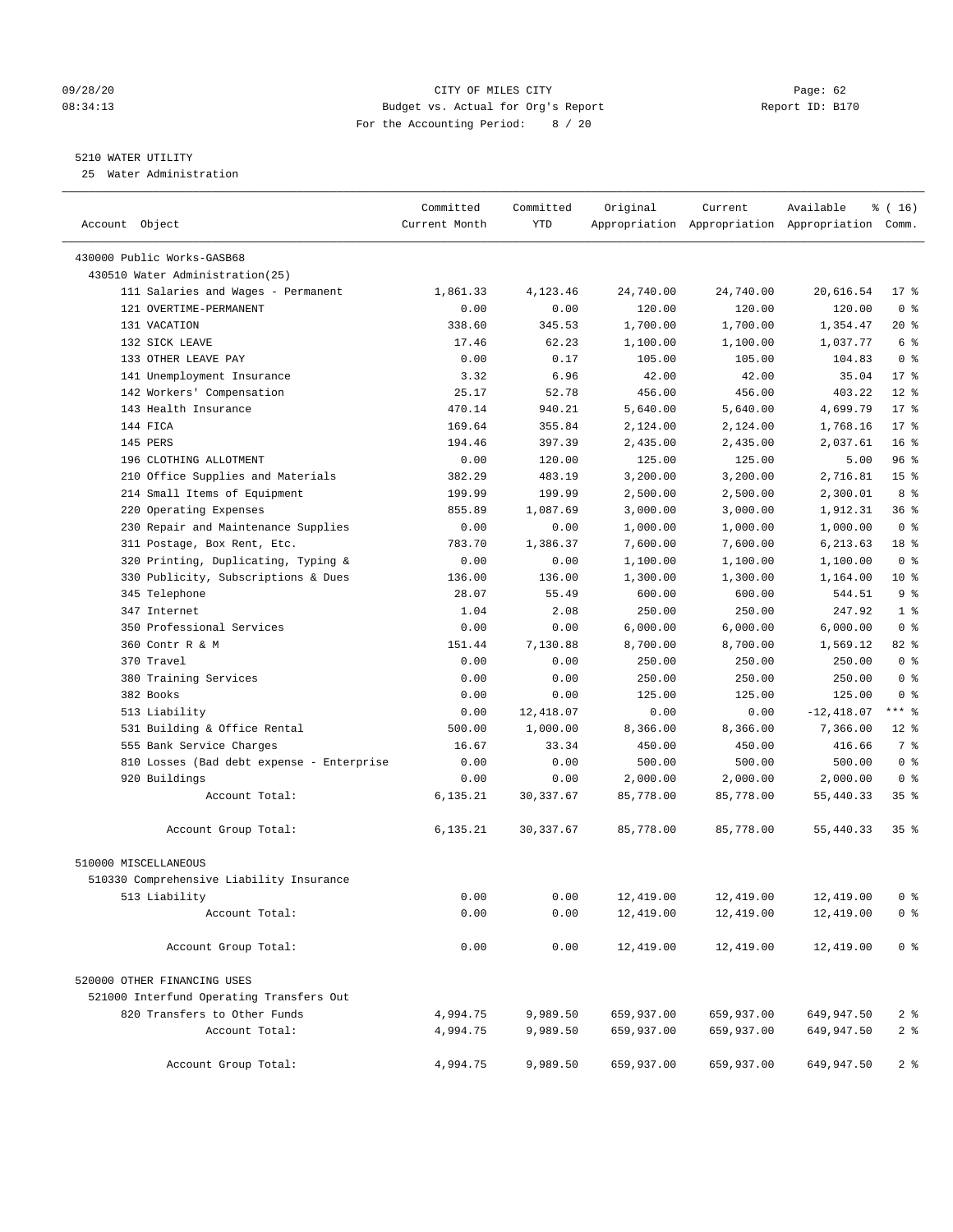#### 09/28/20 Page: 62 08:34:13 Budget vs. Actual for Org's Report Report ID: B170 For the Accounting Period: 8 / 20

————————————————————————————————————————————————————————————————————————————————————————————————————————————————————————————————————

#### 5210 WATER UTILITY

25 Water Administration

|                                           | Committed     | Committed  | Original   | Current    | Available                                       | ៖ ( 16)         |
|-------------------------------------------|---------------|------------|------------|------------|-------------------------------------------------|-----------------|
| Account Object                            | Current Month | YTD        |            |            | Appropriation Appropriation Appropriation Comm. |                 |
| 430000 Public Works-GASB68                |               |            |            |            |                                                 |                 |
| 430510 Water Administration(25)           |               |            |            |            |                                                 |                 |
| 111 Salaries and Wages - Permanent        | 1,861.33      | 4,123.46   | 24,740.00  | 24,740.00  | 20,616.54                                       | $17*$           |
| 121 OVERTIME-PERMANENT                    | 0.00          | 0.00       | 120.00     | 120.00     | 120.00                                          | 0 <sup>8</sup>  |
| 131 VACATION                              | 338.60        | 345.53     | 1,700.00   | 1,700.00   | 1,354.47                                        | 20 %            |
| 132 SICK LEAVE                            | 17.46         | 62.23      | 1,100.00   | 1,100.00   | 1,037.77                                        | 6 %             |
| 133 OTHER LEAVE PAY                       | 0.00          | 0.17       | 105.00     | 105.00     | 104.83                                          | 0 <sup>8</sup>  |
| 141 Unemployment Insurance                | 3.32          | 6.96       | 42.00      | 42.00      | 35.04                                           | $17*$           |
| 142 Workers' Compensation                 | 25.17         | 52.78      | 456.00     | 456.00     | 403.22                                          | $12*$           |
| 143 Health Insurance                      | 470.14        | 940.21     | 5,640.00   | 5,640.00   | 4,699.79                                        | $17*$           |
| 144 FICA                                  | 169.64        | 355.84     | 2,124.00   | 2,124.00   | 1,768.16                                        | $17*$           |
| 145 PERS                                  | 194.46        | 397.39     | 2,435.00   | 2,435.00   | 2,037.61                                        | 16 <sup>8</sup> |
| 196 CLOTHING ALLOTMENT                    | 0.00          | 120.00     | 125.00     | 125.00     | 5.00                                            | 96%             |
| 210 Office Supplies and Materials         | 382.29        | 483.19     | 3,200.00   | 3,200.00   | 2,716.81                                        | 15 <sup>°</sup> |
| 214 Small Items of Equipment              | 199.99        | 199.99     | 2,500.00   | 2,500.00   | 2,300.01                                        | 8 %             |
| 220 Operating Expenses                    | 855.89        | 1,087.69   | 3,000.00   | 3,000.00   | 1,912.31                                        | 36 %            |
| 230 Repair and Maintenance Supplies       | 0.00          | 0.00       | 1,000.00   | 1,000.00   | 1,000.00                                        | 0 <sup>8</sup>  |
| 311 Postage, Box Rent, Etc.               | 783.70        | 1,386.37   | 7,600.00   | 7,600.00   | 6,213.63                                        | 18 %            |
| 320 Printing, Duplicating, Typing &       | 0.00          | 0.00       | 1,100.00   | 1,100.00   | 1,100.00                                        | 0 <sup>8</sup>  |
| 330 Publicity, Subscriptions & Dues       | 136.00        | 136.00     | 1,300.00   | 1,300.00   | 1,164.00                                        | $10*$           |
| 345 Telephone                             | 28.07         | 55.49      | 600.00     | 600.00     | 544.51                                          | 9 %             |
| 347 Internet                              | 1.04          | 2.08       | 250.00     | 250.00     | 247.92                                          | 1 <sup>8</sup>  |
| 350 Professional Services                 | 0.00          | 0.00       | 6,000.00   | 6,000.00   | 6,000.00                                        | 0 <sup>8</sup>  |
| 360 Contr R & M                           | 151.44        | 7,130.88   | 8,700.00   | 8,700.00   | 1,569.12                                        | $82$ $%$        |
| 370 Travel                                | 0.00          | 0.00       | 250.00     | 250.00     | 250.00                                          | 0 <sup>8</sup>  |
| 380 Training Services                     | 0.00          | 0.00       | 250.00     | 250.00     | 250.00                                          | 0 <sup>8</sup>  |
| 382 Books                                 | 0.00          | 0.00       | 125.00     | 125.00     | 125.00                                          | 0 <sup>8</sup>  |
| 513 Liability                             | 0.00          | 12,418.07  | 0.00       | 0.00       | $-12,418.07$                                    | $***$ $-$       |
| 531 Building & Office Rental              | 500.00        | 1,000.00   | 8,366.00   | 8,366.00   | 7,366.00                                        | $12*$           |
| 555 Bank Service Charges                  | 16.67         | 33.34      | 450.00     | 450.00     | 416.66                                          | 7 %             |
| 810 Losses (Bad debt expense - Enterprise | 0.00          | 0.00       | 500.00     | 500.00     | 500.00                                          | 0 <sup>8</sup>  |
| 920 Buildings                             | 0.00          | 0.00       | 2,000.00   | 2,000.00   | 2,000.00                                        | 0 <sup>8</sup>  |
| Account Total:                            | 6,135.21      | 30, 337.67 | 85,778.00  | 85,778.00  | 55,440.33                                       | 35%             |
|                                           |               |            |            |            |                                                 |                 |
| Account Group Total:                      | 6,135.21      | 30,337.67  | 85,778.00  | 85,778.00  | 55,440.33                                       | 35 <sup>8</sup> |
| 510000 MISCELLANEOUS                      |               |            |            |            |                                                 |                 |
| 510330 Comprehensive Liability Insurance  |               |            |            |            |                                                 |                 |
| 513 Liability                             | 0.00          | 0.00       | 12,419.00  | 12,419.00  | 12,419.00                                       | 0 %             |
| Account Total:                            | 0.00          | 0.00       | 12,419.00  | 12,419.00  | 12,419.00                                       | 0 <sup>8</sup>  |
| Account Group Total:                      | 0.00          | 0.00       | 12,419.00  | 12,419.00  | 12,419.00                                       | 0 <sup>8</sup>  |
| 520000 OTHER FINANCING USES               |               |            |            |            |                                                 |                 |
| 521000 Interfund Operating Transfers Out  |               |            |            |            |                                                 |                 |
| 820 Transfers to Other Funds              | 4,994.75      | 9,989.50   | 659,937.00 | 659,937.00 | 649,947.50                                      | 2 <sub>8</sub>  |
| Account Total:                            | 4,994.75      | 9,989.50   | 659,937.00 | 659,937.00 | 649,947.50                                      | 2 <sub>8</sub>  |
|                                           |               |            |            |            |                                                 |                 |
| Account Group Total:                      | 4,994.75      | 9,989.50   | 659,937.00 | 659,937.00 | 649,947.50                                      | 2 <sub>8</sub>  |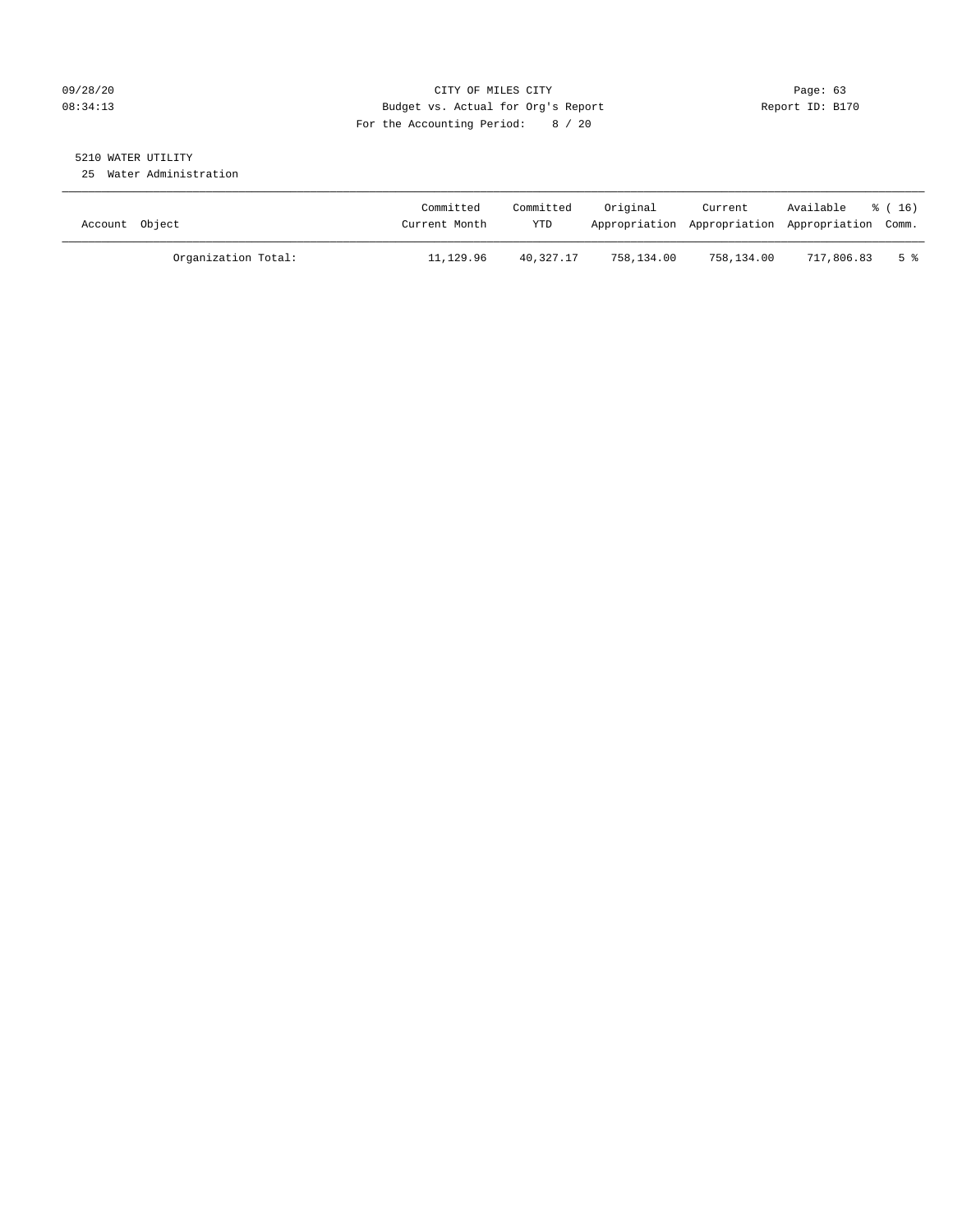#### 09/28/20 Page: 63 08:34:13 Budget vs. Actual for Org's Report Report ID: B170 For the Accounting Period: 8 / 20

## 5210 WATER UTILITY

25 Water Administration

| Account Object      | Committed<br>Current Month | Committed<br>YTD | Original   | Current<br>Appropriation Appropriation Appropriation Comm. | Available  | * (16) |
|---------------------|----------------------------|------------------|------------|------------------------------------------------------------|------------|--------|
| Organization Total: | 11,129.96                  | 40,327.17        | 758,134.00 | 758,134.00                                                 | 717,806.83 | 5 %    |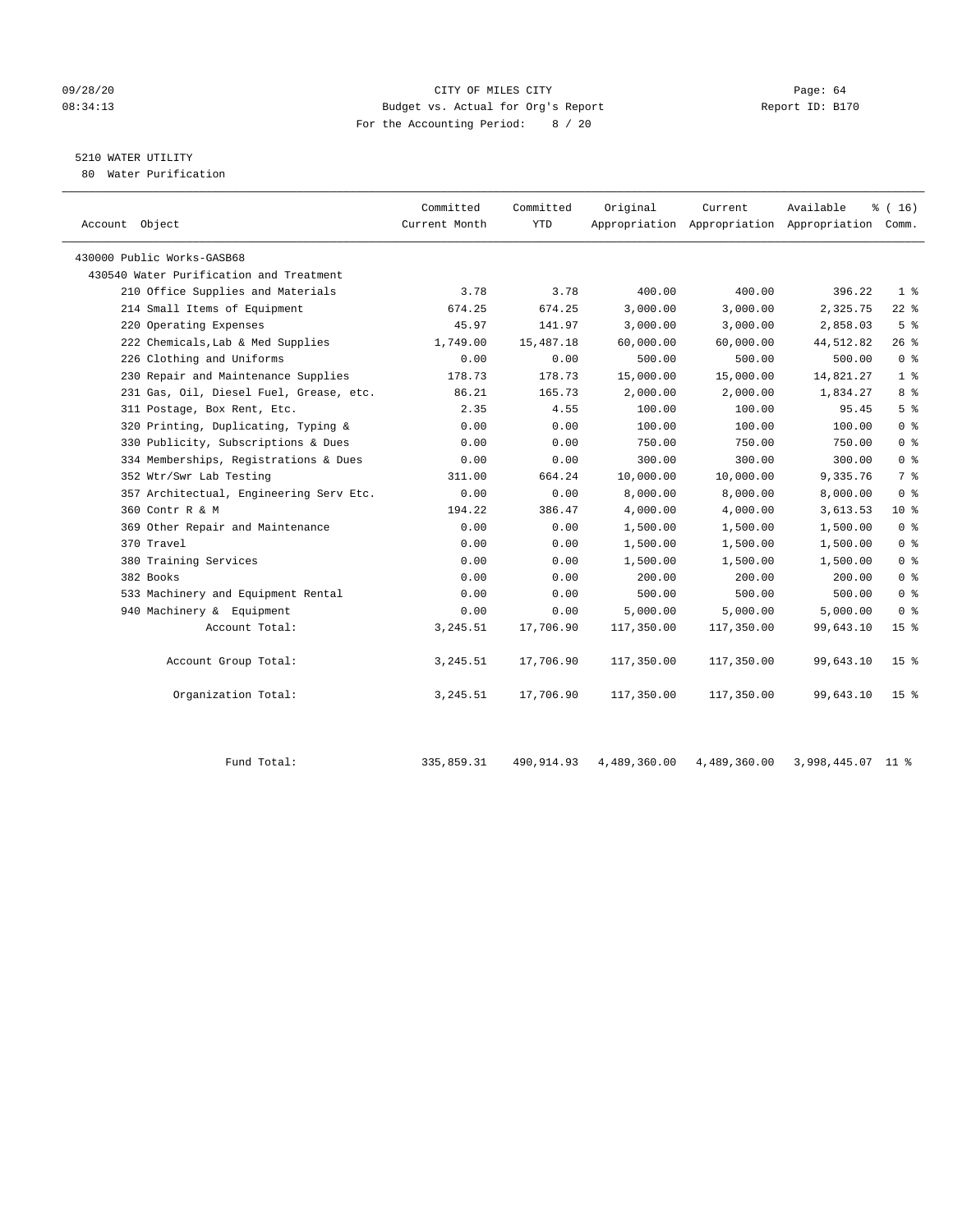#### 09/28/20 Page: 64 08:34:13 Budget vs. Actual for Org's Report Report ID: B170 For the Accounting Period: 8 / 20

# 5210 WATER UTILITY

80 Water Purification

| Account Object                          | Committed<br>Current Month | Committed<br><b>YTD</b> | Original   | Current    | Available<br>Appropriation Appropriation Appropriation Comm. | % (16)          |
|-----------------------------------------|----------------------------|-------------------------|------------|------------|--------------------------------------------------------------|-----------------|
| 430000 Public Works-GASB68              |                            |                         |            |            |                                                              |                 |
| 430540 Water Purification and Treatment |                            |                         |            |            |                                                              |                 |
| 210 Office Supplies and Materials       | 3.78                       | 3.78                    | 400.00     | 400.00     | 396.22                                                       | 1 <sup>8</sup>  |
| 214 Small Items of Equipment            | 674.25                     | 674.25                  | 3,000.00   | 3,000.00   | 2,325.75                                                     | $22$ %          |
| 220 Operating Expenses                  | 45.97                      | 141.97                  | 3,000.00   | 3,000.00   | 2,858.03                                                     | 5 <sup>°</sup>  |
| 222 Chemicals, Lab & Med Supplies       | 1,749.00                   | 15,487.18               | 60,000.00  | 60,000.00  | 44,512.82                                                    | 26%             |
| 226 Clothing and Uniforms               | 0.00                       | 0.00                    | 500.00     | 500.00     | 500.00                                                       | 0 <sup>8</sup>  |
| 230 Repair and Maintenance Supplies     | 178.73                     | 178.73                  | 15,000.00  | 15,000.00  | 14,821.27                                                    | 1 <sup>8</sup>  |
| 231 Gas, Oil, Diesel Fuel, Grease, etc. | 86.21                      | 165.73                  | 2,000.00   | 2,000.00   | 1,834.27                                                     | 8 %             |
| 311 Postage, Box Rent, Etc.             | 2.35                       | 4.55                    | 100.00     | 100.00     | 95.45                                                        | 5 <sup>8</sup>  |
| 320 Printing, Duplicating, Typing &     | 0.00                       | 0.00                    | 100.00     | 100.00     | 100.00                                                       | 0 <sup>8</sup>  |
| 330 Publicity, Subscriptions & Dues     | 0.00                       | 0.00                    | 750.00     | 750.00     | 750.00                                                       | 0 <sup>8</sup>  |
| 334 Memberships, Registrations & Dues   | 0.00                       | 0.00                    | 300.00     | 300.00     | 300.00                                                       | 0 <sup>8</sup>  |
| 352 Wtr/Swr Lab Testing                 | 311.00                     | 664.24                  | 10,000.00  | 10,000.00  | 9,335.76                                                     | 7 %             |
| 357 Architectual, Engineering Serv Etc. | 0.00                       | 0.00                    | 8,000.00   | 8,000.00   | 8,000.00                                                     | 0 <sup>8</sup>  |
| 360 Contr R & M                         | 194.22                     | 386.47                  | 4,000.00   | 4,000.00   | 3,613.53                                                     | $10*$           |
| 369 Other Repair and Maintenance        | 0.00                       | 0.00                    | 1,500.00   | 1,500.00   | 1,500.00                                                     | 0 <sup>8</sup>  |
| 370 Travel                              | 0.00                       | 0.00                    | 1,500.00   | 1,500.00   | 1,500.00                                                     | 0 <sup>8</sup>  |
| 380 Training Services                   | 0.00                       | 0.00                    | 1,500.00   | 1,500.00   | 1,500.00                                                     | 0 <sup>8</sup>  |
| 382 Books                               | 0.00                       | 0.00                    | 200.00     | 200.00     | 200.00                                                       | 0 <sup>8</sup>  |
| 533 Machinery and Equipment Rental      | 0.00                       | 0.00                    | 500.00     | 500.00     | 500.00                                                       | 0 <sup>8</sup>  |
| 940 Machinery & Equipment               | 0.00                       | 0.00                    | 5,000.00   | 5.000.00   | 5,000.00                                                     | 0 %             |
| Account Total:                          | 3,245.51                   | 17,706.90               | 117,350.00 | 117,350.00 | 99,643.10                                                    | 15 <sup>8</sup> |
| Account Group Total:                    | 3,245.51                   | 17,706.90               | 117,350.00 | 117,350.00 | 99,643.10                                                    | 15 <sup>8</sup> |
| Organization Total:                     | 3,245.51                   | 17,706.90               | 117,350.00 | 117,350.00 | 99,643.10                                                    | 15 <sub>8</sub> |

| Total<br>Fund | 335,859.31 | 490,914.93 | 4,489,360.00 | 4,489,360.00 | ,998,445.07 |  |
|---------------|------------|------------|--------------|--------------|-------------|--|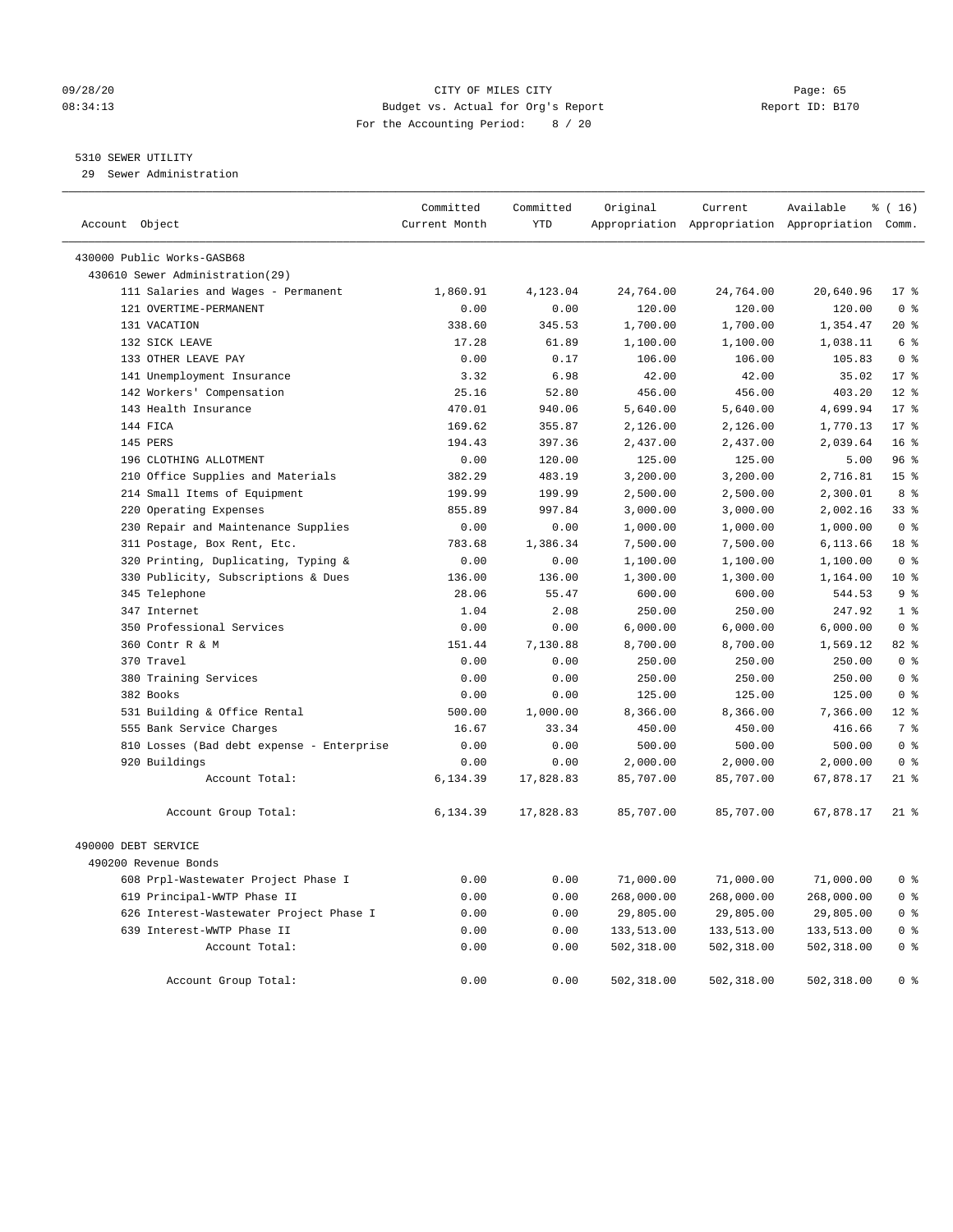#### 09/28/20 Page: 65 08:34:13 Budget vs. Actual for Org's Report Report ID: B170 For the Accounting Period: 8 / 20

#### 5310 SEWER UTILITY

29 Sewer Administration

| Account Object                            | Committed<br>Current Month | Committed<br><b>YTD</b> | Original   | Current    | Available<br>Appropriation Appropriation Appropriation Comm. | $\frac{1}{6}$ ( 16 ) |
|-------------------------------------------|----------------------------|-------------------------|------------|------------|--------------------------------------------------------------|----------------------|
|                                           |                            |                         |            |            |                                                              |                      |
| 430000 Public Works-GASB68                |                            |                         |            |            |                                                              |                      |
| 430610 Sewer Administration(29)           |                            |                         |            |            |                                                              |                      |
| 111 Salaries and Wages - Permanent        | 1,860.91                   | 4,123.04                | 24,764.00  | 24,764.00  | 20,640.96                                                    | $17*$                |
| 121 OVERTIME-PERMANENT                    | 0.00                       | 0.00                    | 120.00     | 120.00     | 120.00                                                       | 0 <sup>8</sup>       |
| 131 VACATION                              | 338.60                     | 345.53                  | 1,700.00   | 1,700.00   | 1,354.47                                                     | $20*$                |
| 132 SICK LEAVE                            | 17.28                      | 61.89                   | 1,100.00   | 1,100.00   | 1,038.11                                                     | 6 <sup>°</sup>       |
| 133 OTHER LEAVE PAY                       | 0.00                       | 0.17                    | 106.00     | 106.00     | 105.83                                                       | 0 <sup>8</sup>       |
| 141 Unemployment Insurance                | 3.32                       | 6.98                    | 42.00      | 42.00      | 35.02                                                        | 17 <sup>8</sup>      |
| 142 Workers' Compensation                 | 25.16                      | 52.80                   | 456.00     | 456.00     | 403.20                                                       | $12*$                |
| 143 Health Insurance                      | 470.01                     | 940.06                  | 5,640.00   | 5,640.00   | 4,699.94                                                     | $17*$                |
| 144 FICA                                  | 169.62                     | 355.87                  | 2,126.00   | 2,126.00   | 1,770.13                                                     | $17*$                |
| 145 PERS                                  | 194.43                     | 397.36                  | 2,437.00   | 2,437.00   | 2,039.64                                                     | 16 <sup>8</sup>      |
| 196 CLOTHING ALLOTMENT                    | 0.00                       | 120.00                  | 125.00     | 125.00     | 5.00                                                         | 96%                  |
| 210 Office Supplies and Materials         | 382.29                     | 483.19                  | 3,200.00   | 3,200.00   | 2,716.81                                                     | 15 <sup>8</sup>      |
| 214 Small Items of Equipment              | 199.99                     | 199.99                  | 2,500.00   | 2,500.00   | 2,300.01                                                     | 8 %                  |
| 220 Operating Expenses                    | 855.89                     | 997.84                  | 3,000.00   | 3,000.00   | 2,002.16                                                     | 338                  |
| 230 Repair and Maintenance Supplies       | 0.00                       | 0.00                    | 1,000.00   | 1,000.00   | 1,000.00                                                     | 0 <sup>8</sup>       |
| 311 Postage, Box Rent, Etc.               | 783.68                     | 1,386.34                | 7,500.00   | 7,500.00   | 6,113.66                                                     | 18 <sup>8</sup>      |
| 320 Printing, Duplicating, Typing &       | 0.00                       | 0.00                    | 1,100.00   | 1,100.00   | 1,100.00                                                     | 0 <sup>8</sup>       |
| 330 Publicity, Subscriptions & Dues       | 136.00                     | 136.00                  | 1,300.00   | 1,300.00   | 1,164.00                                                     | $10*$                |
| 345 Telephone                             | 28.06                      | 55.47                   | 600.00     | 600.00     | 544.53                                                       | 9 %                  |
| 347 Internet                              | 1.04                       | 2.08                    | 250.00     | 250.00     | 247.92                                                       | 1 <sup>°</sup>       |
| 350 Professional Services                 | 0.00                       | 0.00                    | 6,000.00   | 6,000.00   | 6,000.00                                                     | 0 <sup>8</sup>       |
| 360 Contr R & M                           | 151.44                     | 7,130.88                | 8,700.00   | 8,700.00   | 1,569.12                                                     | 82%                  |
| 370 Travel                                | 0.00                       | 0.00                    | 250.00     | 250.00     | 250.00                                                       | 0 <sup>8</sup>       |
| 380 Training Services                     | 0.00                       | 0.00                    | 250.00     | 250.00     | 250.00                                                       | 0 <sup>8</sup>       |
| 382 Books                                 | 0.00                       | 0.00                    | 125.00     | 125.00     | 125.00                                                       | 0 <sup>8</sup>       |
| 531 Building & Office Rental              | 500.00                     | 1,000.00                | 8,366.00   | 8,366.00   | 7,366.00                                                     | $12*$                |
| 555 Bank Service Charges                  | 16.67                      | 33.34                   | 450.00     | 450.00     | 416.66                                                       | 7%                   |
| 810 Losses (Bad debt expense - Enterprise | 0.00                       | 0.00                    | 500.00     | 500.00     | 500.00                                                       | 0 <sup>8</sup>       |
| 920 Buildings                             | 0.00                       | 0.00                    | 2,000.00   | 2,000.00   | 2,000.00                                                     | 0 <sup>8</sup>       |
| Account Total:                            | 6,134.39                   | 17,828.83               | 85,707.00  | 85,707.00  | 67,878.17                                                    | $21$ $%$             |
| Account Group Total:                      | 6,134.39                   | 17,828.83               | 85,707.00  | 85,707.00  | 67,878.17                                                    | $21$ %               |
| 490000 DEBT SERVICE                       |                            |                         |            |            |                                                              |                      |
| 490200 Revenue Bonds                      |                            |                         |            |            |                                                              |                      |
| 608 Prpl-Wastewater Project Phase I       | 0.00                       | 0.00                    | 71,000.00  | 71,000.00  | 71,000.00                                                    | 0 <sup>8</sup>       |
| 619 Principal-WWTP Phase II               | 0.00                       | 0.00                    | 268,000.00 | 268,000.00 | 268,000.00                                                   | 0 <sup>8</sup>       |
| 626 Interest-Wastewater Project Phase I   | 0.00                       | 0.00                    | 29,805.00  | 29,805.00  | 29,805.00                                                    | 0 <sup>8</sup>       |
| 639 Interest-WWTP Phase II                | 0.00                       | 0.00                    | 133,513.00 | 133,513.00 | 133,513.00                                                   | 0 <sup>8</sup>       |
| Account Total:                            | 0.00                       | 0.00                    | 502,318.00 | 502,318.00 | 502,318.00                                                   | 0 <sup>8</sup>       |
| Account Group Total:                      | 0.00                       | 0.00                    | 502,318.00 | 502,318.00 | 502,318.00                                                   | 0 <sup>8</sup>       |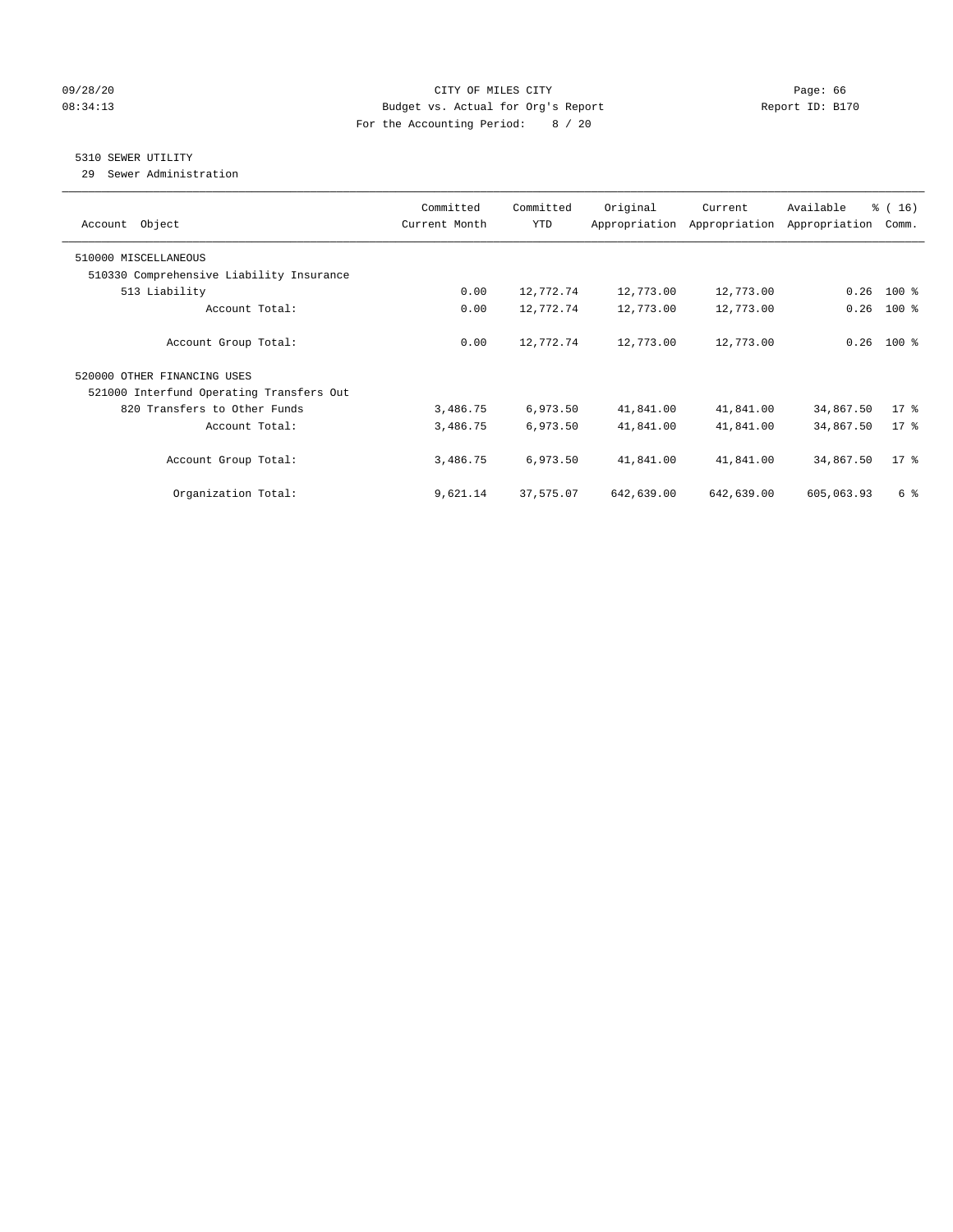#### 09/28/20 Page: 66 Page: 66 Page: 66 Page: 66 Page: 66 Page: 66 Page: 66 Page: 66 Page: 66 Page: 66 Page: 66 Page: 66 08:34:13 Budget vs. Actual for Org's Report Changer Report ID: B170 For the Accounting Period: 8 / 20

## 5310 SEWER UTILITY

29 Sewer Administration

| Object<br>Account                        | Committed<br>Current Month | Committed<br><b>YTD</b> | Original<br>Appropriation | Current<br>Appropriation | Available<br>Appropriation | % (16)<br>Comm. |
|------------------------------------------|----------------------------|-------------------------|---------------------------|--------------------------|----------------------------|-----------------|
| 510000 MISCELLANEOUS                     |                            |                         |                           |                          |                            |                 |
| 510330 Comprehensive Liability Insurance |                            |                         |                           |                          |                            |                 |
| 513 Liability                            | 0.00                       | 12,772.74               | 12,773.00                 | 12,773.00                | 0.26                       | $100$ %         |
| Account Total:                           | 0.00                       | 12,772.74               | 12,773.00                 | 12,773.00                | 0.26                       | $100*$          |
| Account Group Total:                     | 0.00                       | 12,772.74               | 12,773.00                 | 12,773.00                |                            | $0.26$ 100 %    |
| 520000 OTHER FINANCING USES              |                            |                         |                           |                          |                            |                 |
| 521000 Interfund Operating Transfers Out |                            |                         |                           |                          |                            |                 |
| 820 Transfers to Other Funds             | 3,486.75                   | 6,973.50                | 41,841.00                 | 41,841.00                | 34,867.50                  | $17*$           |
| Account Total:                           | 3,486.75                   | 6,973.50                | 41,841.00                 | 41,841.00                | 34,867.50                  | $17*$           |
| Account Group Total:                     | 3,486.75                   | 6,973.50                | 41,841.00                 | 41,841.00                | 34,867.50                  | $17*$           |
| Organization Total:                      | 9,621.14                   | 37,575.07               | 642,639.00                | 642,639.00               | 605,063.93                 | 6 %             |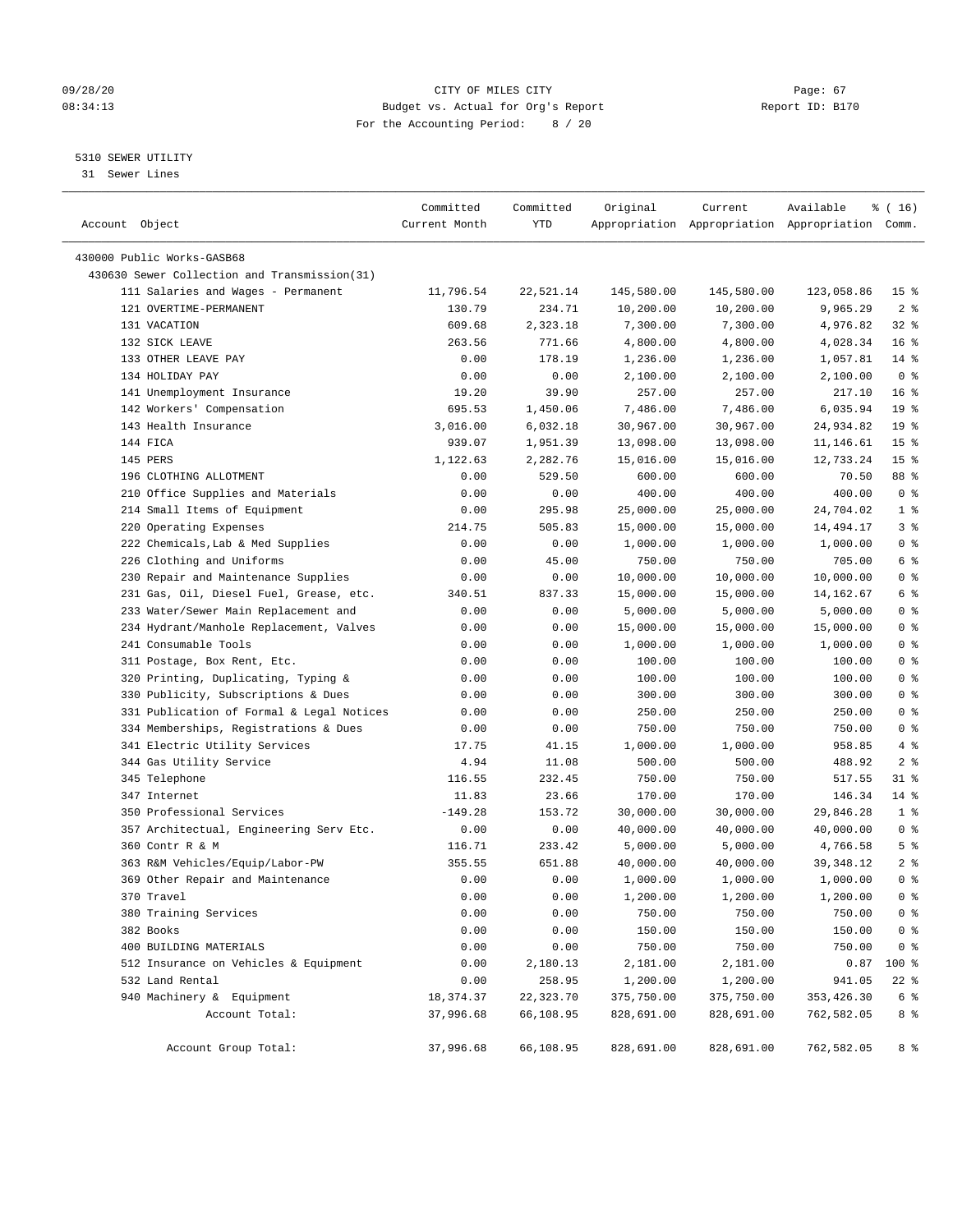#### 09/28/20 Page: 67 08:34:13 Budget vs. Actual for Org's Report Report ID: B170 For the Accounting Period: 8 / 20

————————————————————————————————————————————————————————————————————————————————————————————————————————————————————————————————————

#### 5310 SEWER UTILITY

31 Sewer Lines

|                |                                              | Committed     | Committed | Original   | Current    | Available                                       | % (16)          |
|----------------|----------------------------------------------|---------------|-----------|------------|------------|-------------------------------------------------|-----------------|
| Account Object |                                              | Current Month | YTD       |            |            | Appropriation Appropriation Appropriation Comm. |                 |
|                | 430000 Public Works-GASB68                   |               |           |            |            |                                                 |                 |
|                | 430630 Sewer Collection and Transmission(31) |               |           |            |            |                                                 |                 |
|                | 111 Salaries and Wages - Permanent           | 11,796.54     | 22,521.14 | 145,580.00 | 145,580.00 | 123,058.86                                      | 15 <sup>8</sup> |
|                | 121 OVERTIME-PERMANENT                       | 130.79        | 234.71    | 10,200.00  | 10,200.00  | 9,965.29                                        | 2 <sup>8</sup>  |
|                | 131 VACATION                                 | 609.68        | 2,323.18  | 7,300.00   | 7,300.00   | 4,976.82                                        | $32$ $%$        |
|                | 132 SICK LEAVE                               | 263.56        | 771.66    | 4,800.00   | 4,800.00   | 4,028.34                                        | 16 <sup>°</sup> |
|                | 133 OTHER LEAVE PAY                          | 0.00          | 178.19    | 1,236.00   | 1,236.00   | 1,057.81                                        | $14*$           |
|                | 134 HOLIDAY PAY                              | 0.00          | 0.00      | 2,100.00   | 2,100.00   | 2,100.00                                        | 0 <sup>8</sup>  |
|                | 141 Unemployment Insurance                   | 19.20         | 39.90     | 257.00     | 257.00     | 217.10                                          | 16 <sup>8</sup> |
|                | 142 Workers' Compensation                    | 695.53        | 1,450.06  | 7,486.00   | 7,486.00   | 6,035.94                                        | 19 <sup>°</sup> |
|                | 143 Health Insurance                         | 3,016.00      | 6,032.18  | 30,967.00  | 30,967.00  | 24,934.82                                       | 19 <sup>°</sup> |
|                | 144 FICA                                     | 939.07        | 1,951.39  | 13,098.00  | 13,098.00  | 11,146.61                                       | 15 <sup>°</sup> |
|                | 145 PERS                                     | 1,122.63      | 2,282.76  | 15,016.00  | 15,016.00  | 12,733.24                                       | 15 <sup>8</sup> |
|                | 196 CLOTHING ALLOTMENT                       | 0.00          | 529.50    | 600.00     | 600.00     | 70.50                                           | 88 %            |
|                | 210 Office Supplies and Materials            | 0.00          | 0.00      | 400.00     | 400.00     | 400.00                                          | 0 <sup>8</sup>  |
|                | 214 Small Items of Equipment                 | 0.00          | 295.98    | 25,000.00  | 25,000.00  | 24,704.02                                       | 1 <sup>°</sup>  |
|                | 220 Operating Expenses                       | 214.75        | 505.83    | 15,000.00  | 15,000.00  | 14,494.17                                       | 3 <sup>°</sup>  |
|                | 222 Chemicals, Lab & Med Supplies            | 0.00          | 0.00      | 1,000.00   | 1,000.00   | 1,000.00                                        | 0 <sup>8</sup>  |
|                | 226 Clothing and Uniforms                    | 0.00          | 45.00     | 750.00     | 750.00     | 705.00                                          | 6 %             |
|                | 230 Repair and Maintenance Supplies          | 0.00          | 0.00      | 10,000.00  | 10,000.00  | 10,000.00                                       | 0 <sup>8</sup>  |
|                | 231 Gas, Oil, Diesel Fuel, Grease, etc.      | 340.51        | 837.33    | 15,000.00  | 15,000.00  | 14,162.67                                       | 6 <sup>8</sup>  |
|                | 233 Water/Sewer Main Replacement and         | 0.00          | 0.00      | 5,000.00   | 5,000.00   | 5,000.00                                        | 0 <sup>8</sup>  |
|                | 234 Hydrant/Manhole Replacement, Valves      | 0.00          | 0.00      | 15,000.00  | 15,000.00  | 15,000.00                                       | 0 <sup>8</sup>  |
|                | 241 Consumable Tools                         | 0.00          | 0.00      | 1,000.00   | 1,000.00   | 1,000.00                                        | 0 <sup>8</sup>  |
|                | 311 Postage, Box Rent, Etc.                  | 0.00          | 0.00      | 100.00     | 100.00     | 100.00                                          | 0 <sup>8</sup>  |
|                | 320 Printing, Duplicating, Typing &          | 0.00          | 0.00      | 100.00     | 100.00     | 100.00                                          | 0 <sup>8</sup>  |
|                | 330 Publicity, Subscriptions & Dues          | 0.00          | 0.00      | 300.00     | 300.00     | 300.00                                          | 0 <sup>8</sup>  |
|                | 331 Publication of Formal & Legal Notices    | 0.00          | 0.00      | 250.00     | 250.00     | 250.00                                          | 0 <sup>°</sup>  |
|                | 334 Memberships, Registrations & Dues        | 0.00          | 0.00      | 750.00     | 750.00     | 750.00                                          | 0 <sup>8</sup>  |
|                | 341 Electric Utility Services                | 17.75         | 41.15     | 1,000.00   | 1,000.00   | 958.85                                          | $4\degree$      |
|                | 344 Gas Utility Service                      | 4.94          | 11.08     | 500.00     | 500.00     | 488.92                                          | 2 <sup>8</sup>  |
|                | 345 Telephone                                | 116.55        | 232.45    | 750.00     | 750.00     | 517.55                                          | 31 %            |
|                | 347 Internet                                 | 11.83         | 23.66     | 170.00     | 170.00     | 146.34                                          | $14$ %          |
|                | 350 Professional Services                    | $-149.28$     | 153.72    | 30,000.00  | 30,000.00  | 29,846.28                                       | 1 <sup>8</sup>  |
|                | 357 Architectual, Engineering Serv Etc.      | 0.00          | 0.00      | 40,000.00  | 40,000.00  | 40,000.00                                       | 0 <sup>8</sup>  |
|                | 360 Contr R & M                              | 116.71        | 233.42    | 5,000.00   | 5,000.00   | 4,766.58                                        | 5 <sup>8</sup>  |
|                | 363 R&M Vehicles/Equip/Labor-PW              | 355.55        | 651.88    | 40,000.00  | 40,000.00  | 39, 348.12                                      | 2 <sup>°</sup>  |
|                | 369 Other Repair and Maintenance             | 0.00          | 0.00      | 1,000.00   | 1,000.00   | 1,000.00                                        | 0 <sup>8</sup>  |
|                | 370 Travel                                   | 0.00          | 0.00      | 1,200.00   | 1,200.00   | 1,200.00                                        | 0 <sup>8</sup>  |
|                | 380 Training Services                        | 0.00          | 0.00      | 750.00     | 750.00     | 750.00                                          | 0 <sup>8</sup>  |
|                | 382 Books                                    | 0.00          | 0.00      | 150.00     | 150.00     | 150.00                                          | 0 <sup>8</sup>  |
|                | 400 BUILDING MATERIALS                       | 0.00          | 0.00      | 750.00     | 750.00     | 750.00                                          | 0 <sup>8</sup>  |
|                | 512 Insurance on Vehicles & Equipment        | 0.00          | 2,180.13  | 2,181.00   | 2,181.00   | 0.87                                            | 100 %           |
|                | 532 Land Rental                              | 0.00          | 258.95    | 1,200.00   | 1,200.00   | 941.05                                          | $22$ %          |
|                | 940 Machinery & Equipment                    | 18,374.37     | 22,323.70 | 375,750.00 | 375,750.00 | 353, 426.30                                     | 6 %             |
|                | Account Total:                               | 37,996.68     | 66,108.95 | 828,691.00 | 828,691.00 | 762,582.05                                      | 8 %             |
|                |                                              |               |           |            |            |                                                 |                 |
|                | Account Group Total:                         | 37,996.68     | 66,108.95 | 828,691.00 | 828,691.00 | 762,582.05                                      | 8 %             |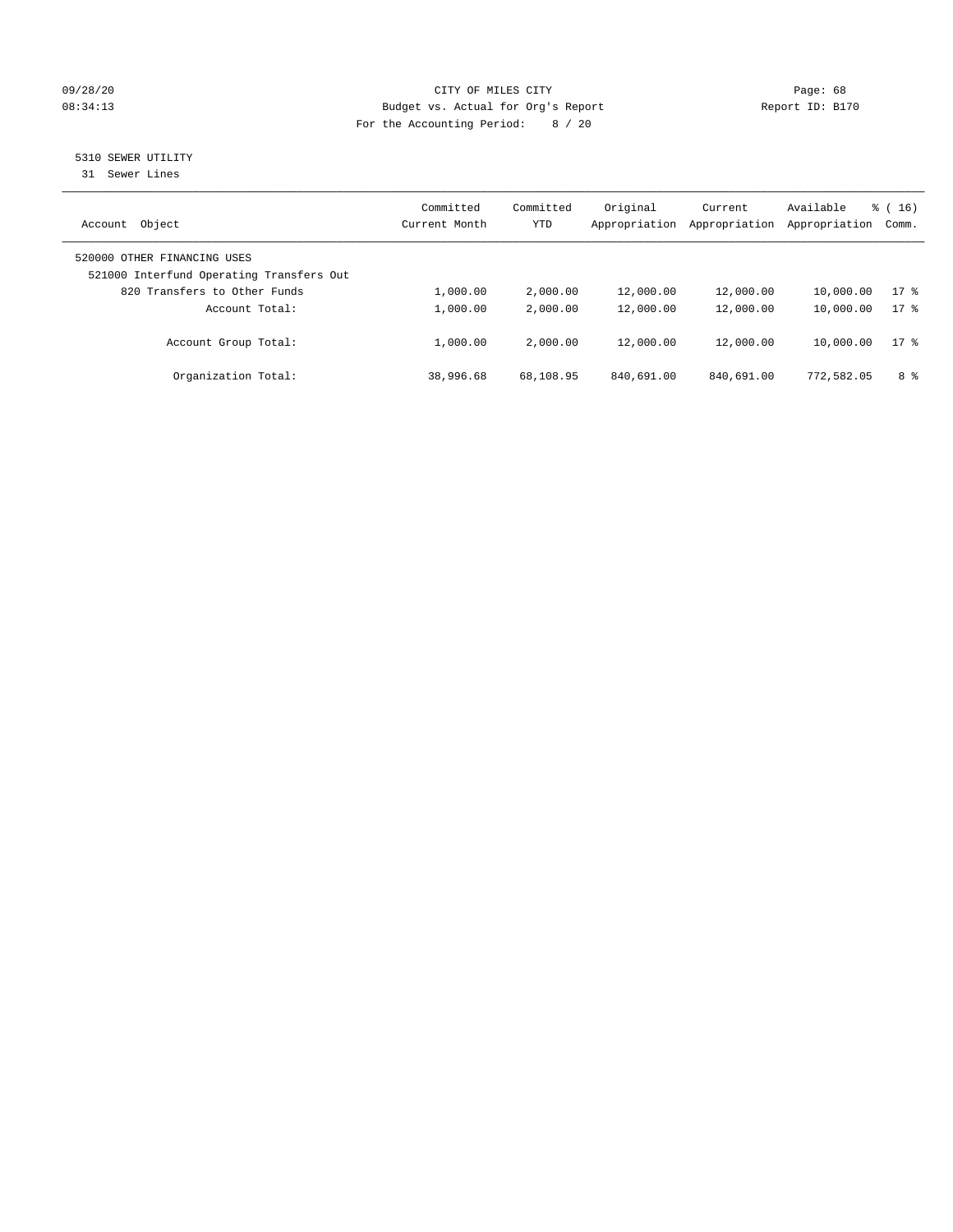#### 09/28/20 Page: 68 08:34:13 Budget vs. Actual for Org's Report Changer Report ID: B170 For the Accounting Period: 8 / 20

5310 SEWER UTILITY

31 Sewer Lines

| Object<br>Account                                                       | Committed<br>Current Month | Committed<br><b>YTD</b> | Original<br>Appropriation | Current<br>Appropriation | Available<br>Appropriation | $\frac{3}{6}$ ( 16 )<br>Comm. |
|-------------------------------------------------------------------------|----------------------------|-------------------------|---------------------------|--------------------------|----------------------------|-------------------------------|
| 520000 OTHER FINANCING USES<br>521000 Interfund Operating Transfers Out |                            |                         |                           |                          |                            |                               |
| 820 Transfers to Other Funds                                            | 1,000.00                   | 2,000.00                | 12,000.00                 | 12,000.00                | 10,000.00                  | $17*$                         |
| Account Total:                                                          | 1,000.00                   | 2,000.00                | 12,000.00                 | 12,000.00                | 10,000.00                  | $17*$                         |
| Account Group Total:                                                    | 1,000.00                   | 2,000.00                | 12,000.00                 | 12,000.00                | 10,000.00                  | $17*$                         |
| Organization Total:                                                     | 38,996.68                  | 68,108.95               | 840,691.00                | 840,691.00               | 772,582.05                 | 8 %                           |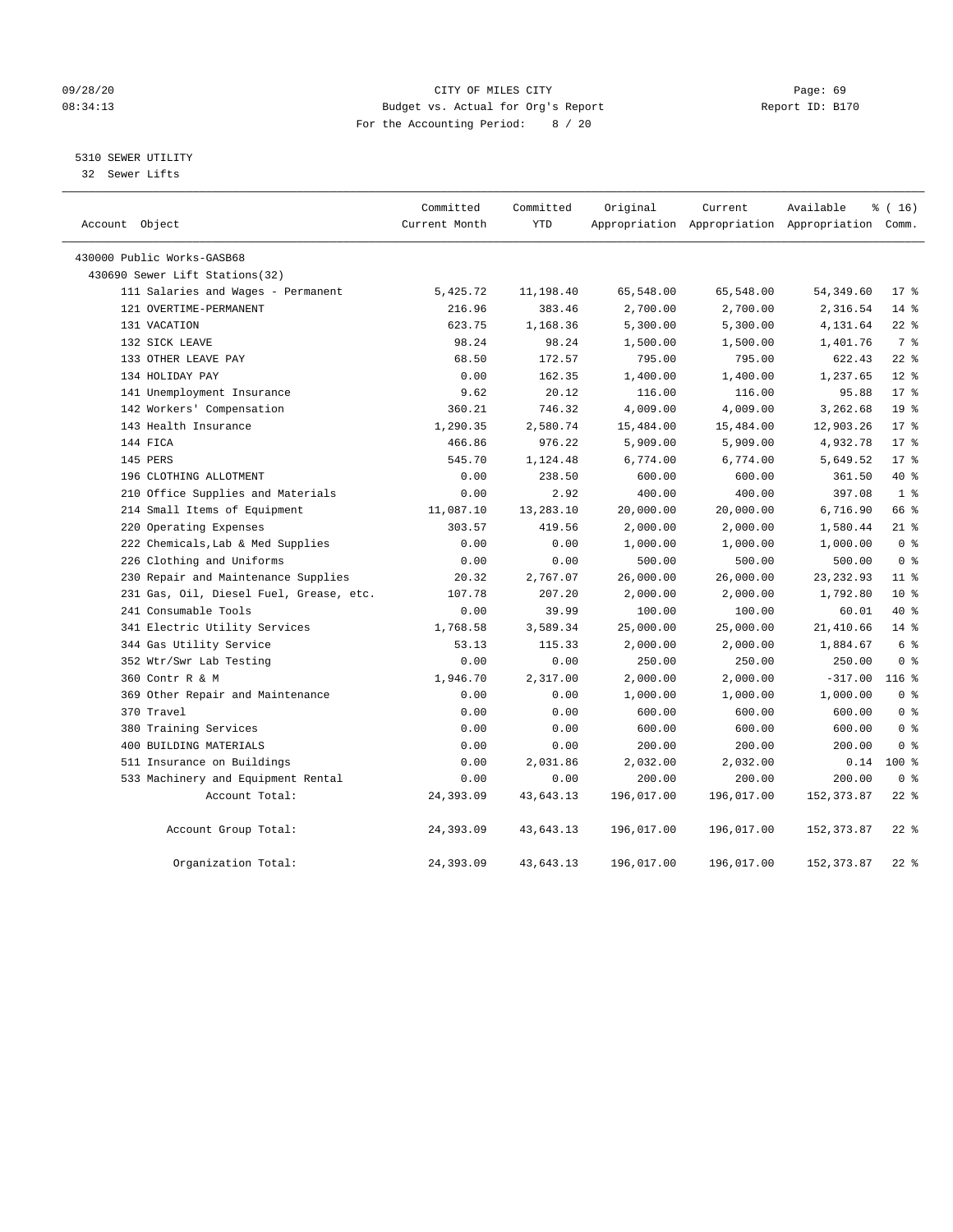#### 09/28/20 Page: 69 08:34:13 Budget vs. Actual for Org's Report Report ID: B170 For the Accounting Period: 8 / 20

5310 SEWER UTILITY

32 Sewer Lifts

| Account Object                          | Committed<br>Current Month | Committed<br><b>YTD</b> | Original   | Current    | Available<br>Appropriation Appropriation Appropriation Comm. | % (16)          |
|-----------------------------------------|----------------------------|-------------------------|------------|------------|--------------------------------------------------------------|-----------------|
| 430000 Public Works-GASB68              |                            |                         |            |            |                                                              |                 |
| 430690 Sewer Lift Stations (32)         |                            |                         |            |            |                                                              |                 |
| 111 Salaries and Wages - Permanent      | 5,425.72                   | 11,198.40               | 65,548.00  | 65,548.00  | 54, 349.60                                                   | $17*$           |
| 121 OVERTIME-PERMANENT                  | 216.96                     | 383.46                  | 2,700.00   | 2,700.00   | 2,316.54                                                     | $14*$           |
| 131 VACATION                            | 623.75                     | 1,168.36                | 5,300.00   | 5,300.00   | 4,131.64                                                     | $22$ %          |
| 132 SICK LEAVE                          | 98.24                      | 98.24                   | 1,500.00   | 1,500.00   | 1,401.76                                                     | 7 <sup>°</sup>  |
| 133 OTHER LEAVE PAY                     | 68.50                      | 172.57                  | 795.00     | 795.00     | 622.43                                                       | $22$ %          |
| 134 HOLIDAY PAY                         | 0.00                       | 162.35                  | 1,400.00   | 1,400.00   | 1,237.65                                                     | $12*$           |
| 141 Unemployment Insurance              | 9.62                       | 20.12                   | 116.00     | 116.00     | 95.88                                                        | $17*$           |
| 142 Workers' Compensation               | 360.21                     | 746.32                  | 4,009.00   | 4,009.00   | 3,262.68                                                     | 19 <sup>°</sup> |
| 143 Health Insurance                    | 1,290.35                   | 2,580.74                | 15,484.00  | 15,484.00  | 12,903.26                                                    | 17 <sup>8</sup> |
| 144 FICA                                | 466.86                     | 976.22                  | 5,909.00   | 5,909.00   | 4,932.78                                                     | 17 <sup>8</sup> |
| 145 PERS                                | 545.70                     | 1,124.48                | 6,774.00   | 6,774.00   | 5,649.52                                                     | $17*$           |
| 196 CLOTHING ALLOTMENT                  | 0.00                       | 238.50                  | 600.00     | 600.00     | 361.50                                                       | 40 %            |
| 210 Office Supplies and Materials       | 0.00                       | 2.92                    | 400.00     | 400.00     | 397.08                                                       | 1 <sup>8</sup>  |
| 214 Small Items of Equipment            | 11,087.10                  | 13,283.10               | 20,000.00  | 20,000.00  | 6,716.90                                                     | 66 %            |
| 220 Operating Expenses                  | 303.57                     | 419.56                  | 2,000.00   | 2,000.00   | 1,580.44                                                     | $21$ %          |
| 222 Chemicals, Lab & Med Supplies       | 0.00                       | 0.00                    | 1,000.00   | 1,000.00   | 1,000.00                                                     | 0 <sup>8</sup>  |
| 226 Clothing and Uniforms               | 0.00                       | 0.00                    | 500.00     | 500.00     | 500.00                                                       | 0 <sup>8</sup>  |
| 230 Repair and Maintenance Supplies     | 20.32                      | 2,767.07                | 26,000.00  | 26,000.00  | 23, 232.93                                                   | $11*$           |
| 231 Gas, Oil, Diesel Fuel, Grease, etc. | 107.78                     | 207.20                  | 2,000.00   | 2,000.00   | 1,792.80                                                     | $10*$           |
| 241 Consumable Tools                    | 0.00                       | 39.99                   | 100.00     | 100.00     | 60.01                                                        | $40*$           |
| 341 Electric Utility Services           | 1,768.58                   | 3,589.34                | 25,000.00  | 25,000.00  | 21,410.66                                                    | $14*$           |
| 344 Gas Utility Service                 | 53.13                      | 115.33                  | 2,000.00   | 2,000.00   | 1,884.67                                                     | 6 %             |
| 352 Wtr/Swr Lab Testing                 | 0.00                       | 0.00                    | 250.00     | 250.00     | 250.00                                                       | 0 <sup>8</sup>  |
| 360 Contr R & M                         | 1,946.70                   | 2,317.00                | 2,000.00   | 2,000.00   | $-317.00$                                                    | $116$ %         |
| 369 Other Repair and Maintenance        | 0.00                       | 0.00                    | 1,000.00   | 1,000.00   | 1,000.00                                                     | 0 <sup>8</sup>  |
| 370 Travel                              | 0.00                       | 0.00                    | 600.00     | 600.00     | 600.00                                                       | 0 <sup>8</sup>  |
| 380 Training Services                   | 0.00                       | 0.00                    | 600.00     | 600.00     | 600.00                                                       | 0 <sup>8</sup>  |
| 400 BUILDING MATERIALS                  | 0.00                       | 0.00                    | 200.00     | 200.00     | 200.00                                                       | 0 <sup>8</sup>  |
| 511 Insurance on Buildings              | 0.00                       | 2,031.86                | 2,032.00   | 2,032.00   | 0.14                                                         | $100*$          |
| 533 Machinery and Equipment Rental      | 0.00                       | 0.00                    | 200.00     | 200.00     | 200.00                                                       | 0 <sup>8</sup>  |
| Account Total:                          | 24,393.09                  | 43,643.13               | 196,017.00 | 196,017.00 | 152, 373.87                                                  | $22$ %          |
| Account Group Total:                    | 24,393.09                  | 43,643.13               | 196,017.00 | 196,017.00 | 152, 373.87                                                  | $22$ %          |
| Organization Total:                     | 24,393.09                  | 43,643.13               | 196,017.00 | 196,017.00 | 152, 373.87                                                  | $22$ %          |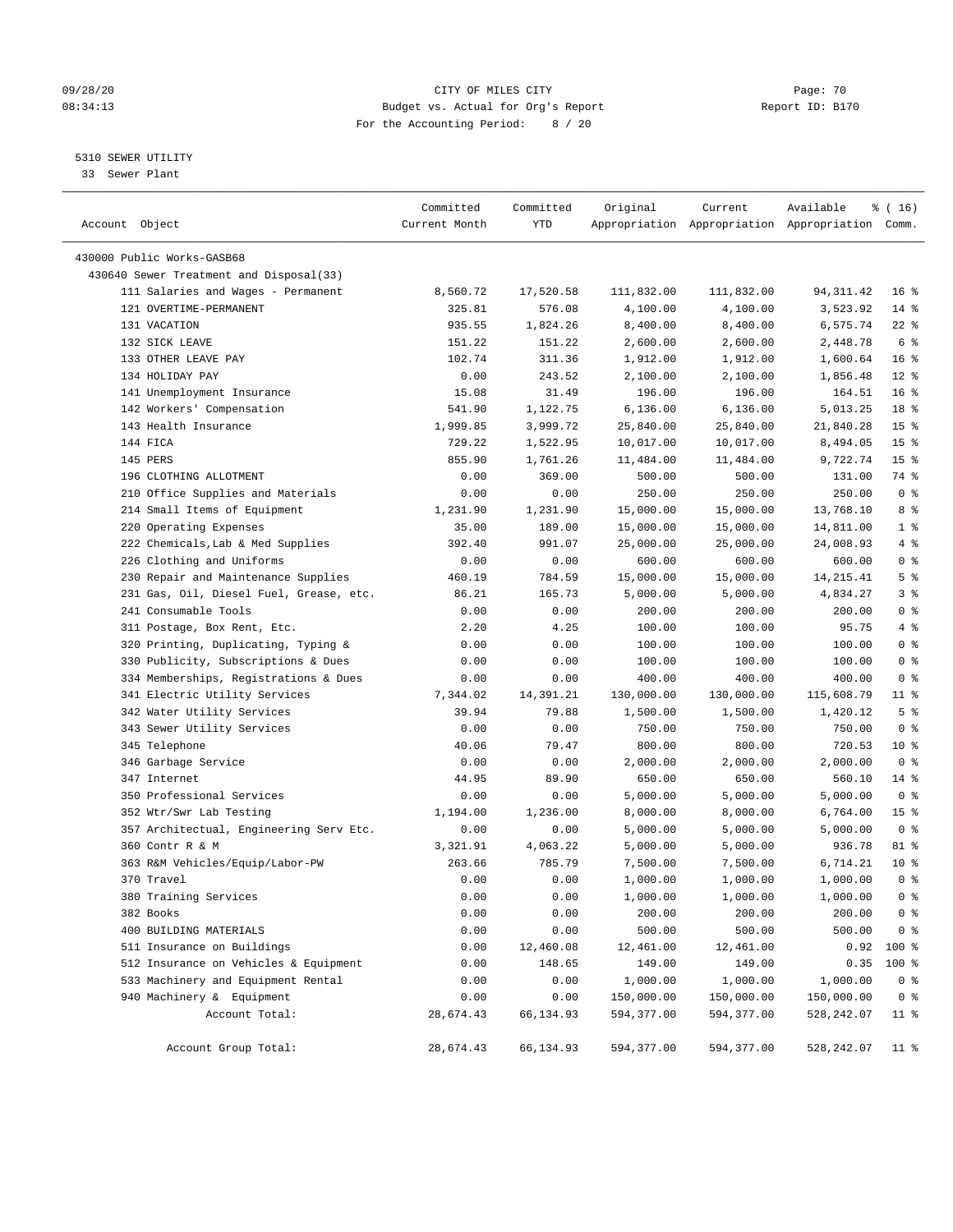#### 09/28/20 Page: 70 08:34:13 Budget vs. Actual for Org's Report Report ID: B170 For the Accounting Period: 8 / 20

————————————————————————————————————————————————————————————————————————————————————————————————————————————————————————————————————

#### 5310 SEWER UTILITY

33 Sewer Plant

|                                         | Committed     | Committed | Original   | Current    | Available                                       | ៖ ( 16)         |
|-----------------------------------------|---------------|-----------|------------|------------|-------------------------------------------------|-----------------|
| Account Object                          | Current Month | YTD       |            |            | Appropriation Appropriation Appropriation Comm. |                 |
|                                         |               |           |            |            |                                                 |                 |
| 430000 Public Works-GASB68              |               |           |            |            |                                                 |                 |
| 430640 Sewer Treatment and Disposal(33) |               |           |            |            |                                                 |                 |
| 111 Salaries and Wages - Permanent      | 8,560.72      | 17,520.58 | 111,832.00 | 111,832.00 | 94, 311.42                                      | 16 <sup>8</sup> |
| 121 OVERTIME-PERMANENT                  | 325.81        | 576.08    | 4,100.00   | 4,100.00   | 3,523.92                                        | $14$ %          |
| 131 VACATION                            | 935.55        | 1,824.26  | 8,400.00   | 8,400.00   | 6,575.74                                        | $22$ %          |
| 132 SICK LEAVE                          | 151.22        | 151.22    | 2,600.00   | 2,600.00   | 2,448.78                                        | 6 %             |
| 133 OTHER LEAVE PAY                     | 102.74        | 311.36    | 1,912.00   | 1,912.00   | 1,600.64                                        | 16 <sup>°</sup> |
| 134 HOLIDAY PAY                         | 0.00          | 243.52    | 2,100.00   | 2,100.00   | 1,856.48                                        | $12*$           |
| 141 Unemployment Insurance              | 15.08         | 31.49     | 196.00     | 196.00     | 164.51                                          | $16*$           |
| 142 Workers' Compensation               | 541.90        | 1,122.75  | 6,136.00   | 6,136.00   | 5,013.25                                        | 18 %            |
| 143 Health Insurance                    | 1,999.85      | 3,999.72  | 25,840.00  | 25,840.00  | 21,840.28                                       | 15 <sup>°</sup> |
| 144 FICA                                | 729.22        | 1,522.95  | 10,017.00  | 10,017.00  | 8,494.05                                        | 15 <sup>°</sup> |
| 145 PERS                                | 855.90        | 1,761.26  | 11,484.00  | 11,484.00  | 9,722.74                                        | 15 <sup>8</sup> |
| 196 CLOTHING ALLOTMENT                  | 0.00          | 369.00    | 500.00     | 500.00     | 131.00                                          | 74 %            |
| 210 Office Supplies and Materials       | 0.00          | 0.00      | 250.00     | 250.00     | 250.00                                          | 0 <sup>8</sup>  |
| 214 Small Items of Equipment            | 1,231.90      | 1,231.90  | 15,000.00  | 15,000.00  | 13,768.10                                       | 8 %             |
| 220 Operating Expenses                  | 35.00         | 189.00    | 15,000.00  | 15,000.00  | 14,811.00                                       | 1 <sup>°</sup>  |
| 222 Chemicals, Lab & Med Supplies       | 392.40        | 991.07    | 25,000.00  | 25,000.00  | 24,008.93                                       | $4\degree$      |
| 226 Clothing and Uniforms               | 0.00          | 0.00      | 600.00     | 600.00     | 600.00                                          | 0 <sup>°</sup>  |
| 230 Repair and Maintenance Supplies     | 460.19        | 784.59    | 15,000.00  | 15,000.00  | 14, 215. 41                                     | 5 <sup>8</sup>  |
| 231 Gas, Oil, Diesel Fuel, Grease, etc. | 86.21         | 165.73    | 5,000.00   | 5,000.00   | 4,834.27                                        | 3 <sup>°</sup>  |
| 241 Consumable Tools                    | 0.00          | 0.00      | 200.00     | 200.00     | 200.00                                          | 0 <sup>8</sup>  |
| 311 Postage, Box Rent, Etc.             | 2.20          | 4.25      | 100.00     | 100.00     | 95.75                                           | 4%              |
| 320 Printing, Duplicating, Typing &     | 0.00          | 0.00      | 100.00     | 100.00     | 100.00                                          | 0 <sup>°</sup>  |
| 330 Publicity, Subscriptions & Dues     | 0.00          | 0.00      | 100.00     | 100.00     | 100.00                                          | 0 <sup>8</sup>  |
| 334 Memberships, Registrations & Dues   | 0.00          | 0.00      | 400.00     | 400.00     | 400.00                                          | 0 <sup>8</sup>  |
| 341 Electric Utility Services           | 7,344.02      | 14,391.21 | 130,000.00 | 130,000.00 | 115,608.79                                      | $11$ %          |
| 342 Water Utility Services              | 39.94         | 79.88     | 1,500.00   | 1,500.00   | 1,420.12                                        | 5 <sup>°</sup>  |
| 343 Sewer Utility Services              | 0.00          | 0.00      | 750.00     | 750.00     | 750.00                                          | 0 <sup>8</sup>  |
| 345 Telephone                           | 40.06         | 79.47     | 800.00     | 800.00     | 720.53                                          | 10 <sup>°</sup> |
| 346 Garbage Service                     | 0.00          | 0.00      | 2,000.00   | 2,000.00   | 2,000.00                                        | 0 <sup>8</sup>  |
| 347 Internet                            | 44.95         | 89.90     | 650.00     | 650.00     | 560.10                                          | $14*$           |
| 350 Professional Services               | 0.00          | 0.00      | 5,000.00   | 5,000.00   | 5,000.00                                        | 0 <sup>8</sup>  |
| 352 Wtr/Swr Lab Testing                 | 1,194.00      | 1,236.00  | 8,000.00   | 8,000.00   | 6,764.00                                        | 15 <sup>°</sup> |
| 357 Architectual, Engineering Serv Etc. | 0.00          | 0.00      | 5,000.00   | 5,000.00   | 5,000.00                                        | 0 <sup>8</sup>  |
| 360 Contr R & M                         | 3,321.91      | 4,063.22  | 5,000.00   | 5,000.00   | 936.78                                          | 81 %            |
| 363 R&M Vehicles/Equip/Labor-PW         | 263.66        | 785.79    | 7,500.00   | 7,500.00   | 6,714.21                                        | $10*$           |
| 370 Travel                              | 0.00          | 0.00      | 1,000.00   | 1,000.00   | 1,000.00                                        | 0 <sup>8</sup>  |
| 380 Training Services                   | 0.00          | 0.00      | 1,000.00   | 1,000.00   | 1,000.00                                        | 0 <sup>8</sup>  |
| 382 Books                               | 0.00          | 0.00      | 200.00     | 200.00     | 200.00                                          | 0 <sup>8</sup>  |
| 400 BUILDING MATERIALS                  | 0.00          | 0.00      | 500.00     | 500.00     | 500.00                                          | 0 <sup>8</sup>  |
| 511 Insurance on Buildings              | 0.00          | 12,460.08 | 12,461.00  | 12,461.00  | 0.92                                            | 100 %           |
| 512 Insurance on Vehicles & Equipment   | 0.00          | 148.65    | 149.00     | 149.00     | 0.35                                            | 100 %           |
| 533 Machinery and Equipment Rental      | 0.00          | 0.00      | 1,000.00   | 1,000.00   | 1,000.00                                        | 0 <sup>8</sup>  |
| 940 Machinery & Equipment               | 0.00          | 0.00      | 150,000.00 | 150,000.00 | 150,000.00                                      | 0 <sup>8</sup>  |
| Account Total:                          | 28,674.43     | 66,134.93 | 594,377.00 | 594,377.00 | 528,242.07                                      | $11$ %          |
|                                         |               |           |            |            |                                                 |                 |
| Account Group Total:                    | 28,674.43     | 66,134.93 | 594,377.00 | 594,377.00 | 528, 242.07                                     | 11 %            |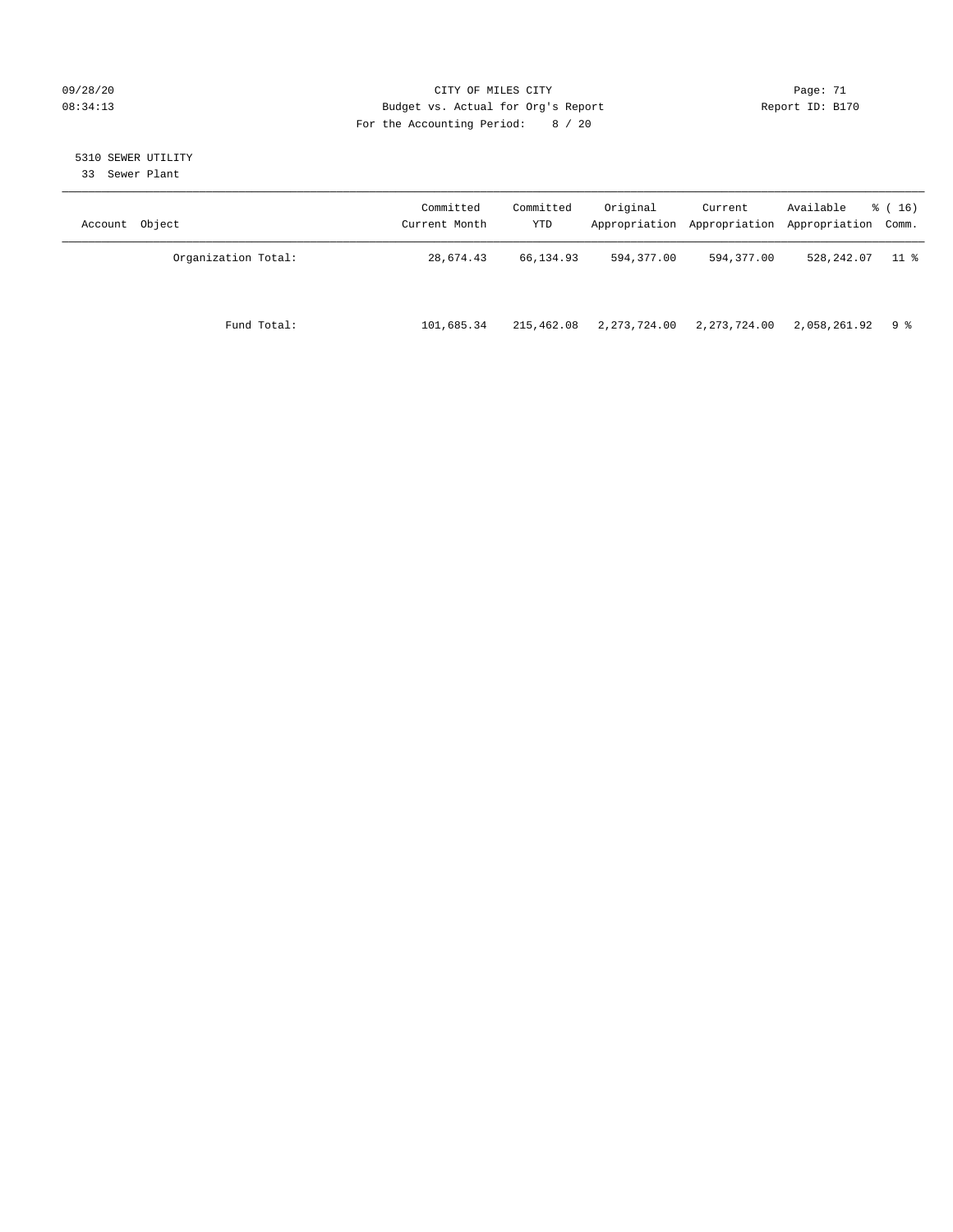#### 09/28/20 Page: 71 CITY OF MILES CITY CONTROL Page: 71 08:34:13 Budget vs. Actual for Org's Report Report ID: B170 For the Accounting Period: 8 / 20

# 5310 SEWER UTILITY

33 Sewer Plant

| Account Object      | Committed<br>Current Month | Committed<br>YTD | Original     | Current        | Available<br>Appropriation Appropriation Appropriation Comm. | $\frac{1}{6}$ (16) |
|---------------------|----------------------------|------------------|--------------|----------------|--------------------------------------------------------------|--------------------|
| Organization Total: | 28,674.43                  | 66,134.93        | 594,377.00   | 594,377.00     | 528,242.07                                                   | $11$ %             |
| Fund Total:         | 101,685.34                 | 215,462.08       | 2,273,724.00 | 2, 273, 724.00 | 2,058,261.92                                                 | 9 ક                |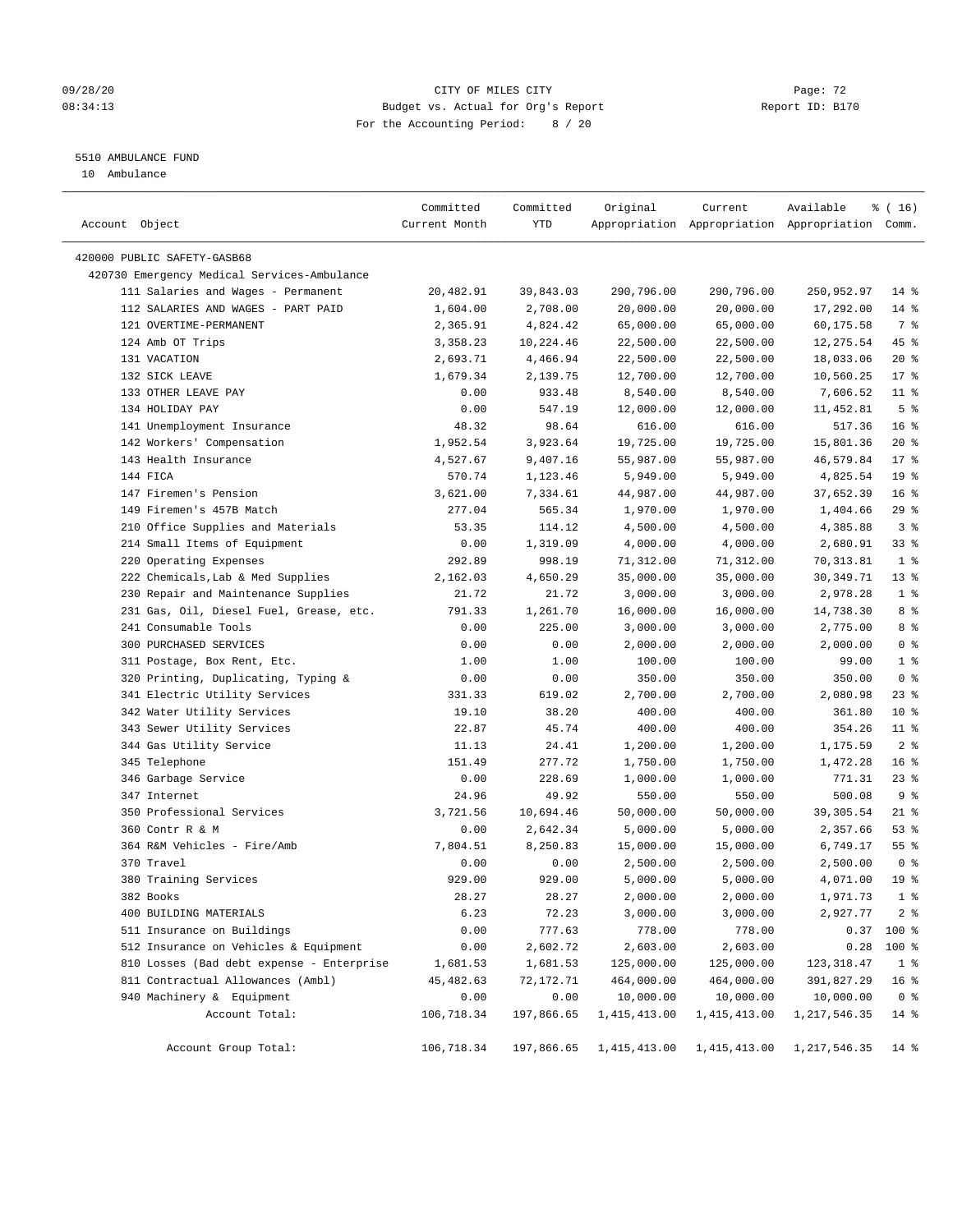#### 09/28/20 Page: 72 08:34:13 Budget vs. Actual for Org's Report Report ID: B170 For the Accounting Period: 8 / 20

————————————————————————————————————————————————————————————————————————————————————————————————————————————————————————————————————

### 5510 AMBULANCE FUND

10 Ambulance

|                                             | Committed     | Committed  | Original       | Current        | Available                                       | $\frac{1}{6}$ ( 16 ) |
|---------------------------------------------|---------------|------------|----------------|----------------|-------------------------------------------------|----------------------|
| Account Object                              | Current Month | YTD        |                |                | Appropriation Appropriation Appropriation Comm. |                      |
|                                             |               |            |                |                |                                                 |                      |
| 420000 PUBLIC SAFETY-GASB68                 |               |            |                |                |                                                 |                      |
| 420730 Emergency Medical Services-Ambulance |               |            |                |                |                                                 |                      |
| 111 Salaries and Wages - Permanent          | 20,482.91     | 39,843.03  | 290,796.00     | 290,796.00     | 250,952.97                                      | $14*$                |
| 112 SALARIES AND WAGES - PART PAID          | 1,604.00      | 2,708.00   | 20,000.00      | 20,000.00      | 17,292.00                                       | $14$ %               |
| 121 OVERTIME-PERMANENT                      | 2,365.91      | 4,824.42   | 65,000.00      | 65,000.00      | 60,175.58                                       | 7 %                  |
| 124 Amb OT Trips                            | 3,358.23      | 10,224.46  | 22,500.00      | 22,500.00      | 12,275.54                                       | 45 %                 |
| 131 VACATION                                | 2,693.71      | 4,466.94   | 22,500.00      | 22,500.00      | 18,033.06                                       | $20*$                |
| 132 SICK LEAVE                              | 1,679.34      | 2,139.75   | 12,700.00      | 12,700.00      | 10,560.25                                       | $17*$                |
| 133 OTHER LEAVE PAY                         | 0.00          | 933.48     | 8,540.00       | 8,540.00       | 7,606.52                                        | $11$ %               |
| 134 HOLIDAY PAY                             | 0.00          | 547.19     | 12,000.00      | 12,000.00      | 11,452.81                                       | 5 <sup>8</sup>       |
| 141 Unemployment Insurance                  | 48.32         | 98.64      | 616.00         | 616.00         | 517.36                                          | 16 <sup>°</sup>      |
| 142 Workers' Compensation                   | 1,952.54      | 3,923.64   | 19,725.00      | 19,725.00      | 15,801.36                                       | $20*$                |
| 143 Health Insurance                        | 4,527.67      | 9,407.16   | 55,987.00      | 55,987.00      | 46,579.84                                       | $17*$                |
| 144 FICA                                    | 570.74        | 1,123.46   | 5,949.00       | 5,949.00       | 4,825.54                                        | 19 <sup>°</sup>      |
| 147 Firemen's Pension                       | 3,621.00      | 7,334.61   | 44,987.00      | 44,987.00      | 37,652.39                                       | 16 <sup>8</sup>      |
| 149 Firemen's 457B Match                    | 277.04        | 565.34     | 1,970.00       | 1,970.00       | 1,404.66                                        | $29$ %               |
| 210 Office Supplies and Materials           | 53.35         | 114.12     | 4,500.00       | 4,500.00       | 4,385.88                                        | 3%                   |
| 214 Small Items of Equipment                | 0.00          | 1,319.09   | 4,000.00       | 4,000.00       | 2,680.91                                        | 33%                  |
| 220 Operating Expenses                      | 292.89        | 998.19     | 71,312.00      | 71,312.00      | 70,313.81                                       | 1 <sup>8</sup>       |
| 222 Chemicals, Lab & Med Supplies           | 2,162.03      | 4,650.29   | 35,000.00      | 35,000.00      | 30,349.71                                       | $13*$                |
| 230 Repair and Maintenance Supplies         | 21.72         | 21.72      | 3,000.00       | 3,000.00       | 2,978.28                                        | 1 <sup>°</sup>       |
| 231 Gas, Oil, Diesel Fuel, Grease, etc.     | 791.33        | 1,261.70   | 16,000.00      | 16,000.00      | 14,738.30                                       | 8%                   |
| 241 Consumable Tools                        | 0.00          | 225.00     | 3,000.00       | 3,000.00       | 2,775.00                                        | 8 %                  |
| 300 PURCHASED SERVICES                      | 0.00          | 0.00       | 2,000.00       | 2,000.00       | 2,000.00                                        | 0 <sup>8</sup>       |
| 311 Postage, Box Rent, Etc.                 | 1.00          | 1.00       | 100.00         | 100.00         | 99.00                                           | 1 <sup>°</sup>       |
| 320 Printing, Duplicating, Typing &         | 0.00          | 0.00       | 350.00         | 350.00         | 350.00                                          | 0 <sup>8</sup>       |
| 341 Electric Utility Services               | 331.33        | 619.02     | 2,700.00       | 2,700.00       | 2,080.98                                        | $23$ $%$             |
| 342 Water Utility Services                  | 19.10         | 38.20      | 400.00         | 400.00         | 361.80                                          | $10*$                |
| 343 Sewer Utility Services                  | 22.87         | 45.74      | 400.00         | 400.00         | 354.26                                          | $11$ %               |
| 344 Gas Utility Service                     | 11.13         | 24.41      | 1,200.00       | 1,200.00       | 1,175.59                                        | 2 <sup>8</sup>       |
| 345 Telephone                               | 151.49        | 277.72     | 1,750.00       | 1,750.00       | 1,472.28                                        | 16 <sup>°</sup>      |
| 346 Garbage Service                         | 0.00          | 228.69     | 1,000.00       | 1,000.00       | 771.31                                          | $23$ %               |
| 347 Internet                                | 24.96         | 49.92      | 550.00         | 550.00         | 500.08                                          | 9%                   |
| 350 Professional Services                   | 3,721.56      | 10,694.46  | 50,000.00      | 50,000.00      | 39,305.54                                       | $21$ %               |
| 360 Contr R & M                             | 0.00          | 2,642.34   | 5,000.00       | 5,000.00       | 2,357.66                                        | 53%                  |
| 364 R&M Vehicles - Fire/Amb                 | 7,804.51      | 8,250.83   | 15,000.00      | 15,000.00      | 6,749.17                                        | $55$ $%$             |
| 370 Travel                                  | 0.00          | 0.00       | 2,500.00       | 2,500.00       | 2,500.00                                        | 0 <sup>8</sup>       |
| 380 Training Services                       | 929.00        | 929.00     | 5,000.00       | 5,000.00       | 4,071.00                                        | 19 <sup>°</sup>      |
| 382 Books                                   | 28.27         | 28.27      | 2,000.00       | 2,000.00       | 1,971.73                                        | 1 <sup>°</sup>       |
| 400 BUILDING MATERIALS                      | 6.23          | 72.23      | 3,000.00       | 3,000.00       | 2,927.77                                        | 2 <sup>8</sup>       |
| 511 Insurance on Buildings                  | 0.00          | 777.63     | 778.00         | 778.00         |                                                 | $0.37$ 100 %         |
| 512 Insurance on Vehicles & Equipment       | 0.00          | 2,602.72   | 2,603.00       | 2,603.00       | 0.28                                            | 100 %                |
| 810 Losses (Bad debt expense - Enterprise   | 1,681.53      | 1,681.53   | 125,000.00     | 125,000.00     | 123, 318.47                                     | 1 <sup>8</sup>       |
| 811 Contractual Allowances (Ambl)           | 45,482.63     | 72,172.71  | 464,000.00     | 464,000.00     | 391,827.29                                      | 16 <sup>°</sup>      |
| 940 Machinery & Equipment                   | 0.00          | 0.00       | 10,000.00      | 10,000.00      | 10,000.00                                       | 0 <sup>8</sup>       |
| Account Total:                              | 106,718.34    | 197,866.65 | 1, 415, 413.00 | 1, 415, 413.00 | 1, 217, 546.35                                  | $14*$                |
|                                             |               |            |                |                |                                                 |                      |
| Account Group Total:                        | 106,718.34    | 197,866.65 |                |                | 1, 415, 413.00 1, 415, 413.00 1, 217, 546.35    | $14$ %               |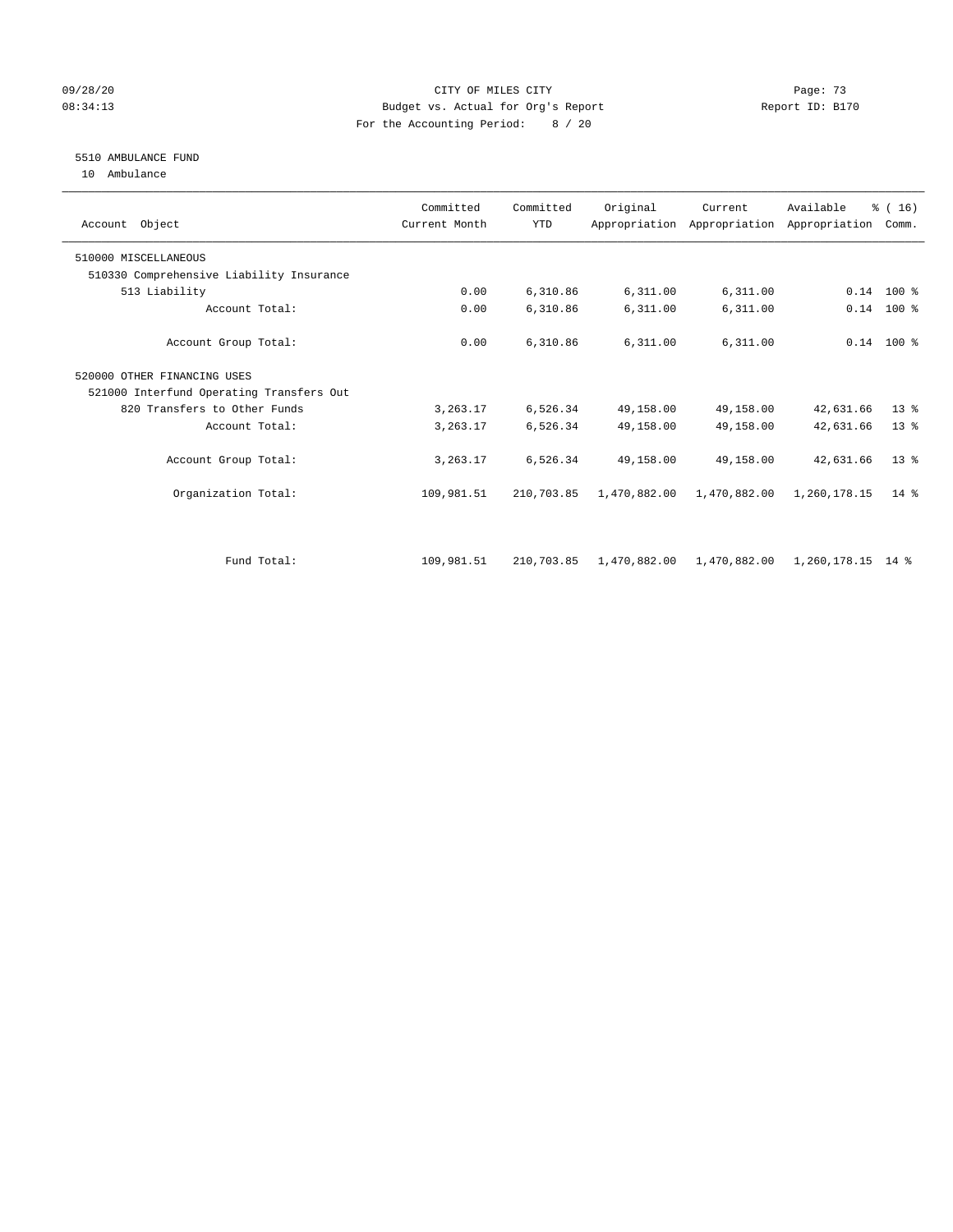### 09/28/20 Page: 73 08:34:13 Budget vs. Actual for Org's Report Report ID: B170 For the Accounting Period: 8 / 20

# 5510 AMBULANCE FUND

10 Ambulance

| Account Object                           | Committed<br>Current Month | Committed<br><b>YTD</b> | Original     | Current      | Available<br>Appropriation Appropriation Appropriation | % (16)<br>Comm. |  |
|------------------------------------------|----------------------------|-------------------------|--------------|--------------|--------------------------------------------------------|-----------------|--|
| 510000 MISCELLANEOUS                     |                            |                         |              |              |                                                        |                 |  |
| 510330 Comprehensive Liability Insurance |                            |                         |              |              |                                                        |                 |  |
| 513 Liability                            | 0.00                       | 6,310.86                | 6,311.00     | 6,311.00     |                                                        | $0.14$ 100 %    |  |
| Account Total:                           | 0.00                       | 6,310.86                | 6,311.00     | 6,311.00     | 0.14                                                   | $100*$          |  |
| Account Group Total:                     | 0.00                       | 6,310.86                | 6,311.00     | 6,311.00     |                                                        | $0.14$ 100 %    |  |
| 520000 OTHER FINANCING USES              |                            |                         |              |              |                                                        |                 |  |
| 521000 Interfund Operating Transfers Out |                            |                         |              |              |                                                        |                 |  |
| 820 Transfers to Other Funds             | 3,263.17                   | 6,526.34                | 49,158.00    | 49,158.00    | 42,631.66                                              | $13*$           |  |
| Account Total:                           | 3,263.17                   | 6,526.34                | 49,158.00    | 49,158.00    | 42,631.66                                              | $13*$           |  |
| Account Group Total:                     | 3, 263.17                  | 6,526.34                | 49,158.00    | 49,158.00    | 42,631.66                                              | $13*$           |  |
| Organization Total:                      | 109,981.51                 | 210,703.85              | 1,470,882.00 | 1,470,882.00 | 1,260,178.15                                           | $14*$           |  |
|                                          |                            |                         |              |              |                                                        |                 |  |
| Fund Total:                              | 109,981.51                 | 210,703.85              | 1,470,882.00 | 1,470,882.00 | 1,260,178.15 14 %                                      |                 |  |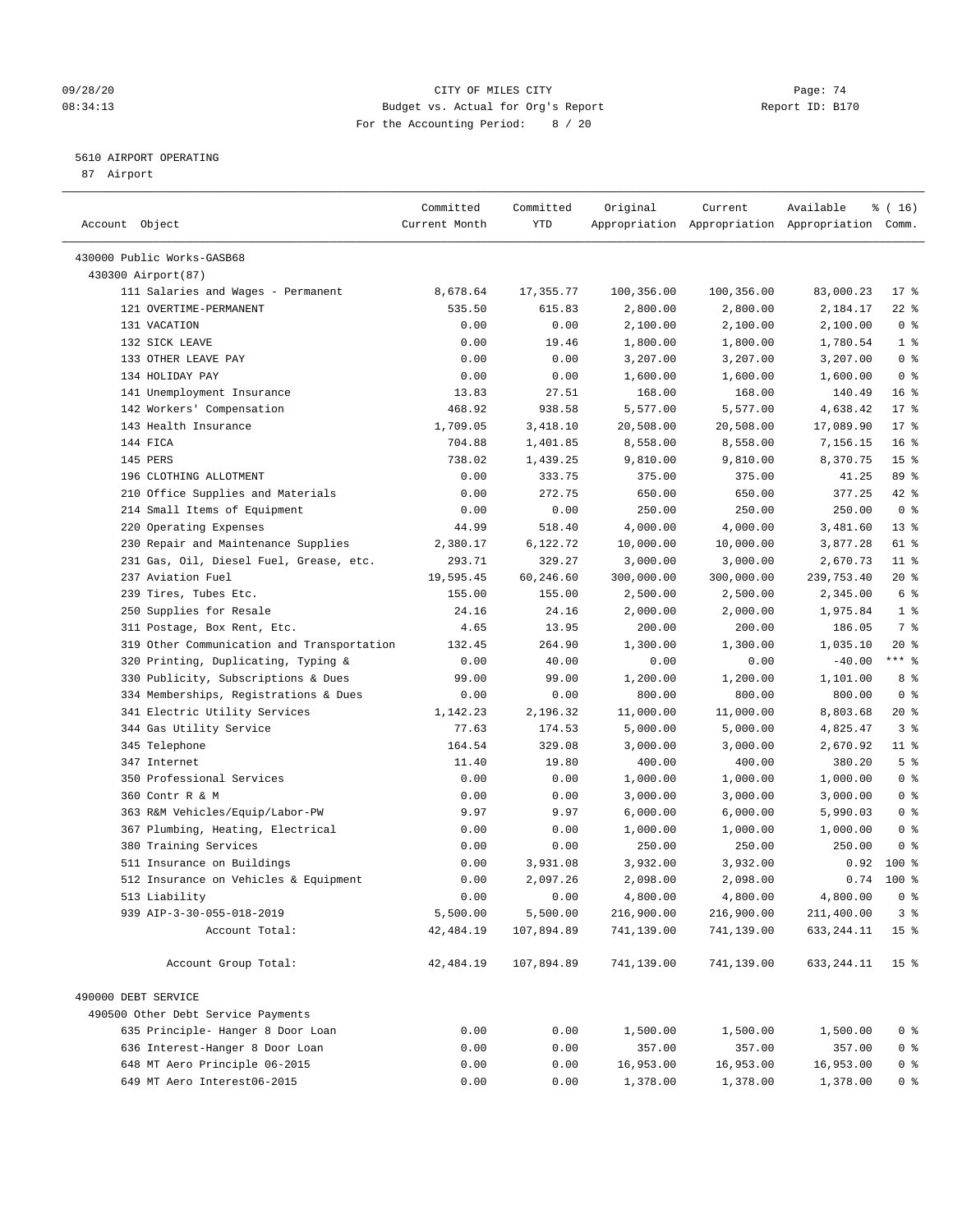### 09/28/20 Page: 74 08:34:13 Budget vs. Actual for Org's Report Report ID: B170 For the Accounting Period: 8 / 20

### 5610 AIRPORT OPERATING

87 Airport

| Account Object                             | Committed<br>Current Month | Committed<br>YTD | Original   | Current    | Available<br>Appropriation Appropriation Appropriation Comm. | ៖ ( 16)         |
|--------------------------------------------|----------------------------|------------------|------------|------------|--------------------------------------------------------------|-----------------|
| 430000 Public Works-GASB68                 |                            |                  |            |            |                                                              |                 |
| 430300 Airport (87)                        |                            |                  |            |            |                                                              |                 |
| 111 Salaries and Wages - Permanent         | 8,678.64                   | 17, 355.77       | 100,356.00 | 100,356.00 | 83,000.23                                                    | $17*$           |
| 121 OVERTIME-PERMANENT                     | 535.50                     | 615.83           | 2,800.00   | 2,800.00   | 2,184.17                                                     | $22$ %          |
| 131 VACATION                               | 0.00                       | 0.00             | 2,100.00   | 2,100.00   | 2,100.00                                                     | 0 <sup>8</sup>  |
| 132 SICK LEAVE                             | 0.00                       | 19.46            | 1,800.00   | 1,800.00   | 1,780.54                                                     | 1 <sup>8</sup>  |
| 133 OTHER LEAVE PAY                        | 0.00                       | 0.00             | 3,207.00   | 3,207.00   | 3,207.00                                                     | 0 <sup>8</sup>  |
| 134 HOLIDAY PAY                            | 0.00                       | 0.00             | 1,600.00   | 1,600.00   | 1,600.00                                                     | 0 <sup>8</sup>  |
| 141 Unemployment Insurance                 | 13.83                      | 27.51            | 168.00     | 168.00     | 140.49                                                       | 16 <sup>°</sup> |
| 142 Workers' Compensation                  | 468.92                     | 938.58           | 5,577.00   | 5,577.00   | 4,638.42                                                     | $17*$           |
| 143 Health Insurance                       | 1,709.05                   | 3,418.10         | 20,508.00  | 20,508.00  | 17,089.90                                                    | $17*$           |
| 144 FICA                                   | 704.88                     | 1,401.85         | 8,558.00   | 8,558.00   | 7,156.15                                                     | 16 <sup>8</sup> |
| 145 PERS                                   | 738.02                     | 1,439.25         | 9,810.00   | 9,810.00   | 8,370.75                                                     | 15 <sup>°</sup> |
| 196 CLOTHING ALLOTMENT                     | 0.00                       | 333.75           | 375.00     | 375.00     | 41.25                                                        | 89 %            |
| 210 Office Supplies and Materials          | 0.00                       | 272.75           | 650.00     | 650.00     | 377.25                                                       | 42 %            |
| 214 Small Items of Equipment               | 0.00                       | 0.00             | 250.00     | 250.00     | 250.00                                                       | 0 <sup>8</sup>  |
| 220 Operating Expenses                     | 44.99                      | 518.40           | 4,000.00   | 4,000.00   | 3,481.60                                                     | $13*$           |
| 230 Repair and Maintenance Supplies        | 2,380.17                   | 6,122.72         | 10,000.00  | 10,000.00  | 3,877.28                                                     | 61 %            |
| 231 Gas, Oil, Diesel Fuel, Grease, etc.    | 293.71                     | 329.27           | 3,000.00   | 3,000.00   | 2,670.73                                                     | $11$ %          |
| 237 Aviation Fuel                          | 19,595.45                  | 60,246.60        | 300,000.00 | 300,000.00 | 239,753.40                                                   | $20*$           |
| 239 Tires, Tubes Etc.                      | 155.00                     | 155.00           | 2,500.00   | 2,500.00   | 2,345.00                                                     | 6 %             |
| 250 Supplies for Resale                    | 24.16                      | 24.16            | 2,000.00   | 2,000.00   | 1,975.84                                                     | 1 <sup>8</sup>  |
| 311 Postage, Box Rent, Etc.                | 4.65                       | 13.95            | 200.00     | 200.00     | 186.05                                                       | 7 %             |
| 319 Other Communication and Transportation | 132.45                     | 264.90           | 1,300.00   | 1,300.00   | 1,035.10                                                     | $20*$           |
| 320 Printing, Duplicating, Typing &        | 0.00                       | 40.00            | 0.00       | 0.00       | $-40.00$                                                     | $***$ $%$       |
| 330 Publicity, Subscriptions & Dues        | 99.00                      | 99.00            | 1,200.00   | 1,200.00   | 1,101.00                                                     | 8%              |
| 334 Memberships, Registrations & Dues      | 0.00                       | 0.00             | 800.00     | 800.00     | 800.00                                                       | 0 <sup>8</sup>  |
| 341 Electric Utility Services              | 1,142.23                   | 2,196.32         | 11,000.00  | 11,000.00  | 8,803.68                                                     | $20*$           |
| 344 Gas Utility Service                    | 77.63                      | 174.53           | 5,000.00   | 5,000.00   | 4,825.47                                                     | 3 <sup>8</sup>  |
| 345 Telephone                              | 164.54                     | 329.08           | 3,000.00   | 3,000.00   | 2,670.92                                                     | $11$ %          |
| 347 Internet                               | 11.40                      | 19.80            | 400.00     | 400.00     | 380.20                                                       | 5 <sup>°</sup>  |
| 350 Professional Services                  | 0.00                       | 0.00             | 1,000.00   | 1,000.00   | 1,000.00                                                     | 0 <sup>8</sup>  |
| 360 Contr R & M                            | 0.00                       | 0.00             | 3,000.00   | 3,000.00   | 3,000.00                                                     | 0 <sup>8</sup>  |
| 363 R&M Vehicles/Equip/Labor-PW            | 9.97                       | 9.97             | 6,000.00   | 6,000.00   | 5,990.03                                                     | 0 <sup>8</sup>  |
| 367 Plumbing, Heating, Electrical          | 0.00                       | 0.00             | 1,000.00   | 1,000.00   | 1,000.00                                                     | 0 <sup>8</sup>  |
| 380 Training Services                      | 0.00                       | 0.00             | 250.00     | 250.00     | 250.00                                                       | 0 <sup>8</sup>  |
| 511 Insurance on Buildings                 | 0.00                       | 3,931.08         | 3,932.00   | 3,932.00   | 0.92                                                         | 100%            |
| 512 Insurance on Vehicles & Equipment      | 0.00                       | 2,097.26         | 2,098.00   | 2,098.00   | 0.74                                                         | $100*$          |
| 513 Liability                              | 0.00                       | 0.00             | 4,800.00   | 4,800.00   | 4,800.00                                                     | $0$ %           |
| 939 AIP-3-30-055-018-2019                  | 5,500.00                   | 5,500.00         | 216,900.00 | 216,900.00 | 211,400.00                                                   | 3 <sup>8</sup>  |
| Account Total:                             | 42, 484.19                 | 107,894.89       | 741,139.00 | 741,139.00 | 633,244.11                                                   | 15 <sup>8</sup> |
|                                            |                            |                  |            |            |                                                              |                 |
| Account Group Total:                       | 42,484.19                  | 107,894.89       | 741,139.00 | 741,139.00 | 633, 244. 11                                                 | 15 <sup>°</sup> |
| 490000 DEBT SERVICE                        |                            |                  |            |            |                                                              |                 |
| 490500 Other Debt Service Payments         |                            |                  |            |            |                                                              |                 |
| 635 Principle- Hanger 8 Door Loan          | 0.00                       | 0.00             | 1,500.00   | 1,500.00   | 1,500.00                                                     | $0$ %           |
| 636 Interest-Hanger 8 Door Loan            | 0.00                       | 0.00             | 357.00     | 357.00     | 357.00                                                       | 0 <sub>8</sub>  |
| 648 MT Aero Principle 06-2015              | 0.00                       | 0.00             | 16,953.00  | 16,953.00  | 16,953.00                                                    | $0$ %           |
| 649 MT Aero Interest06-2015                | 0.00                       | 0.00             | 1,378.00   | 1,378.00   | 1,378.00                                                     | $0$ %           |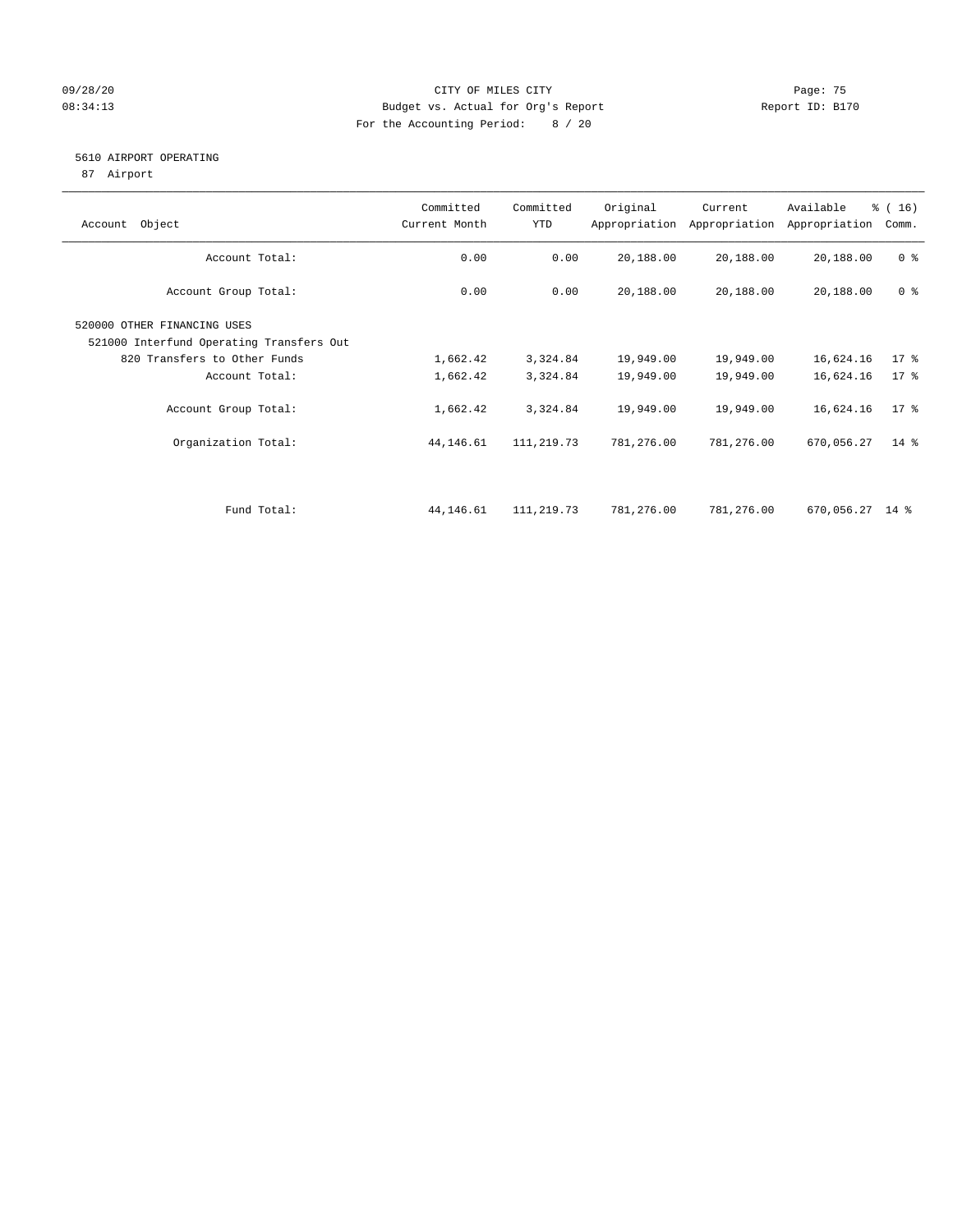### 09/28/20 Page: 75 08:34:13 Budget vs. Actual for Org's Report Report ID: B170 For the Accounting Period: 8 / 20

### 5610 AIRPORT OPERATING

87 Airport

| Object<br>Account                                                       | Committed<br>Current Month | Committed<br>YTD | Original   | Current<br>Appropriation Appropriation | Available<br>Appropriation | % (16)<br>Comm. |
|-------------------------------------------------------------------------|----------------------------|------------------|------------|----------------------------------------|----------------------------|-----------------|
| Account Total:                                                          | 0.00                       | 0.00             | 20,188.00  | 20,188.00                              | 20,188.00                  | 0 <sup>8</sup>  |
| Account Group Total:                                                    | 0.00                       | 0.00             | 20,188.00  | 20,188.00                              | 20,188.00                  | 0 <sup>8</sup>  |
| 520000 OTHER FINANCING USES<br>521000 Interfund Operating Transfers Out |                            |                  |            |                                        |                            |                 |
| 820 Transfers to Other Funds                                            | 1,662.42                   | 3,324.84         | 19,949.00  | 19,949.00                              | 16,624.16                  | $17*$           |
| Account Total:                                                          | 1,662.42                   | 3,324.84         | 19,949.00  | 19,949.00                              | 16,624.16                  | $17*$           |
| Account Group Total:                                                    | 1,662.42                   | 3,324.84         | 19,949.00  | 19,949.00                              | 16,624.16                  | $17*$           |
| Organization Total:                                                     | 44,146.61                  | 111,219.73       | 781,276.00 | 781,276.00                             | 670,056.27                 | $14*$           |
|                                                                         |                            |                  |            |                                        |                            |                 |
| Fund Total:                                                             | 44,146.61                  | 111,219.73       | 781,276.00 | 781,276.00                             | 670,056.27 14 %            |                 |